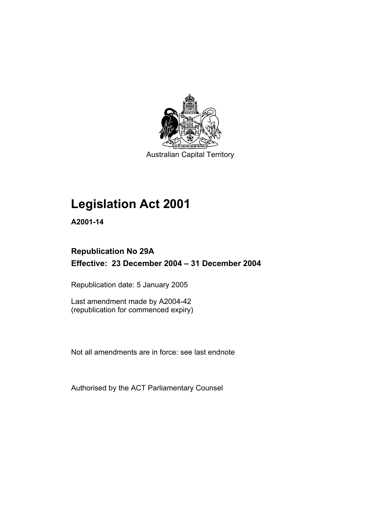

Australian Capital Territory

## **Legislation Act 2001**

**A2001-14** 

## **Republication No 29A Effective: 23 December 2004 – 31 December 2004**

Republication date: 5 January 2005

Last amendment made by A2004-42 (republication for commenced expiry)

Not all amendments are in force: see last endnote

Authorised by the ACT Parliamentary Counsel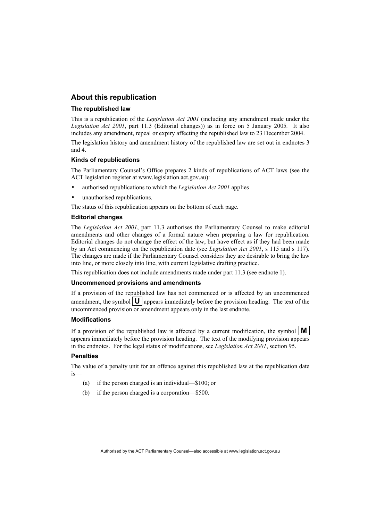### **About this republication**

#### **The republished law**

This is a republication of the *Legislation Act 2001* (including any amendment made under the *Legislation Act 2001*, part 11.3 (Editorial changes)) as in force on 5 January 2005*.* It also includes any amendment, repeal or expiry affecting the republished law to 23 December 2004.

The legislation history and amendment history of the republished law are set out in endnotes 3 and 4.

#### **Kinds of republications**

The Parliamentary Counsel's Office prepares 2 kinds of republications of ACT laws (see the ACT legislation register at www.legislation.act.gov.au):

- authorised republications to which the *Legislation Act 2001* applies
- unauthorised republications.

The status of this republication appears on the bottom of each page.

#### **Editorial changes**

The *Legislation Act 2001*, part 11.3 authorises the Parliamentary Counsel to make editorial amendments and other changes of a formal nature when preparing a law for republication. Editorial changes do not change the effect of the law, but have effect as if they had been made by an Act commencing on the republication date (see *Legislation Act 2001*, s 115 and s 117). The changes are made if the Parliamentary Counsel considers they are desirable to bring the law into line, or more closely into line, with current legislative drafting practice.

This republication does not include amendments made under part 11.3 (see endnote 1).

#### **Uncommenced provisions and amendments**

If a provision of the republished law has not commenced or is affected by an uncommenced amendment, the symbol  $\mathbf{U}$  appears immediately before the provision heading. The text of the uncommenced provision or amendment appears only in the last endnote.

#### **Modifications**

If a provision of the republished law is affected by a current modification, the symbol  $\mathbf{M}$ appears immediately before the provision heading. The text of the modifying provision appears in the endnotes. For the legal status of modifications, see *Legislation Act 2001*, section 95.

#### **Penalties**

The value of a penalty unit for an offence against this republished law at the republication date is—

- (a) if the person charged is an individual—\$100; or
- (b) if the person charged is a corporation—\$500.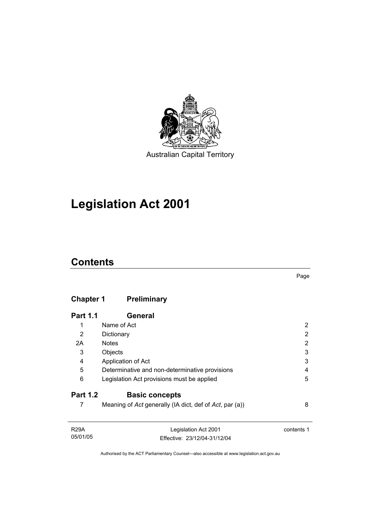

Australian Capital Territory

# **Legislation Act 2001**

## **Contents**

## **Chapter 1 Preliminary**

| <b>Part 1.1</b> | <b>General</b>                                          |   |
|-----------------|---------------------------------------------------------|---|
| 1               | Name of Act                                             | 2 |
| 2               | Dictionary                                              | 2 |
| 2A              | <b>Notes</b>                                            | 2 |
| 3               | Objects                                                 | 3 |
| 4               | Application of Act                                      | 3 |
| 5               | Determinative and non-determinative provisions          | 4 |
| 6               | Legislation Act provisions must be applied              | 5 |
| <b>Part 1.2</b> | <b>Basic concepts</b>                                   |   |
|                 | Meaning of Act generally (IA dict, def of Act, par (a)) | 8 |

| R29A     | Legislation Act 2001         | contents 1 |
|----------|------------------------------|------------|
| 05/01/05 | Effective: 23/12/04-31/12/04 |            |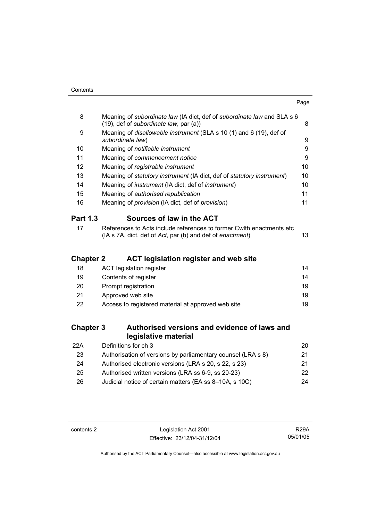| 8         | Meaning of subordinate law (IA dict, def of subordinate law and SLA s 6<br>$(19)$ , def of subordinate law, par $(a)$ )            | 8  |
|-----------|------------------------------------------------------------------------------------------------------------------------------------|----|
| 9         | Meaning of <i>disallowable instrument</i> (SLA s 10 (1) and 6 (19), def of<br>subordinate law)                                     | 9  |
| 10        | Meaning of <i>notifiable instrument</i>                                                                                            | 9  |
| 11        | Meaning of commencement notice                                                                                                     | 9  |
| 12        | Meaning of registrable instrument                                                                                                  | 10 |
| 13        | Meaning of statutory instrument (IA dict, def of statutory instrument)                                                             | 10 |
| 14        | Meaning of <i>instrument</i> (IA dict, def of <i>instrument</i> )                                                                  | 10 |
| 15        | Meaning of authorised republication                                                                                                | 11 |
| 16        | Meaning of provision (IA dict, def of provision)                                                                                   | 11 |
| Part 1.3  | Sources of law in the ACT                                                                                                          |    |
| 17        | References to Acts include references to former Cwith enactments etc.<br>(IA s 7A, dict, def of Act, par (b) and def of enactment) | 13 |
| Chantor ク | ACT logiclation rogietor and wob eito                                                                                              |    |

## **Chapter 2 ACT legislation register and web site**

| 18 | ACT legislation register                           | 14  |
|----|----------------------------------------------------|-----|
| 19 | Contents of register                               | 14  |
| 20 | Prompt registration                                | 19  |
| 21 | Approved web site                                  | 19  |
| 22 | Access to registered material at approved web site | 19. |
|    |                                                    |     |

## **Chapter 3 Authorised versions and evidence of laws and legislative material**

| 22A | Definitions for ch 3                                         | 20. |
|-----|--------------------------------------------------------------|-----|
| 23  | Authorisation of versions by parliamentary counsel (LRA s 8) | 21  |
| 24  | Authorised electronic versions (LRA s 20, s 22, s 23)        | 21  |
| 25  | Authorised written versions (LRA ss 6-9, ss 20-23)           | 22. |
| 26  | Judicial notice of certain matters (EA ss 8-10A, s 10C)      | 24  |

contents 2 Legislation Act 2001 Effective: 23/12/04-31/12/04

R29A 05/01/05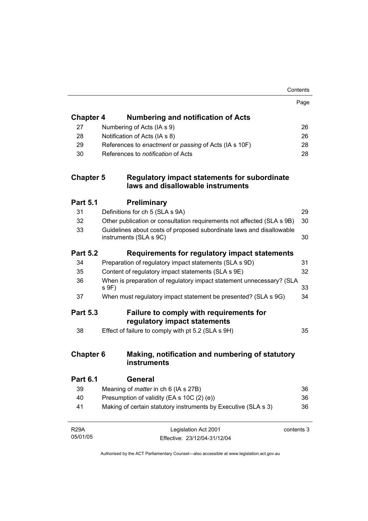|                  |                                                                                                | Contents   |
|------------------|------------------------------------------------------------------------------------------------|------------|
|                  |                                                                                                | Page       |
| <b>Chapter 4</b> | <b>Numbering and notification of Acts</b>                                                      |            |
| 27               | Numbering of Acts (IA s 9)                                                                     | 26         |
| 28               | Notification of Acts (IA s 8)                                                                  | 26         |
| 29               | References to enactment or passing of Acts (IA s 10F)                                          | 28         |
| 30               | References to <i>notification</i> of Acts                                                      | 28         |
| <b>Chapter 5</b> | <b>Regulatory impact statements for subordinate</b><br>laws and disallowable instruments       |            |
| <b>Part 5.1</b>  | <b>Preliminary</b>                                                                             |            |
| 31               | Definitions for ch 5 (SLA s 9A)                                                                | 29         |
| 32               | Other publication or consultation requirements not affected (SLA s 9B)                         | 30         |
| 33               | Guidelines about costs of proposed subordinate laws and disallowable<br>instruments (SLA s 9C) | 30         |
| <b>Part 5.2</b>  | Requirements for regulatory impact statements                                                  |            |
| 34               | Preparation of regulatory impact statements (SLA s 9D)                                         | 31         |
| 35               | Content of regulatory impact statements (SLA s 9E)                                             | 32         |
| 36               | When is preparation of regulatory impact statement unnecessary? (SLA<br>s 9F)                  | 33         |
| 37               | When must regulatory impact statement be presented? (SLA s 9G)                                 | 34         |
| <b>Part 5.3</b>  | Failure to comply with requirements for<br>regulatory impact statements                        |            |
| 38               | Effect of failure to comply with pt 5.2 (SLA s 9H)                                             | 35         |
| <b>Chapter 6</b> | Making, notification and numbering of statutory<br>instruments                                 |            |
| <b>Part 6.1</b>  | General                                                                                        |            |
| 39               | Meaning of <i>matter</i> in ch 6 (IA s 27B)                                                    | 36         |
| 40               | Presumption of validity (EA s 10C (2) (e))                                                     | 36         |
| 41               | Making of certain statutory instruments by Executive (SLA s 3)                                 | 36         |
| <b>R29A</b>      | Legislation Act 2001                                                                           | contents 3 |
| 05/01/05         | Effective: 23/12/04-31/12/04                                                                   |            |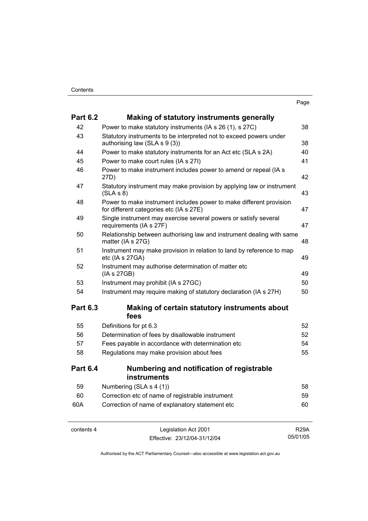| ٧<br>× |
|--------|
|--------|

| <b>Part 6.2</b> | Making of statutory instruments generally                                                                      |             |
|-----------------|----------------------------------------------------------------------------------------------------------------|-------------|
| 42              | Power to make statutory instruments (IA s 26 (1), s 27C)                                                       | 38          |
| 43              | Statutory instruments to be interpreted not to exceed powers under<br>authorising law (SLA s 9 (3))            | 38          |
| 44              | Power to make statutory instruments for an Act etc (SLA s 2A)                                                  | 40          |
| 45              | Power to make court rules (IA s 27I)                                                                           | 41          |
| 46              | Power to make instrument includes power to amend or repeal (IA s<br>27D)                                       | 42          |
| 47              | Statutory instrument may make provision by applying law or instrument<br>(SLA S 8)                             | 43          |
| 48              | Power to make instrument includes power to make different provision<br>for different categories etc (IA s 27E) | 47          |
| 49              | Single instrument may exercise several powers or satisfy several<br>requirements (IA s 27F)                    | 47          |
| 50              | Relationship between authorising law and instrument dealing with same<br>matter (IA s 27G)                     | 48          |
| 51              | Instrument may make provision in relation to land by reference to map<br>etc (IA s 27GA)                       | 49          |
| 52              | Instrument may authorise determination of matter etc<br>(IA s 27GB)                                            | 49          |
| 53              | Instrument may prohibit (IA s 27GC)                                                                            | 50          |
| 54              | Instrument may require making of statutory declaration (IA s 27H)                                              | 50          |
| <b>Part 6.3</b> | Making of certain statutory instruments about<br>fees                                                          |             |
| 55              | Definitions for pt 6.3                                                                                         | 52          |
| 56              | Determination of fees by disallowable instrument                                                               | 52          |
| 57              | Fees payable in accordance with determination etc                                                              | 54          |
| 58              | Regulations may make provision about fees                                                                      | 55          |
| <b>Part 6.4</b> | Numbering and notification of registrable<br><b>instruments</b>                                                |             |
| 59              | Numbering (SLA s 4 (1))                                                                                        | 58          |
| 60              | Correction etc of name of registrable instrument                                                               | 59          |
| 60A             | Correction of name of explanatory statement etc                                                                | 60          |
| contents 4      | Legislation Act 2001                                                                                           | <b>R29A</b> |

Effective: 23/12/04-31/12/04

R29A 05/01/05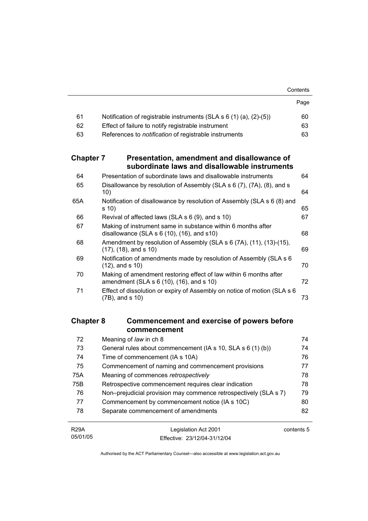|                  |                                                                                                                 | Contents |
|------------------|-----------------------------------------------------------------------------------------------------------------|----------|
|                  |                                                                                                                 | Page     |
| 61               | Notification of registrable instruments (SLA $s$ 6 (1) (a), (2)-(5))                                            | 60       |
| 62               | Effect of failure to notify registrable instrument                                                              | 63       |
| 63               | References to <i>notification</i> of registrable instruments                                                    | 63       |
| <b>Chapter 7</b> | Presentation, amendment and disallowance of<br>subordinate laws and disallowable instruments                    |          |
| 64               | Presentation of subordinate laws and disallowable instruments                                                   | 64       |
| 65               | Disallowance by resolution of Assembly (SLA s 6 (7), (7A), (8), and s<br>10)                                    | 64       |
| 65A              | Notification of disallowance by resolution of Assembly (SLA s 6 (8) and<br>s 10)                                | 65       |
| 66               | Revival of affected laws (SLA s 6 (9), and s 10)                                                                | 67       |
| 67               | Making of instrument same in substance within 6 months after<br>disallowance (SLA $s$ 6 (10), (16), and $s$ 10) | 68       |
| 68               | Amendment by resolution of Assembly (SLA s 6 (7A), (11), (13)-(15),<br>$(17)$ , $(18)$ , and s $10)$            | 69       |
| 69               | Notification of amendments made by resolution of Assembly (SLA s 6<br>$(12)$ , and s $10)$                      | 70       |
| 70               | Making of amendment restoring effect of law within 6 months after<br>amendment (SLA s 6 (10), (16), and s 10)   | 72       |
| 71               | Effect of dissolution or expiry of Assembly on notice of motion (SLA s 6<br>$(7B)$ , and s $10)$                | 73       |
|                  |                                                                                                                 |          |

## **Chapter 8 Commencement and exercise of powers before commencement**

| 72          | Meaning of law in ch 8                                           | 74         |
|-------------|------------------------------------------------------------------|------------|
| 73          | General rules about commencement (IA s 10, SLA s 6 (1) (b))      | 74         |
| 74          | Time of commencement (IA s 10A)                                  | 76         |
| 75          | Commencement of naming and commencement provisions               | 77         |
| 75A         | Meaning of commences retrospectively                             | 78         |
| 75B         | Retrospective commencement requires clear indication             | 78         |
| 76          | Non-prejudicial provision may commence retrospectively (SLA s 7) | 79         |
| 77          | Commencement by commencement notice (IA s 10C)                   | 80         |
| 78          | Separate commencement of amendments                              | 82         |
|             |                                                                  |            |
| <b>R29A</b> | Legislation Act 2001                                             | contents 5 |

Effective: 23/12/04-31/12/04

05/01/05

contents 5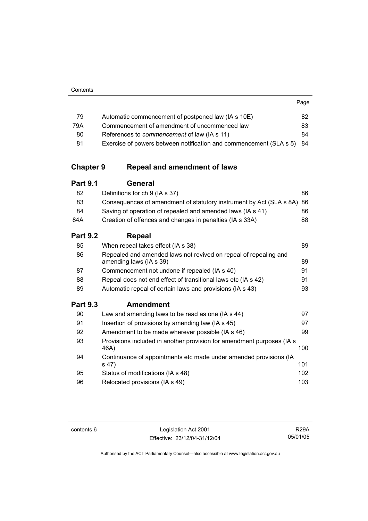| <br>٧<br>×<br>× |  |
|-----------------|--|

| 79  | Automatic commencement of postponed law (IA s 10E)                    | 82. |
|-----|-----------------------------------------------------------------------|-----|
| 79A | Commencement of amendment of uncommenced law                          | 83. |
| 80  | References to <i>commencement</i> of law (IA s 11)                    | 84. |
| 81  | Exercise of powers between notification and commencement (SLA s 5) 84 |     |

## **Chapter 9 Repeal and amendment of laws**

| <b>Part 9.1</b> | <b>General</b> |
|-----------------|----------------|
|-----------------|----------------|

| 82  | Definitions for ch 9 (IA s 37)                                         | 86 |
|-----|------------------------------------------------------------------------|----|
| 83  | Consequences of amendment of statutory instrument by Act (SLA s 8A) 86 |    |
| 84  | Saving of operation of repealed and amended laws (IA s 41)             | 86 |
| 84A | Creation of offences and changes in penalties (IA s 33A)               | 88 |
|     |                                                                        |    |

## **Part 9.2 Repeal**

| 85              | When repeal takes effect (IA s 38)                                                          | 89 |
|-----------------|---------------------------------------------------------------------------------------------|----|
| 86              | Repealed and amended laws not revived on repeal of repealing and<br>amending laws (IA s 39) | 89 |
| 87              | Commencement not undone if repealed (IA s 40)                                               | 91 |
| 88              | Repeal does not end effect of transitional laws etc (IA s 42)                               | 91 |
| 89              | Automatic repeal of certain laws and provisions (IA s 43)                                   | 93 |
| <b>Part 9.3</b> | <b>Amendment</b>                                                                            |    |
| 90              | Law and amending laws to be read as one (IA s 44)                                           | 97 |
| 91              | Insertion of provisions by amending law (IA s 45)                                           | 97 |
| 92              | Amendment to be made wherever possible (IA s 46)                                            | 99 |

| 93 | Provisions included in another provision for amendment purposes (IA s)<br>46A) | 100  |
|----|--------------------------------------------------------------------------------|------|
| 94 | Continuance of appointments etc made under amended provisions (IA<br>s(47)     | 101  |
| 95 | Status of modifications (IA s 48)                                              | 102  |
| 96 | Relocated provisions (IA s 49)                                                 | 103. |

contents 6 Legislation Act 2001 Effective: 23/12/04-31/12/04

R29A 05/01/05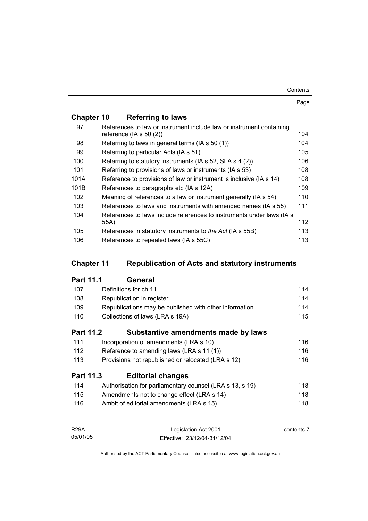| Contents |
|----------|
|----------|

Page

## **Chapter 10 Referring to laws**

| 97   | References to law or instrument include law or instrument containing<br>reference ( $ A \simeq 50(2)$ ) | 104 |
|------|---------------------------------------------------------------------------------------------------------|-----|
| 98   | Referring to laws in general terms (IA s 50 (1))                                                        | 104 |
| 99   | Referring to particular Acts (IA s 51)                                                                  | 105 |
| 100  | Referring to statutory instruments (IA s 52, SLA s 4 (2))                                               | 106 |
| 101  | Referring to provisions of laws or instruments (IA s 53)                                                | 108 |
| 101A | Reference to provisions of law or instrument is inclusive (IA s 14)                                     | 108 |
| 101B | References to paragraphs etc (IA s 12A)                                                                 | 109 |
| 102  | Meaning of references to a law or instrument generally (IA s 54)                                        | 110 |
| 103  | References to laws and instruments with amended names (IA s 55)                                         | 111 |
| 104  | References to laws include references to instruments under laws (IA s)                                  |     |
|      | 55A)                                                                                                    | 112 |
| 105  | References in statutory instruments to the Act (IA s 55B)                                               | 113 |
| 106  | References to repealed laws (IA s 55C)                                                                  | 113 |

## **Chapter 11 Republication of Acts and statutory instruments**

## **Part 11.1 General**

| 107 | Definitions for ch 11                                    | 114 |
|-----|----------------------------------------------------------|-----|
| 108 | Republication in register                                | 114 |
| 109 | Republications may be published with other information   | 114 |
| 110 | Collections of laws (LRA s 19A)                          | 115 |
|     | <b>Part 11.2</b><br>Substantive amendments made by laws  |     |
| 111 | Incorporation of amendments (LRA s 10)                   | 116 |
| 112 | Reference to amending laws (LRA s 11 (1))                | 116 |
| 113 | Provisions not republished or relocated (LRA s 12)       | 116 |
|     | <b>Part 11.3</b><br><b>Editorial changes</b>             |     |
| 114 | Authorisation for parliamentary counsel (LRA s 13, s 19) | 118 |
| 115 | Amendments not to change effect (LRA s 14)               | 118 |
| 116 | Ambit of editorial amendments (LRA s 15)                 | 118 |
|     |                                                          |     |

| <b>R29A</b> | Legislation Act 2001         | contents 7 |
|-------------|------------------------------|------------|
| 05/01/05    | Effective: 23/12/04-31/12/04 |            |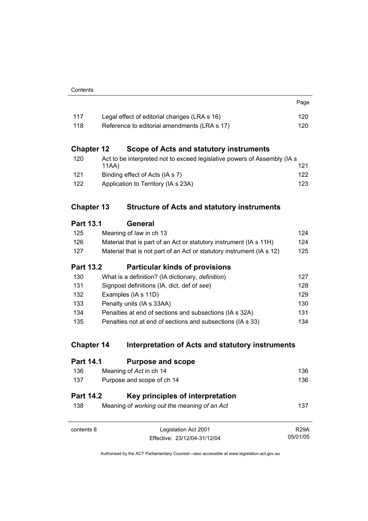| 117 | Legal effect of editorial changes (LRA s 16) | 120 |
|-----|----------------------------------------------|-----|
| 118 | Reference to editorial amendments (LRA s 17) | 120 |

Page

## **Chapter 12 Scope of Acts and statutory instruments**

| 120 | Act to be interpreted not to exceed legislative powers of Assembly (IA s) |     |
|-----|---------------------------------------------------------------------------|-----|
|     | 11AA)                                                                     | 121 |
| 121 | Binding effect of Acts (IA s 7)                                           | 122 |
| 122 | Application to Territory (IA s 23A)                                       | 123 |

## **Chapter 13 Structure of Acts and statutory instruments**

| <b>Part 13.1</b> | General                                                               |     |
|------------------|-----------------------------------------------------------------------|-----|
| 125              | Meaning of law in ch 13                                               | 124 |
| 126              | Material that is part of an Act or statutory instrument (IA s 11H)    | 124 |
| 127              | Material that is not part of an Act or statutory instrument (IA s 12) | 125 |
| <b>Part 13.2</b> | <b>Particular kinds of provisions</b>                                 |     |
| 130              | What is a definition? (IA dictionary, <i>definition</i> )             | 127 |
| 131              | Signpost definitions (IA, dict, def of see)                           | 128 |
| 132              | Examples (IA s 11D)                                                   | 129 |
| 133              | Penalty units (IA s 33AA)                                             | 130 |
| 134              | Penalties at end of sections and subsections (IA s 32A)               | 131 |
| 135              | Penalties not at end of sections and subsections (IA s 33)            | 134 |

## **Chapter 14 Interpretation of Acts and statutory instruments**

| <b>Part 14.1</b>        | <b>Purpose and scope</b>                                                         |             |
|-------------------------|----------------------------------------------------------------------------------|-------------|
| 136                     | Meaning of Act in ch 14                                                          | 136         |
| 137                     | Purpose and scope of ch 14                                                       | 136         |
| <b>Part 14.2</b><br>138 | Key principles of interpretation<br>Meaning of working out the meaning of an Act | 137         |
| contents 8              | Legislation Act 2001                                                             | <b>R29A</b> |
|                         | Effective: 23/12/04-31/12/04                                                     | 05/01/05    |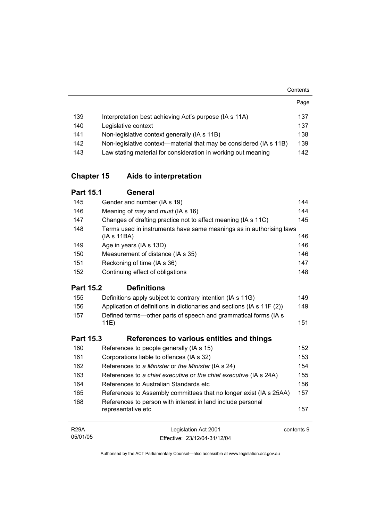|                   |                                                                                   | Page    |
|-------------------|-----------------------------------------------------------------------------------|---------|
| 139               | Interpretation best achieving Act's purpose (IA s 11A)                            | 137     |
| 140               | Legislative context                                                               | 137     |
| 141               | Non-legislative context generally (IA s 11B)                                      | 138     |
| 142               | Non-legislative context—material that may be considered (IA s 11B)                | 139     |
| 143               | Law stating material for consideration in working out meaning                     | 142     |
| <b>Chapter 15</b> | Aids to interpretation                                                            |         |
| <b>Part 15.1</b>  | General                                                                           |         |
| 145               | Gender and number (IA s 19)                                                       | 144     |
| 146               | Meaning of <i>may</i> and <i>must</i> (IA s 16)                                   | 144     |
| 147               | Changes of drafting practice not to affect meaning (IA s 11C)                     | 145     |
| 148               | Terms used in instruments have same meanings as in authorising laws<br>(IAs 11BA) | 146     |
| 149               | Age in years (IA s 13D)                                                           | 146     |
| 150               | Measurement of distance (IA s 35)                                                 | 146     |
| 151               | Reckoning of time (IA s 36)                                                       | 147     |
| 152               | Continuing effect of obligations                                                  | 148     |
| <b>Part 15.2</b>  | <b>Definitions</b>                                                                |         |
| 155               | Definitions apply subject to contrary intention (IA s 11G)                        | 149     |
| 156               | Application of definitions in dictionaries and sections (IA s 11F (2))            | 149     |
| 157               | Defined terms--other parts of speech and grammatical forms (IA s<br>11E)          | 151     |
| <b>Part 15.3</b>  | References to various entities and things                                         |         |
| 160               | References to people generally (IA s 15)                                          | 152     |
| 161               | Corporations liable to offences (IA s 32)                                         | 153     |
| 162               | References to a Minister or the Minister (IA s 24)                                | 154     |
| 163               | References to a chief executive or the chief executive (IA s 24A)                 | 155     |
|                   |                                                                                   | $1 - 2$ |

**Contents** 

| 164 | References to Australian Standards etc                                            | 156 |
|-----|-----------------------------------------------------------------------------------|-----|
| 165 | References to Assembly committees that no longer exist (IA s 25AA)                | 157 |
| 168 | References to person with interest in land include personal<br>representative etc | 157 |

| R29A     | Legislation Act 2001         | contents 9 |
|----------|------------------------------|------------|
| 05/01/05 | Effective: 23/12/04-31/12/04 |            |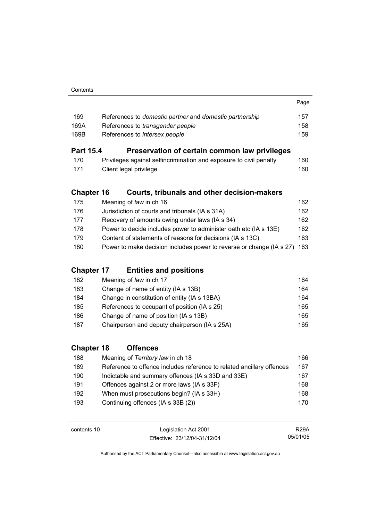| 169  | References to domestic partner and domestic partnership | 157 |
|------|---------------------------------------------------------|-----|
| 169A | References to <i>transgender people</i>                 | 158 |
| 169B | References to <i>intersex people</i>                    | 159 |
|      |                                                         |     |

Page

## **Part 15.4 Preservation of certain common law privileges**

| 170 | Privileges against selfincrimination and exposure to civil penalty | 160 |
|-----|--------------------------------------------------------------------|-----|
| 171 | Client legal privilege                                             | 160 |

## **Chapter 16 Courts, tribunals and other decision-makers**

| Jurisdiction of courts and tribunals (IA s 31A)<br>176                          | 162 |
|---------------------------------------------------------------------------------|-----|
| Recovery of amounts owing under laws (IA s 34)<br>177                           | 162 |
| Power to decide includes power to administer oath etc (IA s 13E)<br>178         | 162 |
| Content of statements of reasons for decisions (IA s 13C)<br>179                | 163 |
| Power to make decision includes power to reverse or change (IA s 27) 163<br>180 |     |

## **Chapter 17 Entities and positions**

| 182 | Meaning of law in ch 17                       | 164 |
|-----|-----------------------------------------------|-----|
| 183 | Change of name of entity (IA s 13B)           | 164 |
| 184 | Change in constitution of entity (IA s 13BA)  | 164 |
| 185 | References to occupant of position (IA s 25)  | 165 |
| 186 | Change of name of position (IA s 13B)         | 165 |
| 187 | Chairperson and deputy chairperson (IA s 25A) | 165 |

## **Chapter 18 Offences**

| 188 | Meaning of Territory law in ch 18                                     | 166 |
|-----|-----------------------------------------------------------------------|-----|
| 189 | Reference to offence includes reference to related ancillary offences | 167 |
| 190 | Indictable and summary offences (IA s 33D and 33E)                    | 167 |
| 191 | Offences against 2 or more laws (IA s 33F)                            | 168 |
| 192 | When must prosecutions begin? (IA s 33H)                              | 168 |
| 193 | Continuing offences (IA s 33B (2))                                    | 170 |

| contents 10 | Legislation Act 2001         | <b>R29A</b> |
|-------------|------------------------------|-------------|
|             | Effective: 23/12/04-31/12/04 | 05/01/05    |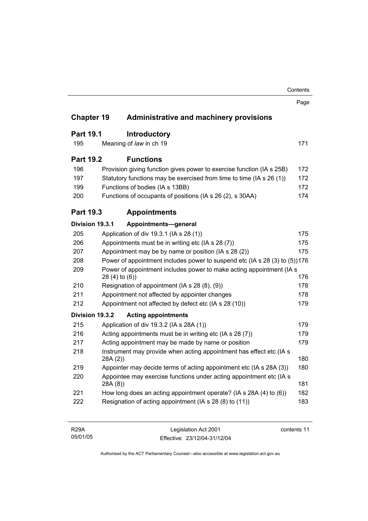|                   |                    |                                                                            | Contents |
|-------------------|--------------------|----------------------------------------------------------------------------|----------|
|                   |                    |                                                                            | Page     |
| <b>Chapter 19</b> |                    | <b>Administrative and machinery provisions</b>                             |          |
| <b>Part 19.1</b>  |                    | <b>Introductory</b>                                                        |          |
| 195               |                    | Meaning of law in ch 19                                                    | 171      |
| <b>Part 19.2</b>  |                    | <b>Functions</b>                                                           |          |
| 196               |                    | Provision giving function gives power to exercise function (IA s 25B)      | 172      |
| 197               |                    | Statutory functions may be exercised from time to time (IA s 26 (1))       | 172      |
| 199               |                    | Functions of bodies (IA s 13BB)                                            | 172      |
| 200               |                    | Functions of occupants of positions (IA s 26 (2), s 30AA)                  | 174      |
| <b>Part 19.3</b>  |                    | <b>Appointments</b>                                                        |          |
| Division 19.3.1   |                    | Appointments-general                                                       |          |
| 205               |                    | Application of div 19.3.1 (IA s 28 (1))                                    | 175      |
| 206               |                    | Appointments must be in writing etc (IA s 28 (7))                          | 175      |
| 207               |                    | Appointment may be by name or position (IA s 28 (2))<br>175                |          |
| 208               |                    | Power of appointment includes power to suspend etc (IA s 28 (3) to (5))176 |          |
| 209               | $28(4)$ to $(6)$ ) | Power of appointment includes power to make acting appointment (IA s       | 176      |
| 210               |                    | Resignation of appointment (IA s 28 (8), (9))                              | 178      |
| 211               |                    | Appointment not affected by appointer changes                              | 178      |
| 212               |                    | Appointment not affected by defect etc (IA s 28 (10))                      | 179      |
| Division 19.3.2   |                    | <b>Acting appointments</b>                                                 |          |
| 215               |                    | Application of div 19.3.2 (IA s 28A (1))                                   | 179      |
| 216               |                    | Acting appointments must be in writing etc (IA s 28 (7))                   | 179      |
| 217               |                    | Acting appointment may be made by name or position                         | 179      |
| 218               | 28A (2))           | Instrument may provide when acting appointment has effect etc (IA s        | 180      |
| 219               |                    | Appointer may decide terms of acting appointment etc (IA s 28A (3))        | 180      |
| 220               | 28A(8)             | Appointee may exercise functions under acting appointment etc (IA s        | 181      |
|                   |                    | How long does an acting appointment operate? (IA s 28A (4) to (6))         | 182      |
| 221               |                    |                                                                            |          |

| <b>R29A</b> | Legislation Act 2001         | contents 11 |
|-------------|------------------------------|-------------|
| 05/01/05    | Effective: 23/12/04-31/12/04 |             |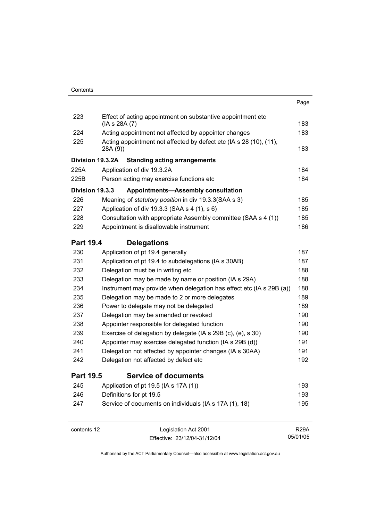|                        |                                                                                | Page |
|------------------------|--------------------------------------------------------------------------------|------|
| 223                    | Effect of acting appointment on substantive appointment etc<br>(IA s 28A (7)   | 183  |
| 224                    | Acting appointment not affected by appointer changes                           | 183  |
| 225                    | Acting appointment not affected by defect etc (IA s 28 (10), (11),<br>28A (9)) | 183  |
| Division 19.3.2A       | <b>Standing acting arrangements</b>                                            |      |
| 225A                   | Application of div 19.3.2A                                                     | 184  |
| 225B                   | Person acting may exercise functions etc                                       | 184  |
| <b>Division 19.3.3</b> | <b>Appointments-Assembly consultation</b>                                      |      |
| 226                    | Meaning of statutory position in div 19.3.3 (SAA s 3)                          | 185  |
| 227                    | Application of div 19.3.3 (SAA s 4 (1), s 6)                                   | 185  |
| 228                    | Consultation with appropriate Assembly committee (SAA s 4 (1))                 | 185  |
| 229                    | Appointment is disallowable instrument                                         | 186  |
| <b>Part 19.4</b>       | <b>Delegations</b>                                                             |      |
| 230                    | Application of pt 19.4 generally                                               | 187  |
| 231                    | Application of pt 19.4 to subdelegations (IA s 30AB)                           | 187  |
| 232                    | Delegation must be in writing etc                                              | 188  |
| 233                    | Delegation may be made by name or position (IA s 29A)                          | 188  |
| 234                    | Instrument may provide when delegation has effect etc (IA s 29B (a))           | 188  |
| 235                    | 189<br>Delegation may be made to 2 or more delegates                           |      |
| 236                    | Power to delegate may not be delegated<br>189                                  |      |
| 237                    | Delegation may be amended or revoked<br>190                                    |      |
| 238                    | Appointer responsible for delegated function<br>190                            |      |
| 239                    | Exercise of delegation by delegate (IA s 29B (c), (e), s 30)                   | 190  |
| 240                    | Appointer may exercise delegated function (IA s 29B (d))                       | 191  |
| 241                    | Delegation not affected by appointer changes (IA s 30AA)                       | 191  |
| 242                    | Delegation not affected by defect etc                                          | 192  |
| Part 19.5              | <b>Service of documents</b>                                                    |      |
| 245                    | Application of pt 19.5 (IA s 17A (1))                                          | 193  |
| 246                    | Definitions for pt 19.5                                                        | 193  |
| 247                    | Service of documents on individuals (IA s 17A (1), 18)                         | 195  |

contents 12 Legislation Act 2001 Effective: 23/12/04-31/12/04

R29A 05/01/05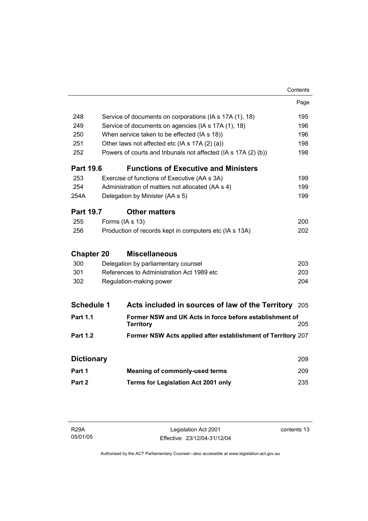|                   |                                                  |                                                                             | Contents |
|-------------------|--------------------------------------------------|-----------------------------------------------------------------------------|----------|
|                   |                                                  |                                                                             | Page     |
| 248               |                                                  | Service of documents on corporations (IA s 17A (1), 18)                     | 195      |
| 249               |                                                  | Service of documents on agencies (IA s 17A (1), 18)                         | 196      |
| 250               | When service taken to be effected (IA s 18))     |                                                                             | 196      |
| 251               |                                                  | Other laws not affected etc (IA s 17A (2) (a))                              | 198      |
| 252               |                                                  | Powers of courts and tribunals not affected (IA s 17A (2) (b))              | 198      |
| <b>Part 19.6</b>  |                                                  | <b>Functions of Executive and Ministers</b>                                 |          |
| 253               |                                                  | Exercise of functions of Executive (AA s 3A)                                | 199      |
| 254               |                                                  | Administration of matters not allocated (AA s 4)                            | 199      |
| 254A              |                                                  | Delegation by Minister (AA s 5)                                             | 199      |
| <b>Part 19.7</b>  |                                                  | <b>Other matters</b>                                                        |          |
| 255               |                                                  | Forms (IA s 13)                                                             | 200      |
| 256               |                                                  | Production of records kept in computers etc (IA s 13A)                      | 202      |
|                   |                                                  |                                                                             |          |
| <b>Chapter 20</b> |                                                  | <b>Miscellaneous</b>                                                        |          |
| 300               |                                                  | Delegation by parliamentary counsel                                         | 203      |
|                   | 301<br>References to Administration Act 1989 etc |                                                                             | 203      |
| 302               |                                                  | Regulation-making power                                                     | 204      |
| <b>Schedule 1</b> |                                                  | Acts included in sources of law of the Territory 205                        |          |
|                   |                                                  |                                                                             |          |
| <b>Part 1.1</b>   |                                                  | Former NSW and UK Acts in force before establishment of<br><b>Territory</b> | 205      |
| <b>Part 1.2</b>   |                                                  | Former NSW Acts applied after establishment of Territory 207                |          |
|                   |                                                  |                                                                             |          |
| <b>Dictionary</b> |                                                  |                                                                             | 209      |
| Part 1            |                                                  | <b>Meaning of commonly-used terms</b>                                       | 209      |
| Part 2            |                                                  | Terms for Legislation Act 2001 only                                         | 235      |
|                   |                                                  |                                                                             |          |

| R29A     |  |
|----------|--|
| 05/01/05 |  |

Legislation Act 2001 Effective: 23/12/04-31/12/04 contents 13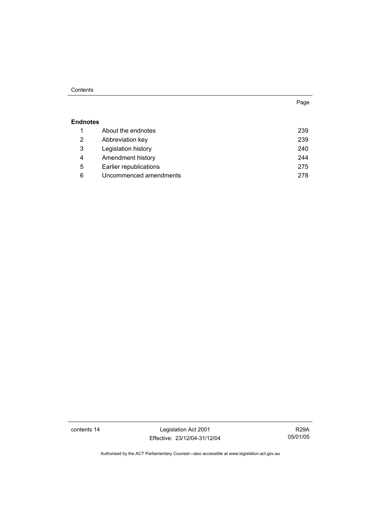#### **Contents**

#### **Endnotes**

|   | About the endnotes     | 239 |
|---|------------------------|-----|
| 2 | Abbreviation key       | 239 |
| 3 | Legislation history    | 240 |
| 4 | Amendment history      | 244 |
| 5 | Earlier republications | 275 |
| 6 | Uncommenced amendments | 278 |

contents 14 Legislation Act 2001 Effective: 23/12/04-31/12/04

R29A 05/01/05

Authorised by the ACT Parliamentary Counsel—also accessible at www.legislation.act.gov.au

Page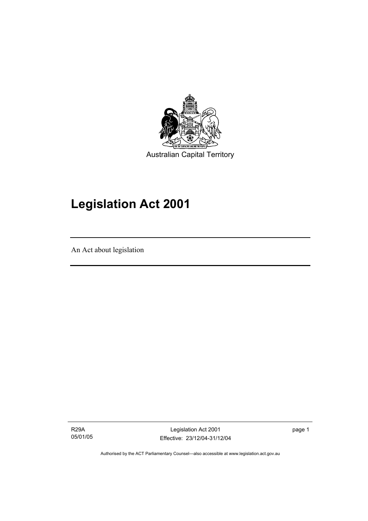

## **Legislation Act 2001**

An Act about legislation

I

R29A 05/01/05

Legislation Act 2001 Effective: 23/12/04-31/12/04 page 1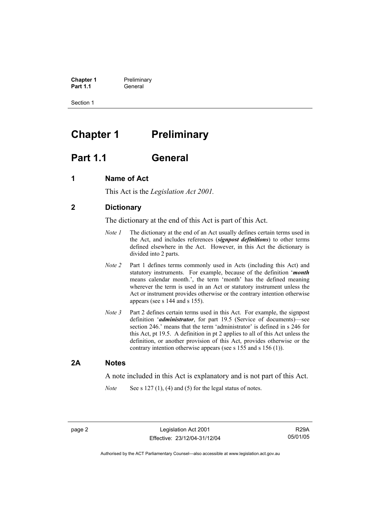**Chapter 1** Preliminary<br>**Part 1.1** General **Part 1.1** General

Section 1

## **Chapter 1** Preliminary

## **Part 1.1 General**

### **1 Name of Act**

This Act is the *Legislation Act 2001.* 

## **2 Dictionary**

The dictionary at the end of this Act is part of this Act.

- *Note 1* The dictionary at the end of an Act usually defines certain terms used in the Act, and includes references (*signpost definitions*) to other terms defined elsewhere in the Act. However, in this Act the dictionary is divided into 2 parts.
- *Note 2* Part 1 defines terms commonly used in Acts (including this Act) and statutory instruments. For example, because of the definition '*month* means calendar month.', the term 'month' has the defined meaning wherever the term is used in an Act or statutory instrument unless the Act or instrument provides otherwise or the contrary intention otherwise appears (see s 144 and s 155).
- *Note 3* Part 2 defines certain terms used in this Act. For example, the signpost definition '*administrator*, for part 19.5 (Service of documents)—see section 246.' means that the term 'administrator' is defined in s 246 for this Act, pt 19.5. A definition in pt 2 applies to all of this Act unless the definition, or another provision of this Act, provides otherwise or the contrary intention otherwise appears (see s 155 and s 156 (1)).

### **2A Notes**

A note included in this Act is explanatory and is not part of this Act.

*Note* See s 127 (1), (4) and (5) for the legal status of notes.

R29A 05/01/05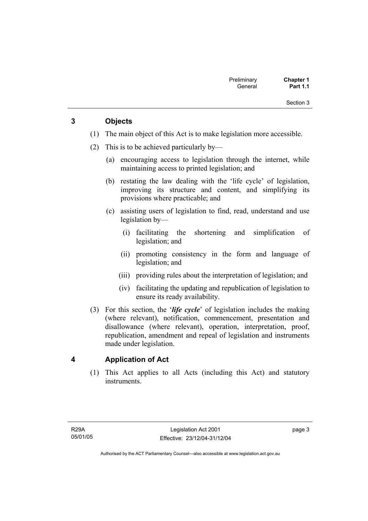Section 3

## **3 Objects**

- (1) The main object of this Act is to make legislation more accessible.
- (2) This is to be achieved particularly by—
	- (a) encouraging access to legislation through the internet, while maintaining access to printed legislation; and
	- (b) restating the law dealing with the 'life cycle' of legislation, improving its structure and content, and simplifying its provisions where practicable; and
	- (c) assisting users of legislation to find, read, understand and use legislation by—
		- (i) facilitating the shortening and simplification of legislation; and
		- (ii) promoting consistency in the form and language of legislation; and
		- (iii) providing rules about the interpretation of legislation; and
		- (iv) facilitating the updating and republication of legislation to ensure its ready availability.
- (3) For this section, the '*life cycle*' of legislation includes the making (where relevant), notification, commencement, presentation and disallowance (where relevant), operation, interpretation, proof, republication, amendment and repeal of legislation and instruments made under legislation.

## **4 Application of Act**

 (1) This Act applies to all Acts (including this Act) and statutory instruments.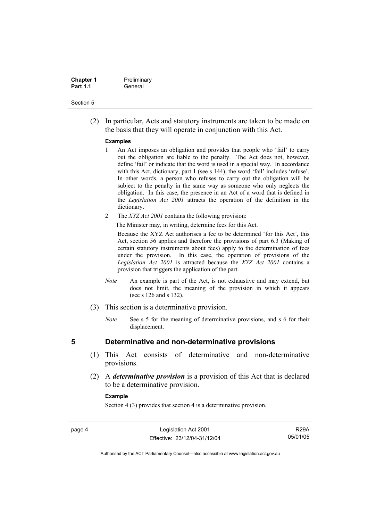| <b>Chapter 1</b> | Preliminary |
|------------------|-------------|
| <b>Part 1.1</b>  | General     |

#### Section 5

 (2) In particular, Acts and statutory instruments are taken to be made on the basis that they will operate in conjunction with this Act.

#### **Examples**

- 1 An Act imposes an obligation and provides that people who 'fail' to carry out the obligation are liable to the penalty. The Act does not, however, define 'fail' or indicate that the word is used in a special way. In accordance with this Act, dictionary, part 1 (see s 144), the word 'fail' includes 'refuse'. In other words, a person who refuses to carry out the obligation will be subject to the penalty in the same way as someone who only neglects the obligation. In this case, the presence in an Act of a word that is defined in the *Legislation Act 2001* attracts the operation of the definition in the dictionary.
- 2 The *XYZ Act 2001* contains the following provision:

The Minister may, in writing, determine fees for this Act.

Because the XYZ Act authorises a fee to be determined 'for this Act', this Act, section 56 applies and therefore the provisions of part 6.3 (Making of certain statutory instruments about fees) apply to the determination of fees under the provision. In this case, the operation of provisions of the *Legislation Act 2001* is attracted because the *XYZ Act 2001* contains a provision that triggers the application of the part.

- *Note* An example is part of the Act, is not exhaustive and may extend, but does not limit, the meaning of the provision in which it appears (see s 126 and s 132).
- (3) This section is a determinative provision.
	- *Note* See s 5 for the meaning of determinative provisions, and s 6 for their displacement.

- **5 Determinative and non-determinative provisions** 
	- (1) This Act consists of determinative and non-determinative provisions.
	- (2) A *determinative provision* is a provision of this Act that is declared to be a determinative provision.

#### **Example**

Section 4 (3) provides that section 4 is a determinative provision.

page 4 Legislation Act 2001 Effective: 23/12/04-31/12/04

R29A 05/01/05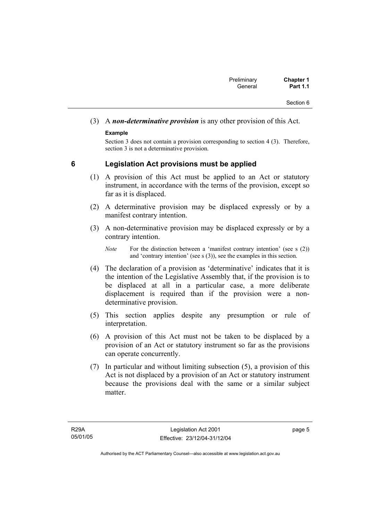## (3) A *non-determinative provision* is any other provision of this Act.

### **Example**

Section 3 does not contain a provision corresponding to section 4 (3). Therefore, section 3 is not a determinative provision.

## **6 Legislation Act provisions must be applied**

- (1) A provision of this Act must be applied to an Act or statutory instrument, in accordance with the terms of the provision, except so far as it is displaced.
- (2) A determinative provision may be displaced expressly or by a manifest contrary intention.
- (3) A non-determinative provision may be displaced expressly or by a contrary intention.

- (4) The declaration of a provision as 'determinative' indicates that it is the intention of the Legislative Assembly that, if the provision is to be displaced at all in a particular case, a more deliberate displacement is required than if the provision were a nondeterminative provision.
- (5) This section applies despite any presumption or rule of interpretation.
- (6) A provision of this Act must not be taken to be displaced by a provision of an Act or statutory instrument so far as the provisions can operate concurrently.
- (7) In particular and without limiting subsection (5), a provision of this Act is not displaced by a provision of an Act or statutory instrument because the provisions deal with the same or a similar subject matter

*Note* For the distinction between a 'manifest contrary intention' (see s (2)) and 'contrary intention' (see s (3)), see the examples in this section.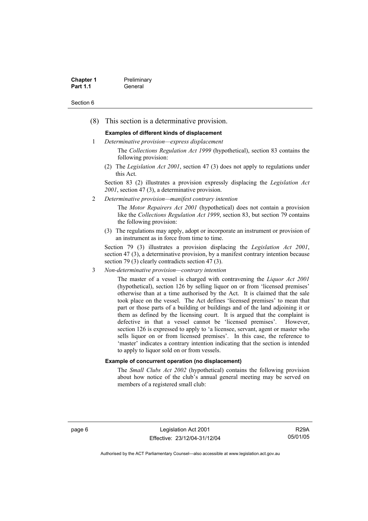| <b>Chapter 1</b> | Preliminary |
|------------------|-------------|
| <b>Part 1.1</b>  | General     |

#### Section 6

(8) This section is a determinative provision.

#### **Examples of different kinds of displacement**

- 1 *Determinative provision—express displacement*
	- The *Collections Regulation Act 1999* (hypothetical), section 83 contains the following provision:
	- (2) The *Legislation Act 2001*, section 47 (3) does not apply to regulations under this Act.

Section 83 (2) illustrates a provision expressly displacing the *Legislation Act 2001*, section 47 (3), a determinative provision.

2 *Determinative provision—manifest contrary intention*

The *Motor Repairers Act 2001* (hypothetical) does not contain a provision like the *Collections Regulation Act 1999*, section 83, but section 79 contains the following provision:

(3) The regulations may apply, adopt or incorporate an instrument or provision of an instrument as in force from time to time.

Section 79 (3) illustrates a provision displacing the *Legislation Act 2001*, section 47 (3), a determinative provision, by a manifest contrary intention because section 79 (3) clearly contradicts section 47 (3).

3 *Non-determinative provision—contrary intention*

The master of a vessel is charged with contravening the *Liquor Act 2001* (hypothetical), section 126 by selling liquor on or from 'licensed premises' otherwise than at a time authorised by the Act. It is claimed that the sale took place on the vessel. The Act defines 'licensed premises' to mean that part or those parts of a building or buildings and of the land adjoining it or them as defined by the licensing court. It is argued that the complaint is defective in that a vessel cannot be 'licensed premises'. However, section 126 is expressed to apply to 'a licensee, servant, agent or master who sells liquor on or from licensed premises'. In this case, the reference to 'master' indicates a contrary intention indicating that the section is intended to apply to liquor sold on or from vessels.

#### **Example of concurrent operation (no displacement)**

The *Small Clubs Act 2002* (hypothetical) contains the following provision about how notice of the club's annual general meeting may be served on members of a registered small club:

page 6 Legislation Act 2001 Effective: 23/12/04-31/12/04

R29A 05/01/05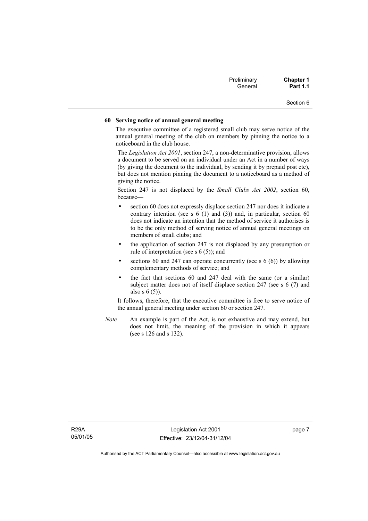| Preliminary | <b>Chapter 1</b> |
|-------------|------------------|
| General     | <b>Part 1.1</b>  |

Section 6

#### **60 Serving notice of annual general meeting**

The executive committee of a registered small club may serve notice of the annual general meeting of the club on members by pinning the notice to a noticeboard in the club house.

The *Legislation Act 2001*, section 247, a non-determinative provision, allows a document to be served on an individual under an Act in a number of ways (by giving the document to the individual, by sending it by prepaid post etc), but does not mention pinning the document to a noticeboard as a method of giving the notice.

Section 247 is not displaced by the *Small Clubs Act 2002*, section 60, because—

- section 60 does not expressly displace section 247 nor does it indicate a contrary intention (see s  $6(1)$  and  $(3)$ ) and, in particular, section  $60$ does not indicate an intention that the method of service it authorises is to be the only method of serving notice of annual general meetings on members of small clubs; and
- the application of section 247 is not displaced by any presumption or rule of interpretation (see s 6 (5)); and
- sections 60 and 247 can operate concurrently (see s  $6(6)$ ) by allowing complementary methods of service; and
- the fact that sections 60 and 247 deal with the same (or a similar) subject matter does not of itself displace section 247 (see s 6 (7) and also s 6 (5)).

It follows, therefore, that the executive committee is free to serve notice of the annual general meeting under section 60 or section 247.

*Note* An example is part of the Act, is not exhaustive and may extend, but does not limit, the meaning of the provision in which it appears (see s 126 and s 132).

page 7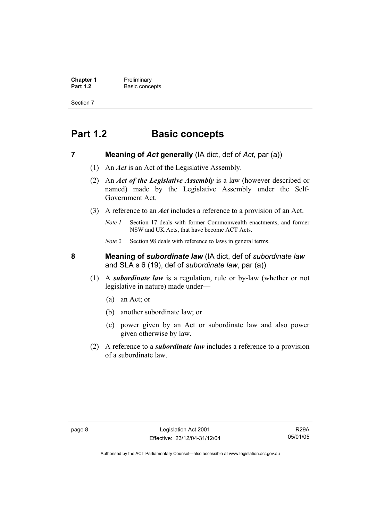**Chapter 1** Preliminary<br>**Part 1.2** Basic conce **Basic concepts** 

Section 7

## **Part 1.2 Basic concepts**

### **7 Meaning of** *Act* **generally** (IA dict, def of *Act*, par (a))

- (1) An *Act* is an Act of the Legislative Assembly.
- (2) An *Act of the Legislative Assembly* is a law (however described or named) made by the Legislative Assembly under the Self-Government Act.
- (3) A reference to an *Act* includes a reference to a provision of an Act.
	- *Note 1* Section 17 deals with former Commonwealth enactments, and former NSW and UK Acts, that have become ACT Acts.
	- *Note 2* Section 98 deals with reference to laws in general terms.

**8 Meaning of** *subordinate law* (IA dict, def of *subordinate law* and SLA s 6 (19), def of *subordinate law*, par (a))

- (1) A *subordinate law* is a regulation, rule or by-law (whether or not legislative in nature) made under—
	- (a) an Act; or
	- (b) another subordinate law; or
	- (c) power given by an Act or subordinate law and also power given otherwise by law.
- (2) A reference to a *subordinate law* includes a reference to a provision of a subordinate law.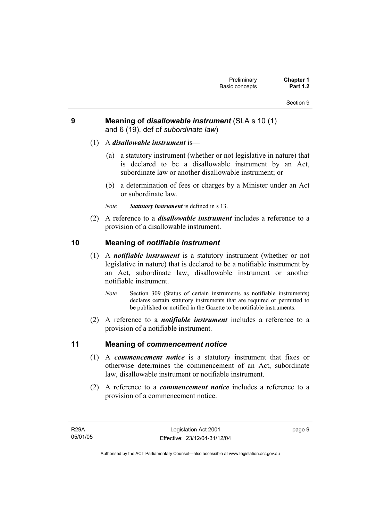## **9 Meaning of** *disallowable instrument* (SLA s 10 (1) and 6 (19), def of *subordinate law*)

- (1) A *disallowable instrument* is—
	- (a) a statutory instrument (whether or not legislative in nature) that is declared to be a disallowable instrument by an Act, subordinate law or another disallowable instrument; or
	- (b) a determination of fees or charges by a Minister under an Act or subordinate law.
	- *Note Statutory instrument* is defined in s 13.
- (2) A reference to a *disallowable instrument* includes a reference to a provision of a disallowable instrument.

## **10 Meaning of** *notifiable instrument*

- (1) A *notifiable instrument* is a statutory instrument (whether or not legislative in nature) that is declared to be a notifiable instrument by an Act, subordinate law, disallowable instrument or another notifiable instrument.
	- *Note* Section 309 (Status of certain instruments as notifiable instruments) declares certain statutory instruments that are required or permitted to be published or notified in the Gazette to be notifiable instruments.
- (2) A reference to a *notifiable instrument* includes a reference to a provision of a notifiable instrument.

## **11 Meaning of** *commencement notice*

- (1) A *commencement notice* is a statutory instrument that fixes or otherwise determines the commencement of an Act, subordinate law, disallowable instrument or notifiable instrument.
- (2) A reference to a *commencement notice* includes a reference to a provision of a commencement notice.

R29A 05/01/05 page 9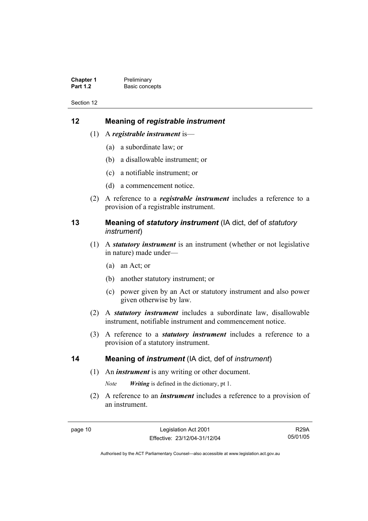**Chapter 1** Preliminary<br>**Part 1.2** Basic conce **Basic concepts** 

Section 12

## **12 Meaning of** *registrable instrument*

- (1) A *registrable instrument* is—
	- (a) a subordinate law; or
	- (b) a disallowable instrument; or
	- (c) a notifiable instrument; or
	- (d) a commencement notice.
- (2) A reference to a *registrable instrument* includes a reference to a provision of a registrable instrument.

## **13 Meaning of** *statutory instrument* (IA dict, def of *statutory instrument*)

- (1) A *statutory instrument* is an instrument (whether or not legislative in nature) made under—
	- (a) an Act; or
	- (b) another statutory instrument; or
	- (c) power given by an Act or statutory instrument and also power given otherwise by law.
- (2) A *statutory instrument* includes a subordinate law, disallowable instrument, notifiable instrument and commencement notice.
- (3) A reference to a *statutory instrument* includes a reference to a provision of a statutory instrument.

### **14 Meaning of** *instrument* (IA dict, def of *instrument*)

(1) An *instrument* is any writing or other document.

*Note Writing* is defined in the dictionary, pt 1.

 (2) A reference to an *instrument* includes a reference to a provision of an instrument.

R29A 05/01/05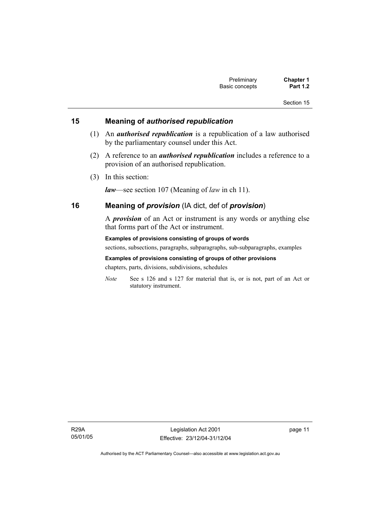#### Section 15

## **15 Meaning of** *authorised republication*

- (1) An *authorised republication* is a republication of a law authorised by the parliamentary counsel under this Act.
- (2) A reference to an *authorised republication* includes a reference to a provision of an authorised republication.
- (3) In this section:

*law*—see section 107 (Meaning of *law* in ch 11).

### **16 Meaning of** *provision* (IA dict, def of *provision*)

A *provision* of an Act or instrument is any words or anything else that forms part of the Act or instrument.

**Examples of provisions consisting of groups of words**  sections, subsections, paragraphs, subparagraphs, sub-subparagraphs, examples **Examples of provisions consisting of groups of other provisions** 

chapters, parts, divisions, subdivisions, schedules

*Note* See s 126 and s 127 for material that is, or is not, part of an Act or statutory instrument.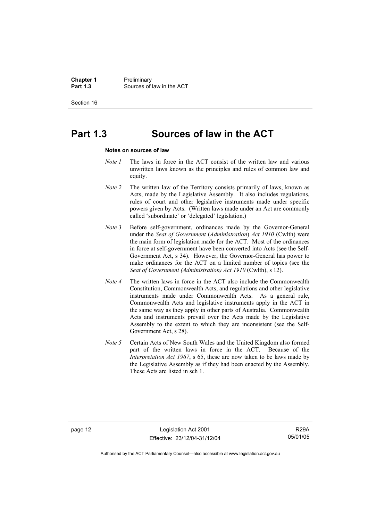**Chapter 1** Preliminary<br>**Part 1.3** Sources of **Part 1.3** Sources of law in the ACT

Section 16

## **Part 1.3 Sources of law in the ACT**

#### **Notes on sources of law**

- *Note 1* The laws in force in the ACT consist of the written law and various unwritten laws known as the principles and rules of common law and equity.
- *Note 2* The written law of the Territory consists primarily of laws, known as Acts, made by the Legislative Assembly. It also includes regulations, rules of court and other legislative instruments made under specific powers given by Acts. (Written laws made under an Act are commonly called 'subordinate' or 'delegated' legislation.)
- *Note 3* Before self-government, ordinances made by the Governor-General under the *Seat of Government* (*Administration*) *Act 1910* (Cwlth) were the main form of legislation made for the ACT. Most of the ordinances in force at self-government have been converted into Acts (see the Self-Government Act, s 34). However, the Governor-General has power to make ordinances for the ACT on a limited number of topics (see the *Seat of Government (Administration) Act 1910* (Cwlth), s 12).
- *Note 4* The written laws in force in the ACT also include the Commonwealth Constitution, Commonwealth Acts, and regulations and other legislative instruments made under Commonwealth Acts. As a general rule, Commonwealth Acts and legislative instruments apply in the ACT in the same way as they apply in other parts of Australia. Commonwealth Acts and instruments prevail over the Acts made by the Legislative Assembly to the extent to which they are inconsistent (see the Self-Government Act, s 28).
- *Note 5* Certain Acts of New South Wales and the United Kingdom also formed part of the written laws in force in the ACT. Because of the *Interpretation Act 1967*, s 65, these are now taken to be laws made by the Legislative Assembly as if they had been enacted by the Assembly. These Acts are listed in sch 1.

page 12 Legislation Act 2001 Effective: 23/12/04-31/12/04

R29A 05/01/05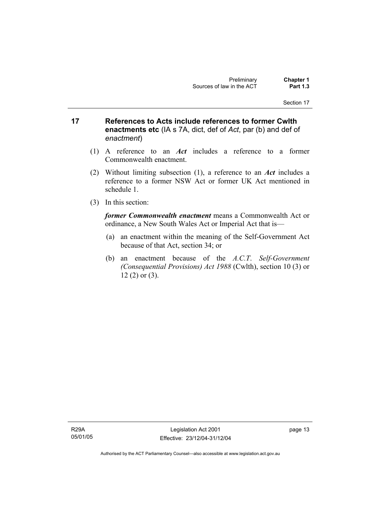- **17 References to Acts include references to former Cwlth enactments etc** (IA s 7A, dict, def of *Act*, par (b) and def of *enactment*)
	- (1) A reference to an *Act* includes a reference to a former Commonwealth enactment.
	- (2) Without limiting subsection (1), a reference to an *Act* includes a reference to a former NSW Act or former UK Act mentioned in schedule 1.
	- (3) In this section:

*former Commonwealth enactment* means a Commonwealth Act or ordinance, a New South Wales Act or Imperial Act that is—

- (a) an enactment within the meaning of the Self-Government Act because of that Act, section 34; or
- (b) an enactment because of the *A.C.T*. *Self-Government (Consequential Provisions) Act 1988* (Cwlth), section 10 (3) or 12 (2) or (3).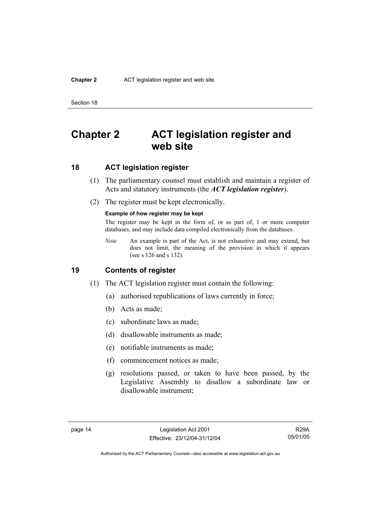#### **Chapter 2** ACT legislation register and web site

Section 18

## **Chapter 2 ACT legislation register and web site**

### **18 ACT legislation register**

- (1) The parliamentary counsel must establish and maintain a register of Acts and statutory instruments (the *ACT legislation register*).
- (2) The register must be kept electronically.

#### **Example of how register may be kept**

The register may be kept in the form of, or as part of, 1 or more computer databases, and may include data compiled electronically from the databases.

*Note* An example is part of the Act, is not exhaustive and may extend, but does not limit, the meaning of the provision in which it appears (see s 126 and s 132).

### **19 Contents of register**

- (1) The ACT legislation register must contain the following:
	- (a) authorised republications of laws currently in force;
	- (b) Acts as made;
	- (c) subordinate laws as made;
	- (d) disallowable instruments as made;
	- (e) notifiable instruments as made;
	- (f) commencement notices as made;
	- (g) resolutions passed, or taken to have been passed, by the Legislative Assembly to disallow a subordinate law or disallowable instrument;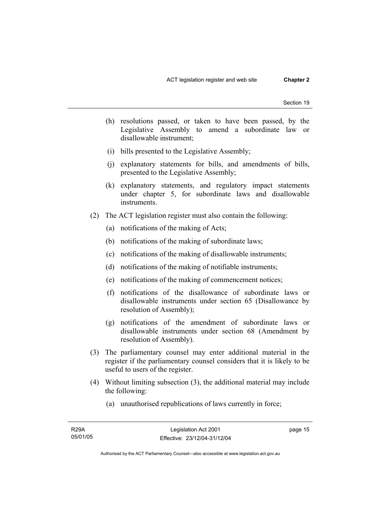- (h) resolutions passed, or taken to have been passed, by the Legislative Assembly to amend a subordinate law or disallowable instrument;
- (i) bills presented to the Legislative Assembly;
- (j) explanatory statements for bills, and amendments of bills, presented to the Legislative Assembly;
- (k) explanatory statements, and regulatory impact statements under chapter 5, for subordinate laws and disallowable instruments.
- (2) The ACT legislation register must also contain the following:
	- (a) notifications of the making of Acts;
	- (b) notifications of the making of subordinate laws;
	- (c) notifications of the making of disallowable instruments;
	- (d) notifications of the making of notifiable instruments;
	- (e) notifications of the making of commencement notices;
	- (f) notifications of the disallowance of subordinate laws or disallowable instruments under section 65 (Disallowance by resolution of Assembly);
	- (g) notifications of the amendment of subordinate laws or disallowable instruments under section 68 (Amendment by resolution of Assembly).
- (3) The parliamentary counsel may enter additional material in the register if the parliamentary counsel considers that it is likely to be useful to users of the register.
- (4) Without limiting subsection (3), the additional material may include the following:
	- (a) unauthorised republications of laws currently in force;

page 15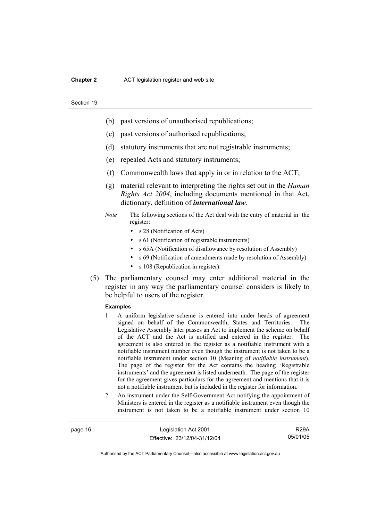#### **Chapter 2** ACT legislation register and web site

#### Section 19

- (b) past versions of unauthorised republications;
- (c) past versions of authorised republications;
- (d) statutory instruments that are not registrable instruments;
- (e) repealed Acts and statutory instruments;
- (f) Commonwealth laws that apply in or in relation to the ACT;
- (g) material relevant to interpreting the rights set out in the *Human Rights Act 2004*, including documents mentioned in that Act, dictionary, definition of *international law*.
- *Note* The following sections of the Act deal with the entry of material in the register:
	- s 28 (Notification of Acts)
	- s 61 (Notification of registrable instruments)
	- s 65A (Notification of disallowance by resolution of Assembly)
	- s 69 (Notification of amendments made by resolution of Assembly)
	- s 108 (Republication in register).
- (5) The parliamentary counsel may enter additional material in the register in any way the parliamentary counsel considers is likely to be helpful to users of the register.

#### **Examples**

- 1 A uniform legislative scheme is entered into under heads of agreement signed on behalf of the Commonwealth, States and Territories. The Legislative Assembly later passes an Act to implement the scheme on behalf of the ACT and the Act is notified and entered in the register. The agreement is also entered in the register as a notifiable instrument with a notifiable instrument number even though the instrument is not taken to be a notifiable instrument under section 10 (Meaning of *notifiable instrument*). The page of the register for the Act contains the heading 'Registrable instruments' and the agreement is listed underneath. The page of the register for the agreement gives particulars for the agreement and mentions that it is not a notifiable instrument but is included in the register for information.
- 2 An instrument under the Self-Government Act notifying the appointment of Ministers is entered in the register as a notifiable instrument even though the instrument is not taken to be a notifiable instrument under section 10

page 16 Legislation Act 2001 Effective: 23/12/04-31/12/04

R29A 05/01/05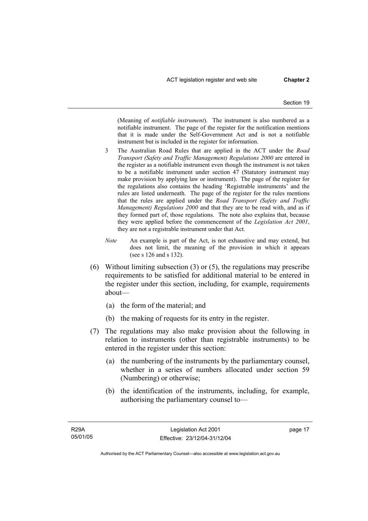(Meaning of *notifiable instrument*). The instrument is also numbered as a notifiable instrument. The page of the register for the notification mentions that it is made under the Self-Government Act and is not a notifiable instrument but is included in the register for information.

- 3 The Australian Road Rules that are applied in the ACT under the *Road Transport (Safety and Traffic Management) Regulations 2000* are entered in the register as a notifiable instrument even though the instrument is not taken to be a notifiable instrument under section 47 (Statutory instrument may make provision by applying law or instrument). The page of the register for the regulations also contains the heading 'Registrable instruments' and the rules are listed underneath. The page of the register for the rules mentions that the rules are applied under the *Road Transport (Safety and Traffic Management) Regulations 2000* and that they are to be read with, and as if they formed part of, those regulations. The note also explains that, because they were applied before the commencement of the *Legislation Act 2001*, they are not a registrable instrument under that Act.
- *Note* An example is part of the Act, is not exhaustive and may extend, but does not limit, the meaning of the provision in which it appears (see s 126 and s 132).
- (6) Without limiting subsection (3) or (5), the regulations may prescribe requirements to be satisfied for additional material to be entered in the register under this section, including, for example, requirements about—
	- (a) the form of the material; and
	- (b) the making of requests for its entry in the register.
- (7) The regulations may also make provision about the following in relation to instruments (other than registrable instruments) to be entered in the register under this section:
	- (a) the numbering of the instruments by the parliamentary counsel, whether in a series of numbers allocated under section 59 (Numbering) or otherwise;
	- (b) the identification of the instruments, including, for example, authorising the parliamentary counsel to—

page 17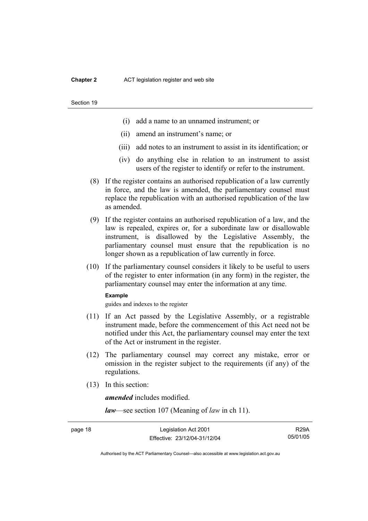#### **Chapter 2** ACT legislation register and web site

#### Section 19

- (i) add a name to an unnamed instrument; or
- (ii) amend an instrument's name; or
- (iii) add notes to an instrument to assist in its identification; or
- (iv) do anything else in relation to an instrument to assist users of the register to identify or refer to the instrument.
- (8) If the register contains an authorised republication of a law currently in force, and the law is amended, the parliamentary counsel must replace the republication with an authorised republication of the law as amended.
- (9) If the register contains an authorised republication of a law, and the law is repealed, expires or, for a subordinate law or disallowable instrument, is disallowed by the Legislative Assembly, the parliamentary counsel must ensure that the republication is no longer shown as a republication of law currently in force.
- (10) If the parliamentary counsel considers it likely to be useful to users of the register to enter information (in any form) in the register, the parliamentary counsel may enter the information at any time.

#### **Example**

guides and indexes to the register

- (11) If an Act passed by the Legislative Assembly, or a registrable instrument made, before the commencement of this Act need not be notified under this Act, the parliamentary counsel may enter the text of the Act or instrument in the register.
- (12) The parliamentary counsel may correct any mistake, error or omission in the register subject to the requirements (if any) of the regulations.
- (13) In this section:

*amended* includes modified.

*law*—see section 107 (Meaning of *law* in ch 11).

R29A 05/01/05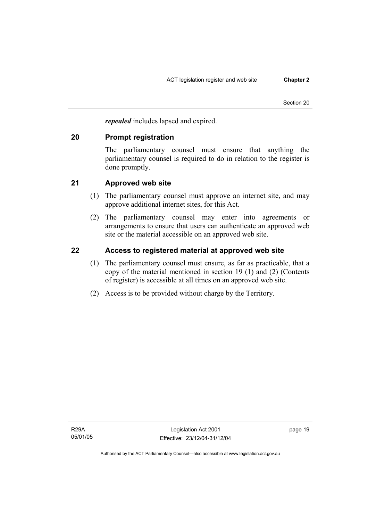*repealed* includes lapsed and expired.

### **20 Prompt registration**

The parliamentary counsel must ensure that anything the parliamentary counsel is required to do in relation to the register is done promptly.

## **21 Approved web site**

- (1) The parliamentary counsel must approve an internet site, and may approve additional internet sites, for this Act.
- (2) The parliamentary counsel may enter into agreements or arrangements to ensure that users can authenticate an approved web site or the material accessible on an approved web site.

## **22 Access to registered material at approved web site**

- (1) The parliamentary counsel must ensure, as far as practicable, that a copy of the material mentioned in section 19 (1) and (2) (Contents of register) is accessible at all times on an approved web site.
- (2) Access is to be provided without charge by the Territory.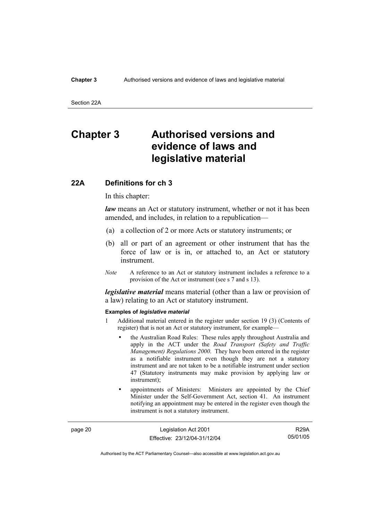#### **Chapter 3** Authorised versions and evidence of laws and legislative material

Section 22A

## **Chapter 3 Authorised versions and evidence of laws and legislative material**

#### **22A Definitions for ch 3**

In this chapter:

*law* means an Act or statutory instrument, whether or not it has been amended, and includes, in relation to a republication—

- (a) a collection of 2 or more Acts or statutory instruments; or
- (b) all or part of an agreement or other instrument that has the force of law or is in, or attached to, an Act or statutory instrument.
- *Note* A reference to an Act or statutory instrument includes a reference to a provision of the Act or instrument (see s 7 and s 13).

*legislative material* means material (other than a law or provision of a law) relating to an Act or statutory instrument.

#### **Examples of** *legislative material*

- 1 Additional material entered in the register under section 19 (3) (Contents of register) that is not an Act or statutory instrument, for example—
	- the Australian Road Rules: These rules apply throughout Australia and apply in the ACT under the *Road Transport (Safety and Traffic Management) Regulations 2000*. They have been entered in the register as a notifiable instrument even though they are not a statutory instrument and are not taken to be a notifiable instrument under section 47 (Statutory instruments may make provision by applying law or instrument);
	- appointments of Ministers: Ministers are appointed by the Chief Minister under the Self-Government Act, section 41. An instrument notifying an appointment may be entered in the register even though the instrument is not a statutory instrument.

page 20 Legislation Act 2001 Effective: 23/12/04-31/12/04

R29A 05/01/05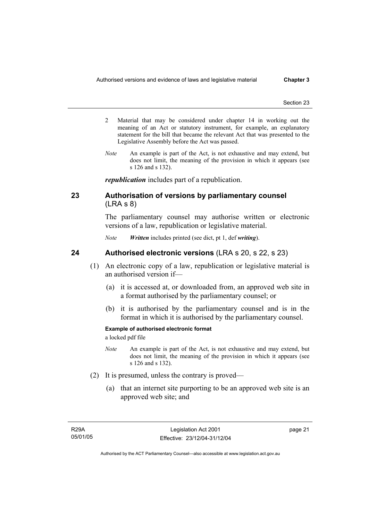- 2 Material that may be considered under chapter 14 in working out the meaning of an Act or statutory instrument, for example, an explanatory statement for the bill that became the relevant Act that was presented to the Legislative Assembly before the Act was passed.
- *Note* An example is part of the Act, is not exhaustive and may extend, but does not limit, the meaning of the provision in which it appears (see s 126 and s 132).

*republication* includes part of a republication.

### **23 Authorisation of versions by parliamentary counsel**  (LRA s 8)

The parliamentary counsel may authorise written or electronic versions of a law, republication or legislative material.

*Note Written* includes printed (see dict, pt 1, def *writing*).

### **24 Authorised electronic versions** (LRA s 20, s 22, s 23)

- (1) An electronic copy of a law, republication or legislative material is an authorised version if—
	- (a) it is accessed at, or downloaded from, an approved web site in a format authorised by the parliamentary counsel; or
	- (b) it is authorised by the parliamentary counsel and is in the format in which it is authorised by the parliamentary counsel.

#### **Example of authorised electronic format**

a locked pdf file

- *Note* An example is part of the Act, is not exhaustive and may extend, but does not limit, the meaning of the provision in which it appears (see s 126 and s 132).
- (2) It is presumed, unless the contrary is proved—
	- (a) that an internet site purporting to be an approved web site is an approved web site; and

page 21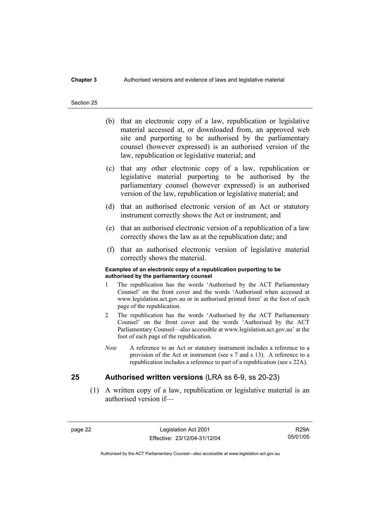### **Chapter 3** Authorised versions and evidence of laws and legislative material

#### Section 25

- (b) that an electronic copy of a law, republication or legislative material accessed at, or downloaded from, an approved web site and purporting to be authorised by the parliamentary counsel (however expressed) is an authorised version of the law, republication or legislative material; and
- (c) that any other electronic copy of a law, republication or legislative material purporting to be authorised by the parliamentary counsel (however expressed) is an authorised version of the law, republication or legislative material; and
- (d) that an authorised electronic version of an Act or statutory instrument correctly shows the Act or instrument; and
- (e) that an authorised electronic version of a republication of a law correctly shows the law as at the republication date; and
- (f) that an authorised electronic version of legislative material correctly shows the material.

#### **Examples of an electronic copy of a republication purporting to be authorised by the parliamentary counsel**

- 1 The republication has the words 'Authorised by the ACT Parliamentary Counsel' on the front cover and the words 'Authorised when accessed at www.legislation.act.gov.au or in authorised printed form' at the foot of each page of the republication.
- 2 The republication has the words 'Authorised by the ACT Parliamentary Counsel' on the front cover and the words 'Authorised by the ACT Parliamentary Counsel—also accessible at www.legislation.act.gov.au' at the foot of each page of the republication.
- *Note* A reference to an Act or statutory instrument includes a reference to a provision of the Act or instrument (see s 7 and s 13). A reference to a republication includes a reference to part of a republication (see s 22A).

### **25 Authorised written versions** (LRA ss 6-9, ss 20-23)

 (1) A written copy of a law, republication or legislative material is an authorised version if—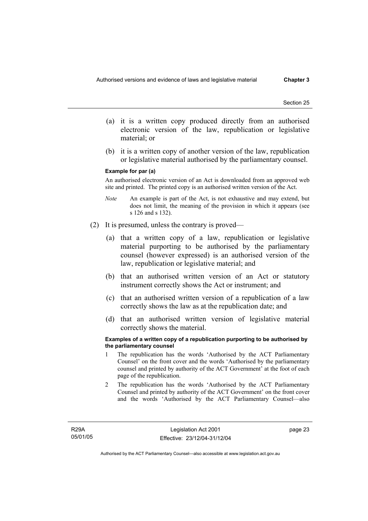- (a) it is a written copy produced directly from an authorised electronic version of the law, republication or legislative material; or
- (b) it is a written copy of another version of the law, republication or legislative material authorised by the parliamentary counsel.

#### **Example for par (a)**

An authorised electronic version of an Act is downloaded from an approved web site and printed. The printed copy is an authorised written version of the Act.

- *Note* An example is part of the Act, is not exhaustive and may extend, but does not limit, the meaning of the provision in which it appears (see s 126 and s 132).
- (2) It is presumed, unless the contrary is proved—
	- (a) that a written copy of a law, republication or legislative material purporting to be authorised by the parliamentary counsel (however expressed) is an authorised version of the law, republication or legislative material; and
	- (b) that an authorised written version of an Act or statutory instrument correctly shows the Act or instrument; and
	- (c) that an authorised written version of a republication of a law correctly shows the law as at the republication date; and
	- (d) that an authorised written version of legislative material correctly shows the material.

#### **Examples of a written copy of a republication purporting to be authorised by the parliamentary counsel**

- 1 The republication has the words 'Authorised by the ACT Parliamentary Counsel' on the front cover and the words 'Authorised by the parliamentary counsel and printed by authority of the ACT Government' at the foot of each page of the republication.
- 2 The republication has the words 'Authorised by the ACT Parliamentary Counsel and printed by authority of the ACT Government' on the front cover and the words 'Authorised by the ACT Parliamentary Counsel—also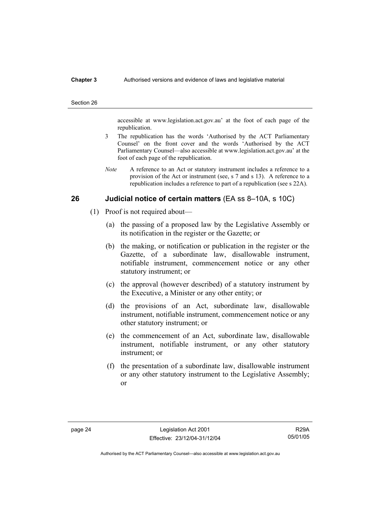#### **Chapter 3** Authorised versions and evidence of laws and legislative material

#### Section 26

accessible at www.legislation.act.gov.au' at the foot of each page of the republication.

- 3 The republication has the words 'Authorised by the ACT Parliamentary Counsel' on the front cover and the words 'Authorised by the ACT Parliamentary Counsel—also accessible at www.legislation.act.gov.au' at the foot of each page of the republication.
- *Note* A reference to an Act or statutory instrument includes a reference to a provision of the Act or instrument (see, s 7 and s 13). A reference to a republication includes a reference to part of a republication (see s 22A).

### **26 Judicial notice of certain matters** (EA ss 8–10A, s 10C)

- (1) Proof is not required about—
	- (a) the passing of a proposed law by the Legislative Assembly or its notification in the register or the Gazette; or
	- (b) the making, or notification or publication in the register or the Gazette, of a subordinate law, disallowable instrument, notifiable instrument, commencement notice or any other statutory instrument; or
	- (c) the approval (however described) of a statutory instrument by the Executive, a Minister or any other entity; or
	- (d) the provisions of an Act, subordinate law, disallowable instrument, notifiable instrument, commencement notice or any other statutory instrument; or
	- (e) the commencement of an Act, subordinate law, disallowable instrument, notifiable instrument, or any other statutory instrument; or
	- (f) the presentation of a subordinate law, disallowable instrument or any other statutory instrument to the Legislative Assembly; or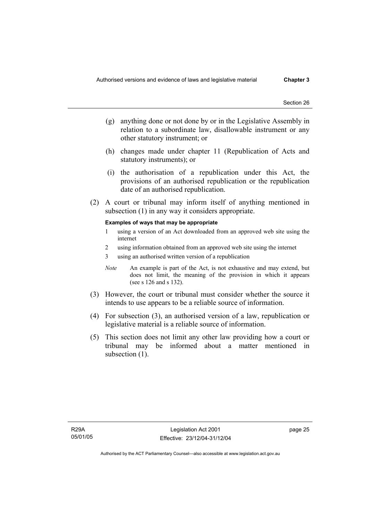- (g) anything done or not done by or in the Legislative Assembly in relation to a subordinate law, disallowable instrument or any other statutory instrument; or
- (h) changes made under chapter 11 (Republication of Acts and statutory instruments); or
- (i) the authorisation of a republication under this Act, the provisions of an authorised republication or the republication date of an authorised republication.
- (2) A court or tribunal may inform itself of anything mentioned in subsection (1) in any way it considers appropriate.

#### **Examples of ways that may be appropriate**

- 1 using a version of an Act downloaded from an approved web site using the internet
- 2 using information obtained from an approved web site using the internet
- 3 using an authorised written version of a republication
- *Note* An example is part of the Act, is not exhaustive and may extend, but does not limit, the meaning of the provision in which it appears (see s 126 and s 132).
- (3) However, the court or tribunal must consider whether the source it intends to use appears to be a reliable source of information.
- (4) For subsection (3), an authorised version of a law, republication or legislative material is a reliable source of information.
- (5) This section does not limit any other law providing how a court or tribunal may be informed about a matter mentioned in subsection (1).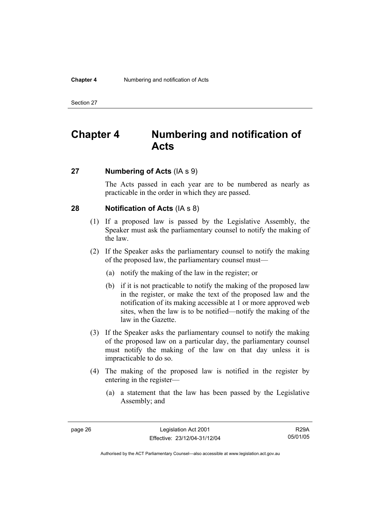# **Chapter 4 Numbering and notification of Acts**

### **27 Numbering of Acts** (IA s 9)

The Acts passed in each year are to be numbered as nearly as practicable in the order in which they are passed.

### **28 Notification of Acts** (IA s 8)

- (1) If a proposed law is passed by the Legislative Assembly, the Speaker must ask the parliamentary counsel to notify the making of the law.
- (2) If the Speaker asks the parliamentary counsel to notify the making of the proposed law, the parliamentary counsel must—
	- (a) notify the making of the law in the register; or
	- (b) if it is not practicable to notify the making of the proposed law in the register, or make the text of the proposed law and the notification of its making accessible at 1 or more approved web sites, when the law is to be notified—notify the making of the law in the Gazette.
- (3) If the Speaker asks the parliamentary counsel to notify the making of the proposed law on a particular day, the parliamentary counsel must notify the making of the law on that day unless it is impracticable to do so.
- (4) The making of the proposed law is notified in the register by entering in the register—
	- (a) a statement that the law has been passed by the Legislative Assembly; and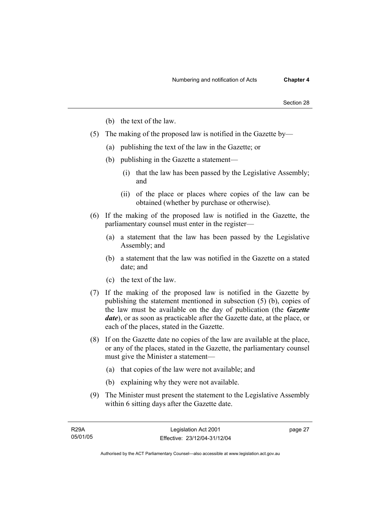- (b) the text of the law.
- (5) The making of the proposed law is notified in the Gazette by—
	- (a) publishing the text of the law in the Gazette; or
	- (b) publishing in the Gazette a statement—
		- (i) that the law has been passed by the Legislative Assembly; and
		- (ii) of the place or places where copies of the law can be obtained (whether by purchase or otherwise).
- (6) If the making of the proposed law is notified in the Gazette, the parliamentary counsel must enter in the register—
	- (a) a statement that the law has been passed by the Legislative Assembly; and
	- (b) a statement that the law was notified in the Gazette on a stated date; and
	- (c) the text of the law.
- (7) If the making of the proposed law is notified in the Gazette by publishing the statement mentioned in subsection (5) (b), copies of the law must be available on the day of publication (the *Gazette date*), or as soon as practicable after the Gazette date, at the place, or each of the places, stated in the Gazette.
- (8) If on the Gazette date no copies of the law are available at the place, or any of the places, stated in the Gazette, the parliamentary counsel must give the Minister a statement—
	- (a) that copies of the law were not available; and
	- (b) explaining why they were not available.
- (9) The Minister must present the statement to the Legislative Assembly within 6 sitting days after the Gazette date.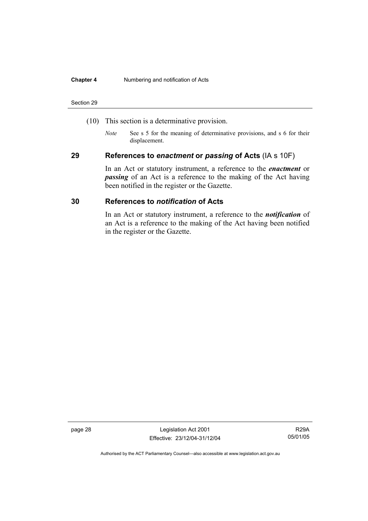#### **Chapter 4** Numbering and notification of Acts

#### Section 29

- (10) This section is a determinative provision.
	- *Note* See s 5 for the meaning of determinative provisions, and s 6 for their displacement.

### **29 References to** *enactment* **or** *passing* **of Acts** (IA s 10F)

In an Act or statutory instrument, a reference to the *enactment* or *passing* of an Act is a reference to the making of the Act having been notified in the register or the Gazette.

### **30 References to** *notification* **of Acts**

In an Act or statutory instrument, a reference to the *notification* of an Act is a reference to the making of the Act having been notified in the register or the Gazette.

page 28 Legislation Act 2001 Effective: 23/12/04-31/12/04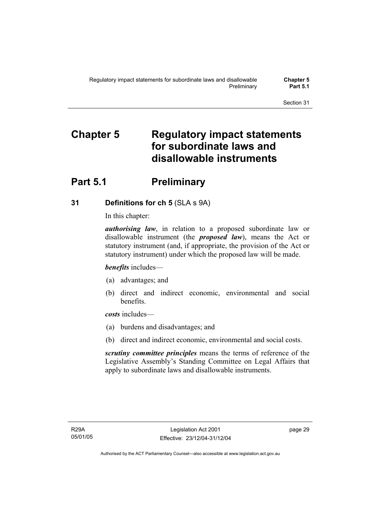# **Chapter 5 Regulatory impact statements for subordinate laws and disallowable instruments**

## **Part 5.1** Preliminary

## **31 Definitions for ch 5** (SLA s 9A)

In this chapter:

*authorising law*, in relation to a proposed subordinate law or disallowable instrument (the *proposed law*), means the Act or statutory instrument (and, if appropriate, the provision of the Act or statutory instrument) under which the proposed law will be made.

*benefits* includes—

- (a) advantages; and
- (b) direct and indirect economic, environmental and social benefits.

*costs* includes—

- (a) burdens and disadvantages; and
- (b) direct and indirect economic, environmental and social costs.

*scrutiny committee principles* means the terms of reference of the Legislative Assembly's Standing Committee on Legal Affairs that apply to subordinate laws and disallowable instruments.

page 29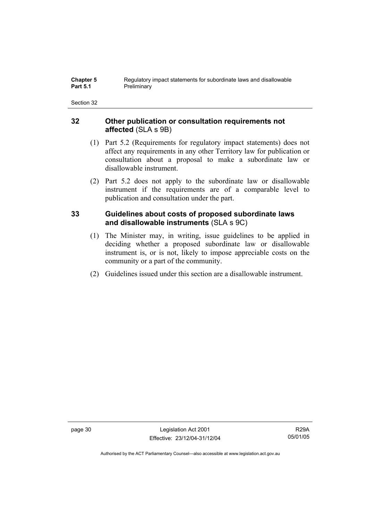### **32 Other publication or consultation requirements not affected** (SLA s 9B)

- (1) Part 5.2 (Requirements for regulatory impact statements) does not affect any requirements in any other Territory law for publication or consultation about a proposal to make a subordinate law or disallowable instrument.
- (2) Part 5.2 does not apply to the subordinate law or disallowable instrument if the requirements are of a comparable level to publication and consultation under the part.

## **33 Guidelines about costs of proposed subordinate laws and disallowable instruments** (SLA s 9C)

- (1) The Minister may, in writing, issue guidelines to be applied in deciding whether a proposed subordinate law or disallowable instrument is, or is not, likely to impose appreciable costs on the community or a part of the community.
- (2) Guidelines issued under this section are a disallowable instrument.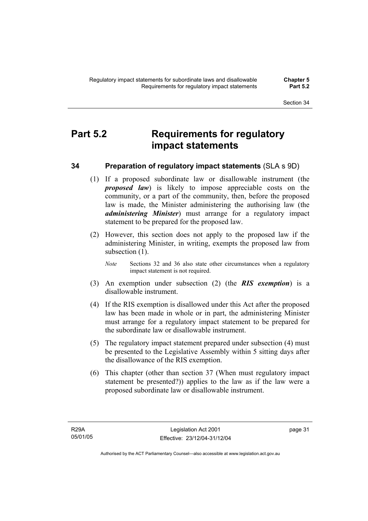## **Part 5.2 Requirements for regulatory impact statements**

## **34 Preparation of regulatory impact statements** (SLA s 9D)

- (1) If a proposed subordinate law or disallowable instrument (the *proposed law*) is likely to impose appreciable costs on the community, or a part of the community, then, before the proposed law is made, the Minister administering the authorising law (the *administering Minister*) must arrange for a regulatory impact statement to be prepared for the proposed law.
- (2) However, this section does not apply to the proposed law if the administering Minister, in writing, exempts the proposed law from subsection  $(1)$ .
	- *Note* Sections 32 and 36 also state other circumstances when a regulatory impact statement is not required.
- (3) An exemption under subsection (2) (the *RIS exemption*) is a disallowable instrument.
- (4) If the RIS exemption is disallowed under this Act after the proposed law has been made in whole or in part, the administering Minister must arrange for a regulatory impact statement to be prepared for the subordinate law or disallowable instrument.
- (5) The regulatory impact statement prepared under subsection (4) must be presented to the Legislative Assembly within 5 sitting days after the disallowance of the RIS exemption.
- (6) This chapter (other than section 37 (When must regulatory impact statement be presented?)) applies to the law as if the law were a proposed subordinate law or disallowable instrument.

page 31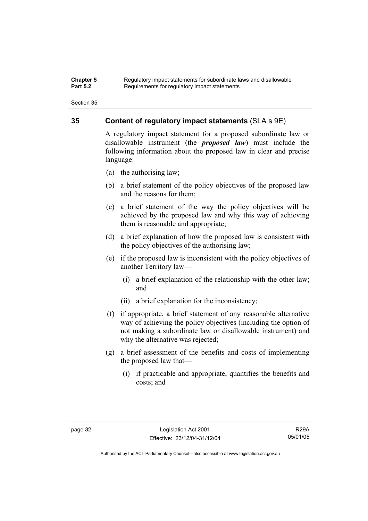#### **Chapter 5** Regulatory impact statements for subordinate laws and disallowable<br>**Part 5.2** Requirements for requistory impact statements Requirements for regulatory impact statements

Section 35

### **35 Content of regulatory impact statements** (SLA s 9E)

A regulatory impact statement for a proposed subordinate law or disallowable instrument (the *proposed law*) must include the following information about the proposed law in clear and precise language:

- (a) the authorising law;
- (b) a brief statement of the policy objectives of the proposed law and the reasons for them;
- (c) a brief statement of the way the policy objectives will be achieved by the proposed law and why this way of achieving them is reasonable and appropriate;
- (d) a brief explanation of how the proposed law is consistent with the policy objectives of the authorising law;
- (e) if the proposed law is inconsistent with the policy objectives of another Territory law—
	- (i) a brief explanation of the relationship with the other law; and
	- (ii) a brief explanation for the inconsistency;
- (f) if appropriate, a brief statement of any reasonable alternative way of achieving the policy objectives (including the option of not making a subordinate law or disallowable instrument) and why the alternative was rejected;
- (g) a brief assessment of the benefits and costs of implementing the proposed law that—
	- (i) if practicable and appropriate, quantifies the benefits and costs; and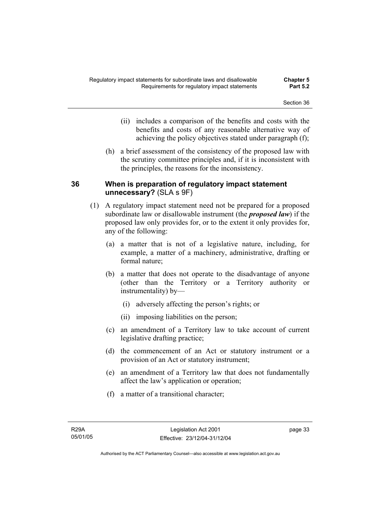- (ii) includes a comparison of the benefits and costs with the benefits and costs of any reasonable alternative way of achieving the policy objectives stated under paragraph (f);
- (h) a brief assessment of the consistency of the proposed law with the scrutiny committee principles and, if it is inconsistent with the principles, the reasons for the inconsistency.

### **36 When is preparation of regulatory impact statement unnecessary?** (SLA s 9F)

- (1) A regulatory impact statement need not be prepared for a proposed subordinate law or disallowable instrument (the *proposed law*) if the proposed law only provides for, or to the extent it only provides for, any of the following:
	- (a) a matter that is not of a legislative nature, including, for example, a matter of a machinery, administrative, drafting or formal nature;
	- (b) a matter that does not operate to the disadvantage of anyone (other than the Territory or a Territory authority or instrumentality) by—
		- (i) adversely affecting the person's rights; or
		- (ii) imposing liabilities on the person;
	- (c) an amendment of a Territory law to take account of current legislative drafting practice;
	- (d) the commencement of an Act or statutory instrument or a provision of an Act or statutory instrument;
	- (e) an amendment of a Territory law that does not fundamentally affect the law's application or operation;
	- (f) a matter of a transitional character;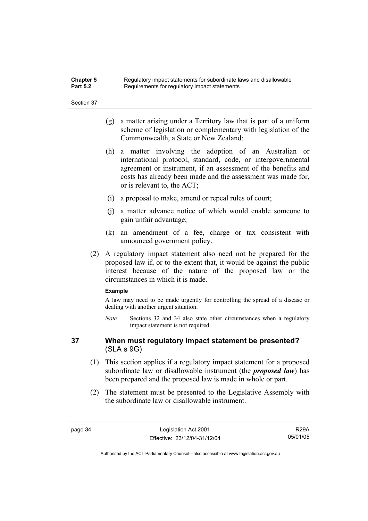| <b>Chapter 5</b> | Regulatory impact statements for subordinate laws and disallowable |
|------------------|--------------------------------------------------------------------|
| <b>Part 5.2</b>  | Requirements for regulatory impact statements                      |

- (g) a matter arising under a Territory law that is part of a uniform scheme of legislation or complementary with legislation of the Commonwealth, a State or New Zealand;
- (h) a matter involving the adoption of an Australian or international protocol, standard, code, or intergovernmental agreement or instrument, if an assessment of the benefits and costs has already been made and the assessment was made for, or is relevant to, the ACT;
- (i) a proposal to make, amend or repeal rules of court;
- (j) a matter advance notice of which would enable someone to gain unfair advantage;
- (k) an amendment of a fee, charge or tax consistent with announced government policy.
- (2) A regulatory impact statement also need not be prepared for the proposed law if, or to the extent that, it would be against the public interest because of the nature of the proposed law or the circumstances in which it is made.

#### **Example**

A law may need to be made urgently for controlling the spread of a disease or dealing with another urgent situation.

*Note* Sections 32 and 34 also state other circumstances when a regulatory impact statement is not required.

### **37 When must regulatory impact statement be presented?**  (SLA s 9G)

- (1) This section applies if a regulatory impact statement for a proposed subordinate law or disallowable instrument (the *proposed law*) has been prepared and the proposed law is made in whole or part.
- (2) The statement must be presented to the Legislative Assembly with the subordinate law or disallowable instrument.

R29A 05/01/05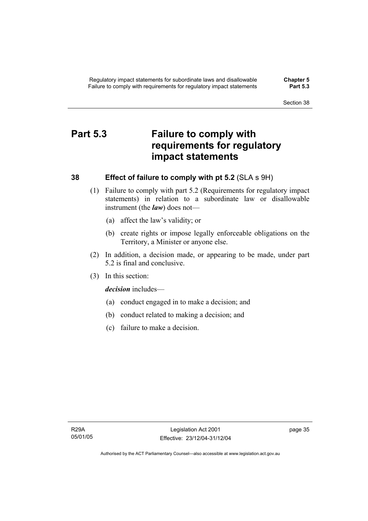## **Part 5.3 Failure to comply with requirements for regulatory impact statements**

### **38 Effect of failure to comply with pt 5.2** (SLA s 9H)

- (1) Failure to comply with part 5.2 (Requirements for regulatory impact statements) in relation to a subordinate law or disallowable instrument (the *law*) does not—
	- (a) affect the law's validity; or
	- (b) create rights or impose legally enforceable obligations on the Territory, a Minister or anyone else.
- (2) In addition, a decision made, or appearing to be made, under part 5.2 is final and conclusive.
- (3) In this section:

*decision* includes—

- (a) conduct engaged in to make a decision; and
- (b) conduct related to making a decision; and
- (c) failure to make a decision.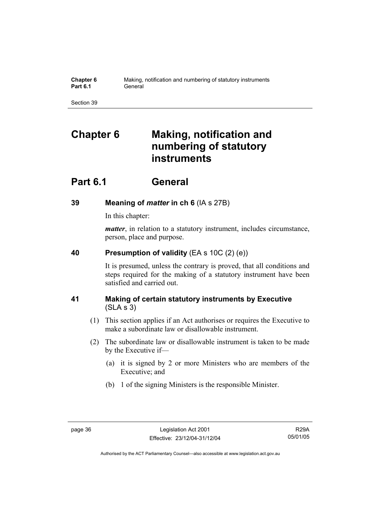| Chapter 6       | Making, notification and numbering of statutory instruments |
|-----------------|-------------------------------------------------------------|
| <b>Part 6.1</b> | General                                                     |

# **Chapter 6 Making, notification and numbering of statutory instruments**

## **Part 6.1 General**

## **39 Meaning of** *matter* **in ch 6** (IA s 27B)

In this chapter:

*matter*, in relation to a statutory instrument, includes circumstance, person, place and purpose.

### **40 Presumption of validity** (EA s 10C (2) (e))

It is presumed, unless the contrary is proved, that all conditions and steps required for the making of a statutory instrument have been satisfied and carried out.

## **41 Making of certain statutory instruments by Executive**  (SLA s 3)

- (1) This section applies if an Act authorises or requires the Executive to make a subordinate law or disallowable instrument.
- (2) The subordinate law or disallowable instrument is taken to be made by the Executive if—
	- (a) it is signed by 2 or more Ministers who are members of the Executive; and
	- (b) 1 of the signing Ministers is the responsible Minister.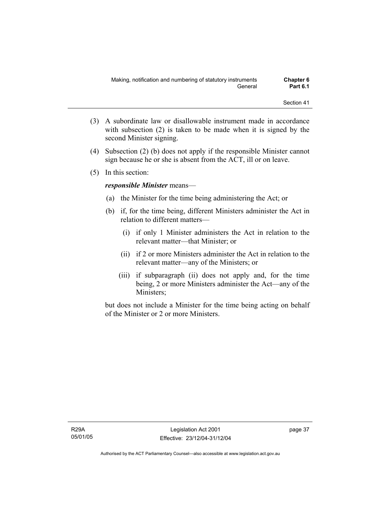- (3) A subordinate law or disallowable instrument made in accordance with subsection (2) is taken to be made when it is signed by the second Minister signing.
- (4) Subsection (2) (b) does not apply if the responsible Minister cannot sign because he or she is absent from the ACT, ill or on leave.
- (5) In this section:

### *responsible Minister* means—

- (a) the Minister for the time being administering the Act; or
- (b) if, for the time being, different Ministers administer the Act in relation to different matters—
	- (i) if only 1 Minister administers the Act in relation to the relevant matter—that Minister; or
	- (ii) if 2 or more Ministers administer the Act in relation to the relevant matter—any of the Ministers; or
	- (iii) if subparagraph (ii) does not apply and, for the time being, 2 or more Ministers administer the Act—any of the Ministers;

but does not include a Minister for the time being acting on behalf of the Minister or 2 or more Ministers.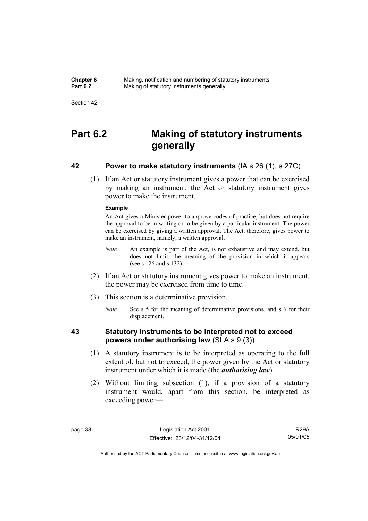**Chapter 6** Making, notification and numbering of statutory instruments<br>**Part 6.2** Making of statutory instruments generally **Making of statutory instruments generally** 

Section 42

## **Part 6.2 Making of statutory instruments generally**

### **42 Power to make statutory instruments** (IA s 26 (1), s 27C)

 (1) If an Act or statutory instrument gives a power that can be exercised by making an instrument, the Act or statutory instrument gives power to make the instrument.

#### **Example**

An Act gives a Minister power to approve codes of practice, but does not require the approval to be in writing or to be given by a particular instrument. The power can be exercised by giving a written approval. The Act, therefore, gives power to make an instrument, namely, a written approval.

- *Note* An example is part of the Act, is not exhaustive and may extend, but does not limit, the meaning of the provision in which it appears (see s 126 and s 132).
- (2) If an Act or statutory instrument gives power to make an instrument, the power may be exercised from time to time.
- (3) This section is a determinative provision.
	- *Note* See s 5 for the meaning of determinative provisions, and s 6 for their displacement.

### **43 Statutory instruments to be interpreted not to exceed powers under authorising law** (SLA s 9 (3))

- (1) A statutory instrument is to be interpreted as operating to the full extent of, but not to exceed, the power given by the Act or statutory instrument under which it is made (the *authorising law*).
- (2) Without limiting subsection (1), if a provision of a statutory instrument would, apart from this section, be interpreted as exceeding power—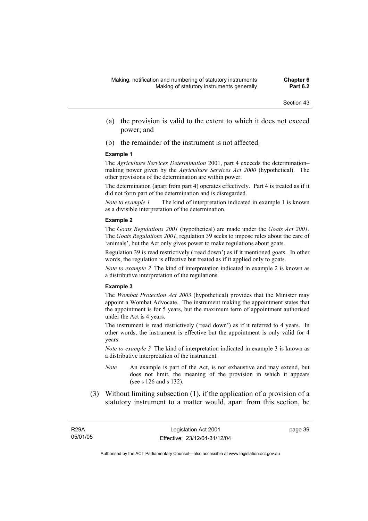- (a) the provision is valid to the extent to which it does not exceed power; and
- (b) the remainder of the instrument is not affected.

#### **Example 1**

The *Agriculture Services Determination* 2001, part 4 exceeds the determination– making power given by the *Agriculture Services Act 2000* (hypothetical). The other provisions of the determination are within power.

The determination (apart from part 4) operates effectively. Part 4 is treated as if it did not form part of the determination and is disregarded.

*Note to example 1* The kind of interpretation indicated in example 1 is known as a divisible interpretation of the determination.

#### **Example 2**

The *Goats Regulations 2001* (hypothetical) are made under the *Goats Act 2001*. The *Goats Regulations 2001*, regulation 39 seeks to impose rules about the care of 'animals', but the Act only gives power to make regulations about goats.

Regulation 39 is read restrictively ('read down') as if it mentioned goats. In other words, the regulation is effective but treated as if it applied only to goats.

*Note to example 2* The kind of interpretation indicated in example 2 is known as a distributive interpretation of the regulations.

#### **Example 3**

The *Wombat Protection Act 2003* (hypothetical) provides that the Minister may appoint a Wombat Advocate. The instrument making the appointment states that the appointment is for 5 years, but the maximum term of appointment authorised under the Act is 4 years.

The instrument is read restrictively ('read down') as if it referred to 4 years. In other words, the instrument is effective but the appointment is only valid for 4 years.

*Note to example 3* The kind of interpretation indicated in example 3 is known as a distributive interpretation of the instrument.

- *Note* An example is part of the Act, is not exhaustive and may extend, but does not limit, the meaning of the provision in which it appears (see s 126 and s 132).
- (3) Without limiting subsection (1), if the application of a provision of a statutory instrument to a matter would, apart from this section, be

page 39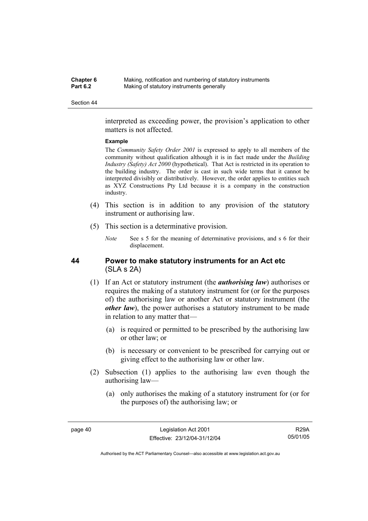| <b>Chapter 6</b> | Making, notification and numbering of statutory instruments |
|------------------|-------------------------------------------------------------|
| <b>Part 6.2</b>  | Making of statutory instruments generally                   |

interpreted as exceeding power, the provision's application to other matters is not affected.

#### **Example**

The *Community Safety Order 2001* is expressed to apply to all members of the community without qualification although it is in fact made under the *Building Industry (Safety) Act 2000* (hypothetical). That Act is restricted in its operation to the building industry. The order is cast in such wide terms that it cannot be interpreted divisibly or distributively. However, the order applies to entities such as XYZ Constructions Pty Ltd because it is a company in the construction industry.

- (4) This section is in addition to any provision of the statutory instrument or authorising law.
- (5) This section is a determinative provision.
	- *Note* See s 5 for the meaning of determinative provisions, and s 6 for their displacement.

### **44 Power to make statutory instruments for an Act etc**  (SLA s 2A)

- (1) If an Act or statutory instrument (the *authorising law*) authorises or requires the making of a statutory instrument for (or for the purposes of) the authorising law or another Act or statutory instrument (the *other law*), the power authorises a statutory instrument to be made in relation to any matter that—
	- (a) is required or permitted to be prescribed by the authorising law or other law; or
	- (b) is necessary or convenient to be prescribed for carrying out or giving effect to the authorising law or other law.
- (2) Subsection (1) applies to the authorising law even though the authorising law—
	- (a) only authorises the making of a statutory instrument for (or for the purposes of) the authorising law; or

R29A 05/01/05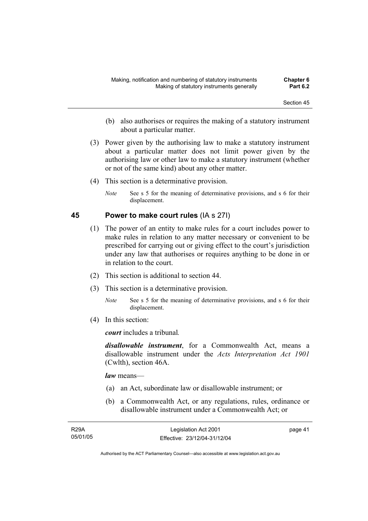- (b) also authorises or requires the making of a statutory instrument about a particular matter.
- (3) Power given by the authorising law to make a statutory instrument about a particular matter does not limit power given by the authorising law or other law to make a statutory instrument (whether or not of the same kind) about any other matter.
- (4) This section is a determinative provision.
	- *Note* See s 5 for the meaning of determinative provisions, and s 6 for their displacement.

### **45 Power to make court rules** (IA s 27I)

- (1) The power of an entity to make rules for a court includes power to make rules in relation to any matter necessary or convenient to be prescribed for carrying out or giving effect to the court's jurisdiction under any law that authorises or requires anything to be done in or in relation to the court.
- (2) This section is additional to section 44.
- (3) This section is a determinative provision.
	- *Note* See s 5 for the meaning of determinative provisions, and s 6 for their displacement.
- (4) In this section:

*court* includes a tribunal*.*

*disallowable instrument*, for a Commonwealth Act, means a disallowable instrument under the *Acts Interpretation Act 1901* (Cwlth), section 46A.

*law* means—

- (a) an Act, subordinate law or disallowable instrument; or
- (b) a Commonwealth Act, or any regulations, rules, ordinance or disallowable instrument under a Commonwealth Act; or

| <b>R29A</b> | Legislation Act 2001         | page 41 |
|-------------|------------------------------|---------|
| 05/01/05    | Effective: 23/12/04-31/12/04 |         |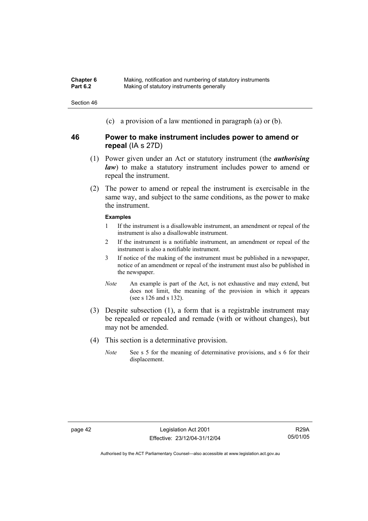| <b>Chapter 6</b> | Making, notification and numbering of statutory instruments |
|------------------|-------------------------------------------------------------|
| <b>Part 6.2</b>  | Making of statutory instruments generally                   |

(c) a provision of a law mentioned in paragraph (a) or (b).

### **46 Power to make instrument includes power to amend or repeal** (IA s 27D)

- (1) Power given under an Act or statutory instrument (the *authorising law*) to make a statutory instrument includes power to amend or repeal the instrument.
- (2) The power to amend or repeal the instrument is exercisable in the same way, and subject to the same conditions, as the power to make the instrument.

#### **Examples**

- 1 If the instrument is a disallowable instrument, an amendment or repeal of the instrument is also a disallowable instrument.
- 2 If the instrument is a notifiable instrument, an amendment or repeal of the instrument is also a notifiable instrument.
- 3 If notice of the making of the instrument must be published in a newspaper, notice of an amendment or repeal of the instrument must also be published in the newspaper.
- *Note* An example is part of the Act, is not exhaustive and may extend, but does not limit, the meaning of the provision in which it appears (see s 126 and s 132).
- (3) Despite subsection (1), a form that is a registrable instrument may be repealed or repealed and remade (with or without changes), but may not be amended.
- (4) This section is a determinative provision.
	- *Note* See s 5 for the meaning of determinative provisions, and s 6 for their displacement.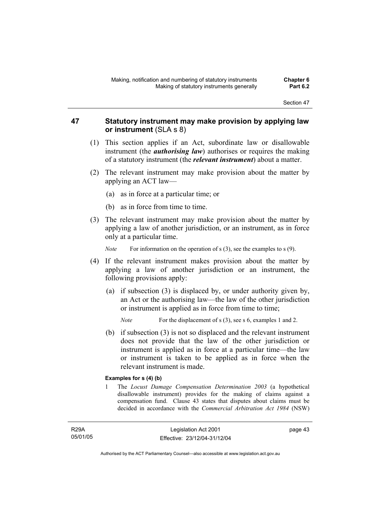### **47 Statutory instrument may make provision by applying law or instrument** (SLA s 8)

- (1) This section applies if an Act, subordinate law or disallowable instrument (the *authorising law*) authorises or requires the making of a statutory instrument (the *relevant instrument*) about a matter.
- (2) The relevant instrument may make provision about the matter by applying an ACT law—
	- (a) as in force at a particular time; or
	- (b) as in force from time to time.
- (3) The relevant instrument may make provision about the matter by applying a law of another jurisdiction, or an instrument, as in force only at a particular time.

*Note* For information on the operation of s (3), see the examples to s (9).

- (4) If the relevant instrument makes provision about the matter by applying a law of another jurisdiction or an instrument, the following provisions apply:
	- (a) if subsection (3) is displaced by, or under authority given by, an Act or the authorising law—the law of the other jurisdiction or instrument is applied as in force from time to time;

*Note* For the displacement of s (3), see s 6, examples 1 and 2.

 (b) if subsection (3) is not so displaced and the relevant instrument does not provide that the law of the other jurisdiction or instrument is applied as in force at a particular time—the law or instrument is taken to be applied as in force when the relevant instrument is made.

### **Examples for s (4) (b)**

1 The *Locust Damage Compensation Determination 2003* (a hypothetical disallowable instrument) provides for the making of claims against a compensation fund. Clause 43 states that disputes about claims must be decided in accordance with the *Commercial Arbitration Act 1984* (NSW)

R29A 05/01/05 page 43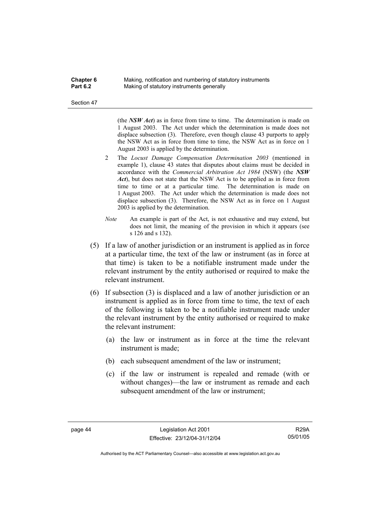| Chapter 6 | Making, notification and numbering of statutory instruments |
|-----------|-------------------------------------------------------------|
| Part 6.2  | Making of statutory instruments generally                   |

(the *NSW Act*) as in force from time to time. The determination is made on 1 August 2003. The Act under which the determination is made does not displace subsection (3). Therefore, even though clause 43 purports to apply the NSW Act as in force from time to time, the NSW Act as in force on 1 August 2003 is applied by the determination.

- 2 The *Locust Damage Compensation Determination 2003* (mentioned in example 1), clause 43 states that disputes about claims must be decided in accordance with the *Commercial Arbitration Act 1984* (NSW) (the *NSW Act*), but does not state that the NSW Act is to be applied as in force from time to time or at a particular time. The determination is made on 1 August 2003. The Act under which the determination is made does not displace subsection (3). Therefore, the NSW Act as in force on 1 August 2003 is applied by the determination.
- *Note* An example is part of the Act, is not exhaustive and may extend, but does not limit, the meaning of the provision in which it appears (see s 126 and s 132).
- (5) If a law of another jurisdiction or an instrument is applied as in force at a particular time, the text of the law or instrument (as in force at that time) is taken to be a notifiable instrument made under the relevant instrument by the entity authorised or required to make the relevant instrument.
- (6) If subsection (3) is displaced and a law of another jurisdiction or an instrument is applied as in force from time to time, the text of each of the following is taken to be a notifiable instrument made under the relevant instrument by the entity authorised or required to make the relevant instrument:
	- (a) the law or instrument as in force at the time the relevant instrument is made;
	- (b) each subsequent amendment of the law or instrument;
	- (c) if the law or instrument is repealed and remade (with or without changes)—the law or instrument as remade and each subsequent amendment of the law or instrument;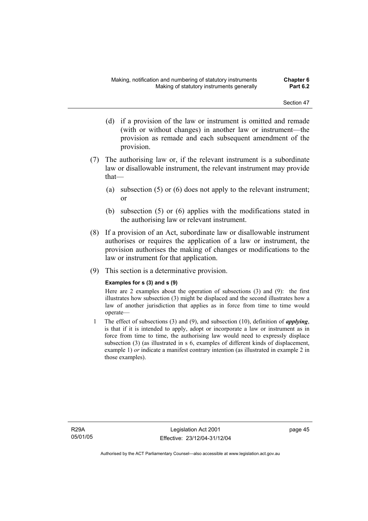- (d) if a provision of the law or instrument is omitted and remade (with or without changes) in another law or instrument—the provision as remade and each subsequent amendment of the provision.
- (7) The authorising law or, if the relevant instrument is a subordinate law or disallowable instrument, the relevant instrument may provide that—
	- (a) subsection (5) or (6) does not apply to the relevant instrument; or
	- (b) subsection (5) or (6) applies with the modifications stated in the authorising law or relevant instrument.
- (8) If a provision of an Act, subordinate law or disallowable instrument authorises or requires the application of a law or instrument, the provision authorises the making of changes or modifications to the law or instrument for that application.
- (9) This section is a determinative provision.

### **Examples for s (3) and s (9)**

Here are 2 examples about the operation of subsections (3) and (9): the first illustrates how subsection (3) might be displaced and the second illustrates how a law of another jurisdiction that applies as in force from time to time would operate—

1 The effect of subsections (3) and (9), and subsection (10), definition of *applying*, is that if it is intended to apply, adopt or incorporate a law or instrument as in force from time to time, the authorising law would need to expressly displace subsection (3) (as illustrated in s 6, examples of different kinds of displacement, example 1) *or* indicate a manifest contrary intention (as illustrated in example 2 in those examples).

R29A 05/01/05 page 45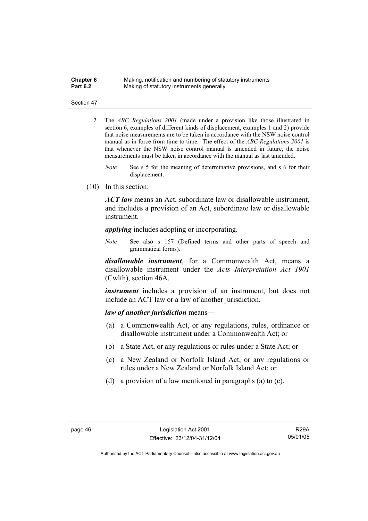| <b>Chapter 6</b> | Making, notification and numbering of statutory instruments |
|------------------|-------------------------------------------------------------|
| <b>Part 6.2</b>  | Making of statutory instruments generally                   |

- 2 The *ABC Regulations 2001* (made under a provision like those illustrated in section 6, examples of different kinds of displacement, examples 1 and 2) provide that noise measurements are to be taken in accordance with the NSW noise control manual as in force from time to time. The effect of the *ABC Regulations 2001* is that whenever the NSW noise control manual is amended in future, the noise measurements must be taken in accordance with the manual as last amended.
	- *Note* See s 5 for the meaning of determinative provisions, and s 6 for their displacement.
- (10) In this section:

*ACT law* means an Act, subordinate law or disallowable instrument, and includes a provision of an Act, subordinate law or disallowable instrument.

*applying* includes adopting or incorporating.

*Note* See also s 157 (Defined terms and other parts of speech and grammatical forms).

*disallowable instrument*, for a Commonwealth Act, means a disallowable instrument under the *Acts Interpretation Act 1901* (Cwlth), section 46A.

*instrument* includes a provision of an instrument, but does not include an ACT law or a law of another jurisdiction.

#### *law of another jurisdiction* means—

- (a) a Commonwealth Act, or any regulations, rules, ordinance or disallowable instrument under a Commonwealth Act; or
- (b) a State Act, or any regulations or rules under a State Act; or
- (c) a New Zealand or Norfolk Island Act, or any regulations or rules under a New Zealand or Norfolk Island Act; or
- (d) a provision of a law mentioned in paragraphs (a) to (c).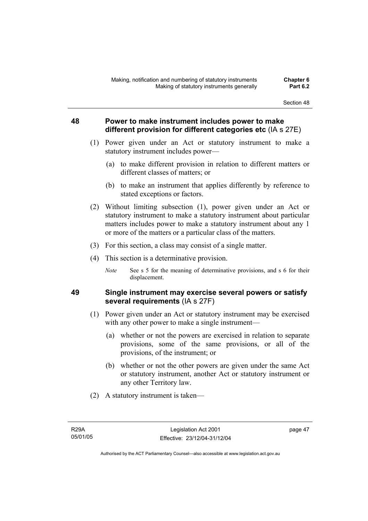### **48 Power to make instrument includes power to make different provision for different categories etc** (IA s 27E)

- (1) Power given under an Act or statutory instrument to make a statutory instrument includes power—
	- (a) to make different provision in relation to different matters or different classes of matters; or
	- (b) to make an instrument that applies differently by reference to stated exceptions or factors.
- (2) Without limiting subsection (1), power given under an Act or statutory instrument to make a statutory instrument about particular matters includes power to make a statutory instrument about any 1 or more of the matters or a particular class of the matters.
- (3) For this section, a class may consist of a single matter.
- (4) This section is a determinative provision.
	- *Note* See s 5 for the meaning of determinative provisions, and s 6 for their displacement.

### **49 Single instrument may exercise several powers or satisfy several requirements** (IA s 27F)

- (1) Power given under an Act or statutory instrument may be exercised with any other power to make a single instrument—
	- (a) whether or not the powers are exercised in relation to separate provisions, some of the same provisions, or all of the provisions, of the instrument; or
	- (b) whether or not the other powers are given under the same Act or statutory instrument, another Act or statutory instrument or any other Territory law.
- (2) A statutory instrument is taken—

page 47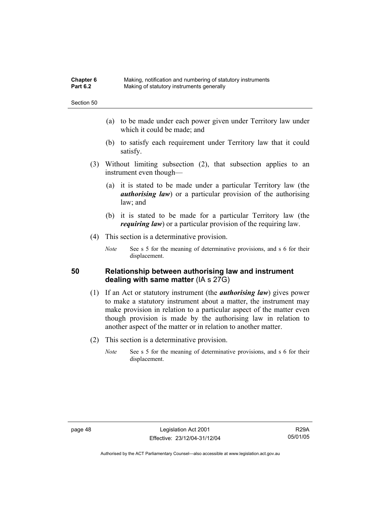| <b>Chapter 6</b> | Making, notification and numbering of statutory instruments |
|------------------|-------------------------------------------------------------|
| <b>Part 6.2</b>  | Making of statutory instruments generally                   |

- (a) to be made under each power given under Territory law under which it could be made; and
- (b) to satisfy each requirement under Territory law that it could satisfy.
- (3) Without limiting subsection (2), that subsection applies to an instrument even though—
	- (a) it is stated to be made under a particular Territory law (the *authorising law*) or a particular provision of the authorising law; and
	- (b) it is stated to be made for a particular Territory law (the *requiring law*) or a particular provision of the requiring law.
- (4) This section is a determinative provision.
	- *Note* See s 5 for the meaning of determinative provisions, and s 6 for their displacement.

### **50 Relationship between authorising law and instrument dealing with same matter** (IA s 27G)

- (1) If an Act or statutory instrument (the *authorising law*) gives power to make a statutory instrument about a matter, the instrument may make provision in relation to a particular aspect of the matter even though provision is made by the authorising law in relation to another aspect of the matter or in relation to another matter.
- (2) This section is a determinative provision.
	- *Note* See s 5 for the meaning of determinative provisions, and s 6 for their displacement.

page 48 Legislation Act 2001 Effective: 23/12/04-31/12/04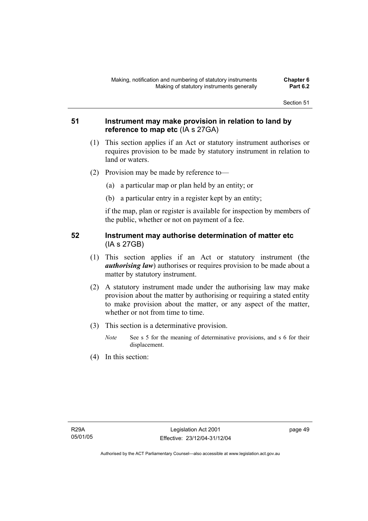### **51 Instrument may make provision in relation to land by reference to map etc** (IA s 27GA)

- (1) This section applies if an Act or statutory instrument authorises or requires provision to be made by statutory instrument in relation to land or waters.
- (2) Provision may be made by reference to—
	- (a) a particular map or plan held by an entity; or
	- (b) a particular entry in a register kept by an entity;

if the map, plan or register is available for inspection by members of the public, whether or not on payment of a fee.

### **52 Instrument may authorise determination of matter etc**  (IA s 27GB)

- (1) This section applies if an Act or statutory instrument (the *authorising law*) authorises or requires provision to be made about a matter by statutory instrument.
- (2) A statutory instrument made under the authorising law may make provision about the matter by authorising or requiring a stated entity to make provision about the matter, or any aspect of the matter, whether or not from time to time.
- (3) This section is a determinative provision.
	- *Note* See s 5 for the meaning of determinative provisions, and s 6 for their displacement.
- (4) In this section: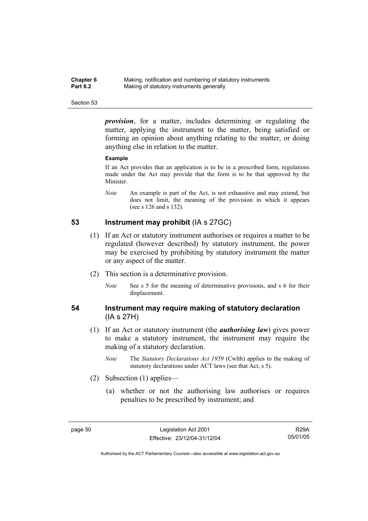| Chapter 6       | Making, notification and numbering of statutory instruments |
|-----------------|-------------------------------------------------------------|
| <b>Part 6.2</b> | Making of statutory instruments generally                   |

*provision*, for a matter, includes determining or regulating the matter, applying the instrument to the matter, being satisfied or forming an opinion about anything relating to the matter, or doing anything else in relation to the matter.

#### **Example**

If an Act provides that an application is to be in a prescribed form, regulations made under the Act may provide that the form is to be that approved by the Minister.

*Note* An example is part of the Act, is not exhaustive and may extend, but does not limit, the meaning of the provision in which it appears (see s 126 and s 132).

### **53 Instrument may prohibit** (IA s 27GC)

- (1) If an Act or statutory instrument authorises or requires a matter to be regulated (however described) by statutory instrument, the power may be exercised by prohibiting by statutory instrument the matter or any aspect of the matter.
- (2) This section is a determinative provision.
	- *Note* See s 5 for the meaning of determinative provisions, and s 6 for their displacement.

### **54 Instrument may require making of statutory declaration**  (IA s 27H)

- (1) If an Act or statutory instrument (the *authorising law*) gives power to make a statutory instrument, the instrument may require the making of a statutory declaration.
	- *Note* The *Statutory Declarations Act 1959* (Cwlth) applies to the making of statutory declarations under ACT laws (see that Act, s 5).
- (2) Subsection (1) applies—
	- (a) whether or not the authorising law authorises or requires penalties to be prescribed by instrument; and

R29A 05/01/05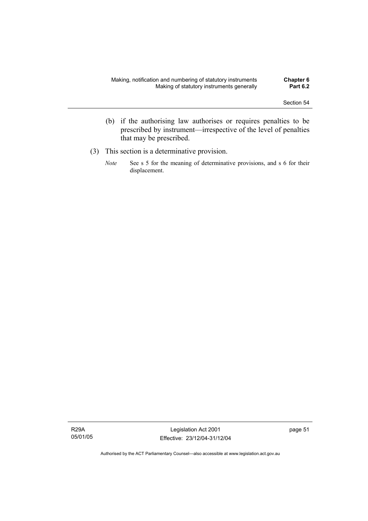- (b) if the authorising law authorises or requires penalties to be prescribed by instrument—irrespective of the level of penalties that may be prescribed.
- (3) This section is a determinative provision.
	- *Note* See s 5 for the meaning of determinative provisions, and s 6 for their displacement.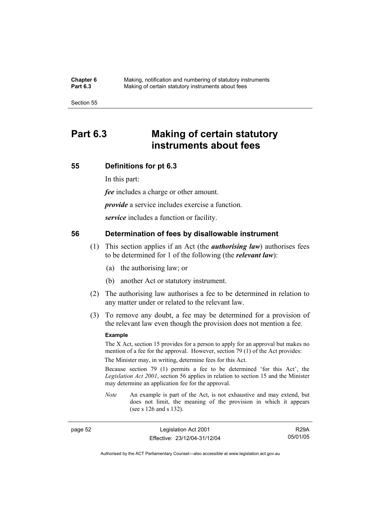**Chapter 6** Making, notification and numbering of statutory instruments<br>**Part 6.3** Making of certain statutory instruments about fees Making of certain statutory instruments about fees

Section 55

## **Part 6.3 Making of certain statutory instruments about fees**

### **55 Definitions for pt 6.3**

In this part:

*fee* includes a charge or other amount.

*provide* a service includes exercise a function.

*service* includes a function or facility.

### **56 Determination of fees by disallowable instrument**

- (1) This section applies if an Act (the *authorising law*) authorises fees to be determined for 1 of the following (the *relevant law*):
	- (a) the authorising law; or
	- (b) another Act or statutory instrument.
- (2) The authorising law authorises a fee to be determined in relation to any matter under or related to the relevant law.
- (3) To remove any doubt, a fee may be determined for a provision of the relevant law even though the provision does not mention a fee.

#### **Example**

The X Act, section 15 provides for a person to apply for an approval but makes no mention of a fee for the approval. However, section 79 (1) of the Act provides:

The Minister may, in writing, determine fees for this Act.

Because section 79 (1) permits a fee to be determined 'for this Act', the *Legislation Act 2001*, section 56 applies in relation to section 15 and the Minister may determine an application fee for the approval.

*Note* An example is part of the Act, is not exhaustive and may extend, but does not limit, the meaning of the provision in which it appears (see s 126 and s 132).

R29A 05/01/05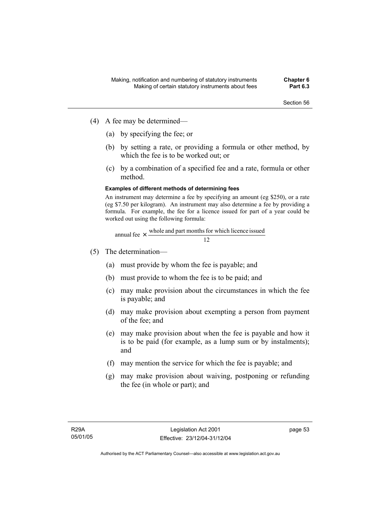- (4) A fee may be determined—
	- (a) by specifying the fee; or
	- (b) by setting a rate, or providing a formula or other method, by which the fee is to be worked out; or
	- (c) by a combination of a specified fee and a rate, formula or other method.

### **Examples of different methods of determining fees**

An instrument may determine a fee by specifying an amount (eg \$250), or a rate (eg \$7.50 per kilogram). An instrument may also determine a fee by providing a formula. For example, the fee for a licence issued for part of a year could be worked out using the following formula:

annual fee 
$$
\times
$$
 whole and part months for which licence issued 12

- (5) The determination—
	- (a) must provide by whom the fee is payable; and
	- (b) must provide to whom the fee is to be paid; and
	- (c) may make provision about the circumstances in which the fee is payable; and
	- (d) may make provision about exempting a person from payment of the fee; and
	- (e) may make provision about when the fee is payable and how it is to be paid (for example, as a lump sum or by instalments); and
	- (f) may mention the service for which the fee is payable; and
	- (g) may make provision about waiving, postponing or refunding the fee (in whole or part); and

page 53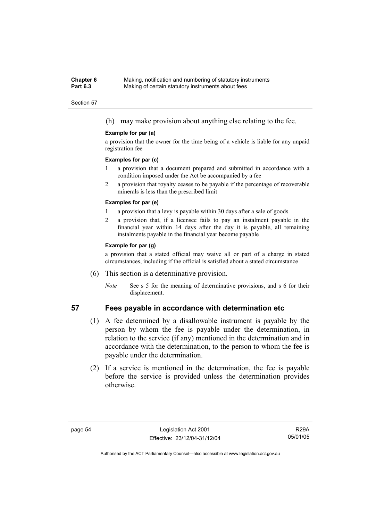#### **Chapter 6** Making, notification and numbering of statutory instruments<br>**Part 6.3** Making of certain statutory instruments about fees Making of certain statutory instruments about fees

#### Section 57

(h) may make provision about anything else relating to the fee.

#### **Example for par (a)**

a provision that the owner for the time being of a vehicle is liable for any unpaid registration fee

#### **Examples for par (c)**

- 1 a provision that a document prepared and submitted in accordance with a condition imposed under the Act be accompanied by a fee
- 2 a provision that royalty ceases to be payable if the percentage of recoverable minerals is less than the prescribed limit

#### **Examples for par (e)**

- 1 a provision that a levy is payable within 30 days after a sale of goods
- 2 a provision that, if a licensee fails to pay an instalment payable in the financial year within 14 days after the day it is payable, all remaining instalments payable in the financial year become payable

#### **Example for par (g)**

a provision that a stated official may waive all or part of a charge in stated circumstances, including if the official is satisfied about a stated circumstance

- (6) This section is a determinative provision.
	- *Note* See s 5 for the meaning of determinative provisions, and s 6 for their displacement.

## **57 Fees payable in accordance with determination etc**

- (1) A fee determined by a disallowable instrument is payable by the person by whom the fee is payable under the determination, in relation to the service (if any) mentioned in the determination and in accordance with the determination, to the person to whom the fee is payable under the determination.
- (2) If a service is mentioned in the determination, the fee is payable before the service is provided unless the determination provides otherwise.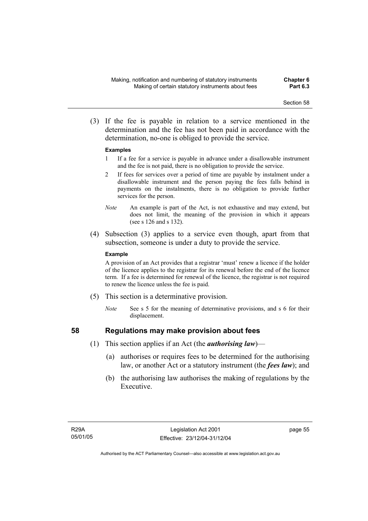(3) If the fee is payable in relation to a service mentioned in the determination and the fee has not been paid in accordance with the determination, no-one is obliged to provide the service.

#### **Examples**

- 1 If a fee for a service is payable in advance under a disallowable instrument and the fee is not paid, there is no obligation to provide the service.
- 2 If fees for services over a period of time are payable by instalment under a disallowable instrument and the person paying the fees falls behind in payments on the instalments, there is no obligation to provide further services for the person.
- *Note* An example is part of the Act, is not exhaustive and may extend, but does not limit, the meaning of the provision in which it appears (see s 126 and s 132).
- (4) Subsection (3) applies to a service even though, apart from that subsection, someone is under a duty to provide the service.

#### **Example**

A provision of an Act provides that a registrar 'must' renew a licence if the holder of the licence applies to the registrar for its renewal before the end of the licence term. If a fee is determined for renewal of the licence, the registrar is not required to renew the licence unless the fee is paid.

- (5) This section is a determinative provision.
	- *Note* See s 5 for the meaning of determinative provisions, and s 6 for their displacement.

- **58 Regulations may make provision about fees** 
	- (1) This section applies if an Act (the *authorising law*)—
		- (a) authorises or requires fees to be determined for the authorising law, or another Act or a statutory instrument (the *fees law*); and
		- (b) the authorising law authorises the making of regulations by the Executive.

page 55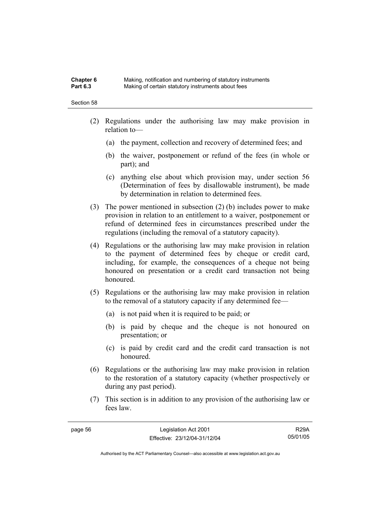### **Chapter 6** Making, notification and numbering of statutory instruments<br>**Part 6.3** Making of certain statutory instruments about fees Making of certain statutory instruments about fees

#### Section 58

- (2) Regulations under the authorising law may make provision in relation to—
	- (a) the payment, collection and recovery of determined fees; and
	- (b) the waiver, postponement or refund of the fees (in whole or part); and
	- (c) anything else about which provision may, under section 56 (Determination of fees by disallowable instrument), be made by determination in relation to determined fees.
- (3) The power mentioned in subsection (2) (b) includes power to make provision in relation to an entitlement to a waiver, postponement or refund of determined fees in circumstances prescribed under the regulations (including the removal of a statutory capacity).
- (4) Regulations or the authorising law may make provision in relation to the payment of determined fees by cheque or credit card, including, for example, the consequences of a cheque not being honoured on presentation or a credit card transaction not being honoured.
- (5) Regulations or the authorising law may make provision in relation to the removal of a statutory capacity if any determined fee—
	- (a) is not paid when it is required to be paid; or
	- (b) is paid by cheque and the cheque is not honoured on presentation; or
	- (c) is paid by credit card and the credit card transaction is not honoured.
- (6) Regulations or the authorising law may make provision in relation to the restoration of a statutory capacity (whether prospectively or during any past period).
- (7) This section is in addition to any provision of the authorising law or fees law.

R29A 05/01/05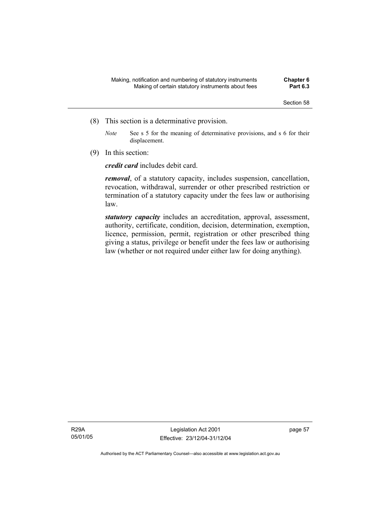- (8) This section is a determinative provision.
	- *Note* See s 5 for the meaning of determinative provisions, and s 6 for their displacement.
- (9) In this section:

*credit card* includes debit card.

*removal*, of a statutory capacity, includes suspension, cancellation, revocation, withdrawal, surrender or other prescribed restriction or termination of a statutory capacity under the fees law or authorising law.

*statutory capacity* includes an accreditation, approval, assessment, authority, certificate, condition, decision, determination, exemption, licence, permission, permit, registration or other prescribed thing giving a status, privilege or benefit under the fees law or authorising law (whether or not required under either law for doing anything).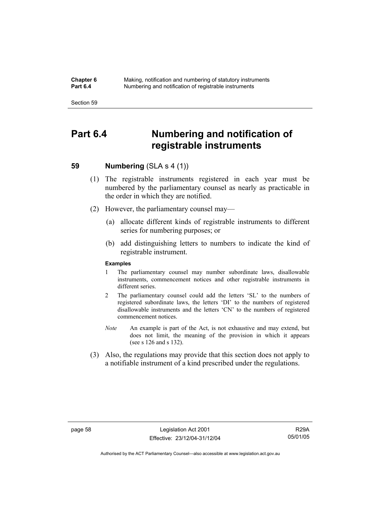**Chapter 6** Making, notification and numbering of statutory instruments<br>**Part 6.4** Mumbering and notification of registrable instruments **Part 6.4** Numbering and notification of registrable instruments

Section 59

# **Part 6.4 Numbering and notification of registrable instruments**

# **59 Numbering (SLA s 4 (1))**

- (1) The registrable instruments registered in each year must be numbered by the parliamentary counsel as nearly as practicable in the order in which they are notified.
- (2) However, the parliamentary counsel may—
	- (a) allocate different kinds of registrable instruments to different series for numbering purposes; or
	- (b) add distinguishing letters to numbers to indicate the kind of registrable instrument.

#### **Examples**

- 1 The parliamentary counsel may number subordinate laws, disallowable instruments, commencement notices and other registrable instruments in different series.
- 2 The parliamentary counsel could add the letters 'SL' to the numbers of registered subordinate laws, the letters 'DI' to the numbers of registered disallowable instruments and the letters 'CN' to the numbers of registered commencement notices.
- *Note* An example is part of the Act, is not exhaustive and may extend, but does not limit, the meaning of the provision in which it appears (see s 126 and s 132).
- (3) Also, the regulations may provide that this section does not apply to a notifiable instrument of a kind prescribed under the regulations.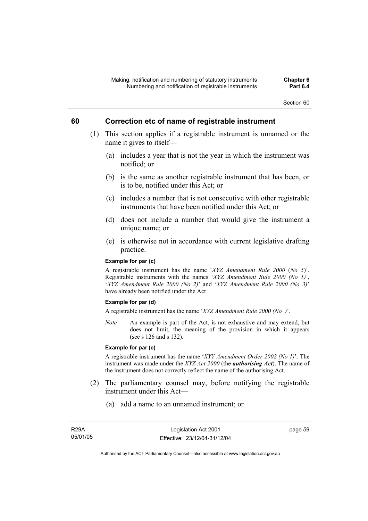# **60 Correction etc of name of registrable instrument**

- (1) This section applies if a registrable instrument is unnamed or the name it gives to itself—
	- (a) includes a year that is not the year in which the instrument was notified; or
	- (b) is the same as another registrable instrument that has been, or is to be, notified under this Act; or
	- (c) includes a number that is not consecutive with other registrable instruments that have been notified under this Act; or
	- (d) does not include a number that would give the instrument a unique name; or
	- (e) is otherwise not in accordance with current legislative drafting practice.

#### **Example for par (c)**

A registrable instrument has the name '*XYZ Amendment Rule 2000* (*No 5*)'. Registrable instruments with the names '*XYZ Amendment Rule 2000 (No 1)*', '*XYZ Amendment Rule 2000 (No 2)*' and '*XYZ Amendment Rule 2000 (No 3)*' have already been notified under the Act

## **Example for par (d)**

A registrable instrument has the name '*XYZ Amendment Rule 2000 (No )*'.

*Note* An example is part of the Act, is not exhaustive and may extend, but does not limit, the meaning of the provision in which it appears (see s 126 and s 132).

#### **Example for par (e)**

A registrable instrument has the name '*XYY Amendment Order 2002 (No 1)*'. The instrument was made under the *XYZ Act 2000* (the *authorising Act*). The name of the instrument does not correctly reflect the name of the authorising Act.

- (2) The parliamentary counsel may, before notifying the registrable instrument under this Act—
	- (a) add a name to an unnamed instrument; or

page 59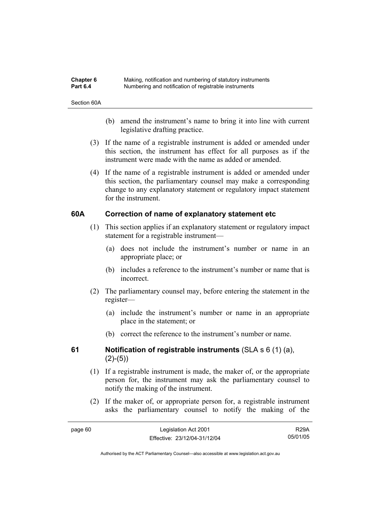| Chapter 6       | Making, notification and numbering of statutory instruments |
|-----------------|-------------------------------------------------------------|
| <b>Part 6.4</b> | Numbering and notification of registrable instruments       |

Section 60A

- (b) amend the instrument's name to bring it into line with current legislative drafting practice.
- (3) If the name of a registrable instrument is added or amended under this section, the instrument has effect for all purposes as if the instrument were made with the name as added or amended.
- (4) If the name of a registrable instrument is added or amended under this section, the parliamentary counsel may make a corresponding change to any explanatory statement or regulatory impact statement for the instrument.

# **60A Correction of name of explanatory statement etc**

- (1) This section applies if an explanatory statement or regulatory impact statement for a registrable instrument—
	- (a) does not include the instrument's number or name in an appropriate place; or
	- (b) includes a reference to the instrument's number or name that is incorrect.
- (2) The parliamentary counsel may, before entering the statement in the register—
	- (a) include the instrument's number or name in an appropriate place in the statement; or
	- (b) correct the reference to the instrument's number or name.

# **61 Notification of registrable instruments** (SLA s 6 (1) (a),  $(2)-(5)$

- (1) If a registrable instrument is made, the maker of, or the appropriate person for, the instrument may ask the parliamentary counsel to notify the making of the instrument.
- (2) If the maker of, or appropriate person for, a registrable instrument asks the parliamentary counsel to notify the making of the

| page 60 | Legislation Act 2001         | <b>R29A</b> |
|---------|------------------------------|-------------|
|         | Effective: 23/12/04-31/12/04 | 05/01/05    |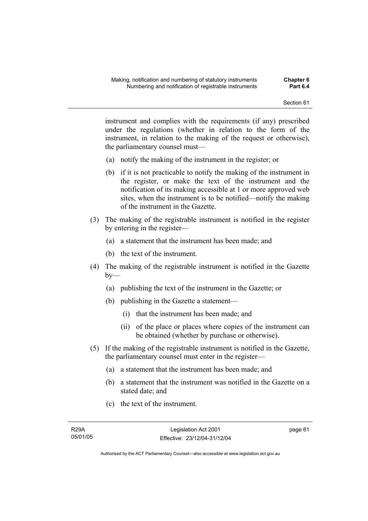instrument and complies with the requirements (if any) prescribed under the regulations (whether in relation to the form of the instrument, in relation to the making of the request or otherwise), the parliamentary counsel must—

- (a) notify the making of the instrument in the register; or
- (b) if it is not practicable to notify the making of the instrument in the register, or make the text of the instrument and the notification of its making accessible at 1 or more approved web sites, when the instrument is to be notified—notify the making of the instrument in the Gazette.
- (3) The making of the registrable instrument is notified in the register by entering in the register—
	- (a) a statement that the instrument has been made; and
	- (b) the text of the instrument.
- (4) The making of the registrable instrument is notified in the Gazette  $b$ v—
	- (a) publishing the text of the instrument in the Gazette; or
	- (b) publishing in the Gazette a statement—
		- (i) that the instrument has been made; and
		- (ii) of the place or places where copies of the instrument can be obtained (whether by purchase or otherwise).
- (5) If the making of the registrable instrument is notified in the Gazette, the parliamentary counsel must enter in the register—
	- (a) a statement that the instrument has been made; and
	- (b) a statement that the instrument was notified in the Gazette on a stated date; and
	- (c) the text of the instrument.

page 61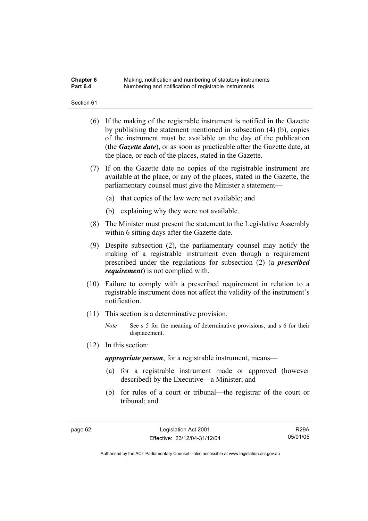### **Chapter 6** Making, notification and numbering of statutory instruments<br>**Part 6.4** Mumbering and notification of registrable instruments **Part 6.4** Numbering and notification of registrable instruments

#### Section 61

- (6) If the making of the registrable instrument is notified in the Gazette by publishing the statement mentioned in subsection (4) (b), copies of the instrument must be available on the day of the publication (the *Gazette date*), or as soon as practicable after the Gazette date, at the place, or each of the places, stated in the Gazette.
- (7) If on the Gazette date no copies of the registrable instrument are available at the place, or any of the places, stated in the Gazette, the parliamentary counsel must give the Minister a statement—
	- (a) that copies of the law were not available; and
	- (b) explaining why they were not available.
- (8) The Minister must present the statement to the Legislative Assembly within 6 sitting days after the Gazette date.
- (9) Despite subsection (2), the parliamentary counsel may notify the making of a registrable instrument even though a requirement prescribed under the regulations for subsection (2) (a *prescribed requirement*) is not complied with.
- (10) Failure to comply with a prescribed requirement in relation to a registrable instrument does not affect the validity of the instrument's notification.
- (11) This section is a determinative provision.
	- *Note* See s 5 for the meaning of determinative provisions, and s 6 for their displacement.
- (12) In this section:

*appropriate person*, for a registrable instrument, means—

- (a) for a registrable instrument made or approved (however described) by the Executive—a Minister; and
- (b) for rules of a court or tribunal—the registrar of the court or tribunal; and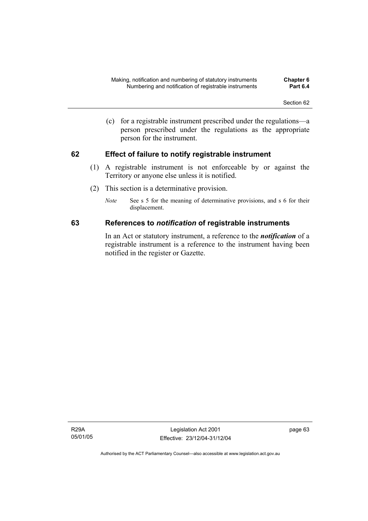(c) for a registrable instrument prescribed under the regulations—a person prescribed under the regulations as the appropriate person for the instrument.

# **62 Effect of failure to notify registrable instrument**

- (1) A registrable instrument is not enforceable by or against the Territory or anyone else unless it is notified.
- (2) This section is a determinative provision.
	- *Note* See s 5 for the meaning of determinative provisions, and s 6 for their displacement.

# **63 References to** *notification* **of registrable instruments**

In an Act or statutory instrument, a reference to the *notification* of a registrable instrument is a reference to the instrument having been notified in the register or Gazette.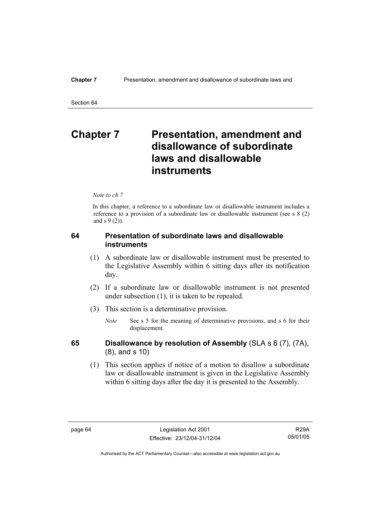# **Chapter 7** Presentation, amendment and **disallowance of subordinate laws and disallowable instruments**

*Note to ch 7* 

In this chapter, a reference to a subordinate law or disallowable instrument includes a reference to a provision of a subordinate law or disallowable instrument (see s 8 (2) and s 9 (2)).

# **64 Presentation of subordinate laws and disallowable instruments**

- (1) A subordinate law or disallowable instrument must be presented to the Legislative Assembly within 6 sitting days after its notification day.
- (2) If a subordinate law or disallowable instrument is not presented under subsection (1), it is taken to be repealed.
- (3) This section is a determinative provision.
	- *Note* See s 5 for the meaning of determinative provisions, and s 6 for their displacement.

- **65 Disallowance by resolution of Assembly** (SLA s 6 (7), (7A), (8), and s 10)
	- (1) This section applies if notice of a motion to disallow a subordinate law or disallowable instrument is given in the Legislative Assembly within 6 sitting days after the day it is presented to the Assembly.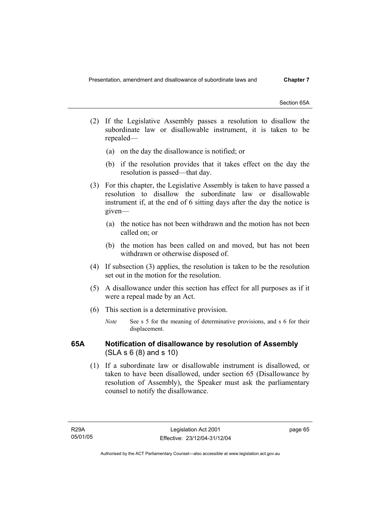Section 65A

- (2) If the Legislative Assembly passes a resolution to disallow the subordinate law or disallowable instrument, it is taken to be repealed—
	- (a) on the day the disallowance is notified; or
	- (b) if the resolution provides that it takes effect on the day the resolution is passed—that day.
- (3) For this chapter, the Legislative Assembly is taken to have passed a resolution to disallow the subordinate law or disallowable instrument if, at the end of 6 sitting days after the day the notice is given—
	- (a) the notice has not been withdrawn and the motion has not been called on; or
	- (b) the motion has been called on and moved, but has not been withdrawn or otherwise disposed of.
- (4) If subsection (3) applies, the resolution is taken to be the resolution set out in the motion for the resolution.
- (5) A disallowance under this section has effect for all purposes as if it were a repeal made by an Act.
- (6) This section is a determinative provision.
	- *Note* See s 5 for the meaning of determinative provisions, and s 6 for their displacement.

# **65A Notification of disallowance by resolution of Assembly**  (SLA s 6 (8) and s 10)

 (1) If a subordinate law or disallowable instrument is disallowed, or taken to have been disallowed, under section 65 (Disallowance by resolution of Assembly), the Speaker must ask the parliamentary counsel to notify the disallowance.

page 65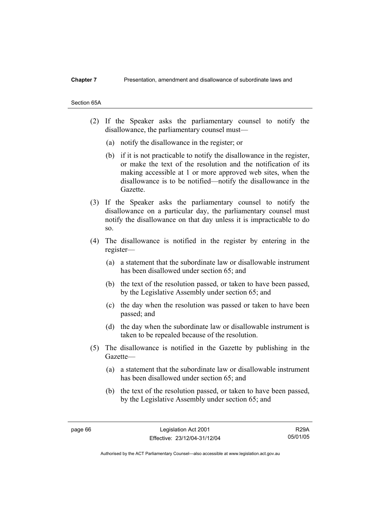#### **Chapter 7** Presentation, amendment and disallowance of subordinate laws and

## Section 65A

- (2) If the Speaker asks the parliamentary counsel to notify the disallowance, the parliamentary counsel must—
	- (a) notify the disallowance in the register; or
	- (b) if it is not practicable to notify the disallowance in the register, or make the text of the resolution and the notification of its making accessible at 1 or more approved web sites, when the disallowance is to be notified—notify the disallowance in the Gazette.
- (3) If the Speaker asks the parliamentary counsel to notify the disallowance on a particular day, the parliamentary counsel must notify the disallowance on that day unless it is impracticable to do so.
- (4) The disallowance is notified in the register by entering in the register—
	- (a) a statement that the subordinate law or disallowable instrument has been disallowed under section 65; and
	- (b) the text of the resolution passed, or taken to have been passed, by the Legislative Assembly under section 65; and
	- (c) the day when the resolution was passed or taken to have been passed; and
	- (d) the day when the subordinate law or disallowable instrument is taken to be repealed because of the resolution.
- (5) The disallowance is notified in the Gazette by publishing in the Gazette—
	- (a) a statement that the subordinate law or disallowable instrument has been disallowed under section 65; and
	- (b) the text of the resolution passed, or taken to have been passed, by the Legislative Assembly under section 65; and

R29A 05/01/05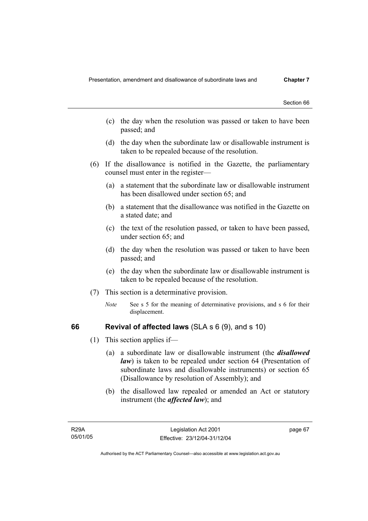- (c) the day when the resolution was passed or taken to have been passed; and
- (d) the day when the subordinate law or disallowable instrument is taken to be repealed because of the resolution.
- (6) If the disallowance is notified in the Gazette, the parliamentary counsel must enter in the register—
	- (a) a statement that the subordinate law or disallowable instrument has been disallowed under section 65; and
	- (b) a statement that the disallowance was notified in the Gazette on a stated date; and
	- (c) the text of the resolution passed, or taken to have been passed, under section 65; and
	- (d) the day when the resolution was passed or taken to have been passed; and
	- (e) the day when the subordinate law or disallowable instrument is taken to be repealed because of the resolution.
- (7) This section is a determinative provision.
	- *Note* See s 5 for the meaning of determinative provisions, and s 6 for their displacement.

# **66 Revival of affected laws** (SLA s 6 (9), and s 10)

- (1) This section applies if—
	- (a) a subordinate law or disallowable instrument (the *disallowed law*) is taken to be repealed under section 64 (Presentation of subordinate laws and disallowable instruments) or section 65 (Disallowance by resolution of Assembly); and
	- (b) the disallowed law repealed or amended an Act or statutory instrument (the *affected law*); and

page 67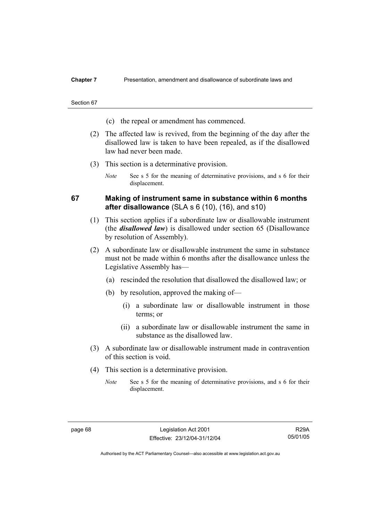### **Chapter 7** Presentation, amendment and disallowance of subordinate laws and

#### Section 67

- (c) the repeal or amendment has commenced.
- (2) The affected law is revived, from the beginning of the day after the disallowed law is taken to have been repealed, as if the disallowed law had never been made.
- (3) This section is a determinative provision.
	- *Note* See s 5 for the meaning of determinative provisions, and s 6 for their displacement.

# **67 Making of instrument same in substance within 6 months after disallowance** (SLA s 6 (10), (16), and s10)

- (1) This section applies if a subordinate law or disallowable instrument (the *disallowed law*) is disallowed under section 65 (Disallowance by resolution of Assembly).
- (2) A subordinate law or disallowable instrument the same in substance must not be made within 6 months after the disallowance unless the Legislative Assembly has—
	- (a) rescinded the resolution that disallowed the disallowed law; or
	- (b) by resolution, approved the making of—
		- (i) a subordinate law or disallowable instrument in those terms; or
		- (ii) a subordinate law or disallowable instrument the same in substance as the disallowed law.
- (3) A subordinate law or disallowable instrument made in contravention of this section is void.
- (4) This section is a determinative provision.
	- *Note* See s 5 for the meaning of determinative provisions, and s 6 for their displacement.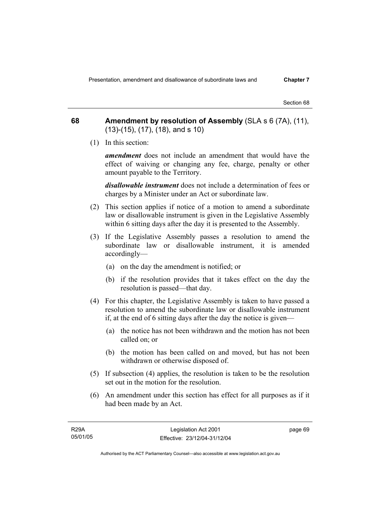Presentation, amendment and disallowance of subordinate laws and **Chapter 7** 

Section 68

**68 Amendment by resolution of Assembly** (SLA s 6 (7A), (11), (13)-(15), (17), (18), and s 10)

(1) In this section:

*amendment* does not include an amendment that would have the effect of waiving or changing any fee, charge, penalty or other amount payable to the Territory.

*disallowable instrument* does not include a determination of fees or charges by a Minister under an Act or subordinate law.

- (2) This section applies if notice of a motion to amend a subordinate law or disallowable instrument is given in the Legislative Assembly within 6 sitting days after the day it is presented to the Assembly.
- (3) If the Legislative Assembly passes a resolution to amend the subordinate law or disallowable instrument, it is amended accordingly—
	- (a) on the day the amendment is notified; or
	- (b) if the resolution provides that it takes effect on the day the resolution is passed—that day.
- (4) For this chapter, the Legislative Assembly is taken to have passed a resolution to amend the subordinate law or disallowable instrument if, at the end of 6 sitting days after the day the notice is given—
	- (a) the notice has not been withdrawn and the motion has not been called on; or
	- (b) the motion has been called on and moved, but has not been withdrawn or otherwise disposed of.
- (5) If subsection (4) applies, the resolution is taken to be the resolution set out in the motion for the resolution.
- (6) An amendment under this section has effect for all purposes as if it had been made by an Act.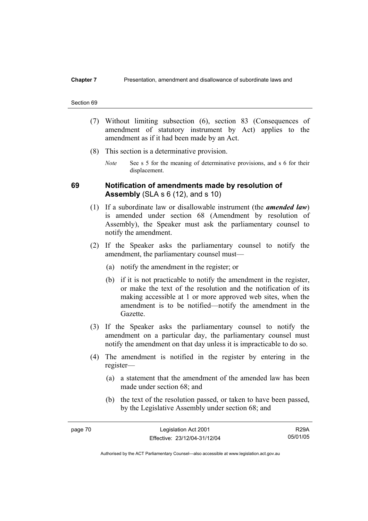### **Chapter 7** Presentation, amendment and disallowance of subordinate laws and

#### Section 69

- (7) Without limiting subsection (6), section 83 (Consequences of amendment of statutory instrument by Act) applies to the amendment as if it had been made by an Act.
- (8) This section is a determinative provision.
	- *Note* See s 5 for the meaning of determinative provisions, and s 6 for their displacement.

# **69 Notification of amendments made by resolution of Assembly** (SLA s 6 (12), and s 10)

- (1) If a subordinate law or disallowable instrument (the *amended law*) is amended under section 68 (Amendment by resolution of Assembly), the Speaker must ask the parliamentary counsel to notify the amendment.
- (2) If the Speaker asks the parliamentary counsel to notify the amendment, the parliamentary counsel must—
	- (a) notify the amendment in the register; or
	- (b) if it is not practicable to notify the amendment in the register, or make the text of the resolution and the notification of its making accessible at 1 or more approved web sites, when the amendment is to be notified—notify the amendment in the Gazette.
- (3) If the Speaker asks the parliamentary counsel to notify the amendment on a particular day, the parliamentary counsel must notify the amendment on that day unless it is impracticable to do so.
- (4) The amendment is notified in the register by entering in the register—
	- (a) a statement that the amendment of the amended law has been made under section 68; and
	- (b) the text of the resolution passed, or taken to have been passed, by the Legislative Assembly under section 68; and

R29A 05/01/05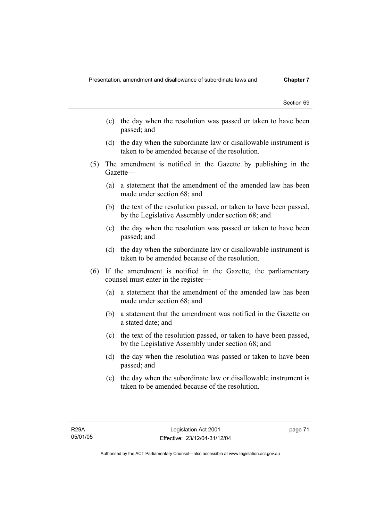- (c) the day when the resolution was passed or taken to have been passed; and
- (d) the day when the subordinate law or disallowable instrument is taken to be amended because of the resolution.
- (5) The amendment is notified in the Gazette by publishing in the Gazette—
	- (a) a statement that the amendment of the amended law has been made under section 68; and
	- (b) the text of the resolution passed, or taken to have been passed, by the Legislative Assembly under section 68; and
	- (c) the day when the resolution was passed or taken to have been passed; and
	- (d) the day when the subordinate law or disallowable instrument is taken to be amended because of the resolution.
- (6) If the amendment is notified in the Gazette, the parliamentary counsel must enter in the register—
	- (a) a statement that the amendment of the amended law has been made under section 68; and
	- (b) a statement that the amendment was notified in the Gazette on a stated date; and
	- (c) the text of the resolution passed, or taken to have been passed, by the Legislative Assembly under section 68; and
	- (d) the day when the resolution was passed or taken to have been passed; and
	- (e) the day when the subordinate law or disallowable instrument is taken to be amended because of the resolution.

page 71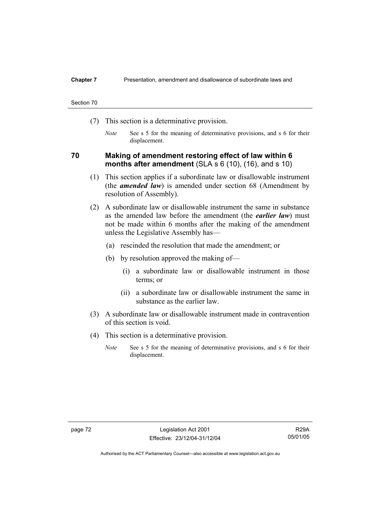### **Chapter 7** Presentation, amendment and disallowance of subordinate laws and

#### Section 70

- (7) This section is a determinative provision.
	- *Note* See s 5 for the meaning of determinative provisions, and s 6 for their displacement.

# **70 Making of amendment restoring effect of law within 6 months after amendment** (SLA s 6 (10), (16), and s 10)

- (1) This section applies if a subordinate law or disallowable instrument (the *amended law*) is amended under section 68 (Amendment by resolution of Assembly).
- (2) A subordinate law or disallowable instrument the same in substance as the amended law before the amendment (the *earlier law*) must not be made within 6 months after the making of the amendment unless the Legislative Assembly has—
	- (a) rescinded the resolution that made the amendment; or
	- (b) by resolution approved the making of—
		- (i) a subordinate law or disallowable instrument in those terms; or
		- (ii) a subordinate law or disallowable instrument the same in substance as the earlier law.
- (3) A subordinate law or disallowable instrument made in contravention of this section is void.
- (4) This section is a determinative provision.
	- *Note* See s 5 for the meaning of determinative provisions, and s 6 for their displacement.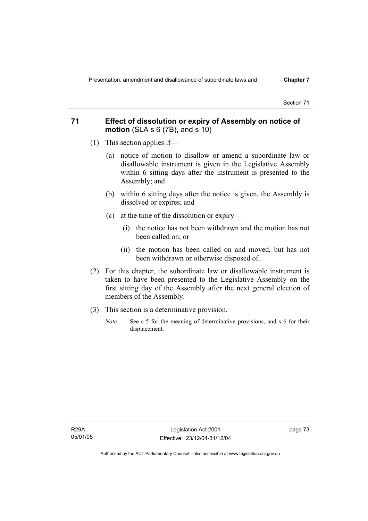# **71 Effect of dissolution or expiry of Assembly on notice of motion** (SLA s 6 (7B), and s 10)

- (1) This section applies if—
	- (a) notice of motion to disallow or amend a subordinate law or disallowable instrument is given in the Legislative Assembly within 6 sitting days after the instrument is presented to the Assembly; and
	- (b) within 6 sitting days after the notice is given, the Assembly is dissolved or expires; and
	- (c) at the time of the dissolution or expiry—
		- (i) the notice has not been withdrawn and the motion has not been called on; or
		- (ii) the motion has been called on and moved, but has not been withdrawn or otherwise disposed of.
- (2) For this chapter, the subordinate law or disallowable instrument is taken to have been presented to the Legislative Assembly on the first sitting day of the Assembly after the next general election of members of the Assembly.
- (3) This section is a determinative provision.
	- *Note* See s 5 for the meaning of determinative provisions, and s 6 for their displacement.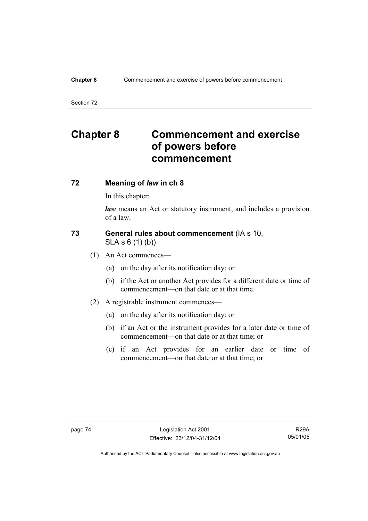## **Chapter 8** Commencement and exercise of powers before commencement

Section 72

# **Chapter 8 Commencement and exercise of powers before commencement**

# **72 Meaning of** *law* **in ch 8**

In this chapter:

*law* means an Act or statutory instrument, and includes a provision of a law.

# **73 General rules about commencement** (IA s 10, SLA s 6 (1) (b))

- (1) An Act commences—
	- (a) on the day after its notification day; or
	- (b) if the Act or another Act provides for a different date or time of commencement—on that date or at that time.
- (2) A registrable instrument commences—
	- (a) on the day after its notification day; or
	- (b) if an Act or the instrument provides for a later date or time of commencement—on that date or at that time; or
	- (c) if an Act provides for an earlier date or time of commencement—on that date or at that time; or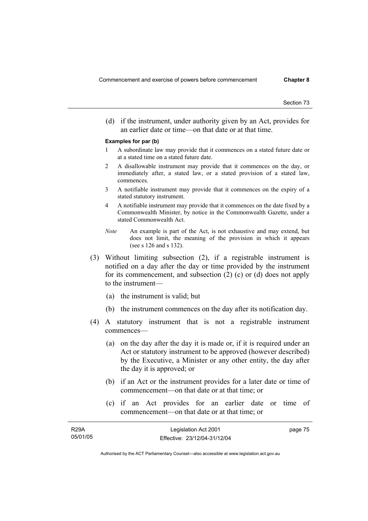(d) if the instrument, under authority given by an Act, provides for an earlier date or time—on that date or at that time.

#### **Examples for par (b)**

- 1 A subordinate law may provide that it commences on a stated future date or at a stated time on a stated future date.
- 2 A disallowable instrument may provide that it commences on the day, or immediately after, a stated law, or a stated provision of a stated law, commences.
- 3 A notifiable instrument may provide that it commences on the expiry of a stated statutory instrument.
- 4 A notifiable instrument may provide that it commences on the date fixed by a Commonwealth Minister, by notice in the Commonwealth Gazette, under a stated Commonwealth Act.
- *Note* An example is part of the Act, is not exhaustive and may extend, but does not limit, the meaning of the provision in which it appears (see s 126 and s 132).
- (3) Without limiting subsection (2), if a registrable instrument is notified on a day after the day or time provided by the instrument for its commencement, and subsection (2) (c) or (d) does not apply to the instrument—
	- (a) the instrument is valid; but
	- (b) the instrument commences on the day after its notification day.
- (4) A statutory instrument that is not a registrable instrument commences—
	- (a) on the day after the day it is made or, if it is required under an Act or statutory instrument to be approved (however described) by the Executive, a Minister or any other entity, the day after the day it is approved; or
	- (b) if an Act or the instrument provides for a later date or time of commencement—on that date or at that time; or
	- (c) if an Act provides for an earlier date or time of commencement—on that date or at that time; or

| <b>R29A</b> | Legislation Act 2001         | page 75 |
|-------------|------------------------------|---------|
| 05/01/05    | Effective: 23/12/04-31/12/04 |         |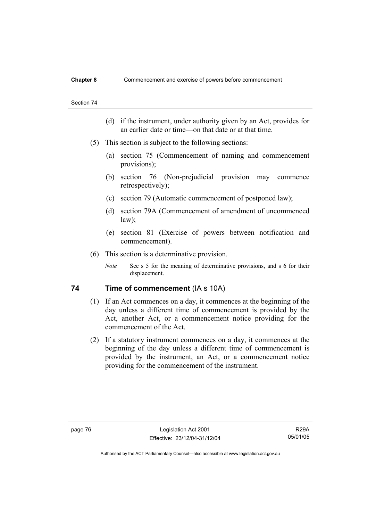- (d) if the instrument, under authority given by an Act, provides for an earlier date or time—on that date or at that time.
- (5) This section is subject to the following sections:
	- (a) section 75 (Commencement of naming and commencement provisions);
	- (b) section 76 (Non-prejudicial provision may commence retrospectively);
	- (c) section 79 (Automatic commencement of postponed law);
	- (d) section 79A (Commencement of amendment of uncommenced law);
	- (e) section 81 (Exercise of powers between notification and commencement).
- (6) This section is a determinative provision.
	- *Note* See s 5 for the meaning of determinative provisions, and s 6 for their displacement.

# **74** Time of commencement (IA s 10A)

- (1) If an Act commences on a day, it commences at the beginning of the day unless a different time of commencement is provided by the Act, another Act, or a commencement notice providing for the commencement of the Act.
- (2) If a statutory instrument commences on a day, it commences at the beginning of the day unless a different time of commencement is provided by the instrument, an Act, or a commencement notice providing for the commencement of the instrument.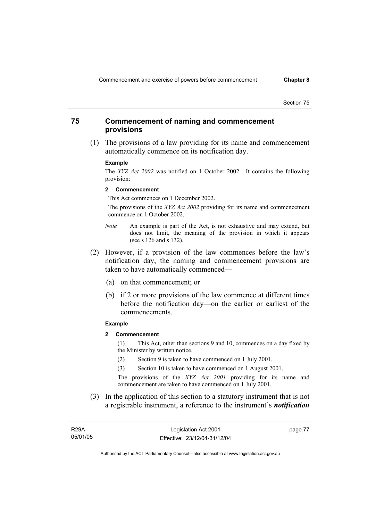# **75 Commencement of naming and commencement provisions**

 (1) The provisions of a law providing for its name and commencement automatically commence on its notification day.

#### **Example**

The *XYZ Act 2002* was notified on 1 October 2002. It contains the following provision:

#### **2 Commencement**

This Act commences on 1 December 2002.

 The provisions of the *XYZ Act 2002* providing for its name and commencement commence on 1 October 2002.

- *Note* An example is part of the Act, is not exhaustive and may extend, but does not limit, the meaning of the provision in which it appears (see s 126 and s 132).
- (2) However, if a provision of the law commences before the law's notification day, the naming and commencement provisions are taken to have automatically commenced—
	- (a) on that commencement; or
	- (b) if 2 or more provisions of the law commence at different times before the notification day—on the earlier or earliest of the commencements.

#### **Example**

**2 Commencement** 

(1) This Act, other than sections 9 and 10, commences on a day fixed by the Minister by written notice.

- (2) Section 9 is taken to have commenced on 1 July 2001.
- (3) Section 10 is taken to have commenced on 1 August 2001.

The provisions of the *XYZ Act 2001* providing for its name and commencement are taken to have commenced on 1 July 2001.

 (3) In the application of this section to a statutory instrument that is not a registrable instrument, a reference to the instrument's *notification* 

R29A 05/01/05 page 77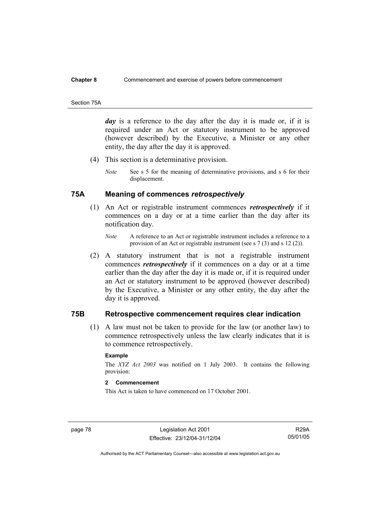#### **Chapter 8** Commencement and exercise of powers before commencement

#### Section 75A

*day* is a reference to the day after the day it is made or, if it is required under an Act or statutory instrument to be approved (however described) by the Executive, a Minister or any other entity, the day after the day it is approved.

- (4) This section is a determinative provision.
	- *Note* See s 5 for the meaning of determinative provisions, and s 6 for their displacement.

# **75A Meaning of commences** *retrospectively*

- (1) An Act or registrable instrument commences *retrospectively* if it commences on a day or at a time earlier than the day after its notification day.
	- *Note* A reference to an Act or registrable instrument includes a reference to a provision of an Act or registrable instrument (see s 7 (3) and s 12 (2)).
- (2) A statutory instrument that is not a registrable instrument commences *retrospectively* if it commences on a day or at a time earlier than the day after the day it is made or, if it is required under an Act or statutory instrument to be approved (however described) by the Executive, a Minister or any other entity, the day after the day it is approved.

# **75B Retrospective commencement requires clear indication**

 (1) A law must not be taken to provide for the law (or another law) to commence retrospectively unless the law clearly indicates that it is to commence retrospectively.

#### **Example**

The *XYZ Act 2003* was notified on 1 July 2003. It contains the following provision:

## **2 Commencement**

This Act is taken to have commenced on 17 October 2001.

page 78 Legislation Act 2001 Effective: 23/12/04-31/12/04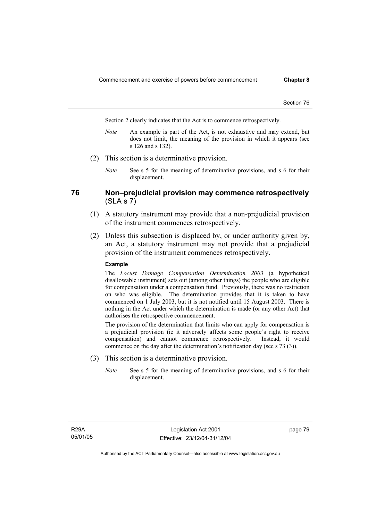Section 2 clearly indicates that the Act is to commence retrospectively.

- *Note* An example is part of the Act, is not exhaustive and may extend, but does not limit, the meaning of the provision in which it appears (see s 126 and s 132).
- (2) This section is a determinative provision.
	- *Note* See s 5 for the meaning of determinative provisions, and s 6 for their displacement.

# **76 Non–prejudicial provision may commence retrospectively**   $(SLA S 7)$

- (1) A statutory instrument may provide that a non-prejudicial provision of the instrument commences retrospectively.
- (2) Unless this subsection is displaced by, or under authority given by, an Act, a statutory instrument may not provide that a prejudicial provision of the instrument commences retrospectively.

#### **Example**

The *Locust Damage Compensation Determination 2003* (a hypothetical disallowable instrument) sets out (among other things) the people who are eligible for compensation under a compensation fund. Previously, there was no restriction on who was eligible. The determination provides that it is taken to have commenced on 1 July 2003, but it is not notified until 15 August 2003. There is nothing in the Act under which the determination is made (or any other Act) that authorises the retrospective commencement.

The provision of the determination that limits who can apply for compensation is a prejudicial provision (ie it adversely affects some people's right to receive compensation) and cannot commence retrospectively. Instead, it would commence on the day after the determination's notification day (see s 73 (3)).

- (3) This section is a determinative provision.
	- *Note* See s 5 for the meaning of determinative provisions, and s 6 for their displacement.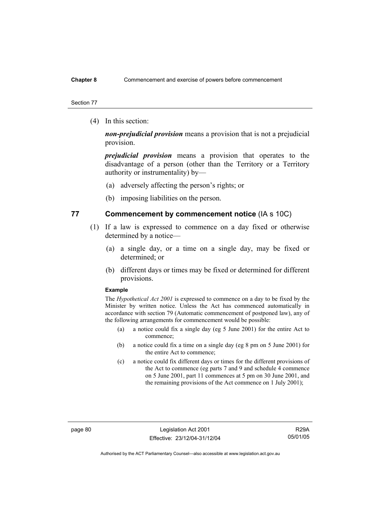#### **Chapter 8** Commencement and exercise of powers before commencement

#### Section 77

(4) In this section:

*non-prejudicial provision* means a provision that is not a prejudicial provision.

*prejudicial provision* means a provision that operates to the disadvantage of a person (other than the Territory or a Territory authority or instrumentality) by—

- (a) adversely affecting the person's rights; or
- (b) imposing liabilities on the person.

# **77 Commencement by commencement notice** (IA s 10C)

- (1) If a law is expressed to commence on a day fixed or otherwise determined by a notice—
	- (a) a single day, or a time on a single day, may be fixed or determined; or
	- (b) different days or times may be fixed or determined for different provisions.

#### **Example**

The *Hypothetical Act 2001* is expressed to commence on a day to be fixed by the Minister by written notice. Unless the Act has commenced automatically in accordance with section 79 (Automatic commencement of postponed law), any of the following arrangements for commencement would be possible:

- (a) a notice could fix a single day (eg 5 June 2001) for the entire Act to commence;
- (b) a notice could fix a time on a single day (eg 8 pm on 5 June 2001) for the entire Act to commence;
- (c) a notice could fix different days or times for the different provisions of the Act to commence (eg parts 7 and 9 and schedule 4 commence on 5 June 2001, part 11 commences at 5 pm on 30 June 2001, and the remaining provisions of the Act commence on 1 July 2001);

page 80 Legislation Act 2001 Effective: 23/12/04-31/12/04

R29A 05/01/05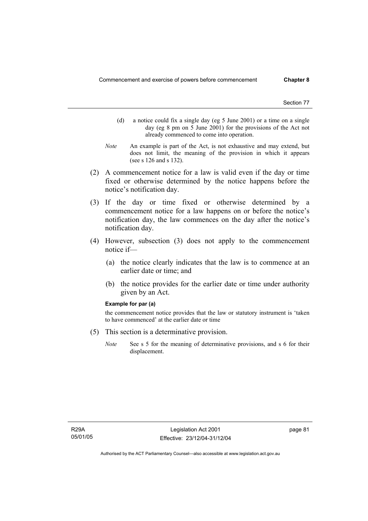- (d) a notice could fix a single day (eg 5 June 2001) or a time on a single day (eg 8 pm on 5 June 2001) for the provisions of the Act not already commenced to come into operation.
- *Note* An example is part of the Act, is not exhaustive and may extend, but does not limit, the meaning of the provision in which it appears (see s 126 and s 132).
- (2) A commencement notice for a law is valid even if the day or time fixed or otherwise determined by the notice happens before the notice's notification day.
- (3) If the day or time fixed or otherwise determined by a commencement notice for a law happens on or before the notice's notification day, the law commences on the day after the notice's notification day.
- (4) However, subsection (3) does not apply to the commencement notice if—
	- (a) the notice clearly indicates that the law is to commence at an earlier date or time; and
	- (b) the notice provides for the earlier date or time under authority given by an Act.

#### **Example for par (a)**

the commencement notice provides that the law or statutory instrument is 'taken to have commenced' at the earlier date or time

- (5) This section is a determinative provision.
	- *Note* See s 5 for the meaning of determinative provisions, and s 6 for their displacement.

page 81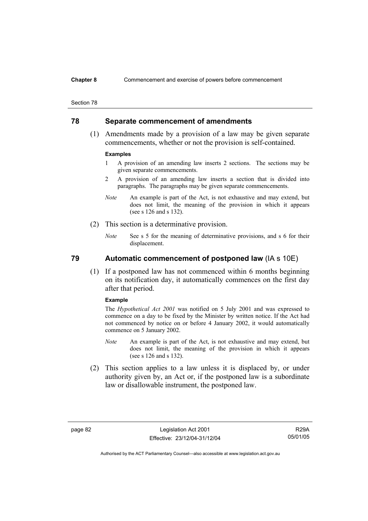#### **Chapter 8** Commencement and exercise of powers before commencement

#### Section 78

# **78 Separate commencement of amendments**

 (1) Amendments made by a provision of a law may be given separate commencements, whether or not the provision is self-contained.

#### **Examples**

- 1 A provision of an amending law inserts 2 sections. The sections may be given separate commencements.
- 2 A provision of an amending law inserts a section that is divided into paragraphs. The paragraphs may be given separate commencements.
- *Note* An example is part of the Act, is not exhaustive and may extend, but does not limit, the meaning of the provision in which it appears (see s 126 and s 132).
- (2) This section is a determinative provision.
	- *Note* See s 5 for the meaning of determinative provisions, and s 6 for their displacement.

# **79 Automatic commencement of postponed law** (IA s 10E)

 (1) If a postponed law has not commenced within 6 months beginning on its notification day, it automatically commences on the first day after that period.

#### **Example**

The *Hypothetical Act 2001* was notified on 5 July 2001 and was expressed to commence on a day to be fixed by the Minister by written notice. If the Act had not commenced by notice on or before 4 January 2002, it would automatically commence on 5 January 2002.

- *Note* An example is part of the Act, is not exhaustive and may extend, but does not limit, the meaning of the provision in which it appears (see s 126 and s 132).
- (2) This section applies to a law unless it is displaced by, or under authority given by, an Act or, if the postponed law is a subordinate law or disallowable instrument, the postponed law.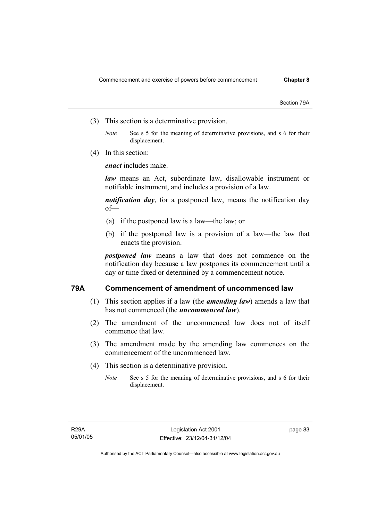Section 79A

- (3) This section is a determinative provision.
	- *Note* See s 5 for the meaning of determinative provisions, and s 6 for their displacement.
- (4) In this section:

*enact* includes make.

*law* means an Act, subordinate law, disallowable instrument or notifiable instrument, and includes a provision of a law.

*notification day*, for a postponed law, means the notification day of—

- (a) if the postponed law is a law—the law; or
- (b) if the postponed law is a provision of a law—the law that enacts the provision.

*postponed law* means a law that does not commence on the notification day because a law postpones its commencement until a day or time fixed or determined by a commencement notice.

# **79A Commencement of amendment of uncommenced law**

- (1) This section applies if a law (the *amending law*) amends a law that has not commenced (the *uncommenced law*).
- (2) The amendment of the uncommenced law does not of itself commence that law.
- (3) The amendment made by the amending law commences on the commencement of the uncommenced law.
- (4) This section is a determinative provision.
	- *Note* See s 5 for the meaning of determinative provisions, and s 6 for their displacement.

page 83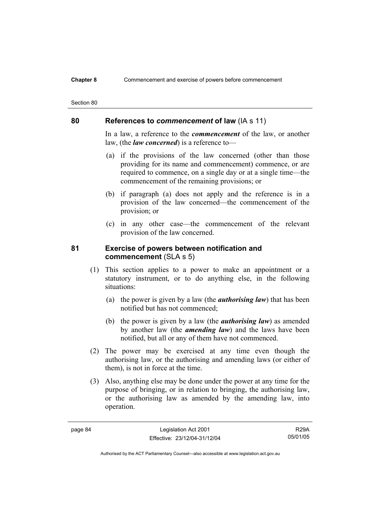#### **Chapter 8** Commencement and exercise of powers before commencement

# **80 References to** *commencement* **of law** (IA s 11)

In a law, a reference to the *commencement* of the law, or another law, (the *law concerned*) is a reference to—

- (a) if the provisions of the law concerned (other than those providing for its name and commencement) commence, or are required to commence, on a single day or at a single time—the commencement of the remaining provisions; or
- (b) if paragraph (a) does not apply and the reference is in a provision of the law concerned—the commencement of the provision; or
- (c) in any other case—the commencement of the relevant provision of the law concerned.

# **81 Exercise of powers between notification and commencement** (SLA s 5)

- (1) This section applies to a power to make an appointment or a statutory instrument, or to do anything else, in the following situations:
	- (a) the power is given by a law (the *authorising law*) that has been notified but has not commenced;
	- (b) the power is given by a law (the *authorising law*) as amended by another law (the *amending law*) and the laws have been notified, but all or any of them have not commenced.
- (2) The power may be exercised at any time even though the authorising law, or the authorising and amending laws (or either of them), is not in force at the time.
- (3) Also, anything else may be done under the power at any time for the purpose of bringing, or in relation to bringing, the authorising law, or the authorising law as amended by the amending law, into operation.

R29A 05/01/05

Section 80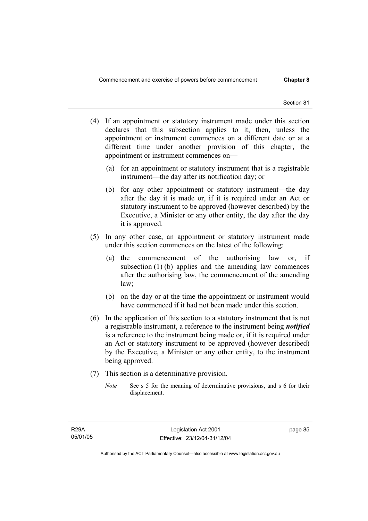- (4) If an appointment or statutory instrument made under this section declares that this subsection applies to it, then, unless the appointment or instrument commences on a different date or at a different time under another provision of this chapter, the appointment or instrument commences on—
	- (a) for an appointment or statutory instrument that is a registrable instrument—the day after its notification day; or
	- (b) for any other appointment or statutory instrument—the day after the day it is made or, if it is required under an Act or statutory instrument to be approved (however described) by the Executive, a Minister or any other entity, the day after the day it is approved.
- (5) In any other case, an appointment or statutory instrument made under this section commences on the latest of the following:
	- (a) the commencement of the authorising law or, if subsection (1) (b) applies and the amending law commences after the authorising law, the commencement of the amending law;
	- (b) on the day or at the time the appointment or instrument would have commenced if it had not been made under this section.
- (6) In the application of this section to a statutory instrument that is not a registrable instrument, a reference to the instrument being *notified*  is a reference to the instrument being made or, if it is required under an Act or statutory instrument to be approved (however described) by the Executive, a Minister or any other entity, to the instrument being approved.
- (7) This section is a determinative provision.
	- *Note* See s 5 for the meaning of determinative provisions, and s 6 for their displacement.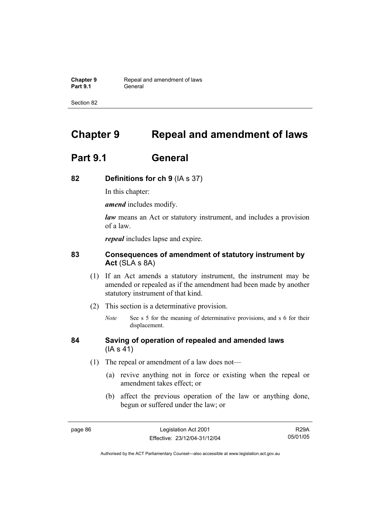**Chapter 9 Repeal and amendment of laws**<br>**Part 9.1 General** General

Section 82

# **Chapter 9 Repeal and amendment of laws**

# **Part 9.1 General**

# **82 Definitions for ch 9** (IA s 37)

In this chapter:

*amend* includes modify.

*law* means an Act or statutory instrument, and includes a provision of a law.

*repeal* includes lapse and expire.

# **83 Consequences of amendment of statutory instrument by Act** (SLA s 8A)

- (1) If an Act amends a statutory instrument, the instrument may be amended or repealed as if the amendment had been made by another statutory instrument of that kind.
- (2) This section is a determinative provision.
	- *Note* See s 5 for the meaning of determinative provisions, and s 6 for their displacement.

# **84 Saving of operation of repealed and amended laws** (IA s 41)

- (1) The repeal or amendment of a law does not—
	- (a) revive anything not in force or existing when the repeal or amendment takes effect; or
	- (b) affect the previous operation of the law or anything done, begun or suffered under the law; or

R29A 05/01/05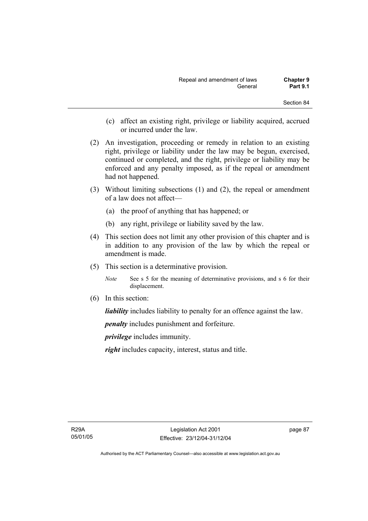- (c) affect an existing right, privilege or liability acquired, accrued or incurred under the law.
- (2) An investigation, proceeding or remedy in relation to an existing right, privilege or liability under the law may be begun, exercised, continued or completed, and the right, privilege or liability may be enforced and any penalty imposed, as if the repeal or amendment had not happened.
- (3) Without limiting subsections (1) and (2), the repeal or amendment of a law does not affect—
	- (a) the proof of anything that has happened; or
	- (b) any right, privilege or liability saved by the law.
- (4) This section does not limit any other provision of this chapter and is in addition to any provision of the law by which the repeal or amendment is made.
- (5) This section is a determinative provision.
	- *Note* See s 5 for the meaning of determinative provisions, and s 6 for their displacement.
- (6) In this section:

*liability* includes liability to penalty for an offence against the law.

*penalty* includes punishment and forfeiture.

*privilege* includes immunity.

*right* includes capacity, interest, status and title.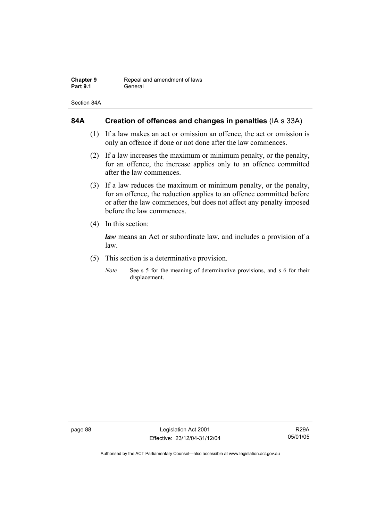| Chapter 9       | Repeal and amendment of laws |
|-----------------|------------------------------|
| <b>Part 9.1</b> | General                      |

Section 84A

# **84A Creation of offences and changes in penalties** (IA s 33A)

- (1) If a law makes an act or omission an offence, the act or omission is only an offence if done or not done after the law commences.
- (2) If a law increases the maximum or minimum penalty, or the penalty, for an offence, the increase applies only to an offence committed after the law commences.
- (3) If a law reduces the maximum or minimum penalty, or the penalty, for an offence, the reduction applies to an offence committed before or after the law commences, but does not affect any penalty imposed before the law commences.
- (4) In this section:

*law* means an Act or subordinate law, and includes a provision of a law.

- (5) This section is a determinative provision.
	- *Note* See s 5 for the meaning of determinative provisions, and s 6 for their displacement.

page 88 Legislation Act 2001 Effective: 23/12/04-31/12/04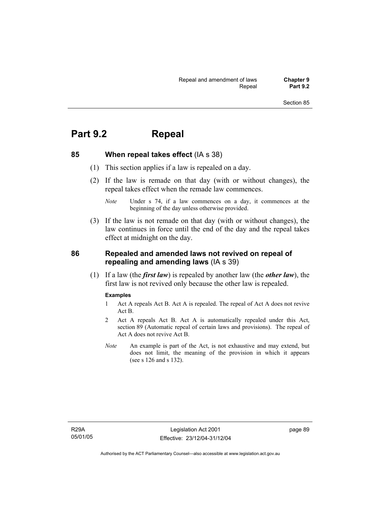# **Part 9.2 Repeal**

**85 When repeal takes effect** (IA s 38)

- (1) This section applies if a law is repealed on a day.
- (2) If the law is remade on that day (with or without changes), the repeal takes effect when the remade law commences.

 (3) If the law is not remade on that day (with or without changes), the law continues in force until the end of the day and the repeal takes effect at midnight on the day.

# **86 Repealed and amended laws not revived on repeal of repealing and amending laws** (IA s 39)

 (1) If a law (the *first law*) is repealed by another law (the *other law*), the first law is not revived only because the other law is repealed.

#### **Examples**

- 1 Act A repeals Act B. Act A is repealed. The repeal of Act A does not revive Act B.
- 2 Act A repeals Act B. Act A is automatically repealed under this Act, section 89 (Automatic repeal of certain laws and provisions). The repeal of Act A does not revive Act B.
- *Note* An example is part of the Act, is not exhaustive and may extend, but does not limit, the meaning of the provision in which it appears (see s 126 and s 132).

page 89

*Note* Under s 74, if a law commences on a day, it commences at the beginning of the day unless otherwise provided.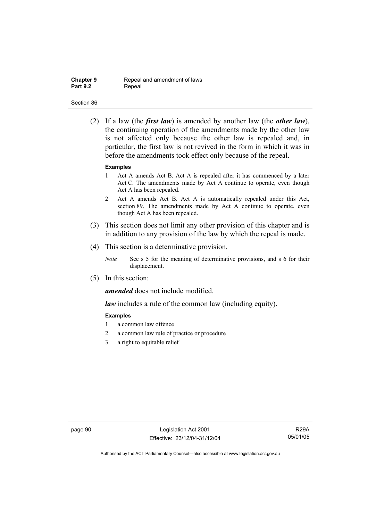| <b>Chapter 9</b> |  |
|------------------|--|
| <b>Part 9.2</b>  |  |

**Repeal and amendment of laws** Repeal

#### Section 86

 (2) If a law (the *first law*) is amended by another law (the *other law*), the continuing operation of the amendments made by the other law is not affected only because the other law is repealed and, in particular, the first law is not revived in the form in which it was in before the amendments took effect only because of the repeal.

#### **Examples**

- 1 Act A amends Act B. Act A is repealed after it has commenced by a later Act C. The amendments made by Act A continue to operate, even though Act A has been repealed.
- 2 Act A amends Act B. Act A is automatically repealed under this Act, section 89. The amendments made by Act A continue to operate, even though Act A has been repealed.
- (3) This section does not limit any other provision of this chapter and is in addition to any provision of the law by which the repeal is made.
- (4) This section is a determinative provision.
	- *Note* See s 5 for the meaning of determinative provisions, and s 6 for their displacement.
- (5) In this section:

*amended* does not include modified.

*law* includes a rule of the common law (including equity).

#### **Examples**

- 1 a common law offence
- 2 a common law rule of practice or procedure
- 3 a right to equitable relief

page 90 Legislation Act 2001 Effective: 23/12/04-31/12/04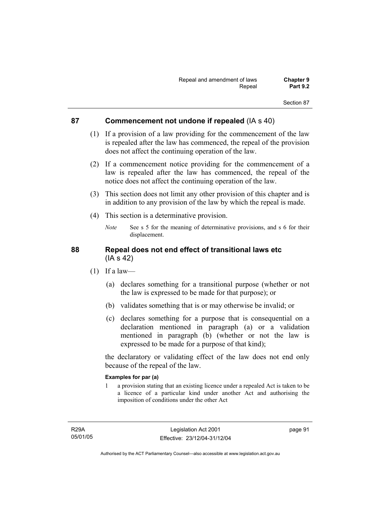# **87 Commencement not undone if repealed** (IA s 40)

- (1) If a provision of a law providing for the commencement of the law is repealed after the law has commenced, the repeal of the provision does not affect the continuing operation of the law.
- (2) If a commencement notice providing for the commencement of a law is repealed after the law has commenced, the repeal of the notice does not affect the continuing operation of the law.
- (3) This section does not limit any other provision of this chapter and is in addition to any provision of the law by which the repeal is made.
- (4) This section is a determinative provision.
	- *Note* See s 5 for the meaning of determinative provisions, and s 6 for their displacement.

# **88 Repeal does not end effect of transitional laws etc**  (IA s 42)

- $(1)$  If a law—
	- (a) declares something for a transitional purpose (whether or not the law is expressed to be made for that purpose); or
	- (b) validates something that is or may otherwise be invalid; or
	- (c) declares something for a purpose that is consequential on a declaration mentioned in paragraph (a) or a validation mentioned in paragraph (b) (whether or not the law is expressed to be made for a purpose of that kind);

the declaratory or validating effect of the law does not end only because of the repeal of the law.

## **Examples for par (a)**

1 a provision stating that an existing licence under a repealed Act is taken to be a licence of a particular kind under another Act and authorising the imposition of conditions under the other Act

R29A 05/01/05 page 91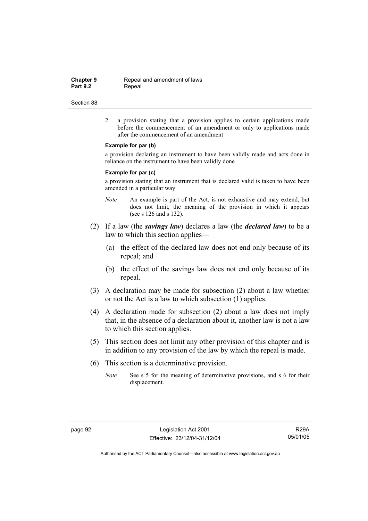**Chapter 9 Repeal and amendment of laws**<br>**Part 9.2 Repeal** Repeal

#### Section 88

2 a provision stating that a provision applies to certain applications made before the commencement of an amendment or only to applications made after the commencement of an amendment

#### **Example for par (b)**

a provision declaring an instrument to have been validly made and acts done in reliance on the instrument to have been validly done

#### **Example for par (c)**

a provision stating that an instrument that is declared valid is taken to have been amended in a particular way

- *Note* An example is part of the Act, is not exhaustive and may extend, but does not limit, the meaning of the provision in which it appears (see s 126 and s 132).
- (2) If a law (the *savings law*) declares a law (the *declared law*) to be a law to which this section applies—
	- (a) the effect of the declared law does not end only because of its repeal; and
	- (b) the effect of the savings law does not end only because of its repeal.
- (3) A declaration may be made for subsection (2) about a law whether or not the Act is a law to which subsection (1) applies.
- (4) A declaration made for subsection (2) about a law does not imply that, in the absence of a declaration about it, another law is not a law to which this section applies.
- (5) This section does not limit any other provision of this chapter and is in addition to any provision of the law by which the repeal is made.
- (6) This section is a determinative provision.
	- *Note* See s 5 for the meaning of determinative provisions, and s 6 for their displacement.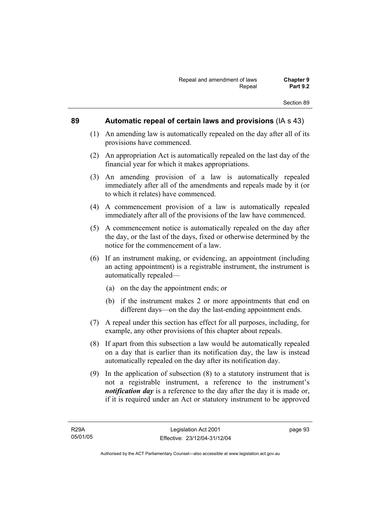## **89 Automatic repeal of certain laws and provisions** (IA s 43)

- (1) An amending law is automatically repealed on the day after all of its provisions have commenced.
- (2) An appropriation Act is automatically repealed on the last day of the financial year for which it makes appropriations.
- (3) An amending provision of a law is automatically repealed immediately after all of the amendments and repeals made by it (or to which it relates) have commenced.
- (4) A commencement provision of a law is automatically repealed immediately after all of the provisions of the law have commenced.
- (5) A commencement notice is automatically repealed on the day after the day, or the last of the days, fixed or otherwise determined by the notice for the commencement of a law.
- (6) If an instrument making, or evidencing, an appointment (including an acting appointment) is a registrable instrument, the instrument is automatically repealed—
	- (a) on the day the appointment ends; or
	- (b) if the instrument makes 2 or more appointments that end on different days—on the day the last-ending appointment ends.
- (7) A repeal under this section has effect for all purposes, including, for example, any other provisions of this chapter about repeals.
- (8) If apart from this subsection a law would be automatically repealed on a day that is earlier than its notification day, the law is instead automatically repealed on the day after its notification day.
- (9) In the application of subsection (8) to a statutory instrument that is not a registrable instrument, a reference to the instrument's *notification day* is a reference to the day after the day it is made or, if it is required under an Act or statutory instrument to be approved

page 93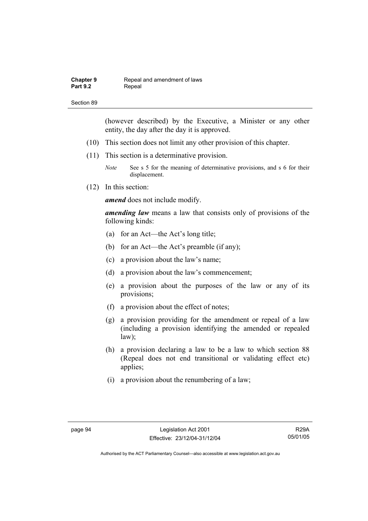| <b>Chapter 9</b> | Repeal and amendment of laws |
|------------------|------------------------------|
| <b>Part 9.2</b>  | Repeal                       |

(however described) by the Executive, a Minister or any other entity, the day after the day it is approved.

- (10) This section does not limit any other provision of this chapter.
- (11) This section is a determinative provision.

*Note* See s 5 for the meaning of determinative provisions, and s 6 for their displacement.

(12) In this section:

*amend* does not include modify.

*amending law* means a law that consists only of provisions of the following kinds:

- (a) for an Act—the Act's long title;
- (b) for an Act—the Act's preamble (if any);
- (c) a provision about the law's name;
- (d) a provision about the law's commencement;
- (e) a provision about the purposes of the law or any of its provisions;
- (f) a provision about the effect of notes;
- (g) a provision providing for the amendment or repeal of a law (including a provision identifying the amended or repealed law);
- (h) a provision declaring a law to be a law to which section 88 (Repeal does not end transitional or validating effect etc) applies;
- (i) a provision about the renumbering of a law;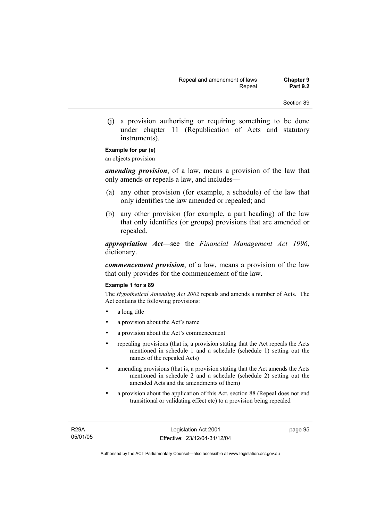(j) a provision authorising or requiring something to be done under chapter 11 (Republication of Acts and statutory instruments).

## **Example for par (e)**

an objects provision

*amending provision*, of a law, means a provision of the law that only amends or repeals a law, and includes—

- (a) any other provision (for example, a schedule) of the law that only identifies the law amended or repealed; and
- (b) any other provision (for example, a part heading) of the law that only identifies (or groups) provisions that are amended or repealed.

*appropriation Act*—see the *Financial Management Act 1996*, dictionary.

*commencement provision*, of a law, means a provision of the law that only provides for the commencement of the law.

#### **Example 1 for s 89**

The *Hypothetical Amending Act 2002* repeals and amends a number of Acts. The Act contains the following provisions:

- a long title
- a provision about the Act's name
- a provision about the Act's commencement
- repealing provisions (that is, a provision stating that the Act repeals the Acts mentioned in schedule 1 and a schedule (schedule 1) setting out the names of the repealed Acts)
- amending provisions (that is, a provision stating that the Act amends the Acts mentioned in schedule 2 and a schedule (schedule 2) setting out the amended Acts and the amendments of them)
- a provision about the application of this Act, section 88 (Repeal does not end transitional or validating effect etc) to a provision being repealed

R29A 05/01/05 page 95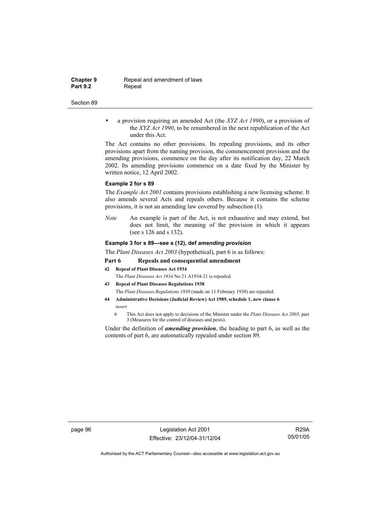**Chapter 9 Repeal and amendment of laws**<br>**Part 9.2 Repeal Repeal** 

#### Section 89

• a provision requiring an amended Act (the *XYZ Act 1990*), or a provision of the *XYZ Act 1990*, to be renumbered in the next republication of the Act under this Act.

The Act contains no other provisions. Its repealing provisions, and its other provisions apart from the naming provision, the commencement provision and the amending provisions, commence on the day after its notification day, 22 March 2002. Its amending provisions commence on a date fixed by the Minister by written notice, 12 April 2002.

#### **Example 2 for s 89**

The *Example Act 2001* contains provisions establishing a new licensing scheme. It also amends several Acts and repeals others. Because it contains the scheme provisions, it is not an amending law covered by subsection (1).

*Note* An example is part of the Act, is not exhaustive and may extend, but does not limit, the meaning of the provision in which it appears (see s 126 and s 132).

#### **Example 3 for s 89—see s (12), def** *amending provision*

The *Plant Diseases Act 2003* (hypothetical), part 6 is as follows:

#### **Part 6 Repeals and consequential amendment**

- **42 Repeal of Plant Diseases Act 1934** The *Plant Diseases Act 1934* No 21 A1934-21 is repealed.
- **43 Repeal of Plant Diseases Regulations 1938**
- The *Plant Diseases Regulations 1938* (made on 11 February 1938) are repealed.
- **44 Administrative Decisions (Judicial Review) Act 1989, schedule 1, new clause 6**  *insert* 
	- 6 This Act does not apply to decisions of the Minister under the *Plant Diseases Act 2003*, part 3 (Measures for the control of diseases and pests).

Under the definition of *amending provision*, the heading to part 6, as well as the contents of part 6, are automatically repealed under section 89.

page 96 Legislation Act 2001 Effective: 23/12/04-31/12/04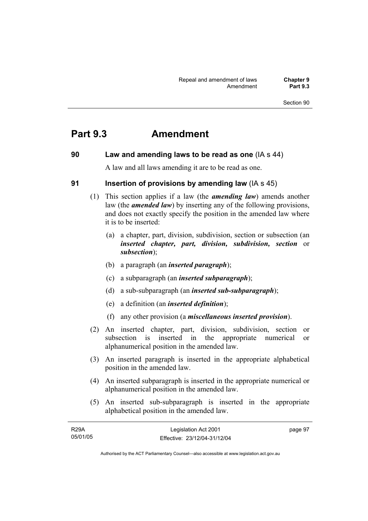## **Part 9.3 Amendment**

## **90 Law and amending laws to be read as one** (IA s 44)

A law and all laws amending it are to be read as one.

## **91 Insertion of provisions by amending law** (IA s 45)

- (1) This section applies if a law (the *amending law*) amends another law (the *amended law*) by inserting any of the following provisions, and does not exactly specify the position in the amended law where it is to be inserted:
	- (a) a chapter, part, division, subdivision, section or subsection (an *inserted chapter, part, division, subdivision, section* or *subsection*);
	- (b) a paragraph (an *inserted paragraph*);
	- (c) a subparagraph (an *inserted subparagraph*);
	- (d) a sub-subparagraph (an *inserted sub-subparagraph*);
	- (e) a definition (an *inserted definition*);
	- (f) any other provision (a *miscellaneous inserted provision*).
- (2) An inserted chapter, part, division, subdivision, section or subsection is inserted in the appropriate numerical or alphanumerical position in the amended law.
- (3) An inserted paragraph is inserted in the appropriate alphabetical position in the amended law.
- (4) An inserted subparagraph is inserted in the appropriate numerical or alphanumerical position in the amended law.
- (5) An inserted sub-subparagraph is inserted in the appropriate alphabetical position in the amended law.

| <b>R29A</b> | Legislation Act 2001         | page 97 |
|-------------|------------------------------|---------|
| 05/01/05    | Effective: 23/12/04-31/12/04 |         |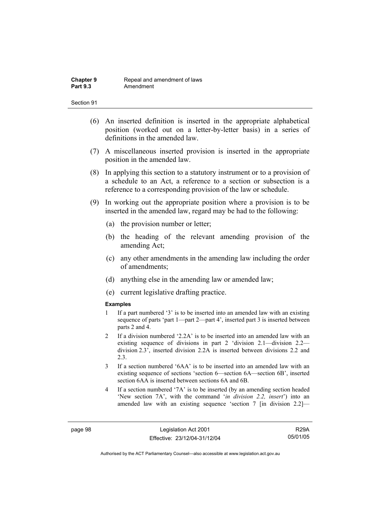- (6) An inserted definition is inserted in the appropriate alphabetical position (worked out on a letter-by-letter basis) in a series of definitions in the amended law.
- (7) A miscellaneous inserted provision is inserted in the appropriate position in the amended law.
- (8) In applying this section to a statutory instrument or to a provision of a schedule to an Act, a reference to a section or subsection is a reference to a corresponding provision of the law or schedule.
- (9) In working out the appropriate position where a provision is to be inserted in the amended law, regard may be had to the following:
	- (a) the provision number or letter;
	- (b) the heading of the relevant amending provision of the amending Act;
	- (c) any other amendments in the amending law including the order of amendments;
	- (d) anything else in the amending law or amended law;
	- (e) current legislative drafting practice.

#### **Examples**

- 1 If a part numbered '3' is to be inserted into an amended law with an existing sequence of parts 'part 1—part 2—part 4', inserted part 3 is inserted between parts 2 and 4.
- 2 If a division numbered '2.2A' is to be inserted into an amended law with an existing sequence of divisions in part 2 'division 2.1—division 2.2 division 2.3', inserted division 2.2A is inserted between divisions 2.2 and 2.3.
- 3 If a section numbered '6AA' is to be inserted into an amended law with an existing sequence of sections 'section 6—section 6A—section 6B', inserted section 6AA is inserted between sections 6A and 6B.
- 4 If a section numbered '7A' is to be inserted (by an amending section headed 'New section 7A', with the command '*in division 2.2, insert*') into an amended law with an existing sequence 'section 7 [in division 2.2]—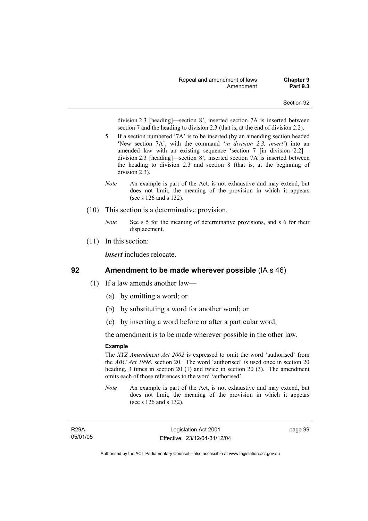division 2.3 [heading]—section 8', inserted section 7A is inserted between section 7 and the heading to division 2.3 (that is, at the end of division 2.2).

- 5 If a section numbered '7A' is to be inserted (by an amending section headed 'New section 7A', with the command '*in division 2.3, insert*') into an amended law with an existing sequence 'section 7 [in division 2.2] division 2.3 [heading]—section 8', inserted section 7A is inserted between the heading to division 2.3 and section 8 (that is, at the beginning of division 2.3).
- *Note* An example is part of the Act, is not exhaustive and may extend, but does not limit, the meaning of the provision in which it appears (see s 126 and s 132).
- (10) This section is a determinative provision.
	- *Note* See s 5 for the meaning of determinative provisions, and s 6 for their displacement.
- (11) In this section:

*insert* includes relocate.

## **92 Amendment to be made wherever possible** (IA s 46)

- (1) If a law amends another law—
	- (a) by omitting a word; or
	- (b) by substituting a word for another word; or
	- (c) by inserting a word before or after a particular word;

the amendment is to be made wherever possible in the other law.

#### **Example**

The *XYZ Amendment Act 2002* is expressed to omit the word 'authorised' from the *ABC Act 1998*, section 20. The word 'authorised' is used once in section 20 heading, 3 times in section 20 (1) and twice in section 20 (3). The amendment omits each of those references to the word 'authorised'.

*Note* An example is part of the Act, is not exhaustive and may extend, but does not limit, the meaning of the provision in which it appears (see s 126 and s 132).

R29A 05/01/05 page 99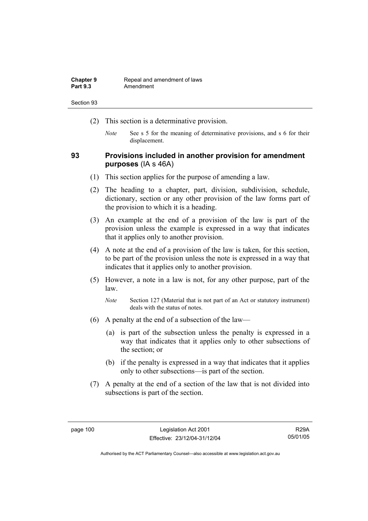| <b>Chapter 9</b> | Repeal and amendment of laws |
|------------------|------------------------------|
| <b>Part 9.3</b>  | Amendment                    |

- (2) This section is a determinative provision.
	- *Note* See s 5 for the meaning of determinative provisions, and s 6 for their displacement.

## **93 Provisions included in another provision for amendment purposes** (IA s 46A)

- (1) This section applies for the purpose of amending a law.
- (2) The heading to a chapter, part, division, subdivision, schedule, dictionary, section or any other provision of the law forms part of the provision to which it is a heading.
- (3) An example at the end of a provision of the law is part of the provision unless the example is expressed in a way that indicates that it applies only to another provision.
- (4) A note at the end of a provision of the law is taken, for this section, to be part of the provision unless the note is expressed in a way that indicates that it applies only to another provision.
- (5) However, a note in a law is not, for any other purpose, part of the law.

- (6) A penalty at the end of a subsection of the law—
	- (a) is part of the subsection unless the penalty is expressed in a way that indicates that it applies only to other subsections of the section; or
	- (b) if the penalty is expressed in a way that indicates that it applies only to other subsections—is part of the section.
- (7) A penalty at the end of a section of the law that is not divided into subsections is part of the section.

*Note* Section 127 (Material that is not part of an Act or statutory instrument) deals with the status of notes.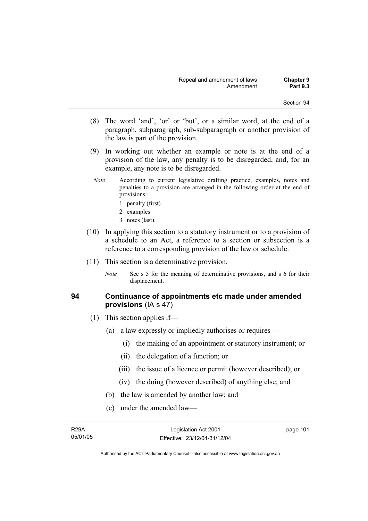- (8) The word 'and', 'or' or 'but', or a similar word, at the end of a paragraph, subparagraph, sub-subparagraph or another provision of the law is part of the provision.
- (9) In working out whether an example or note is at the end of a provision of the law, any penalty is to be disregarded, and, for an example, any note is to be disregarded.
- *Note* According to current legislative drafting practice, examples, notes and penalties to a provision are arranged in the following order at the end of provisions:
	- 1 penalty (first)
	- 2 examples
	- 3 notes (last).
- (10) In applying this section to a statutory instrument or to a provision of a schedule to an Act, a reference to a section or subsection is a reference to a corresponding provision of the law or schedule.
- (11) This section is a determinative provision.
	- *Note* See s 5 for the meaning of determinative provisions, and s 6 for their displacement.

## **94 Continuance of appointments etc made under amended provisions** (IA s 47)

- (1) This section applies if—
	- (a) a law expressly or impliedly authorises or requires—
		- (i) the making of an appointment or statutory instrument; or
		- (ii) the delegation of a function; or
		- (iii) the issue of a licence or permit (however described); or
		- (iv) the doing (however described) of anything else; and
	- (b) the law is amended by another law; and
	- (c) under the amended law—

page 101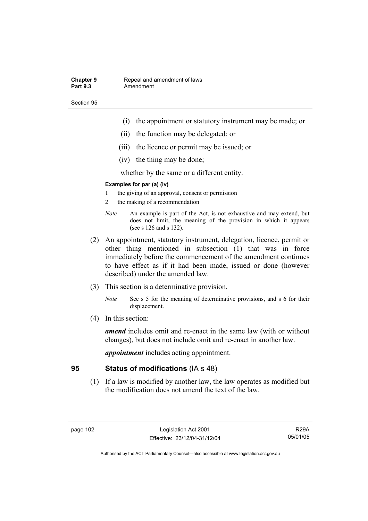#### **Chapter 9 Repeal and amendment of laws**<br>**Part 9.3 Amendment** Amendment

Section 95

- (i) the appointment or statutory instrument may be made; or
- (ii) the function may be delegated; or
- (iii) the licence or permit may be issued; or
- (iv) the thing may be done;

whether by the same or a different entity.

#### **Examples for par (a) (iv)**

- 1 the giving of an approval, consent or permission
- 2 the making of a recommendation
- *Note* An example is part of the Act, is not exhaustive and may extend, but does not limit, the meaning of the provision in which it appears (see s 126 and s 132).
- (2) An appointment, statutory instrument, delegation, licence, permit or other thing mentioned in subsection (1) that was in force immediately before the commencement of the amendment continues to have effect as if it had been made, issued or done (however described) under the amended law.
- (3) This section is a determinative provision.
	- *Note* See s 5 for the meaning of determinative provisions, and s 6 for their displacement.
- (4) In this section:

*amend* includes omit and re-enact in the same law (with or without changes), but does not include omit and re-enact in another law.

*appointment* includes acting appointment.

## **95 Status of modifications** (IA s 48)

 (1) If a law is modified by another law, the law operates as modified but the modification does not amend the text of the law.

R29A 05/01/05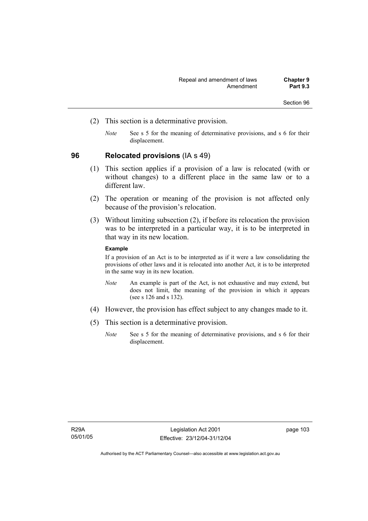- (2) This section is a determinative provision.
	- *Note* See s 5 for the meaning of determinative provisions, and s 6 for their displacement.

### **96 Relocated provisions** (IA s 49)

- (1) This section applies if a provision of a law is relocated (with or without changes) to a different place in the same law or to a different law.
- (2) The operation or meaning of the provision is not affected only because of the provision's relocation.
- (3) Without limiting subsection (2), if before its relocation the provision was to be interpreted in a particular way, it is to be interpreted in that way in its new location.

#### **Example**

If a provision of an Act is to be interpreted as if it were a law consolidating the provisions of other laws and it is relocated into another Act, it is to be interpreted in the same way in its new location.

- *Note* An example is part of the Act, is not exhaustive and may extend, but does not limit, the meaning of the provision in which it appears (see s 126 and s 132).
- (4) However, the provision has effect subject to any changes made to it.
- (5) This section is a determinative provision.
	- *Note* See s 5 for the meaning of determinative provisions, and s 6 for their displacement.

page 103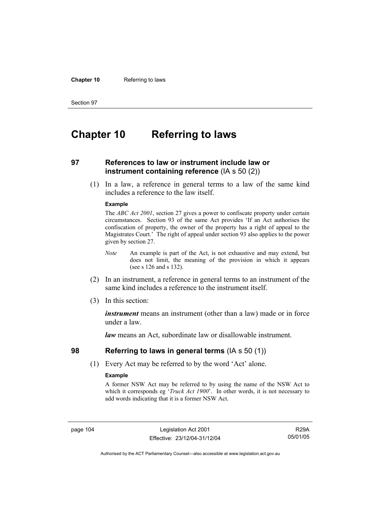#### **Chapter 10** Referring to laws

Section 97

## **Chapter 10 Referring to laws**

## **97 References to law or instrument include law or instrument containing reference** (IA s 50 (2))

 (1) In a law, a reference in general terms to a law of the same kind includes a reference to the law itself.

#### **Example**

The *ABC Act 2001*, section 27 gives a power to confiscate property under certain circumstances. Section 93 of the same Act provides 'If an Act authorises the confiscation of property, the owner of the property has a right of appeal to the Magistrates Court.' The right of appeal under section 93 also applies to the power given by section 27.

- *Note* An example is part of the Act, is not exhaustive and may extend, but does not limit, the meaning of the provision in which it appears (see s 126 and s 132).
- (2) In an instrument, a reference in general terms to an instrument of the same kind includes a reference to the instrument itself.
- (3) In this section:

*instrument* means an instrument (other than a law) made or in force under a law.

*law* means an Act, subordinate law or disallowable instrument.

### **98 Referring to laws in general terms** (IA s 50 (1))

(1) Every Act may be referred to by the word 'Act' alone.

#### **Example**

A former NSW Act may be referred to by using the name of the NSW Act to which it corresponds eg '*Truck Act 1900*'. In other words, it is not necessary to add words indicating that it is a former NSW Act.

page 104 Legislation Act 2001 Effective: 23/12/04-31/12/04

R29A 05/01/05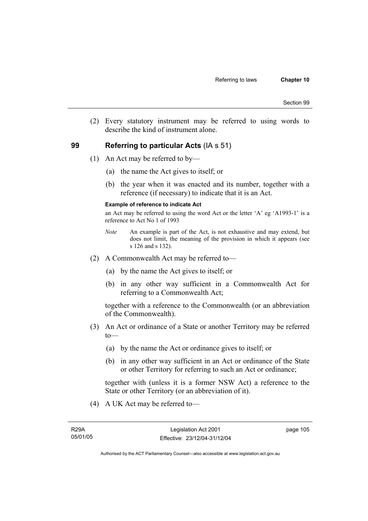(2) Every statutory instrument may be referred to using words to describe the kind of instrument alone.

## **99 Referring to particular Acts** (IA s 51)

- (1) An Act may be referred to by—
	- (a) the name the Act gives to itself; or
	- (b) the year when it was enacted and its number, together with a reference (if necessary) to indicate that it is an Act.

#### **Example of reference to indicate Act**

an Act may be referred to using the word Act or the letter 'A' eg 'A1993-1' is a reference to Act No 1 of 1993

- *Note* An example is part of the Act, is not exhaustive and may extend, but does not limit, the meaning of the provision in which it appears (see s 126 and s 132).
- (2) A Commonwealth Act may be referred to—
	- (a) by the name the Act gives to itself; or
	- (b) in any other way sufficient in a Commonwealth Act for referring to a Commonwealth Act;

together with a reference to the Commonwealth (or an abbreviation of the Commonwealth).

- (3) An Act or ordinance of a State or another Territory may be referred  $to$ —
	- (a) by the name the Act or ordinance gives to itself; or
	- (b) in any other way sufficient in an Act or ordinance of the State or other Territory for referring to such an Act or ordinance;

together with (unless it is a former NSW Act) a reference to the State or other Territory (or an abbreviation of it).

(4) A UK Act may be referred to—

page 105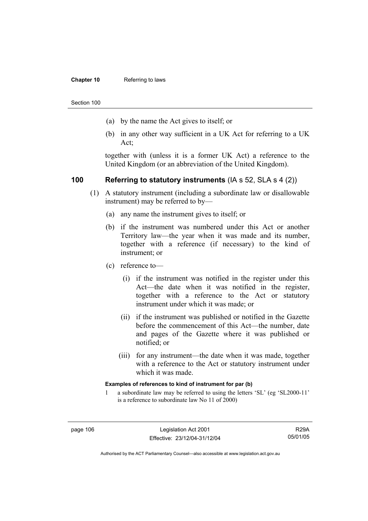#### **Chapter 10** Referring to laws

Section 100

- (a) by the name the Act gives to itself; or
- (b) in any other way sufficient in a UK Act for referring to a UK Act;

together with (unless it is a former UK Act) a reference to the United Kingdom (or an abbreviation of the United Kingdom).

## **100 Referring to statutory instruments** (IA s 52, SLA s 4 (2))

- (1) A statutory instrument (including a subordinate law or disallowable instrument) may be referred to by—
	- (a) any name the instrument gives to itself; or
	- (b) if the instrument was numbered under this Act or another Territory law—the year when it was made and its number, together with a reference (if necessary) to the kind of instrument; or
	- (c) reference to—
		- (i) if the instrument was notified in the register under this Act—the date when it was notified in the register, together with a reference to the Act or statutory instrument under which it was made; or
		- (ii) if the instrument was published or notified in the Gazette before the commencement of this Act—the number, date and pages of the Gazette where it was published or notified; or
		- (iii) for any instrument—the date when it was made, together with a reference to the Act or statutory instrument under which it was made.

#### **Examples of references to kind of instrument for par (b)**

1 a subordinate law may be referred to using the letters 'SL' (eg 'SL2000-11' is a reference to subordinate law No 11 of 2000)

R29A 05/01/05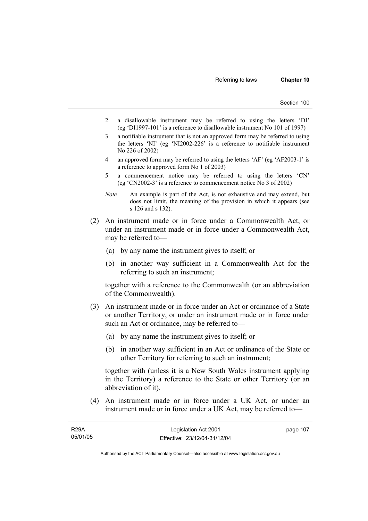- 2 a disallowable instrument may be referred to using the letters 'DI' (eg 'DI1997-101' is a reference to disallowable instrument No 101 of 1997)
- 3 a notifiable instrument that is not an approved form may be referred to using the letters 'NI' (eg 'NI2002-226' is a reference to notifiable instrument No 226 of 2002)
- 4 an approved form may be referred to using the letters 'AF' (eg 'AF2003-1' is a reference to approved form No 1 of 2003)
- 5 a commencement notice may be referred to using the letters 'CN' (eg 'CN2002-3' is a reference to commencement notice No 3 of 2002)
- *Note* An example is part of the Act, is not exhaustive and may extend, but does not limit, the meaning of the provision in which it appears (see s 126 and s 132).
- (2) An instrument made or in force under a Commonwealth Act, or under an instrument made or in force under a Commonwealth Act, may be referred to—
	- (a) by any name the instrument gives to itself; or
	- (b) in another way sufficient in a Commonwealth Act for the referring to such an instrument;

together with a reference to the Commonwealth (or an abbreviation of the Commonwealth).

- (3) An instrument made or in force under an Act or ordinance of a State or another Territory, or under an instrument made or in force under such an Act or ordinance, may be referred to—
	- (a) by any name the instrument gives to itself; or
	- (b) in another way sufficient in an Act or ordinance of the State or other Territory for referring to such an instrument;

together with (unless it is a New South Wales instrument applying in the Territory) a reference to the State or other Territory (or an abbreviation of it).

 (4) An instrument made or in force under a UK Act, or under an instrument made or in force under a UK Act, may be referred to—

| <b>R29A</b> | Legislation Act 2001         | page 107 |
|-------------|------------------------------|----------|
| 05/01/05    | Effective: 23/12/04-31/12/04 |          |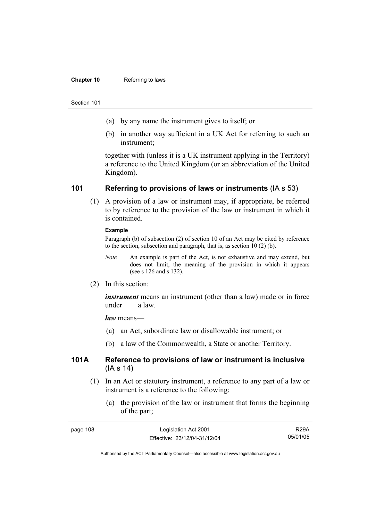#### **Chapter 10** Referring to laws

#### Section 101

- (a) by any name the instrument gives to itself; or
- (b) in another way sufficient in a UK Act for referring to such an instrument;

together with (unless it is a UK instrument applying in the Territory) a reference to the United Kingdom (or an abbreviation of the United Kingdom).

## **101 Referring to provisions of laws or instruments** (IA s 53)

 (1) A provision of a law or instrument may, if appropriate, be referred to by reference to the provision of the law or instrument in which it is contained.

#### **Example**

Paragraph (b) of subsection (2) of section 10 of an Act may be cited by reference to the section, subsection and paragraph, that is, as section 10 (2) (b).

- *Note* An example is part of the Act, is not exhaustive and may extend, but does not limit, the meaning of the provision in which it appears (see s 126 and s 132).
- (2) In this section:

*instrument* means an instrument (other than a law) made or in force under a law.

*law* means—

- (a) an Act, subordinate law or disallowable instrument; or
- (b) a law of the Commonwealth, a State or another Territory.

## **101A Reference to provisions of law or instrument is inclusive**  (IA s 14)

- (1) In an Act or statutory instrument, a reference to any part of a law or instrument is a reference to the following:
	- (a) the provision of the law or instrument that forms the beginning of the part;

| page 108 | Legislation Act 2001         | <b>R29A</b> |
|----------|------------------------------|-------------|
|          | Effective: 23/12/04-31/12/04 | 05/01/05    |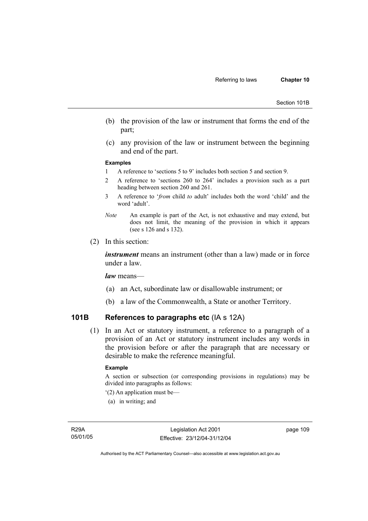Section 101B

- (b) the provision of the law or instrument that forms the end of the part;
- (c) any provision of the law or instrument between the beginning and end of the part.

#### **Examples**

- 1 A reference to 'sections 5 to 9' includes both section 5 and section 9.
- 2 A reference to 'sections 260 to 264' includes a provision such as a part heading between section 260 and 261.
- 3 A reference to '*from* child *to* adult' includes both the word 'child' and the word 'adult'.
- *Note* An example is part of the Act, is not exhaustive and may extend, but does not limit, the meaning of the provision in which it appears (see s 126 and s 132).
- (2) In this section:

*instrument* means an instrument (other than a law) made or in force under a law.

*law* means—

- (a) an Act, subordinate law or disallowable instrument; or
- (b) a law of the Commonwealth, a State or another Territory.

## **101B References to paragraphs etc** (IA s 12A)

 (1) In an Act or statutory instrument, a reference to a paragraph of a provision of an Act or statutory instrument includes any words in the provision before or after the paragraph that are necessary or desirable to make the reference meaningful.

#### **Example**

A section or subsection (or corresponding provisions in regulations) may be divided into paragraphs as follows:

- '(2) An application must be—
- (a) in writing; and

page 109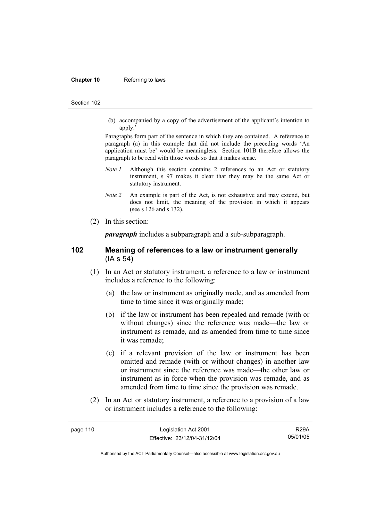#### **Chapter 10** Referring to laws

#### Section 102

 (b) accompanied by a copy of the advertisement of the applicant's intention to apply.'

Paragraphs form part of the sentence in which they are contained. A reference to paragraph (a) in this example that did not include the preceding words 'An application must be' would be meaningless. Section 101B therefore allows the paragraph to be read with those words so that it makes sense.

- *Note 1* Although this section contains 2 references to an Act or statutory instrument, s 97 makes it clear that they may be the same Act or statutory instrument.
- *Note 2* An example is part of the Act, is not exhaustive and may extend, but does not limit, the meaning of the provision in which it appears (see s 126 and s 132).
- (2) In this section:

*paragraph* includes a subparagraph and a sub-subparagraph.

### **102 Meaning of references to a law or instrument generally**  (IA s 54)

- (1) In an Act or statutory instrument, a reference to a law or instrument includes a reference to the following:
	- (a) the law or instrument as originally made, and as amended from time to time since it was originally made;
	- (b) if the law or instrument has been repealed and remade (with or without changes) since the reference was made—the law or instrument as remade, and as amended from time to time since it was remade;
	- (c) if a relevant provision of the law or instrument has been omitted and remade (with or without changes) in another law or instrument since the reference was made—the other law or instrument as in force when the provision was remade, and as amended from time to time since the provision was remade.
- (2) In an Act or statutory instrument, a reference to a provision of a law or instrument includes a reference to the following:

R29A 05/01/05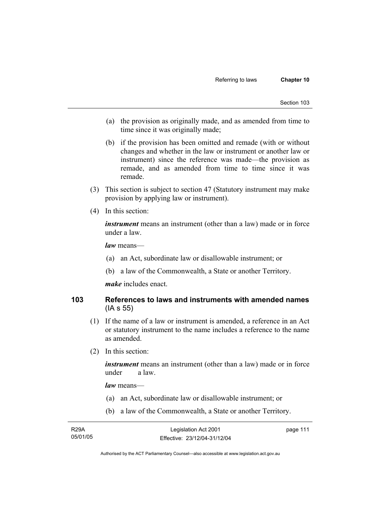- (a) the provision as originally made, and as amended from time to time since it was originally made;
- (b) if the provision has been omitted and remade (with or without changes and whether in the law or instrument or another law or instrument) since the reference was made—the provision as remade, and as amended from time to time since it was remade.
- (3) This section is subject to section 47 (Statutory instrument may make provision by applying law or instrument).
- (4) In this section:

*instrument* means an instrument (other than a law) made or in force under a law.

*law* means—

- (a) an Act, subordinate law or disallowable instrument; or
- (b) a law of the Commonwealth, a State or another Territory.

*make* includes enact.

## **103 References to laws and instruments with amended names**  (IA s 55)

- (1) If the name of a law or instrument is amended, a reference in an Act or statutory instrument to the name includes a reference to the name as amended.
- (2) In this section:

*instrument* means an instrument (other than a law) made or in force under a law.

*law* means—

- (a) an Act, subordinate law or disallowable instrument; or
- (b) a law of the Commonwealth, a State or another Territory.

| <b>R29A</b> | Legislation Act 2001         | page 111 |
|-------------|------------------------------|----------|
| 05/01/05    | Effective: 23/12/04-31/12/04 |          |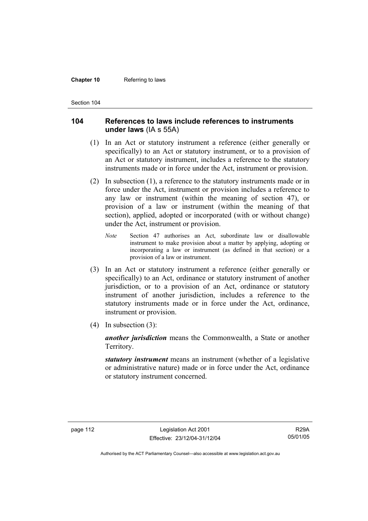#### **Chapter 10** Referring to laws

Section 104

## **104 References to laws include references to instruments under laws** (IA s 55A)

- (1) In an Act or statutory instrument a reference (either generally or specifically) to an Act or statutory instrument, or to a provision of an Act or statutory instrument, includes a reference to the statutory instruments made or in force under the Act, instrument or provision.
- (2) In subsection (1), a reference to the statutory instruments made or in force under the Act, instrument or provision includes a reference to any law or instrument (within the meaning of section 47), or provision of a law or instrument (within the meaning of that section), applied, adopted or incorporated (with or without change) under the Act, instrument or provision.
	- *Note* Section 47 authorises an Act, subordinate law or disallowable instrument to make provision about a matter by applying, adopting or incorporating a law or instrument (as defined in that section) or a provision of a law or instrument.
- (3) In an Act or statutory instrument a reference (either generally or specifically) to an Act, ordinance or statutory instrument of another jurisdiction, or to a provision of an Act, ordinance or statutory instrument of another jurisdiction, includes a reference to the statutory instruments made or in force under the Act, ordinance, instrument or provision.
- (4) In subsection (3):

*another jurisdiction* means the Commonwealth, a State or another Territory.

*statutory instrument* means an instrument (whether of a legislative or administrative nature) made or in force under the Act, ordinance or statutory instrument concerned.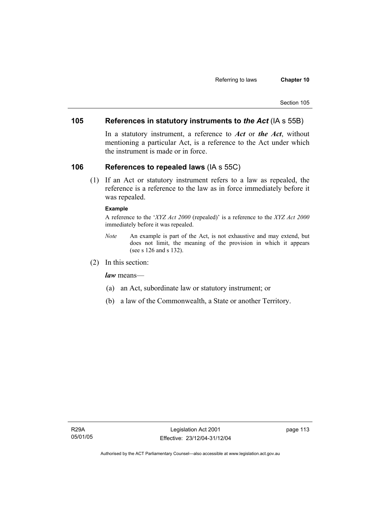## **105 References in statutory instruments to** *the Act* (IA s 55B)

In a statutory instrument, a reference to *Act* or *the Act*, without mentioning a particular Act, is a reference to the Act under which the instrument is made or in force.

## **106 References to repealed laws** (IA s 55C)

 (1) If an Act or statutory instrument refers to a law as repealed, the reference is a reference to the law as in force immediately before it was repealed.

#### **Example**

A reference to the '*XYZ Act 2000* (repealed)' is a reference to the *XYZ Act 2000* immediately before it was repealed.

- *Note* An example is part of the Act, is not exhaustive and may extend, but does not limit, the meaning of the provision in which it appears (see s 126 and s 132).
- (2) In this section:

*law* means—

- (a) an Act, subordinate law or statutory instrument; or
- (b) a law of the Commonwealth, a State or another Territory.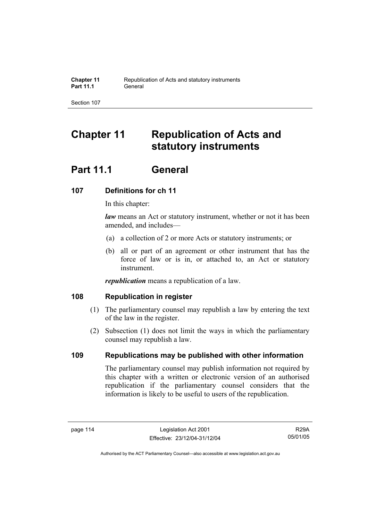# **Chapter 11 Republication of Acts and statutory instruments**

# **Part 11.1 General**

## **107 Definitions for ch 11**

In this chapter:

*law* means an Act or statutory instrument, whether or not it has been amended, and includes—

- (a) a collection of 2 or more Acts or statutory instruments; or
- (b) all or part of an agreement or other instrument that has the force of law or is in, or attached to, an Act or statutory instrument.

*republication* means a republication of a law.

## **108 Republication in register**

- (1) The parliamentary counsel may republish a law by entering the text of the law in the register.
- (2) Subsection (1) does not limit the ways in which the parliamentary counsel may republish a law.

## **109 Republications may be published with other information**

The parliamentary counsel may publish information not required by this chapter with a written or electronic version of an authorised republication if the parliamentary counsel considers that the information is likely to be useful to users of the republication.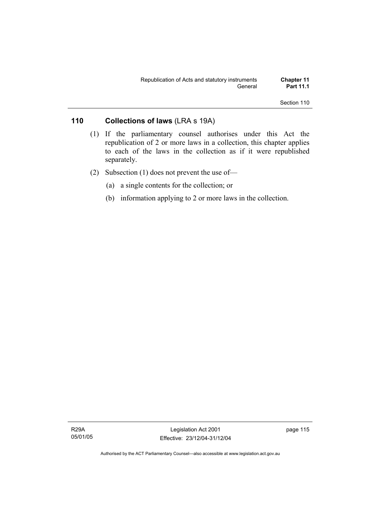## **110 Collections of laws** (LRA s 19A)

- (1) If the parliamentary counsel authorises under this Act the republication of 2 or more laws in a collection, this chapter applies to each of the laws in the collection as if it were republished separately.
- (2) Subsection (1) does not prevent the use of—
	- (a) a single contents for the collection; or
	- (b) information applying to 2 or more laws in the collection.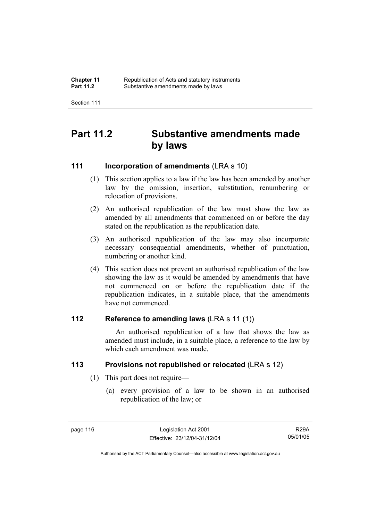| <b>Chapter 11</b> | Republication of Acts and statutory instruments |
|-------------------|-------------------------------------------------|
| <b>Part 11.2</b>  | Substantive amendments made by laws             |

## **Part 11.2 Substantive amendments made by laws**

## **111 Incorporation of amendments** (LRA s 10)

- (1) This section applies to a law if the law has been amended by another law by the omission, insertion, substitution, renumbering or relocation of provisions.
- (2) An authorised republication of the law must show the law as amended by all amendments that commenced on or before the day stated on the republication as the republication date.
- (3) An authorised republication of the law may also incorporate necessary consequential amendments, whether of punctuation, numbering or another kind.
- (4) This section does not prevent an authorised republication of the law showing the law as it would be amended by amendments that have not commenced on or before the republication date if the republication indicates, in a suitable place, that the amendments have not commenced.

## **112 Reference to amending laws** (LRA s 11 (1))

 An authorised republication of a law that shows the law as amended must include, in a suitable place, a reference to the law by which each amendment was made.

## **113 Provisions not republished or relocated** (LRA s 12)

- (1) This part does not require—
	- (a) every provision of a law to be shown in an authorised republication of the law; or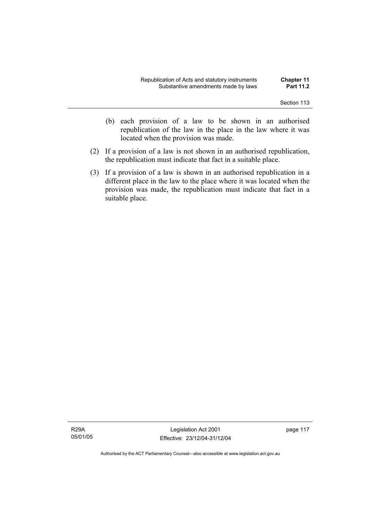- (b) each provision of a law to be shown in an authorised republication of the law in the place in the law where it was located when the provision was made.
- (2) If a provision of a law is not shown in an authorised republication, the republication must indicate that fact in a suitable place.
- (3) If a provision of a law is shown in an authorised republication in a different place in the law to the place where it was located when the provision was made, the republication must indicate that fact in a suitable place.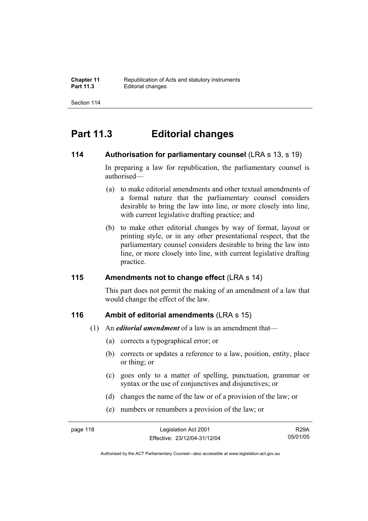## **Part 11.3 Editorial changes**

### **114** Authorisation for parliamentary counsel (LRA s 13, s 19)

In preparing a law for republication, the parliamentary counsel is authorised—

- (a) to make editorial amendments and other textual amendments of a formal nature that the parliamentary counsel considers desirable to bring the law into line, or more closely into line, with current legislative drafting practice; and
- (b) to make other editorial changes by way of format, layout or printing style, or in any other presentational respect, that the parliamentary counsel considers desirable to bring the law into line, or more closely into line, with current legislative drafting practice.

## **115 Amendments not to change effect** (LRA s 14)

This part does not permit the making of an amendment of a law that would change the effect of the law.

## **116 Ambit of editorial amendments** (LRA s 15)

- (1) An *editorial amendment* of a law is an amendment that—
	- (a) corrects a typographical error; or
	- (b) corrects or updates a reference to a law, position, entity, place or thing; or
	- (c) goes only to a matter of spelling, punctuation, grammar or syntax or the use of conjunctives and disjunctives; or
	- (d) changes the name of the law or of a provision of the law; or
	- (e) numbers or renumbers a provision of the law; or

R29A 05/01/05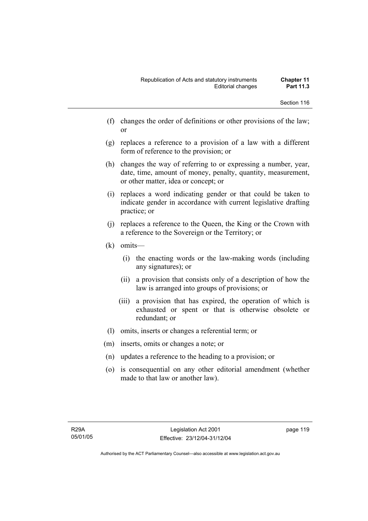- (f) changes the order of definitions or other provisions of the law; or
- (g) replaces a reference to a provision of a law with a different form of reference to the provision; or
- (h) changes the way of referring to or expressing a number, year, date, time, amount of money, penalty, quantity, measurement, or other matter, idea or concept; or
- (i) replaces a word indicating gender or that could be taken to indicate gender in accordance with current legislative drafting practice; or
- (j) replaces a reference to the Queen, the King or the Crown with a reference to the Sovereign or the Territory; or
- (k) omits—
	- (i) the enacting words or the law-making words (including any signatures); or
	- (ii) a provision that consists only of a description of how the law is arranged into groups of provisions; or
	- (iii) a provision that has expired, the operation of which is exhausted or spent or that is otherwise obsolete or redundant; or
- (l) omits, inserts or changes a referential term; or
- (m) inserts, omits or changes a note; or
- (n) updates a reference to the heading to a provision; or
- (o) is consequential on any other editorial amendment (whether made to that law or another law).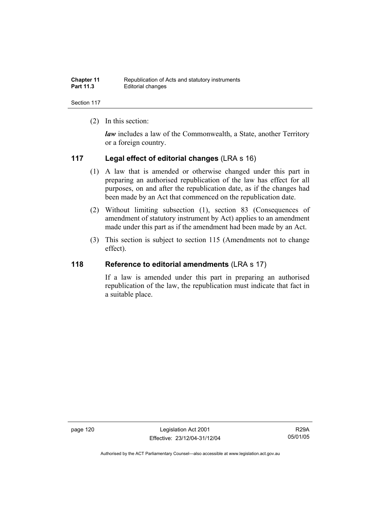| <b>Chapter 11</b> | Republication of Acts and statutory instruments |
|-------------------|-------------------------------------------------|
| <b>Part 11.3</b>  | Editorial changes                               |

(2) In this section:

*law* includes a law of the Commonwealth, a State, another Territory or a foreign country.

## **117 Legal effect of editorial changes** (LRA s 16)

- (1) A law that is amended or otherwise changed under this part in preparing an authorised republication of the law has effect for all purposes, on and after the republication date, as if the changes had been made by an Act that commenced on the republication date.
- (2) Without limiting subsection (1), section 83 (Consequences of amendment of statutory instrument by Act) applies to an amendment made under this part as if the amendment had been made by an Act.
- (3) This section is subject to section 115 (Amendments not to change effect).

## **118 Reference to editorial amendments** (LRA s 17)

If a law is amended under this part in preparing an authorised republication of the law, the republication must indicate that fact in a suitable place.

page 120 Legislation Act 2001 Effective: 23/12/04-31/12/04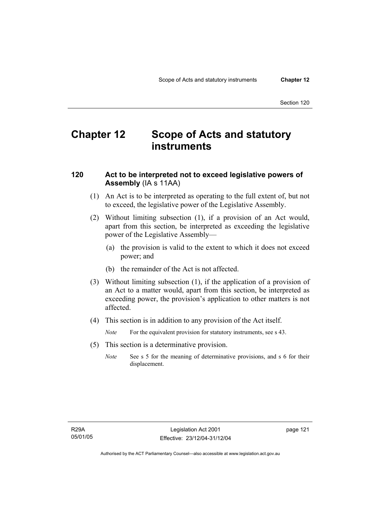# **Chapter 12 Scope of Acts and statutory instruments**

## **120 Act to be interpreted not to exceed legislative powers of Assembly** (IA s 11AA)

- (1) An Act is to be interpreted as operating to the full extent of, but not to exceed, the legislative power of the Legislative Assembly.
- (2) Without limiting subsection (1), if a provision of an Act would, apart from this section, be interpreted as exceeding the legislative power of the Legislative Assembly—
	- (a) the provision is valid to the extent to which it does not exceed power; and
	- (b) the remainder of the Act is not affected.
- (3) Without limiting subsection (1), if the application of a provision of an Act to a matter would, apart from this section, be interpreted as exceeding power, the provision's application to other matters is not affected.
- (4) This section is in addition to any provision of the Act itself.

*Note* For the equivalent provision for statutory instruments, see s 43.

- (5) This section is a determinative provision.
	- *Note* See s 5 for the meaning of determinative provisions, and s 6 for their displacement.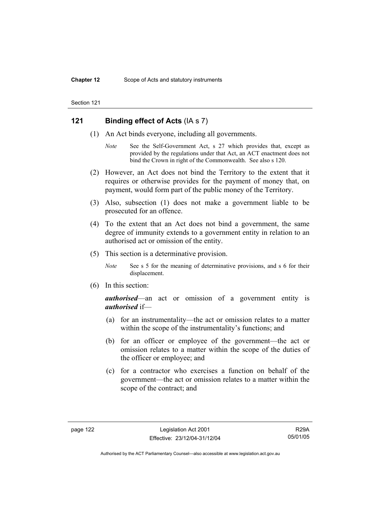## **121 Binding effect of Acts** (IA s 7)

- (1) An Act binds everyone, including all governments.
	- *Note* See the Self-Government Act, s 27 which provides that, except as provided by the regulations under that Act, an ACT enactment does not bind the Crown in right of the Commonwealth. See also s 120.
- (2) However, an Act does not bind the Territory to the extent that it requires or otherwise provides for the payment of money that, on payment, would form part of the public money of the Territory.
- (3) Also, subsection (1) does not make a government liable to be prosecuted for an offence.
- (4) To the extent that an Act does not bind a government, the same degree of immunity extends to a government entity in relation to an authorised act or omission of the entity.
- (5) This section is a determinative provision.
	- *Note* See s 5 for the meaning of determinative provisions, and s 6 for their displacement.
- (6) In this section:

*authorised*—an act or omission of a government entity is *authorised* if—

- (a) for an instrumentality—the act or omission relates to a matter within the scope of the instrumentality's functions; and
- (b) for an officer or employee of the government—the act or omission relates to a matter within the scope of the duties of the officer or employee; and
- (c) for a contractor who exercises a function on behalf of the government—the act or omission relates to a matter within the scope of the contract; and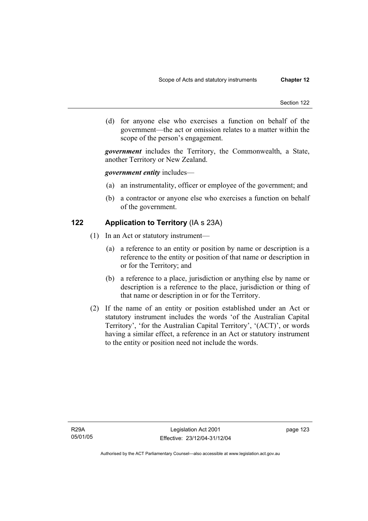(d) for anyone else who exercises a function on behalf of the government—the act or omission relates to a matter within the scope of the person's engagement.

*government* includes the Territory, the Commonwealth, a State, another Territory or New Zealand.

#### *government entity* includes—

- (a) an instrumentality, officer or employee of the government; and
- (b) a contractor or anyone else who exercises a function on behalf of the government.

## **122 Application to Territory** (IA s 23A)

- (1) In an Act or statutory instrument—
	- (a) a reference to an entity or position by name or description is a reference to the entity or position of that name or description in or for the Territory; and
	- (b) a reference to a place, jurisdiction or anything else by name or description is a reference to the place, jurisdiction or thing of that name or description in or for the Territory.
- (2) If the name of an entity or position established under an Act or statutory instrument includes the words 'of the Australian Capital Territory', 'for the Australian Capital Territory', '(ACT)', or words having a similar effect, a reference in an Act or statutory instrument to the entity or position need not include the words.

page 123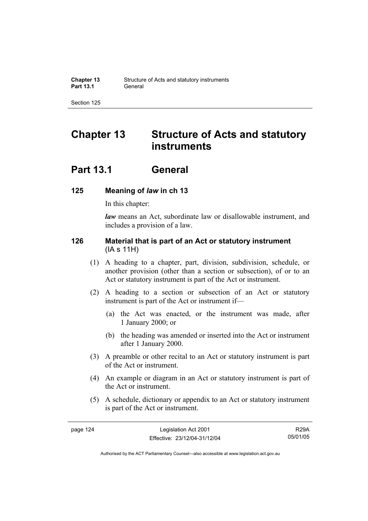# **Chapter 13 Structure of Acts and statutory instruments**

## **Part 13.1 General**

## **125 Meaning of** *law* **in ch 13**

In this chapter:

*law* means an Act, subordinate law or disallowable instrument, and includes a provision of a law.

## **126 Material that is part of an Act or statutory instrument**  (IA s 11H)

- (1) A heading to a chapter, part, division, subdivision, schedule, or another provision (other than a section or subsection), of or to an Act or statutory instrument is part of the Act or instrument.
- (2) A heading to a section or subsection of an Act or statutory instrument is part of the Act or instrument if—
	- (a) the Act was enacted, or the instrument was made, after 1 January 2000; or
	- (b) the heading was amended or inserted into the Act or instrument after 1 January 2000.
- (3) A preamble or other recital to an Act or statutory instrument is part of the Act or instrument.
- (4) An example or diagram in an Act or statutory instrument is part of the Act or instrument.
- (5) A schedule, dictionary or appendix to an Act or statutory instrument is part of the Act or instrument.

R29A 05/01/05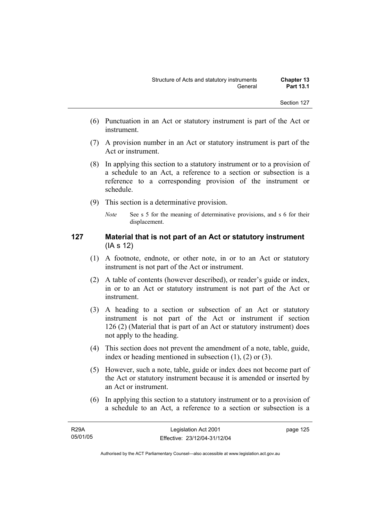- (6) Punctuation in an Act or statutory instrument is part of the Act or instrument.
- (7) A provision number in an Act or statutory instrument is part of the Act or instrument.
- (8) In applying this section to a statutory instrument or to a provision of a schedule to an Act, a reference to a section or subsection is a reference to a corresponding provision of the instrument or schedule.
- (9) This section is a determinative provision.
	- *Note* See s 5 for the meaning of determinative provisions, and s 6 for their displacement.

## **127 Material that is not part of an Act or statutory instrument**  (IA s 12)

- (1) A footnote, endnote, or other note, in or to an Act or statutory instrument is not part of the Act or instrument.
- (2) A table of contents (however described), or reader's guide or index, in or to an Act or statutory instrument is not part of the Act or instrument.
- (3) A heading to a section or subsection of an Act or statutory instrument is not part of the Act or instrument if section 126 (2) (Material that is part of an Act or statutory instrument) does not apply to the heading.
- (4) This section does not prevent the amendment of a note, table, guide, index or heading mentioned in subsection (1), (2) or (3).
- (5) However, such a note, table, guide or index does not become part of the Act or statutory instrument because it is amended or inserted by an Act or instrument.
- (6) In applying this section to a statutory instrument or to a provision of a schedule to an Act, a reference to a section or subsection is a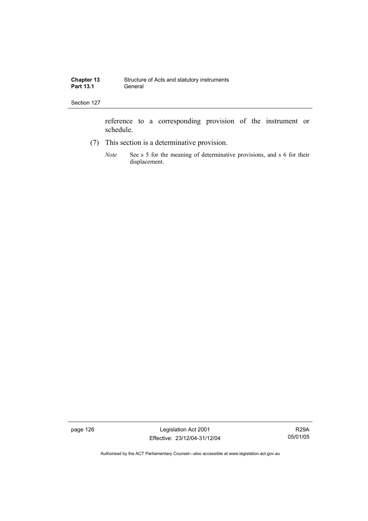reference to a corresponding provision of the instrument or schedule.

- (7) This section is a determinative provision.
	- *Note* See s 5 for the meaning of determinative provisions, and s 6 for their displacement.

page 126 Legislation Act 2001 Effective: 23/12/04-31/12/04

R29A 05/01/05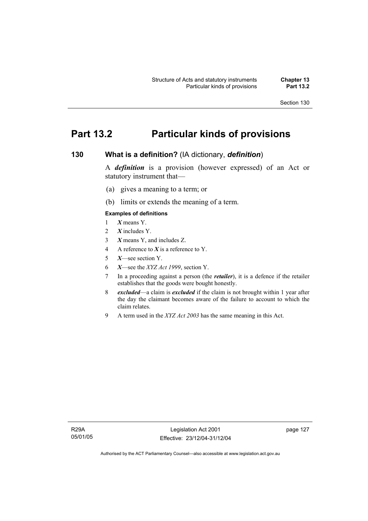## **Part 13.2 Particular kinds of provisions**

## **130 What is a definition?** (IA dictionary, *definition*)

A *definition* is a provision (however expressed) of an Act or statutory instrument that—

- (a) gives a meaning to a term; or
- (b) limits or extends the meaning of a term.

#### **Examples of definitions**

- 1 *X* means Y.
- 2 *X* includes Y.
- 3 *X* means Y, and includes Z.
- 4 A reference to *X* is a reference to Y.
- 5 *X*—see section Y.
- 6 *X*—see the *XYZ Act 1999*, section Y.
- 7 In a proceeding against a person (the *retailer*), it is a defence if the retailer establishes that the goods were bought honestly.
- 8 *excluded*—a claim is *excluded* if the claim is not brought within 1 year after the day the claimant becomes aware of the failure to account to which the claim relates.
- 9 A term used in the *XYZ Act 2003* has the same meaning in this Act.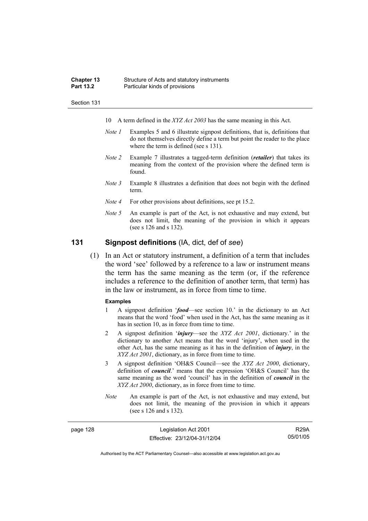| <b>Chapter 13</b> | Structure of Acts and statutory instruments |
|-------------------|---------------------------------------------|
| <b>Part 13.2</b>  | Particular kinds of provisions              |

- 10 A term defined in the *XYZ Act 2003* has the same meaning in this Act.
- *Note 1* Examples 5 and 6 illustrate signpost definitions, that is, definitions that do not themselves directly define a term but point the reader to the place where the term is defined (see s 131).
- *Note 2* Example 7 illustrates a tagged-term definition (*retailer*) that takes its meaning from the context of the provision where the defined term is found.
- *Note 3* Example 8 illustrates a definition that does not begin with the defined term.
- *Note 4* For other provisions about definitions, see pt 15.2.
- *Note 5* An example is part of the Act, is not exhaustive and may extend, but does not limit, the meaning of the provision in which it appears (see s 126 and s 132).

## **131 Signpost definitions** (IA, dict, def of *see*)

 (1) In an Act or statutory instrument, a definition of a term that includes the word 'see' followed by a reference to a law or instrument means the term has the same meaning as the term (or, if the reference includes a reference to the definition of another term, that term) has in the law or instrument, as in force from time to time.

#### **Examples**

- 1 A signpost definition '*food*—see section 10.' in the dictionary to an Act means that the word 'food' when used in the Act, has the same meaning as it has in section 10, as in force from time to time.
- 2 A signpost definition '*injury*—see the *XYZ Act 2001*, dictionary.' in the dictionary to another Act means that the word 'injury', when used in the other Act, has the same meaning as it has in the definition of *injury*, in the *XYZ Act 2001*, dictionary, as in force from time to time.
- 3 A signpost definition 'OH&S Council—see the *XYZ Act 2000*, dictionary, definition of *council*.' means that the expression 'OH&S Council' has the same meaning as the word 'council' has in the definition of *council* in the *XYZ Act 2000*, dictionary, as in force from time to time.
- *Note* An example is part of the Act, is not exhaustive and may extend, but does not limit, the meaning of the provision in which it appears (see s 126 and s 132).

| page 128 | Legislation Act 2001         | <b>R29A</b> |
|----------|------------------------------|-------------|
|          | Effective: 23/12/04-31/12/04 | 05/01/05    |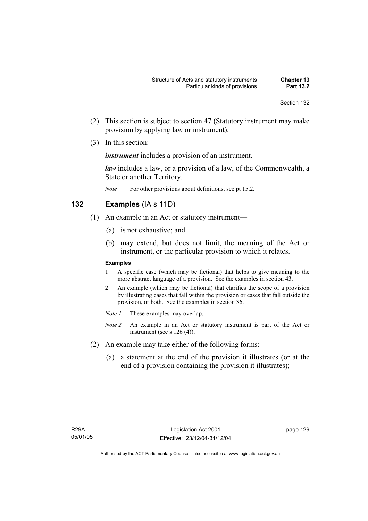- (2) This section is subject to section 47 (Statutory instrument may make provision by applying law or instrument).
- (3) In this section:

*instrument* includes a provision of an instrument.

*law* includes a law, or a provision of a law, of the Commonwealth, a State or another Territory.

*Note* For other provisions about definitions, see pt 15.2.

## **132 Examples** (IA s 11D)

- (1) An example in an Act or statutory instrument—
	- (a) is not exhaustive; and
	- (b) may extend, but does not limit, the meaning of the Act or instrument, or the particular provision to which it relates.

#### **Examples**

- 1 A specific case (which may be fictional) that helps to give meaning to the more abstract language of a provision. See the examples in section 43.
- 2 An example (which may be fictional) that clarifies the scope of a provision by illustrating cases that fall within the provision or cases that fall outside the provision, or both. See the examples in section 86.
- *Note 1* These examples may overlap.
- *Note 2* An example in an Act or statutory instrument is part of the Act or instrument (see s 126 (4)).
- (2) An example may take either of the following forms:
	- (a) a statement at the end of the provision it illustrates (or at the end of a provision containing the provision it illustrates);

page 129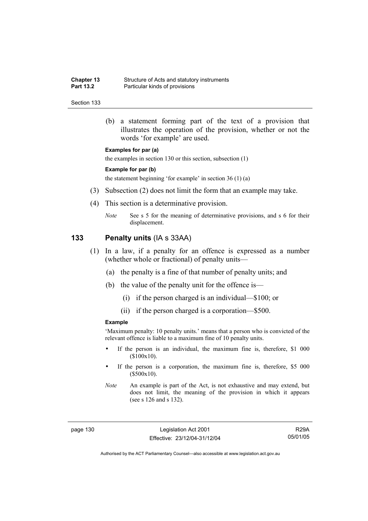| <b>Chapter 13</b> | Structure of Acts and statutory instruments |
|-------------------|---------------------------------------------|
| <b>Part 13.2</b>  | Particular kinds of provisions              |

 (b) a statement forming part of the text of a provision that illustrates the operation of the provision, whether or not the words 'for example' are used.

#### **Examples for par (a)**

the examples in section 130 or this section, subsection (1)

#### **Example for par (b)**

the statement beginning 'for example' in section 36 (1) (a)

- (3) Subsection (2) does not limit the form that an example may take.
- (4) This section is a determinative provision.
	- *Note* See s 5 for the meaning of determinative provisions, and s 6 for their displacement.

#### **133 Penalty units** (IA s 33AA)

- (1) In a law, if a penalty for an offence is expressed as a number (whether whole or fractional) of penalty units—
	- (a) the penalty is a fine of that number of penalty units; and
	- (b) the value of the penalty unit for the offence is—
		- (i) if the person charged is an individual—\$100; or
		- (ii) if the person charged is a corporation—\$500.

#### **Example**

'Maximum penalty: 10 penalty units.' means that a person who is convicted of the relevant offence is liable to a maximum fine of 10 penalty units.

- If the person is an individual, the maximum fine is, therefore, \$1 000 (\$100x10).
- If the person is a corporation, the maximum fine is, therefore, \$5 000 (\$500x10).

page 130 Legislation Act 2001 Effective: 23/12/04-31/12/04

R29A 05/01/05

*Note* An example is part of the Act, is not exhaustive and may extend, but does not limit, the meaning of the provision in which it appears (see s 126 and s 132).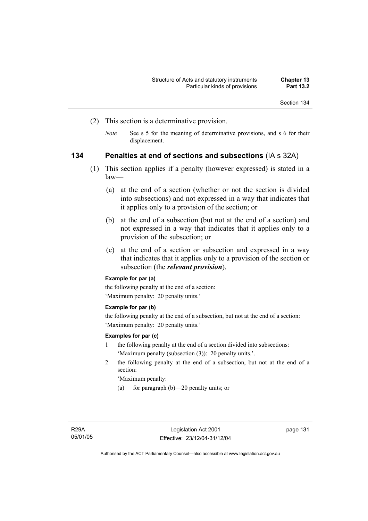- (2) This section is a determinative provision.
	- *Note* See s 5 for the meaning of determinative provisions, and s 6 for their displacement.

### **134 Penalties at end of sections and subsections** (IA s 32A)

- (1) This section applies if a penalty (however expressed) is stated in a law—
	- (a) at the end of a section (whether or not the section is divided into subsections) and not expressed in a way that indicates that it applies only to a provision of the section; or
	- (b) at the end of a subsection (but not at the end of a section) and not expressed in a way that indicates that it applies only to a provision of the subsection; or
	- (c) at the end of a section or subsection and expressed in a way that indicates that it applies only to a provision of the section or subsection (the *relevant provision*).

### **Example for par (a)**

the following penalty at the end of a section: 'Maximum penalty: 20 penalty units.'

#### **Example for par (b)**

the following penalty at the end of a subsection, but not at the end of a section: 'Maximum penalty: 20 penalty units.'

#### **Examples for par (c)**

- 1 the following penalty at the end of a section divided into subsections: 'Maximum penalty (subsection (3)): 20 penalty units.'.
- 2 the following penalty at the end of a subsection, but not at the end of a section:

'Maximum penalty:

(a) for paragraph (b)—20 penalty units; or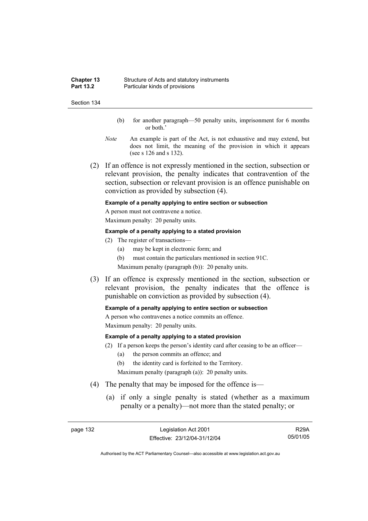| <b>Chapter 13</b> | Structure of Acts and statutory instruments |
|-------------------|---------------------------------------------|
| <b>Part 13.2</b>  | Particular kinds of provisions              |

- (b) for another paragraph—50 penalty units, imprisonment for 6 months or both.'
- *Note* An example is part of the Act, is not exhaustive and may extend, but does not limit, the meaning of the provision in which it appears (see s 126 and s 132).
- (2) If an offence is not expressly mentioned in the section, subsection or relevant provision, the penalty indicates that contravention of the section, subsection or relevant provision is an offence punishable on conviction as provided by subsection (4).

#### **Example of a penalty applying to entire section or subsection**

A person must not contravene a notice. Maximum penalty: 20 penalty units.

#### **Example of a penalty applying to a stated provision**

- (2) The register of transactions—
	- (a) may be kept in electronic form; and
	- (b) must contain the particulars mentioned in section 91C.

Maximum penalty (paragraph (b)): 20 penalty units.

 (3) If an offence is expressly mentioned in the section, subsection or relevant provision, the penalty indicates that the offence is punishable on conviction as provided by subsection (4).

#### **Example of a penalty applying to entire section or subsection**

A person who contravenes a notice commits an offence. Maximum penalty: 20 penalty units.

#### **Example of a penalty applying to a stated provision**

- (2) If a person keeps the person's identity card after ceasing to be an officer—
	- (a) the person commits an offence; and
	- (b) the identity card is forfeited to the Territory.

Maximum penalty (paragraph (a)): 20 penalty units.

- (4) The penalty that may be imposed for the offence is—
	- (a) if only a single penalty is stated (whether as a maximum penalty or a penalty)—not more than the stated penalty; or

R29A 05/01/05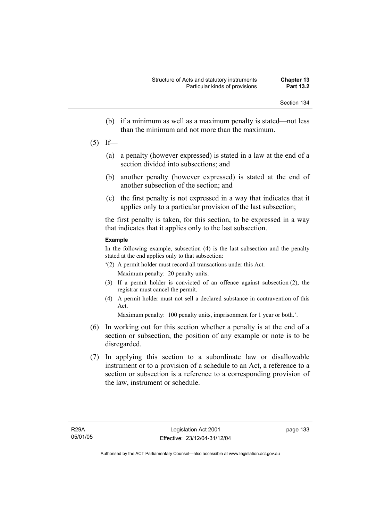- (b) if a minimum as well as a maximum penalty is stated—not less than the minimum and not more than the maximum.
- $(5)$  If—
	- (a) a penalty (however expressed) is stated in a law at the end of a section divided into subsections; and
	- (b) another penalty (however expressed) is stated at the end of another subsection of the section; and
	- (c) the first penalty is not expressed in a way that indicates that it applies only to a particular provision of the last subsection;

the first penalty is taken, for this section, to be expressed in a way that indicates that it applies only to the last subsection.

#### **Example**

In the following example, subsection (4) is the last subsection and the penalty stated at the end applies only to that subsection:

- '(2) A permit holder must record all transactions under this Act. Maximum penalty: 20 penalty units.
- (3) If a permit holder is convicted of an offence against subsection (2), the registrar must cancel the permit.
- (4) A permit holder must not sell a declared substance in contravention of this Act.

Maximum penalty: 100 penalty units, imprisonment for 1 year or both.'.

- (6) In working out for this section whether a penalty is at the end of a section or subsection, the position of any example or note is to be disregarded.
- (7) In applying this section to a subordinate law or disallowable instrument or to a provision of a schedule to an Act, a reference to a section or subsection is a reference to a corresponding provision of the law, instrument or schedule.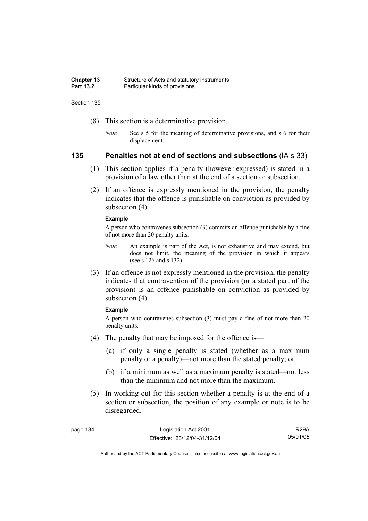| <b>Chapter 13</b> | Structure of Acts and statutory instruments |
|-------------------|---------------------------------------------|
| <b>Part 13.2</b>  | Particular kinds of provisions              |

- (8) This section is a determinative provision.
	- *Note* See s 5 for the meaning of determinative provisions, and s 6 for their displacement.

#### **135 Penalties not at end of sections and subsections** (IA s 33)

- (1) This section applies if a penalty (however expressed) is stated in a provision of a law other than at the end of a section or subsection.
- (2) If an offence is expressly mentioned in the provision, the penalty indicates that the offence is punishable on conviction as provided by subsection  $(4)$ .

#### **Example**

A person who contravenes subsection (3) commits an offence punishable by a fine of not more than 20 penalty units.

- *Note* An example is part of the Act, is not exhaustive and may extend, but does not limit, the meaning of the provision in which it appears (see s 126 and s 132).
- (3) If an offence is not expressly mentioned in the provision, the penalty indicates that contravention of the provision (or a stated part of the provision) is an offence punishable on conviction as provided by subsection (4).

#### **Example**

A person who contravenes subsection (3) must pay a fine of not more than 20 penalty units.

- (4) The penalty that may be imposed for the offence is—
	- (a) if only a single penalty is stated (whether as a maximum penalty or a penalty)—not more than the stated penalty; or
	- (b) if a minimum as well as a maximum penalty is stated—not less than the minimum and not more than the maximum.
- (5) In working out for this section whether a penalty is at the end of a section or subsection, the position of any example or note is to be disregarded.

| Legislation Act 2001<br>page 134 |                              | <b>R29A</b> |
|----------------------------------|------------------------------|-------------|
|                                  | Effective: 23/12/04-31/12/04 | 05/01/05    |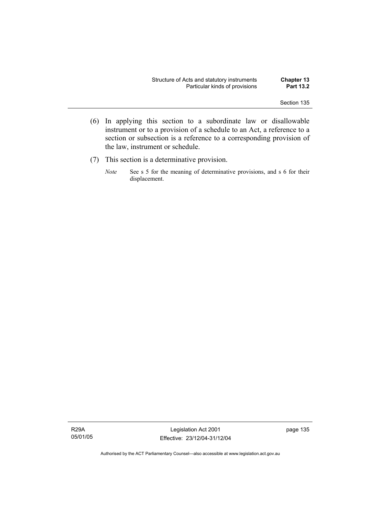- (6) In applying this section to a subordinate law or disallowable instrument or to a provision of a schedule to an Act, a reference to a section or subsection is a reference to a corresponding provision of the law, instrument or schedule.
- (7) This section is a determinative provision.
	- *Note* See s 5 for the meaning of determinative provisions, and s 6 for their displacement.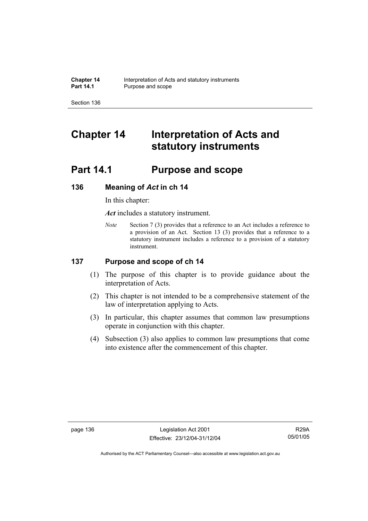# **Chapter 14 Interpretation of Acts and statutory instruments**

# **Part 14.1 Purpose and scope**

## **136 Meaning of** *Act* **in ch 14**

In this chapter:

*Act* includes a statutory instrument.

*Note* Section 7 (3) provides that a reference to an Act includes a reference to a provision of an Act. Section 13 (3) provides that a reference to a statutory instrument includes a reference to a provision of a statutory instrument.

### **137 Purpose and scope of ch 14**

- (1) The purpose of this chapter is to provide guidance about the interpretation of Acts.
- (2) This chapter is not intended to be a comprehensive statement of the law of interpretation applying to Acts.
- (3) In particular, this chapter assumes that common law presumptions operate in conjunction with this chapter.
- (4) Subsection (3) also applies to common law presumptions that come into existence after the commencement of this chapter.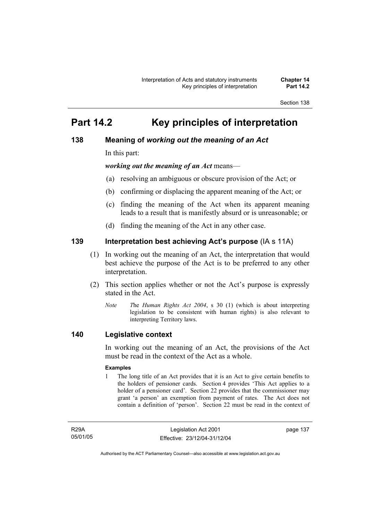# **Part 14.2 Key principles of interpretation**

## **138 Meaning of** *working out the meaning of an Act*

In this part:

*working out the meaning of an Act* means—

- (a) resolving an ambiguous or obscure provision of the Act; or
- (b) confirming or displacing the apparent meaning of the Act; or
- (c) finding the meaning of the Act when its apparent meaning leads to a result that is manifestly absurd or is unreasonable; or
- (d) finding the meaning of the Act in any other case.

## **139 Interpretation best achieving Act's purpose** (IA s 11A)

- (1) In working out the meaning of an Act, the interpretation that would best achieve the purpose of the Act is to be preferred to any other interpretation.
- (2) This section applies whether or not the Act's purpose is expressly stated in the Act.
	- *Note T*he *Human Rights Act 2004*, s 30 (1) (which is about interpreting legislation to be consistent with human rights) is also relevant to interpreting Territory laws.

### **140 Legislative context**

In working out the meaning of an Act, the provisions of the Act must be read in the context of the Act as a whole.

#### **Examples**

1 The long title of an Act provides that it is an Act to give certain benefits to the holders of pensioner cards. Section 4 provides 'This Act applies to a holder of a pensioner card'. Section 22 provides that the commissioner may grant 'a person' an exemption from payment of rates. The Act does not contain a definition of 'person'. Section 22 must be read in the context of

R29A 05/01/05 page 137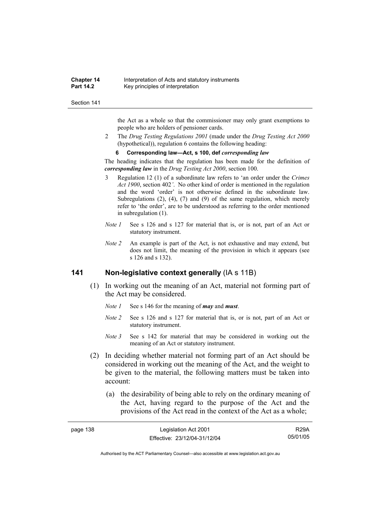#### **Chapter 14** Interpretation of Acts and statutory instruments<br>**Part 14.2** Key principles of interpretation **Key principles of interpretation**

#### Section 141

the Act as a whole so that the commissioner may only grant exemptions to people who are holders of pensioner cards.

2 The *Drug Testing Regulations 2001* (made under the *Drug Testing Act 2000* (hypothetical)), regulation 6 contains the following heading:

#### **6 Corresponding law—Act, s 100, def** *corresponding law*

The heading indicates that the regulation has been made for the definition of *corresponding law* in the *Drug Testing Act 2000*, section 100.

- 3 Regulation 12 (1) of a subordinate law refers to 'an order under the *Crimes Act 1900*, section 402*'*. No other kind of order is mentioned in the regulation and the word 'order' is not otherwise defined in the subordinate law. Subregulations (2), (4), (7) and (9) of the same regulation, which merely refer to 'the order', are to be understood as referring to the order mentioned in subregulation (1).
- *Note 1* See s 126 and s 127 for material that is, or is not, part of an Act or statutory instrument.
- *Note 2* An example is part of the Act, is not exhaustive and may extend, but does not limit, the meaning of the provision in which it appears (see s 126 and s 132).

### **141 Non-legislative context generally** (IA s 11B)

- (1) In working out the meaning of an Act, material not forming part of the Act may be considered.
	- *Note 1* See s 146 for the meaning of *may* and *must*.
	- *Note 2* See s 126 and s 127 for material that is, or is not, part of an Act or statutory instrument.
	- *Note 3* See s 142 for material that may be considered in working out the meaning of an Act or statutory instrument.
- (2) In deciding whether material not forming part of an Act should be considered in working out the meaning of the Act, and the weight to be given to the material, the following matters must be taken into account:
	- (a) the desirability of being able to rely on the ordinary meaning of the Act, having regard to the purpose of the Act and the provisions of the Act read in the context of the Act as a whole;

| page 138 | Legislation Act 2001         | <b>R29A</b> |
|----------|------------------------------|-------------|
|          | Effective: 23/12/04-31/12/04 | 05/01/05    |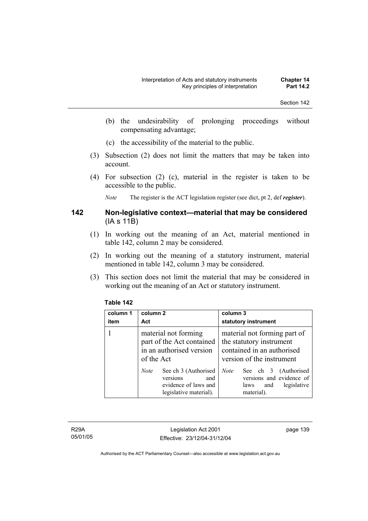- (b) the undesirability of prolonging proceedings without compensating advantage;
- (c) the accessibility of the material to the public.
- (3) Subsection (2) does not limit the matters that may be taken into account.
- (4) For subsection (2) (c), material in the register is taken to be accessible to the public.

*Note* The register is the ACT legislation register (see dict, pt 2, def *register*).

### **142 Non-legislative context—material that may be considered**  (IA s 11B)

- (1) In working out the meaning of an Act, material mentioned in table 142, column 2 may be considered.
- (2) In working out the meaning of a statutory instrument, material mentioned in table 142, column 3 may be considered.
- (3) This section does not limit the material that may be considered in working out the meaning of an Act or statutory instrument.

### **Table 142**

| column 1<br>item | column 2<br>Act                                                                                          | column 3<br>statutory instrument                                                                                    |
|------------------|----------------------------------------------------------------------------------------------------------|---------------------------------------------------------------------------------------------------------------------|
|                  | material not forming<br>part of the Act contained<br>in an authorised version<br>of the Act              | material not forming part of<br>the statutory instrument<br>contained in an authorised<br>version of the instrument |
|                  | See ch 3 (Authorised<br><b>Note</b><br>versions<br>and<br>evidence of laws and<br>legislative material). | See ch 3 (Authorised<br><b>Note</b><br>versions and evidence of<br>legislative<br>and<br>laws<br>material).         |

R29A 05/01/05

Legislation Act 2001 Effective: 23/12/04-31/12/04 page 139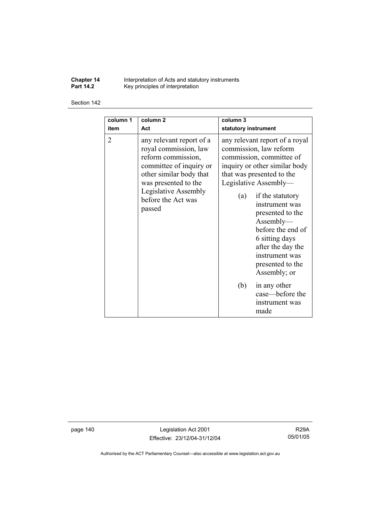**Chapter 14** Interpretation of Acts and statutory instruments **Part 14.2 Key principles of interpretation** 

#### Section 142

| column 1<br>item | column <sub>2</sub><br>Act                                                                                                                                                                                    | column 3<br>statutory instrument                                                                                                                                                                                                                                                                                                                                                                   |
|------------------|---------------------------------------------------------------------------------------------------------------------------------------------------------------------------------------------------------------|----------------------------------------------------------------------------------------------------------------------------------------------------------------------------------------------------------------------------------------------------------------------------------------------------------------------------------------------------------------------------------------------------|
| $\overline{2}$   | any relevant report of a<br>royal commission, law<br>reform commission,<br>committee of inquiry or<br>other similar body that<br>was presented to the<br>Legislative Assembly<br>before the Act was<br>passed | any relevant report of a royal<br>commission, law reform<br>commission, committee of<br>inquiry or other similar body<br>that was presented to the<br>Legislative Assembly—<br>if the statutory<br>(a)<br>instrument was<br>presented to the<br>Assently—<br>before the end of<br>6 sitting days<br>after the day the<br>instrument was<br>presented to the<br>Assembly; or<br>in any other<br>(b) |
|                  |                                                                                                                                                                                                               | case—before the<br>instrument was<br>made                                                                                                                                                                                                                                                                                                                                                          |

page 140 Legislation Act 2001 Effective: 23/12/04-31/12/04

R29A 05/01/05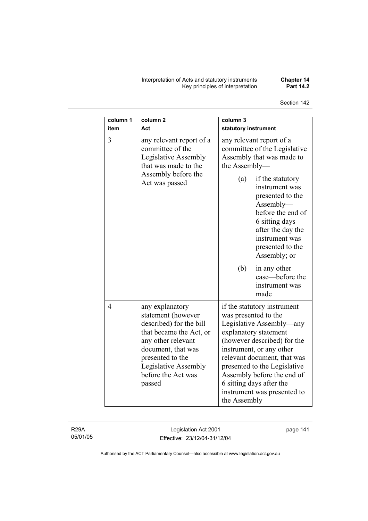Interpretation of Acts and statutory instruments **Chapter 14**  Key principles of interpretation **Part 14.2** 

| column 1<br>item | column <sub>2</sub><br>Act                                                                                                                                                                                          | column 3<br>statutory instrument                                                                                                                                                                                                                                                                                                            |
|------------------|---------------------------------------------------------------------------------------------------------------------------------------------------------------------------------------------------------------------|---------------------------------------------------------------------------------------------------------------------------------------------------------------------------------------------------------------------------------------------------------------------------------------------------------------------------------------------|
| $\overline{3}$   | any relevant report of a<br>committee of the<br>Legislative Assembly<br>that was made to the<br>Assembly before the<br>Act was passed                                                                               | any relevant report of a<br>committee of the Legislative<br>Assembly that was made to<br>the Assembly-                                                                                                                                                                                                                                      |
|                  |                                                                                                                                                                                                                     | (a)<br>if the statutory<br>instrument was<br>presented to the<br>$\Lambda$ ssembly—<br>before the end of<br>6 sitting days<br>after the day the<br>instrument was<br>presented to the<br>Assembly; or                                                                                                                                       |
|                  |                                                                                                                                                                                                                     | (b)<br>in any other<br>case-before the<br>instrument was<br>made                                                                                                                                                                                                                                                                            |
| $\overline{4}$   | any explanatory<br>statement (however<br>described) for the bill<br>that became the Act, or<br>any other relevant<br>document, that was<br>presented to the<br>Legislative Assembly<br>before the Act was<br>passed | if the statutory instrument<br>was presented to the<br>Legislative Assembly—any<br>explanatory statement<br>(however described) for the<br>instrument, or any other<br>relevant document, that was<br>presented to the Legislative<br>Assembly before the end of<br>6 sitting days after the<br>instrument was presented to<br>the Assembly |

R29A 05/01/05

Legislation Act 2001 Effective: 23/12/04-31/12/04 page 141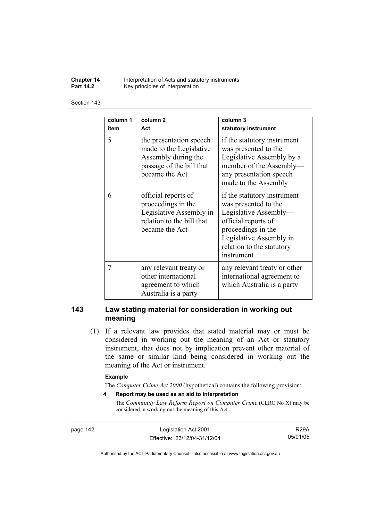**Chapter 14** Interpretation of Acts and statutory instruments<br>**Part 14.2** Key principles of interpretation Key principles of interpretation

#### Section 143

| column 1       | column <sub>2</sub>                                                                                                     | column 3                                                                                                                                                                                        |
|----------------|-------------------------------------------------------------------------------------------------------------------------|-------------------------------------------------------------------------------------------------------------------------------------------------------------------------------------------------|
|                |                                                                                                                         |                                                                                                                                                                                                 |
| item           | Act                                                                                                                     | statutory instrument                                                                                                                                                                            |
| 5              | the presentation speech<br>made to the Legislative<br>Assembly during the<br>passage of the bill that<br>became the Act | if the statutory instrument<br>was presented to the<br>Legislative Assembly by a<br>member of the Assembly-<br>any presentation speech<br>made to the Assembly                                  |
| 6              | official reports of<br>proceedings in the<br>Legislative Assembly in<br>relation to the bill that<br>became the Act     | if the statutory instrument<br>was presented to the<br>Legislative Assembly-<br>official reports of<br>proceedings in the<br>Legislative Assembly in<br>relation to the statutory<br>instrument |
| $\overline{7}$ | any relevant treaty or<br>other international<br>agreement to which<br>Australia is a party                             | any relevant treaty or other<br>international agreement to<br>which Australia is a party                                                                                                        |

### **143 Law stating material for consideration in working out meaning**

 (1) If a relevant law provides that stated material may or must be considered in working out the meaning of an Act or statutory instrument, that does not by implication prevent other material of the same or similar kind being considered in working out the meaning of the Act or instrument.

#### **Example**

The *Computer Crime Act 2000* (hypothetical) contains the following provision:

**4 Report may be used as an aid to interpretation** 

The *Community Law Reform Report on Computer Crime* (CLRC No X) may be considered in working out the meaning of this Act.

page 142 Legislation Act 2001 Effective: 23/12/04-31/12/04

R29A 05/01/05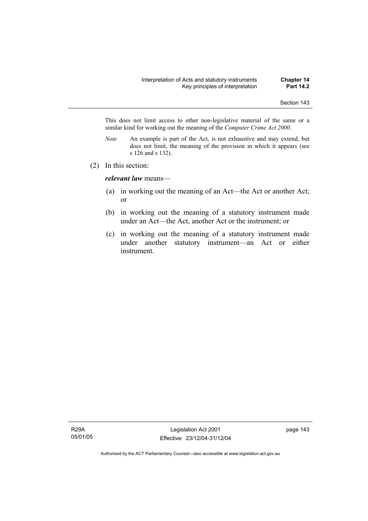This does not limit access to other non-legislative material of the same or a similar kind for working out the meaning of the *Computer Crime Act 2000*.

- *Note* An example is part of the Act, is not exhaustive and may extend, but does not limit, the meaning of the provision in which it appears (see s 126 and s 132).
- (2) In this section:

*relevant law* means—

- (a) in working out the meaning of an Act—the Act or another Act; or
- (b) in working out the meaning of a statutory instrument made under an Act—the Act, another Act or the instrument; or
- (c) in working out the meaning of a statutory instrument made under another statutory instrument—an Act or either instrument.

R29A 05/01/05

Legislation Act 2001 Effective: 23/12/04-31/12/04 page 143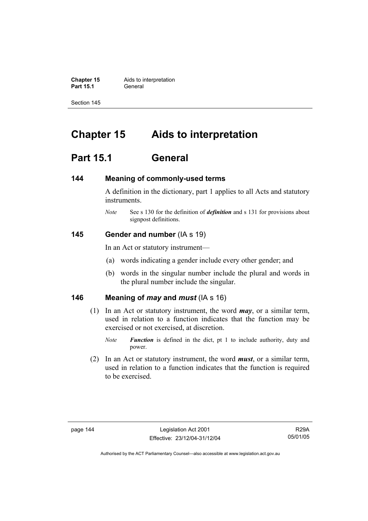**Chapter 15** Aids to interpretation **Part 15.1** General

Section 145

# **Chapter 15 Aids to interpretation**

# **Part 15.1 General**

#### **144 Meaning of commonly-used terms**

A definition in the dictionary, part 1 applies to all Acts and statutory instruments.

*Note* See s 130 for the definition of *definition* and s 131 for provisions about signpost definitions.

### **145 Gender and number** (IA s 19)

In an Act or statutory instrument—

- (a) words indicating a gender include every other gender; and
- (b) words in the singular number include the plural and words in the plural number include the singular.

### **146 Meaning of** *may* **and** *must* (IA s 16)

- (1) In an Act or statutory instrument, the word *may*, or a similar term, used in relation to a function indicates that the function may be exercised or not exercised, at discretion.
	- *Note Function* is defined in the dict, pt 1 to include authority, duty and power.
- (2) In an Act or statutory instrument, the word *must*, or a similar term, used in relation to a function indicates that the function is required to be exercised.

R29A 05/01/05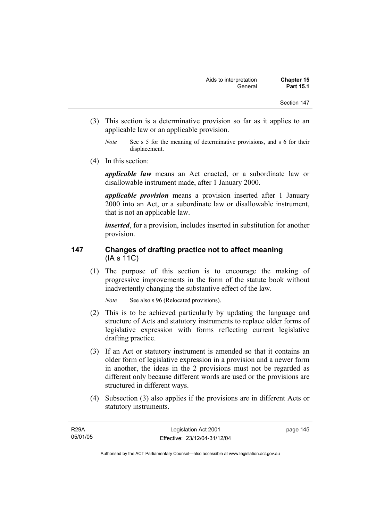- Section 147
- (3) This section is a determinative provision so far as it applies to an applicable law or an applicable provision.
	- *Note* See s 5 for the meaning of determinative provisions, and s 6 for their displacement.
- (4) In this section:

*applicable law* means an Act enacted, or a subordinate law or disallowable instrument made, after 1 January 2000.

*applicable provision* means a provision inserted after 1 January 2000 into an Act, or a subordinate law or disallowable instrument, that is not an applicable law.

*inserted*, for a provision, includes inserted in substitution for another provision.

### **147 Changes of drafting practice not to affect meaning**  (IA s 11C)

 (1) The purpose of this section is to encourage the making of progressive improvements in the form of the statute book without inadvertently changing the substantive effect of the law.

*Note* See also s 96 (Relocated provisions).

- (2) This is to be achieved particularly by updating the language and structure of Acts and statutory instruments to replace older forms of legislative expression with forms reflecting current legislative drafting practice.
- (3) If an Act or statutory instrument is amended so that it contains an older form of legislative expression in a provision and a newer form in another, the ideas in the 2 provisions must not be regarded as different only because different words are used or the provisions are structured in different ways.
- (4) Subsection (3) also applies if the provisions are in different Acts or statutory instruments.

page 145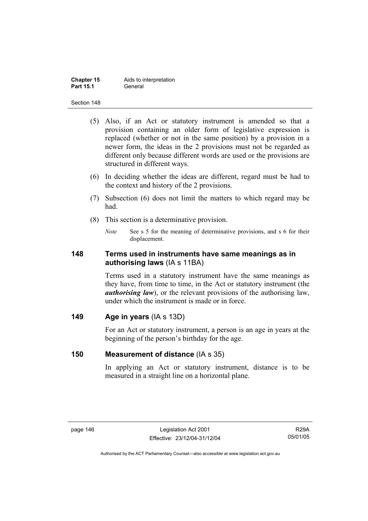| <b>Chapter 15</b> | Aids to interpretation |
|-------------------|------------------------|
| <b>Part 15.1</b>  | General                |

- (5) Also, if an Act or statutory instrument is amended so that a provision containing an older form of legislative expression is replaced (whether or not in the same position) by a provision in a newer form, the ideas in the 2 provisions must not be regarded as different only because different words are used or the provisions are structured in different ways.
- (6) In deciding whether the ideas are different, regard must be had to the context and history of the 2 provisions.
- (7) Subsection (6) does not limit the matters to which regard may be had.
- (8) This section is a determinative provision.
	- *Note* See s 5 for the meaning of determinative provisions, and s 6 for their displacement.

### **148 Terms used in instruments have same meanings as in authorising laws** (IA s 11BA)

Terms used in a statutory instrument have the same meanings as they have, from time to time, in the Act or statutory instrument (the *authorising law*), or the relevant provisions of the authorising law, under which the instrument is made or in force.

### **149 Age in years** (IA s 13D)

For an Act or statutory instrument, a person is an age in years at the beginning of the person's birthday for the age.

### **150 Measurement of distance** (IA s 35)

In applying an Act or statutory instrument, distance is to be measured in a straight line on a horizontal plane.

R29A 05/01/05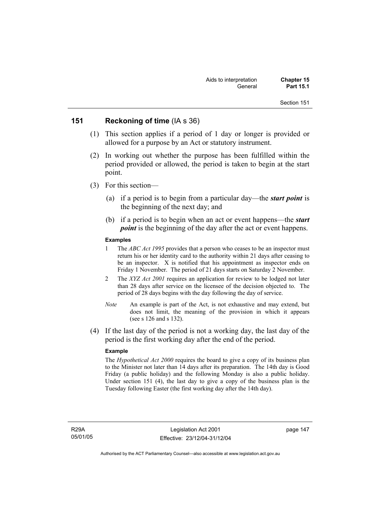### **151 Reckoning of time** (IA s 36)

- (1) This section applies if a period of 1 day or longer is provided or allowed for a purpose by an Act or statutory instrument.
- (2) In working out whether the purpose has been fulfilled within the period provided or allowed, the period is taken to begin at the start point.
- (3) For this section—
	- (a) if a period is to begin from a particular day—the *start point* is the beginning of the next day; and
	- (b) if a period is to begin when an act or event happens—the *start point* is the beginning of the day after the act or event happens.

#### **Examples**

- 1 The *ABC Act 1995* provides that a person who ceases to be an inspector must return his or her identity card to the authority within 21 days after ceasing to be an inspector. X is notified that his appointment as inspector ends on Friday 1 November. The period of 21 days starts on Saturday 2 November.
- 2 The *XYZ Act 2001* requires an application for review to be lodged not later than 28 days after service on the licensee of the decision objected to. The period of 28 days begins with the day following the day of service.
- *Note* An example is part of the Act, is not exhaustive and may extend, but does not limit, the meaning of the provision in which it appears (see s 126 and s 132).
- (4) If the last day of the period is not a working day, the last day of the period is the first working day after the end of the period.

#### **Example**

The *Hypothetical Act 2000* requires the board to give a copy of its business plan to the Minister not later than 14 days after its preparation. The 14th day is Good Friday (a public holiday) and the following Monday is also a public holiday. Under section 151 (4), the last day to give a copy of the business plan is the Tuesday following Easter (the first working day after the 14th day).

R29A 05/01/05 page 147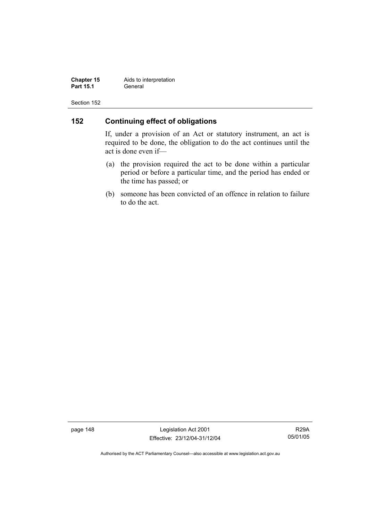**Chapter 15** Aids to interpretation<br>**Part 15.1** General **Part 15.1** 

Section 152

## **152 Continuing effect of obligations**

If, under a provision of an Act or statutory instrument, an act is required to be done, the obligation to do the act continues until the act is done even if—

- (a) the provision required the act to be done within a particular period or before a particular time, and the period has ended or the time has passed; or
- (b) someone has been convicted of an offence in relation to failure to do the act.

page 148 Legislation Act 2001 Effective: 23/12/04-31/12/04

R29A 05/01/05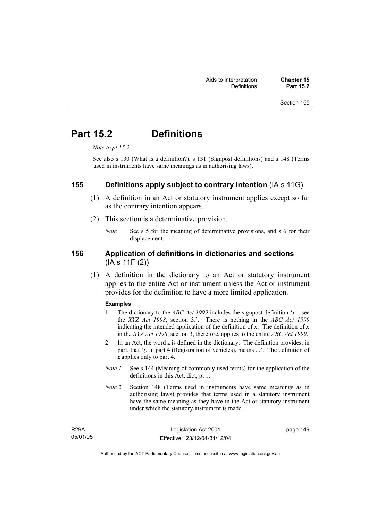# **Part 15.2 Definitions**

*Note to pt 15.2* 

See also s 130 (What is a definition?), s 131 (Signpost definitions) and s 148 (Terms used in instruments have same meanings as in authorising laws).

### **155 Definitions apply subject to contrary intention** (IA s 11G)

- (1) A definition in an Act or statutory instrument applies except so far as the contrary intention appears.
- (2) This section is a determinative provision.
	- *Note* See s 5 for the meaning of determinative provisions, and s 6 for their displacement.

### **156 Application of definitions in dictionaries and sections**  (IA s 11F (2))

 (1) A definition in the dictionary to an Act or statutory instrument applies to the entire Act or instrument unless the Act or instrument provides for the definition to have a more limited application.

#### **Examples**

- 1 The dictionary to the *ABC Act 1999* includes the signpost definition '*x*—see the *XYZ Act 1998*, section 3.'. There is nothing in the *ABC Act 1999* indicating the intended application of the definition of  $x$ . The definition of  $x$ in the *XYZ Act 1998*, section 3, therefore, applies to the entire *ABC Act 1999*.
- 2 In an Act, the word *z* is defined in the dictionary. The definition provides, in part, that '*z*, in part 4 (Registration of vehicles), means ...'. The definition of *z* applies only to part 4.
- *Note 1* See s 144 (Meaning of commonly-used terms) for the application of the definitions in this Act, dict, pt 1.
- *Note 2* Section 148 (Terms used in instruments have same meanings as in authorising laws) provides that terms used in a statutory instrument have the same meaning as they have in the Act or statutory instrument under which the statutory instrument is made.

| <b>R29A</b> | Legislation Act 2001         | page 149 |
|-------------|------------------------------|----------|
| 05/01/05    | Effective: 23/12/04-31/12/04 |          |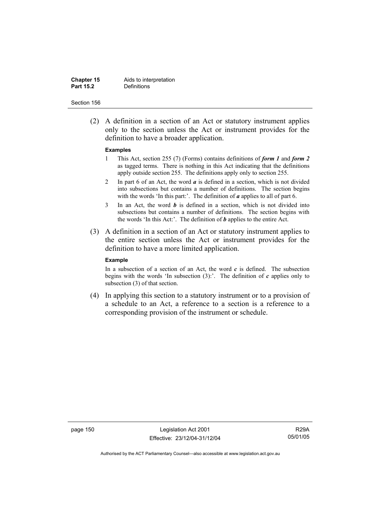#### **Chapter 15** Aids to interpretation<br>**Part 15.2** Definitions **Definitions**

#### Section 156

 (2) A definition in a section of an Act or statutory instrument applies only to the section unless the Act or instrument provides for the definition to have a broader application.

#### **Examples**

- 1 This Act, section 255 (7) (Forms) contains definitions of *form 1* and *form 2* as tagged terms. There is nothing in this Act indicating that the definitions apply outside section 255. The definitions apply only to section 255.
- 2 In part 6 of an Act, the word *a* is defined in a section, which is not divided into subsections but contains a number of definitions. The section begins with the words 'In this part:'. The definition of *a* applies to all of part 6.
- 3 In an Act, the word *b* is defined in a section, which is not divided into subsections but contains a number of definitions. The section begins with the words 'In this Act:'. The definition of *b* applies to the entire Act.
- (3) A definition in a section of an Act or statutory instrument applies to the entire section unless the Act or instrument provides for the definition to have a more limited application.

#### **Example**

In a subsection of a section of an Act, the word  $c$  is defined. The subsection begins with the words 'In subsection  $(3)$ :'. The definition of  $c$  applies only to subsection (3) of that section.

 (4) In applying this section to a statutory instrument or to a provision of a schedule to an Act, a reference to a section is a reference to a corresponding provision of the instrument or schedule.

page 150 Legislation Act 2001 Effective: 23/12/04-31/12/04

R29A 05/01/05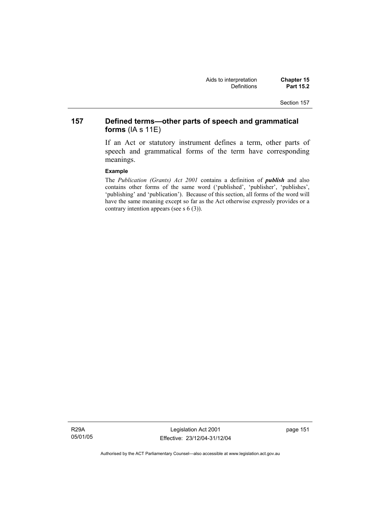## **157 Defined terms—other parts of speech and grammatical forms** (IA s 11E)

If an Act or statutory instrument defines a term, other parts of speech and grammatical forms of the term have corresponding meanings.

#### **Example**

The *Publication (Grants) Act 2001* contains a definition of *publish* and also contains other forms of the same word ('published', 'publisher', 'publishes', 'publishing' and 'publication'). Because of this section, all forms of the word will have the same meaning except so far as the Act otherwise expressly provides or a contrary intention appears (see s 6 (3)).

R29A 05/01/05

Legislation Act 2001 Effective: 23/12/04-31/12/04 page 151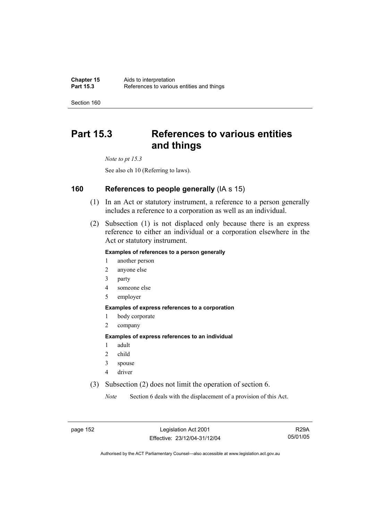# **Part 15.3 References to various entities and things**

*Note to pt 15.3* 

See also ch 10 (Referring to laws).

### **160 References to people generally** (IA s 15)

- (1) In an Act or statutory instrument, a reference to a person generally includes a reference to a corporation as well as an individual.
- (2) Subsection (1) is not displaced only because there is an express reference to either an individual or a corporation elsewhere in the Act or statutory instrument.

#### **Examples of references to a person generally**

- 1 another person
- 2 anyone else
- 3 party
- 4 someone else
- 5 employer

#### **Examples of express references to a corporation**

- 1 body corporate
- 2 company

#### **Examples of express references to an individual**

- 1 adult
- 2 child
- 3 spouse
- 4 driver
- (3) Subsection (2) does not limit the operation of section 6.

*Note* Section 6 deals with the displacement of a provision of this Act.

page 152 Legislation Act 2001 Effective: 23/12/04-31/12/04

R29A 05/01/05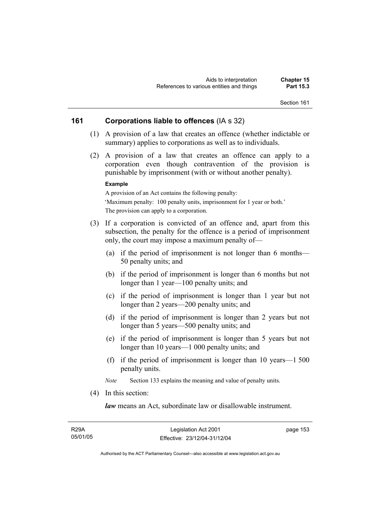### **161 Corporations liable to offences** (IA s 32)

- (1) A provision of a law that creates an offence (whether indictable or summary) applies to corporations as well as to individuals.
- (2) A provision of a law that creates an offence can apply to a corporation even though contravention of the provision is punishable by imprisonment (with or without another penalty).

#### **Example**

A provision of an Act contains the following penalty: 'Maximum penalty: 100 penalty units, imprisonment for 1 year or both.' The provision can apply to a corporation.

- (3) If a corporation is convicted of an offence and, apart from this subsection, the penalty for the offence is a period of imprisonment only, the court may impose a maximum penalty of—
	- (a) if the period of imprisonment is not longer than 6 months— 50 penalty units; and
	- (b) if the period of imprisonment is longer than 6 months but not longer than 1 year—100 penalty units; and
	- (c) if the period of imprisonment is longer than 1 year but not longer than 2 years—200 penalty units; and
	- (d) if the period of imprisonment is longer than 2 years but not longer than 5 years—500 penalty units; and
	- (e) if the period of imprisonment is longer than 5 years but not longer than 10 years—1 000 penalty units; and
	- (f) if the period of imprisonment is longer than 10 years—1 500 penalty units.

*Note* Section 133 explains the meaning and value of penalty units.

(4) In this section:

*law* means an Act, subordinate law or disallowable instrument.

| R29A     |  |
|----------|--|
| 05/01/05 |  |

page 153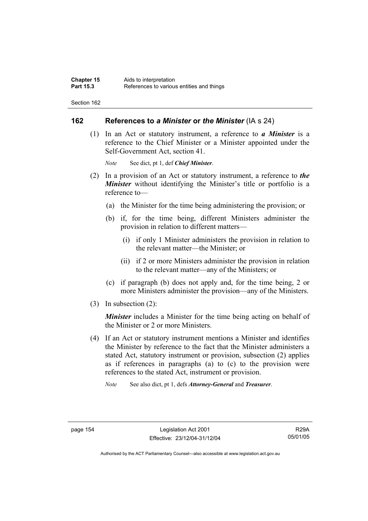### **162 References to** *a Minister* **or** *the Minister* (IA s 24)

 (1) In an Act or statutory instrument, a reference to *a Minister* is a reference to the Chief Minister or a Minister appointed under the Self-Government Act, section 41.

*Note* See dict, pt 1, def *Chief Minister*.

- (2) In a provision of an Act or statutory instrument, a reference to *the Minister* without identifying the Minister's title or portfolio is a reference to—
	- (a) the Minister for the time being administering the provision; or
	- (b) if, for the time being, different Ministers administer the provision in relation to different matters—
		- (i) if only 1 Minister administers the provision in relation to the relevant matter—the Minister; or
		- (ii) if 2 or more Ministers administer the provision in relation to the relevant matter—any of the Ministers; or
	- (c) if paragraph (b) does not apply and, for the time being, 2 or more Ministers administer the provision—any of the Ministers.
- (3) In subsection (2):

*Minister* includes a Minister for the time being acting on behalf of the Minister or 2 or more Ministers.

 (4) If an Act or statutory instrument mentions a Minister and identifies the Minister by reference to the fact that the Minister administers a stated Act, statutory instrument or provision, subsection (2) applies as if references in paragraphs (a) to (c) to the provision were references to the stated Act, instrument or provision.

*Note* See also dict, pt 1, defs *Attorney-General* and *Treasurer*.

R29A 05/01/05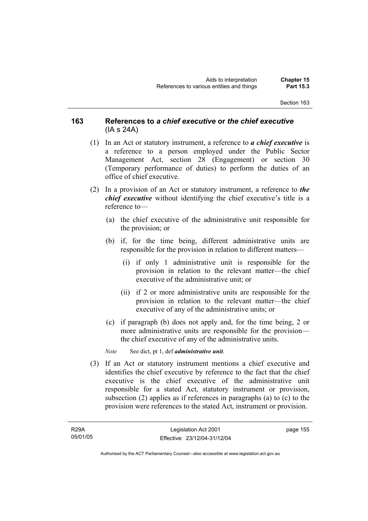### **163 References to** *a chief executive* **or** *the chief executive* (IA s 24A)

- (1) In an Act or statutory instrument, a reference to *a chief executive* is a reference to a person employed under the Public Sector Management Act, section 28 (Engagement) or section 30 (Temporary performance of duties) to perform the duties of an office of chief executive.
- (2) In a provision of an Act or statutory instrument, a reference to *the chief executive* without identifying the chief executive's title is a reference to—
	- (a) the chief executive of the administrative unit responsible for the provision; or
	- (b) if, for the time being, different administrative units are responsible for the provision in relation to different matters—
		- (i) if only 1 administrative unit is responsible for the provision in relation to the relevant matter—the chief executive of the administrative unit; or
		- (ii) if 2 or more administrative units are responsible for the provision in relation to the relevant matter—the chief executive of any of the administrative units; or
	- (c) if paragraph (b) does not apply and, for the time being, 2 or more administrative units are responsible for the provision the chief executive of any of the administrative units.

*Note* See dict, pt 1, def *administrative unit*.

 (3) If an Act or statutory instrument mentions a chief executive and identifies the chief executive by reference to the fact that the chief executive is the chief executive of the administrative unit responsible for a stated Act, statutory instrument or provision, subsection (2) applies as if references in paragraphs (a) to (c) to the provision were references to the stated Act, instrument or provision.

R29A 05/01/05 page 155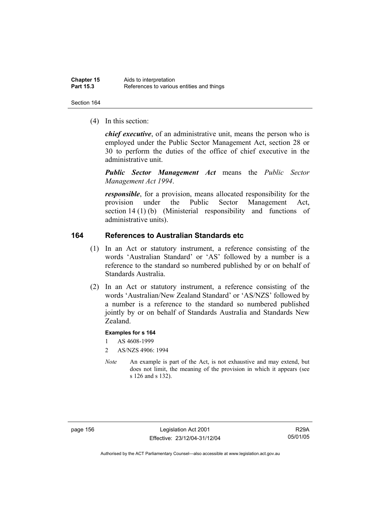(4) In this section:

*chief executive*, of an administrative unit, means the person who is employed under the Public Sector Management Act, section 28 or 30 to perform the duties of the office of chief executive in the administrative unit.

*Public Sector Management Act* means the *Public Sector Management Act 1994*.

*responsible*, for a provision, means allocated responsibility for the provision under the Public Sector Management Act, section 14 (1) (b) (Ministerial responsibility and functions of administrative units).

### **164 References to Australian Standards etc**

- (1) In an Act or statutory instrument, a reference consisting of the words 'Australian Standard' or 'AS' followed by a number is a reference to the standard so numbered published by or on behalf of Standards Australia.
- (2) In an Act or statutory instrument, a reference consisting of the words 'Australian/New Zealand Standard' or 'AS/NZS' followed by a number is a reference to the standard so numbered published jointly by or on behalf of Standards Australia and Standards New Zealand.

#### **Examples for s 164**

- 1 AS 4608-1999
- 2 AS/NZS 4906: 1994
- *Note* An example is part of the Act, is not exhaustive and may extend, but does not limit, the meaning of the provision in which it appears (see s 126 and s 132).

page 156 Legislation Act 2001 Effective: 23/12/04-31/12/04

R29A 05/01/05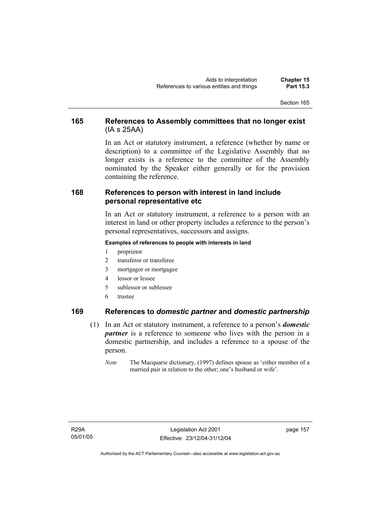### **165 References to Assembly committees that no longer exist**  (IA s 25AA)

In an Act or statutory instrument, a reference (whether by name or description) to a committee of the Legislative Assembly that no longer exists is a reference to the committee of the Assembly nominated by the Speaker either generally or for the provision containing the reference.

### **168 References to person with interest in land include personal representative etc**

In an Act or statutory instrument, a reference to a person with an interest in land or other property includes a reference to the person's personal representatives, successors and assigns.

#### **Examples of references to people with interests in land**

- 1 proprietor
- 2 transferor or transferee
- 3 mortgagor or mortgagee
- 4 lessor or lessee
- 5 sublessor or sublessee
- 6 trustee

### **169 References to** *domestic partner* **and** *domestic partnership*

- (1) In an Act or statutory instrument, a reference to a person's *domestic partner* is a reference to someone who lives with the person in a domestic partnership, and includes a reference to a spouse of the person.
	- *Note* The Macquarie dictionary, (1997) defines spouse as 'either member of a married pair in relation to the other; one's husband or wife'.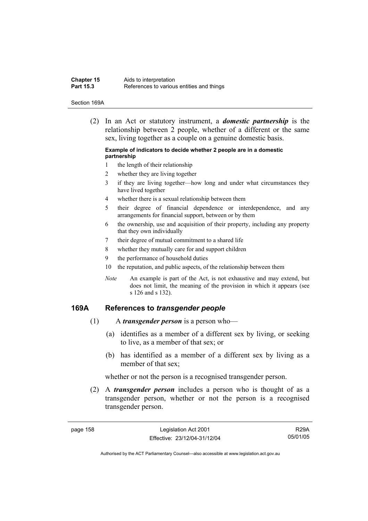| <b>Chapter 15</b> | Aids to interpretation                    |
|-------------------|-------------------------------------------|
| <b>Part 15.3</b>  | References to various entities and things |

#### Section 169A

 (2) In an Act or statutory instrument, a *domestic partnership* is the relationship between 2 people, whether of a different or the same sex, living together as a couple on a genuine domestic basis.

#### **Example of indicators to decide whether 2 people are in a domestic partnership**

- 1 the length of their relationship
- 2 whether they are living together
- 3 if they are living together—how long and under what circumstances they have lived together
- 4 whether there is a sexual relationship between them
- 5 their degree of financial dependence or interdependence, and any arrangements for financial support, between or by them
- 6 the ownership, use and acquisition of their property, including any property that they own individually
- 7 their degree of mutual commitment to a shared life
- 8 whether they mutually care for and support children
- 9 the performance of household duties
- 10 the reputation, and public aspects, of the relationship between them
- *Note* An example is part of the Act, is not exhaustive and may extend, but does not limit, the meaning of the provision in which it appears (see s 126 and s 132).

#### **169A References to** *transgender people*

- (1) A *transgender person* is a person who—
	- (a) identifies as a member of a different sex by living, or seeking to live, as a member of that sex; or
	- (b) has identified as a member of a different sex by living as a member of that sex;

whether or not the person is a recognised transgender person.

 (2) A *transgender person* includes a person who is thought of as a transgender person, whether or not the person is a recognised transgender person.

R29A 05/01/05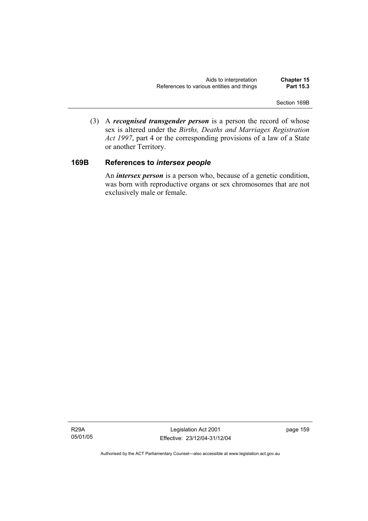Section 169B

 (3) A *recognised transgender person* is a person the record of whose sex is altered under the *Births, Deaths and Marriages Registration Act 1997*, part 4 or the corresponding provisions of a law of a State or another Territory.

### **169B References to** *intersex people*

 An *intersex person* is a person who, because of a genetic condition, was born with reproductive organs or sex chromosomes that are not exclusively male or female.

R29A 05/01/05

Legislation Act 2001 Effective: 23/12/04-31/12/04 page 159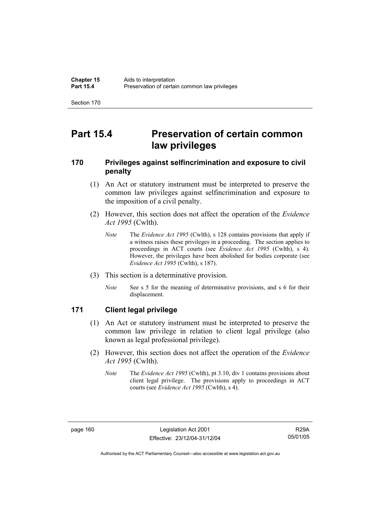# **Part 15.4 Preservation of certain common law privileges**

### **170 Privileges against selfincrimination and exposure to civil penalty**

- (1) An Act or statutory instrument must be interpreted to preserve the common law privileges against selfincrimination and exposure to the imposition of a civil penalty.
- (2) However, this section does not affect the operation of the *Evidence Act 1995* (Cwlth).
	- *Note* The *Evidence Act 1995* (Cwlth), s 128 contains provisions that apply if a witness raises these privileges in a proceeding. The section applies to proceedings in ACT courts (see *Evidence Act 1995* (Cwlth), s 4). However, the privileges have been abolished for bodies corporate (see *Evidence Act 1995* (Cwlth), s 187).
- (3) This section is a determinative provision.
	- *Note* See s 5 for the meaning of determinative provisions, and s 6 for their displacement.

### **171 Client legal privilege**

- (1) An Act or statutory instrument must be interpreted to preserve the common law privilege in relation to client legal privilege (also known as legal professional privilege).
- (2) However, this section does not affect the operation of the *Evidence Act 1995* (Cwlth).
	- *Note* The *Evidence Act 1995* (Cwlth), pt 3.10, div 1 contains provisions about client legal privilege. The provisions apply to proceedings in ACT courts (see *Evidence Act 1995* (Cwlth), s 4).

R29A 05/01/05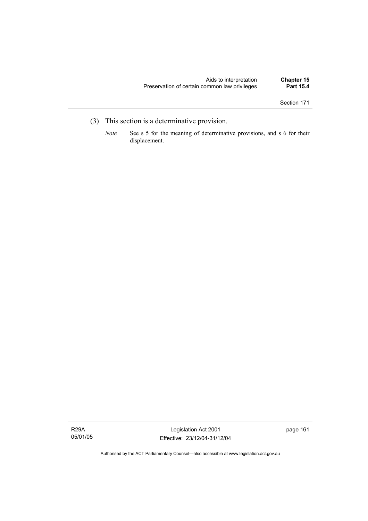- (3) This section is a determinative provision.
	- *Note* See s 5 for the meaning of determinative provisions, and s 6 for their displacement.

R29A 05/01/05

Legislation Act 2001 Effective: 23/12/04-31/12/04 page 161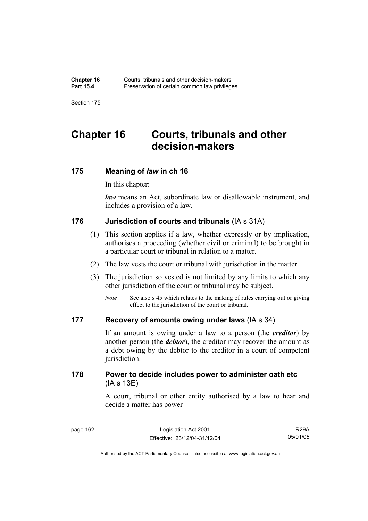# **Chapter 16 Courts, tribunals and other decision-makers**

### **175 Meaning of** *law* **in ch 16**

In this chapter:

*law* means an Act, subordinate law or disallowable instrument, and includes a provision of a law.

### **176 Jurisdiction of courts and tribunals** (IA s 31A)

- (1) This section applies if a law, whether expressly or by implication, authorises a proceeding (whether civil or criminal) to be brought in a particular court or tribunal in relation to a matter.
- (2) The law vests the court or tribunal with jurisdiction in the matter.
- (3) The jurisdiction so vested is not limited by any limits to which any other jurisdiction of the court or tribunal may be subject.
	- *Note* See also s 45 which relates to the making of rules carrying out or giving effect to the jurisdiction of the court or tribunal.

### **177 Recovery of amounts owing under laws** (IA s 34)

If an amount is owing under a law to a person (the *creditor*) by another person (the *debtor*), the creditor may recover the amount as a debt owing by the debtor to the creditor in a court of competent jurisdiction.

### **178 Power to decide includes power to administer oath etc**  (IA s 13E)

A court, tribunal or other entity authorised by a law to hear and decide a matter has power—

R29A 05/01/05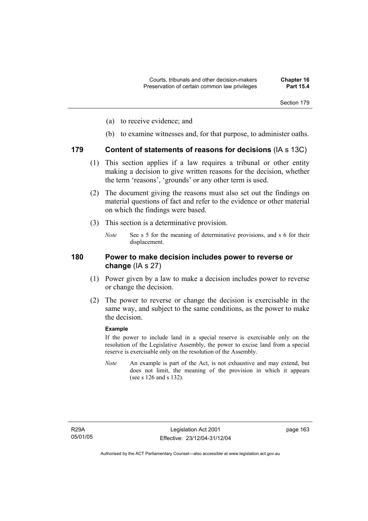- (a) to receive evidence; and
- (b) to examine witnesses and, for that purpose, to administer oaths.

### **179 Content of statements of reasons for decisions** (IA s 13C)

- (1) This section applies if a law requires a tribunal or other entity making a decision to give written reasons for the decision, whether the term 'reasons', 'grounds' or any other term is used.
- (2) The document giving the reasons must also set out the findings on material questions of fact and refer to the evidence or other material on which the findings were based.
- (3) This section is a determinative provision.
	- *Note* See s 5 for the meaning of determinative provisions, and s 6 for their displacement.

### **180 Power to make decision includes power to reverse or change** (IA s 27)

- (1) Power given by a law to make a decision includes power to reverse or change the decision.
- (2) The power to reverse or change the decision is exercisable in the same way, and subject to the same conditions, as the power to make the decision.

#### **Example**

If the power to include land in a special reserve is exercisable only on the resolution of the Legislative Assembly, the power to excise land from a special reserve is exercisable only on the resolution of the Assembly.

*Note* An example is part of the Act, is not exhaustive and may extend, but does not limit, the meaning of the provision in which it appears (see s 126 and s 132).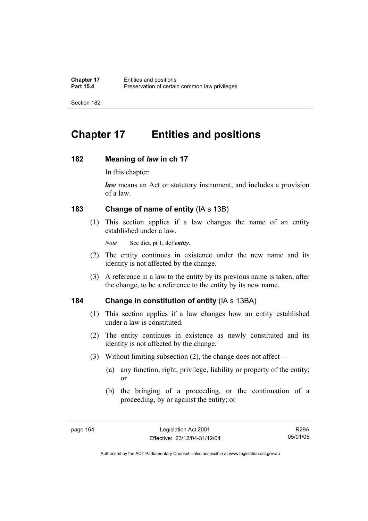# **Chapter 17 Entities and positions**

### **182 Meaning of** *law* **in ch 17**

In this chapter:

*law* means an Act or statutory instrument, and includes a provision of a law.

### **183 Change of name of entity** (IA s 13B)

 (1) This section applies if a law changes the name of an entity established under a law.

*Note* See dict, pt 1, def *entity*.

- (2) The entity continues in existence under the new name and its identity is not affected by the change.
- (3) A reference in a law to the entity by its previous name is taken, after the change, to be a reference to the entity by its new name.

### **184 Change in constitution of entity** (IA s 13BA)

- (1) This section applies if a law changes how an entity established under a law is constituted.
- (2) The entity continues in existence as newly constituted and its identity is not affected by the change.
- (3) Without limiting subsection (2), the change does not affect—
	- (a) any function, right, privilege, liability or property of the entity; or
	- (b) the bringing of a proceeding, or the continuation of a proceeding, by or against the entity; or

R29A 05/01/05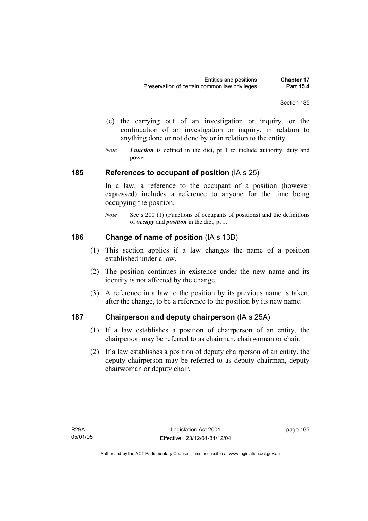- Section 185
- (c) the carrying out of an investigation or inquiry, or the continuation of an investigation or inquiry, in relation to anything done or not done by or in relation to the entity.
- *Note Function* is defined in the dict, pt 1 to include authority, duty and power.

#### **185 References to occupant of position** (IA s 25)

In a law, a reference to the occupant of a position (however expressed) includes a reference to anyone for the time being occupying the position.

*Note* See s 200 (1) (Functions of occupants of positions) and the definitions of *occupy* and *position* in the dict, pt 1.

### **186 Change of name of position** (IA s 13B)

- (1) This section applies if a law changes the name of a position established under a law.
- (2) The position continues in existence under the new name and its identity is not affected by the change.
- (3) A reference in a law to the position by its previous name is taken, after the change, to be a reference to the position by its new name.

### **187 Chairperson and deputy chairperson** (IA s 25A)

- (1) If a law establishes a position of chairperson of an entity, the chairperson may be referred to as chairman, chairwoman or chair.
- (2) If a law establishes a position of deputy chairperson of an entity, the deputy chairperson may be referred to as deputy chairman, deputy chairwoman or deputy chair.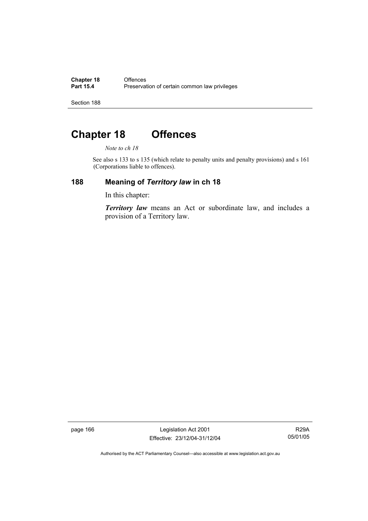**Chapter 18 Offences**<br>**Part 15.4 Preservat** Preservation of certain common law privileges

Section 188

# **Chapter 18 Offences**

*Note to ch 18* 

See also s 133 to s 135 (which relate to penalty units and penalty provisions) and s 161 (Corporations liable to offences).

### **188 Meaning of** *Territory law* **in ch 18**

In this chapter:

*Territory law* means an Act or subordinate law, and includes a provision of a Territory law.

page 166 Legislation Act 2001 Effective: 23/12/04-31/12/04

R29A 05/01/05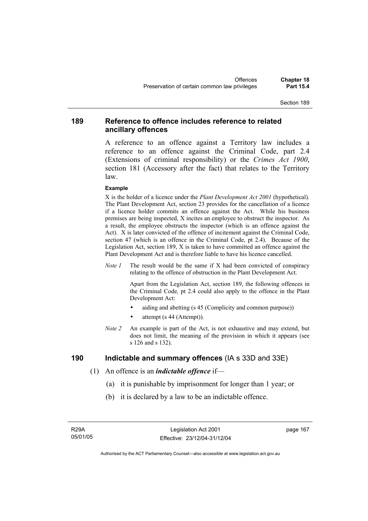#### **189 Reference to offence includes reference to related ancillary offences**

A reference to an offence against a Territory law includes a reference to an offence against the Criminal Code, part 2.4 (Extensions of criminal responsibility) or the *Crimes Act 1900*, section 181 (Accessory after the fact) that relates to the Territory law.

#### **Example**

X is the holder of a licence under the *Plant Development Act 2001* (hypothetical). The Plant Development Act, section 23 provides for the cancellation of a licence if a licence holder commits an offence against the Act. While his business premises are being inspected, X incites an employee to obstruct the inspector. As a result, the employee obstructs the inspector (which is an offence against the Act). X is later convicted of the offence of incitement against the Criminal Code, section 47 (which is an offence in the Criminal Code, pt 2.4). Because of the Legislation Act, section 189, X is taken to have committed an offence against the Plant Development Act and is therefore liable to have his licence cancelled.

*Note 1* The result would be the same if X had been convicted of conspiracy relating to the offence of obstruction in the Plant Development Act.

> Apart from the Legislation Act, section 189, the following offences in the Criminal Code*,* pt 2.4 could also apply to the offence in the Plant Development Act:

- aiding and abetting (s 45 (Complicity and common purpose))
- attempt (s 44 (Attempt)).
- *Note 2* An example is part of the Act, is not exhaustive and may extend, but does not limit, the meaning of the provision in which it appears (see s 126 and s 132).

#### **190 Indictable and summary offences** (IA s 33D and 33E)

- (1) An offence is an *indictable offence* if—
	- (a) it is punishable by imprisonment for longer than 1 year; or
	- (b) it is declared by a law to be an indictable offence.

R29A 05/01/05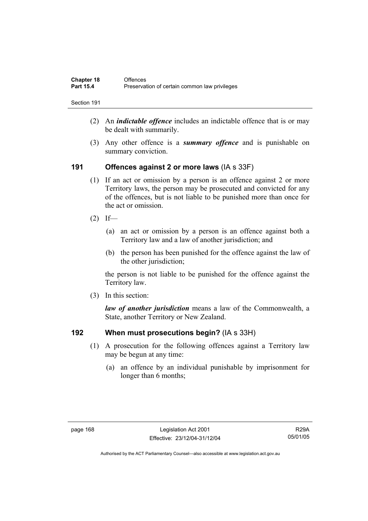| <b>Chapter 18</b> | <b>Offences</b>                               |
|-------------------|-----------------------------------------------|
| <b>Part 15.4</b>  | Preservation of certain common law privileges |

- (2) An *indictable offence* includes an indictable offence that is or may be dealt with summarily.
- (3) Any other offence is a *summary offence* and is punishable on summary conviction.

#### **191 Offences against 2 or more laws** (IA s 33F)

- (1) If an act or omission by a person is an offence against 2 or more Territory laws, the person may be prosecuted and convicted for any of the offences, but is not liable to be punished more than once for the act or omission.
- $(2)$  If—
	- (a) an act or omission by a person is an offence against both a Territory law and a law of another jurisdiction; and
	- (b) the person has been punished for the offence against the law of the other jurisdiction:

the person is not liable to be punished for the offence against the Territory law.

(3) In this section:

*law of another jurisdiction* means a law of the Commonwealth, a State, another Territory or New Zealand.

#### **192 When must prosecutions begin?** (IA s 33H)

- (1) A prosecution for the following offences against a Territory law may be begun at any time:
	- (a) an offence by an individual punishable by imprisonment for longer than 6 months;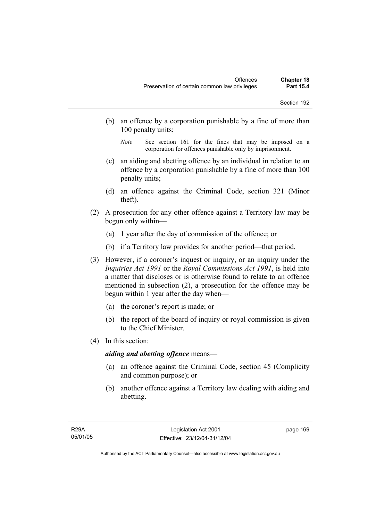- (b) an offence by a corporation punishable by a fine of more than 100 penalty units;
	- *Note* See section 161 for the fines that may be imposed on a corporation for offences punishable only by imprisonment.
- (c) an aiding and abetting offence by an individual in relation to an offence by a corporation punishable by a fine of more than 100 penalty units;
- (d) an offence against the Criminal Code, section 321 (Minor theft).
- (2) A prosecution for any other offence against a Territory law may be begun only within—
	- (a) 1 year after the day of commission of the offence; or
	- (b) if a Territory law provides for another period—that period.
- (3) However, if a coroner's inquest or inquiry, or an inquiry under the *Inquiries Act 1991* or the *Royal Commissions Act 1991*, is held into a matter that discloses or is otherwise found to relate to an offence mentioned in subsection (2), a prosecution for the offence may be begun within 1 year after the day when—
	- (a) the coroner's report is made; or
	- (b) the report of the board of inquiry or royal commission is given to the Chief Minister.
- (4) In this section:

#### *aiding and abetting offence* means—

- (a) an offence against the Criminal Code, section 45 (Complicity and common purpose); or
- (b) another offence against a Territory law dealing with aiding and abetting.

page 169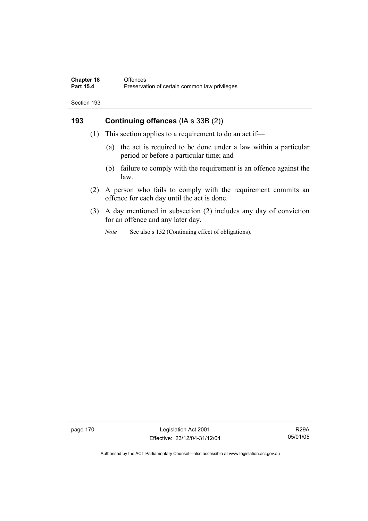### **193 Continuing offences** (IA s 33B (2))

- (1) This section applies to a requirement to do an act if—
	- (a) the act is required to be done under a law within a particular period or before a particular time; and
	- (b) failure to comply with the requirement is an offence against the law.
- (2) A person who fails to comply with the requirement commits an offence for each day until the act is done.
- (3) A day mentioned in subsection (2) includes any day of conviction for an offence and any later day.
	- *Note* See also s 152 (Continuing effect of obligations).

page 170 Legislation Act 2001 Effective: 23/12/04-31/12/04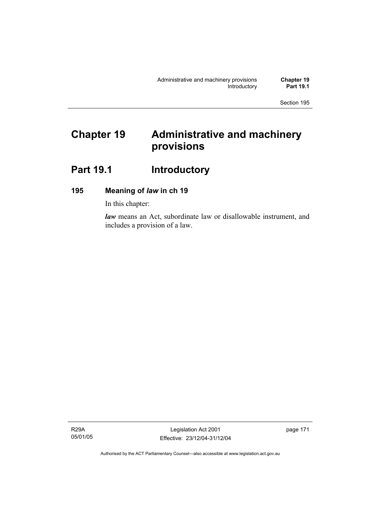# **Chapter 19 Administrative and machinery provisions**

# Part 19.1 **Introductory**

### **195 Meaning of** *law* **in ch 19**

In this chapter:

*law* means an Act, subordinate law or disallowable instrument, and includes a provision of a law.

R29A 05/01/05

Legislation Act 2001 Effective: 23/12/04-31/12/04 page 171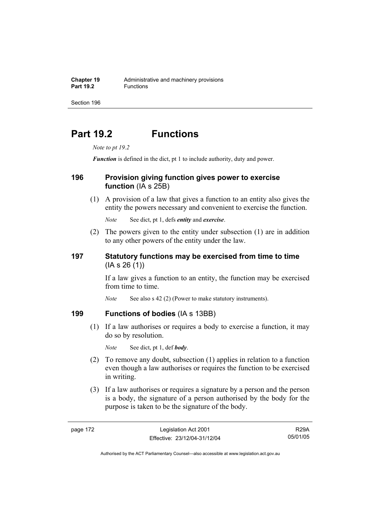# **Part 19.2 Functions**

*Note to pt 19.2* 

*Function* is defined in the dict, pt 1 to include authority, duty and power.

#### **196 Provision giving function gives power to exercise function** (IA s 25B)

 (1) A provision of a law that gives a function to an entity also gives the entity the powers necessary and convenient to exercise the function.

*Note* See dict, pt 1, defs *entity* and *exercise*.

 (2) The powers given to the entity under subsection (1) are in addition to any other powers of the entity under the law.

### **197 Statutory functions may be exercised from time to time**  (IA s 26 (1))

If a law gives a function to an entity, the function may be exercised from time to time.

*Note* See also s 42 (2) (Power to make statutory instruments).

### **199 Functions of bodies** (IA s 13BB)

 (1) If a law authorises or requires a body to exercise a function, it may do so by resolution.

*Note* See dict, pt 1, def *body*.

- (2) To remove any doubt, subsection (1) applies in relation to a function even though a law authorises or requires the function to be exercised in writing.
- (3) If a law authorises or requires a signature by a person and the person is a body, the signature of a person authorised by the body for the purpose is taken to be the signature of the body.

R29A 05/01/05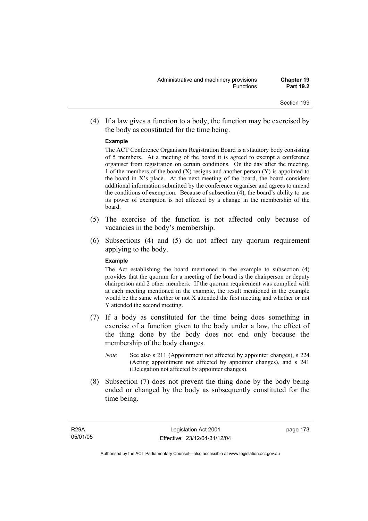(4) If a law gives a function to a body, the function may be exercised by the body as constituted for the time being.

#### **Example**

The ACT Conference Organisers Registration Board is a statutory body consisting of 5 members. At a meeting of the board it is agreed to exempt a conference organiser from registration on certain conditions. On the day after the meeting, 1 of the members of the board  $(X)$  resigns and another person  $(Y)$  is appointed to the board in  $X$ 's place. At the next meeting of the board, the board considers additional information submitted by the conference organiser and agrees to amend the conditions of exemption. Because of subsection (4), the board's ability to use its power of exemption is not affected by a change in the membership of the board.

- (5) The exercise of the function is not affected only because of vacancies in the body's membership.
- (6) Subsections (4) and (5) do not affect any quorum requirement applying to the body.

#### **Example**

The Act establishing the board mentioned in the example to subsection (4) provides that the quorum for a meeting of the board is the chairperson or deputy chairperson and 2 other members. If the quorum requirement was complied with at each meeting mentioned in the example, the result mentioned in the example would be the same whether or not X attended the first meeting and whether or not Y attended the second meeting.

- (7) If a body as constituted for the time being does something in exercise of a function given to the body under a law, the effect of the thing done by the body does not end only because the membership of the body changes.
	- *Note* See also s 211 (Appointment not affected by appointer changes), s 224 (Acting appointment not affected by appointer changes), and s 241 (Delegation not affected by appointer changes).
- (8) Subsection (7) does not prevent the thing done by the body being ended or changed by the body as subsequently constituted for the time being.

page 173

Authorised by the ACT Parliamentary Counsel—also accessible at www.legislation.act.gov.au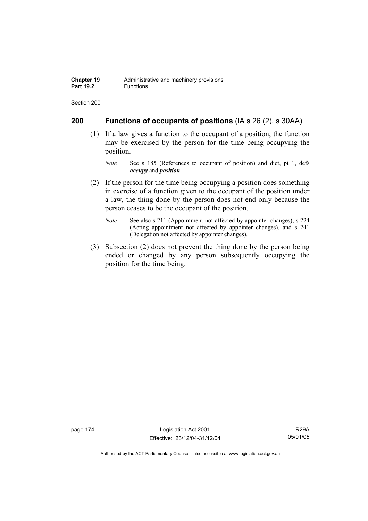#### **200 Functions of occupants of positions** (IA s 26 (2), s 30AA)

- (1) If a law gives a function to the occupant of a position, the function may be exercised by the person for the time being occupying the position.
	- *Note* See s 185 (References to occupant of position) and dict, pt 1, defs *occupy* and *position*.
- (2) If the person for the time being occupying a position does something in exercise of a function given to the occupant of the position under a law, the thing done by the person does not end only because the person ceases to be the occupant of the position.
	- *Note* See also s 211 (Appointment not affected by appointer changes), s 224 (Acting appointment not affected by appointer changes), and s 241 (Delegation not affected by appointer changes).
- (3) Subsection (2) does not prevent the thing done by the person being ended or changed by any person subsequently occupying the position for the time being.

page 174 Legislation Act 2001 Effective: 23/12/04-31/12/04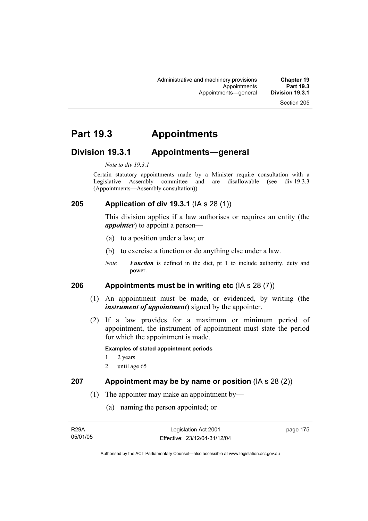# **Part 19.3 Appointments**

### **Division 19.3.1 Appointments—general**

#### *Note to div 19.3.1*

Certain statutory appointments made by a Minister require consultation with a Legislative Assembly committee and are disallowable (see div 19.3.3) (Appointments—Assembly consultation)).

### **205 Application of div 19.3.1** (IA s 28 (1))

This division applies if a law authorises or requires an entity (the *appointer*) to appoint a person—

- (a) to a position under a law; or
- (b) to exercise a function or do anything else under a law.
- *Note Function* is defined in the dict, pt 1 to include authority, duty and power.

### **206 Appointments must be in writing etc** (IA s 28 (7))

- (1) An appointment must be made, or evidenced, by writing (the *instrument of appointment*) signed by the appointer.
- (2) If a law provides for a maximum or minimum period of appointment, the instrument of appointment must state the period for which the appointment is made.

#### **Examples of stated appointment periods**

- 1 2 years
- 2 until age 65

#### **207 Appointment may be by name or position** (IA s 28 (2))

- (1) The appointer may make an appointment by—
	- (a) naming the person appointed; or

| <b>R29A</b> | Legislation Act 2001         | page 175 |
|-------------|------------------------------|----------|
| 05/01/05    | Effective: 23/12/04-31/12/04 |          |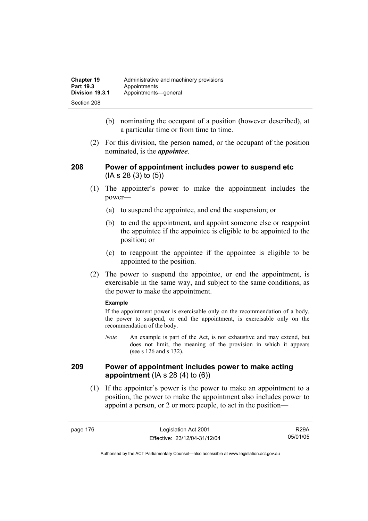| <b>Chapter 19</b> | Administrative and machinery provisions |
|-------------------|-----------------------------------------|
| Part 19.3         | Appointments                            |
| Division 19.3.1   | Appointments-qeneral                    |
| Section 208       |                                         |

- (b) nominating the occupant of a position (however described), at a particular time or from time to time.
- (2) For this division, the person named, or the occupant of the position nominated, is the *appointee*.

#### **208 Power of appointment includes power to suspend etc**  (IA s 28 (3) to (5))

- (1) The appointer's power to make the appointment includes the power—
	- (a) to suspend the appointee, and end the suspension; or
	- (b) to end the appointment, and appoint someone else or reappoint the appointee if the appointee is eligible to be appointed to the position; or
	- (c) to reappoint the appointee if the appointee is eligible to be appointed to the position.
- (2) The power to suspend the appointee, or end the appointment, is exercisable in the same way, and subject to the same conditions, as the power to make the appointment.

#### **Example**

If the appointment power is exercisable only on the recommendation of a body, the power to suspend, or end the appointment, is exercisable only on the recommendation of the body.

*Note* An example is part of the Act, is not exhaustive and may extend, but does not limit, the meaning of the provision in which it appears (see s 126 and s 132).

#### **209 Power of appointment includes power to make acting appointment** (IA s 28 (4) to (6))

 (1) If the appointer's power is the power to make an appointment to a position, the power to make the appointment also includes power to appoint a person, or 2 or more people, to act in the position—

R29A 05/01/05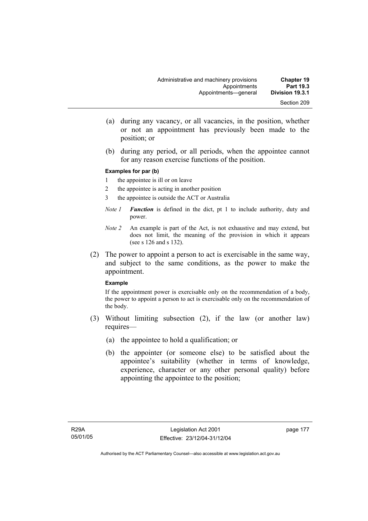- (a) during any vacancy, or all vacancies, in the position, whether or not an appointment has previously been made to the position; or
- (b) during any period, or all periods, when the appointee cannot for any reason exercise functions of the position.

#### **Examples for par (b)**

- 1 the appointee is ill or on leave
- 2 the appointee is acting in another position
- 3 the appointee is outside the ACT or Australia
- *Note 1 Function* is defined in the dict, pt 1 to include authority, duty and power.
- *Note 2* An example is part of the Act, is not exhaustive and may extend, but does not limit, the meaning of the provision in which it appears (see s 126 and s 132).
- (2) The power to appoint a person to act is exercisable in the same way, and subject to the same conditions, as the power to make the appointment.

#### **Example**

If the appointment power is exercisable only on the recommendation of a body, the power to appoint a person to act is exercisable only on the recommendation of the body.

- (3) Without limiting subsection (2), if the law (or another law) requires—
	- (a) the appointee to hold a qualification; or
	- (b) the appointer (or someone else) to be satisfied about the appointee's suitability (whether in terms of knowledge, experience, character or any other personal quality) before appointing the appointee to the position;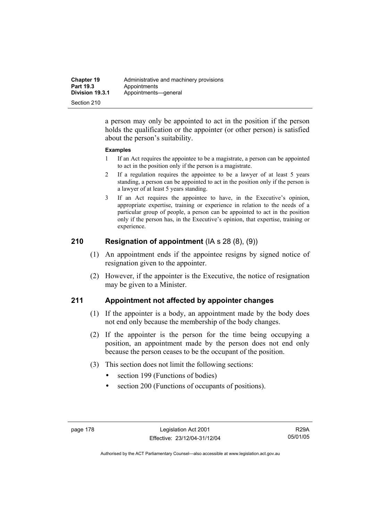| <b>Chapter 19</b> | Administrative and machinery provisions |
|-------------------|-----------------------------------------|
| <b>Part 19.3</b>  | Appointments                            |
| Division 19.3.1   | Appointments-qeneral                    |
| Section 210       |                                         |

a person may only be appointed to act in the position if the person holds the qualification or the appointer (or other person) is satisfied about the person's suitability.

#### **Examples**

- 1 If an Act requires the appointee to be a magistrate, a person can be appointed to act in the position only if the person is a magistrate.
- 2 If a regulation requires the appointee to be a lawyer of at least 5 years standing, a person can be appointed to act in the position only if the person is a lawyer of at least 5 years standing.
- 3 If an Act requires the appointee to have, in the Executive's opinion, appropriate expertise, training or experience in relation to the needs of a particular group of people, a person can be appointed to act in the position only if the person has, in the Executive's opinion, that expertise, training or experience.

### **210 Resignation of appointment** (IA s 28 (8), (9))

- (1) An appointment ends if the appointee resigns by signed notice of resignation given to the appointer.
- (2) However, if the appointer is the Executive, the notice of resignation may be given to a Minister.

### **211 Appointment not affected by appointer changes**

- (1) If the appointer is a body, an appointment made by the body does not end only because the membership of the body changes.
- (2) If the appointer is the person for the time being occupying a position, an appointment made by the person does not end only because the person ceases to be the occupant of the position.
- (3) This section does not limit the following sections:
	- section 199 (Functions of bodies)
	- section 200 (Functions of occupants of positions).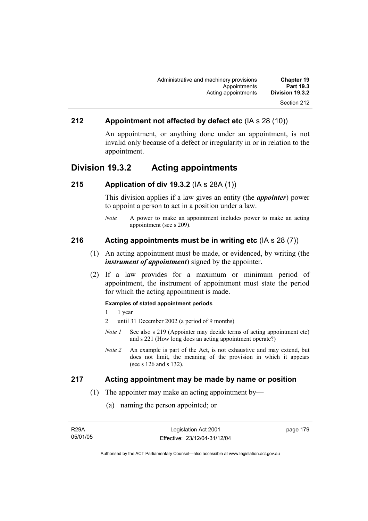### **212 Appointment not affected by defect etc** (IA s 28 (10))

An appointment, or anything done under an appointment, is not invalid only because of a defect or irregularity in or in relation to the appointment.

### **Division 19.3.2 Acting appointments**

#### **215 Application of div 19.3.2** (IA s 28A (1))

This division applies if a law gives an entity (the *appointer*) power to appoint a person to act in a position under a law.

*Note* A power to make an appointment includes power to make an acting appointment (see s 209).

#### **216 Acting appointments must be in writing etc** (IA s 28 (7))

- (1) An acting appointment must be made, or evidenced, by writing (the *instrument of appointment*) signed by the appointer.
- (2) If a law provides for a maximum or minimum period of appointment, the instrument of appointment must state the period for which the acting appointment is made.

#### **Examples of stated appointment periods**

- 1 1 year
- 2 until 31 December 2002 (a period of 9 months)
- *Note 1* See also s 219 (Appointer may decide terms of acting appointment etc) and s 221 (How long does an acting appointment operate?)
- *Note 2* An example is part of the Act, is not exhaustive and may extend, but does not limit, the meaning of the provision in which it appears (see s 126 and s 132).

#### **217 Acting appointment may be made by name or position**

- (1) The appointer may make an acting appointment by—
	- (a) naming the person appointed; or

| R29A     |  |
|----------|--|
| 05/01/05 |  |

page 179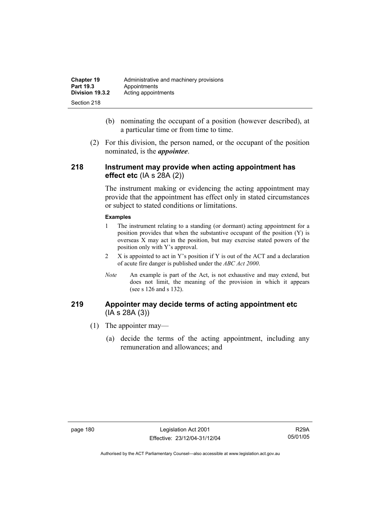| <b>Chapter 19</b> | Administrative and machinery provisions |
|-------------------|-----------------------------------------|
| Part 19.3         | Appointments                            |
| Division 19.3.2   | Acting appointments                     |
| Section 218       |                                         |

- (b) nominating the occupant of a position (however described), at a particular time or from time to time.
- (2) For this division, the person named, or the occupant of the position nominated, is the *appointee*.

#### **218 Instrument may provide when acting appointment has effect etc** (IA s 28A (2))

The instrument making or evidencing the acting appointment may provide that the appointment has effect only in stated circumstances or subject to stated conditions or limitations.

#### **Examples**

- 1 The instrument relating to a standing (or dormant) acting appointment for a position provides that when the substantive occupant of the position (Y) is overseas X may act in the position, but may exercise stated powers of the position only with Y's approval.
- 2 X is appointed to act in Y's position if Y is out of the ACT and a declaration of acute fire danger is published under the *ABC Act 2000*.
- *Note* An example is part of the Act, is not exhaustive and may extend, but does not limit, the meaning of the provision in which it appears (see s 126 and s 132).

#### **219 Appointer may decide terms of acting appointment etc**  (IA s 28A (3))

- (1) The appointer may—
	- (a) decide the terms of the acting appointment, including any remuneration and allowances; and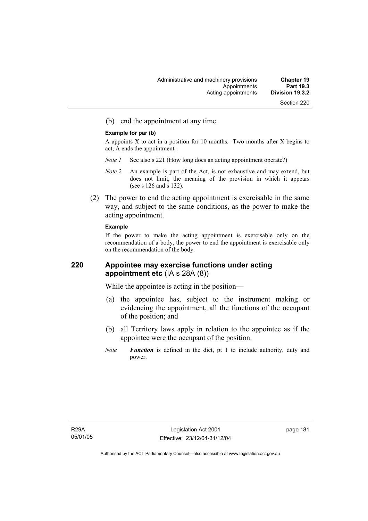(b) end the appointment at any time.

#### **Example for par (b)**

A appoints X to act in a position for 10 months. Two months after X begins to act, A ends the appointment.

- *Note 1* See also s 221 (How long does an acting appointment operate?)
- *Note 2* An example is part of the Act, is not exhaustive and may extend, but does not limit, the meaning of the provision in which it appears (see s 126 and s 132).
- (2) The power to end the acting appointment is exercisable in the same way, and subject to the same conditions, as the power to make the acting appointment.

#### **Example**

If the power to make the acting appointment is exercisable only on the recommendation of a body, the power to end the appointment is exercisable only on the recommendation of the body.

#### **220 Appointee may exercise functions under acting appointment etc** (IA s 28A (8))

While the appointee is acting in the position—

- (a) the appointee has, subject to the instrument making or evidencing the appointment, all the functions of the occupant of the position; and
- (b) all Territory laws apply in relation to the appointee as if the appointee were the occupant of the position.
- *Note Function* is defined in the dict, pt 1 to include authority, duty and power.

page 181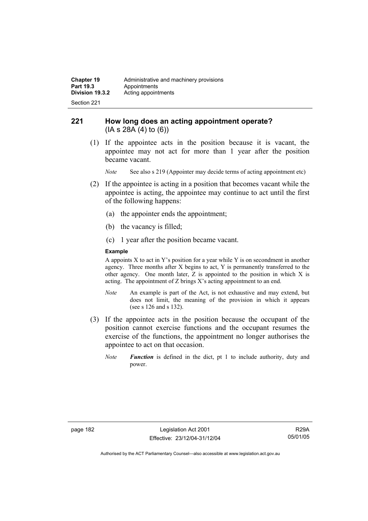#### **221 How long does an acting appointment operate?**  (IA s 28A (4) to (6))

 (1) If the appointee acts in the position because it is vacant, the appointee may not act for more than 1 year after the position became vacant.

*Note* See also s 219 (Appointer may decide terms of acting appointment etc)

- (2) If the appointee is acting in a position that becomes vacant while the appointee is acting, the appointee may continue to act until the first of the following happens:
	- (a) the appointer ends the appointment;
	- (b) the vacancy is filled;
	- (c) 1 year after the position became vacant.

#### **Example**

A appoints  $X$  to act in Y's position for a year while Y is on secondment in another agency. Three months after X begins to act, Y is permanently transferred to the other agency. One month later, Z is appointed to the position in which X is acting. The appointment of Z brings X's acting appointment to an end.

- *Note* An example is part of the Act, is not exhaustive and may extend, but does not limit, the meaning of the provision in which it appears (see s 126 and s 132).
- (3) If the appointee acts in the position because the occupant of the position cannot exercise functions and the occupant resumes the exercise of the functions, the appointment no longer authorises the appointee to act on that occasion.
	- *Note Function* is defined in the dict, pt 1 to include authority, duty and power.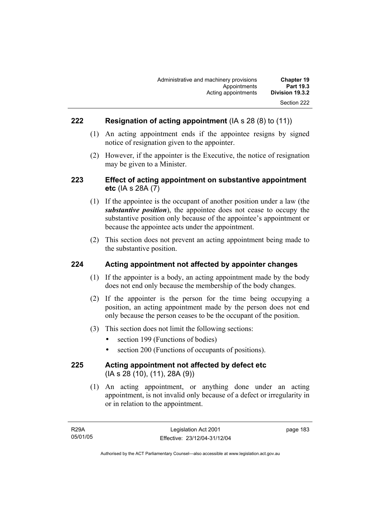### **222 Resignation of acting appointment** (IA s 28 (8) to (11))

- (1) An acting appointment ends if the appointee resigns by signed notice of resignation given to the appointer.
- (2) However, if the appointer is the Executive, the notice of resignation may be given to a Minister.

### **223 Effect of acting appointment on substantive appointment etc** (IA s 28A (7)

- (1) If the appointee is the occupant of another position under a law (the *substantive position*), the appointee does not cease to occupy the substantive position only because of the appointee's appointment or because the appointee acts under the appointment.
- (2) This section does not prevent an acting appointment being made to the substantive position.

#### **224 Acting appointment not affected by appointer changes**

- (1) If the appointer is a body, an acting appointment made by the body does not end only because the membership of the body changes.
- (2) If the appointer is the person for the time being occupying a position, an acting appointment made by the person does not end only because the person ceases to be the occupant of the position.
- (3) This section does not limit the following sections:
	- section 199 (Functions of bodies)
	- section 200 (Functions of occupants of positions).

#### **225 Acting appointment not affected by defect etc**  (IA s 28 (10), (11), 28A (9))

 (1) An acting appointment, or anything done under an acting appointment, is not invalid only because of a defect or irregularity in or in relation to the appointment.

page 183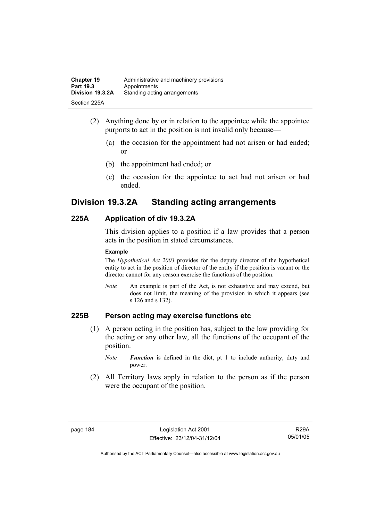| <b>Chapter 19</b> | Administrative and machinery provisions |
|-------------------|-----------------------------------------|
| Part 19.3         | Appointments                            |
| Division 19.3.2A  | Standing acting arrangements            |
| Section 225A      |                                         |

- (2) Anything done by or in relation to the appointee while the appointee purports to act in the position is not invalid only because—
	- (a) the occasion for the appointment had not arisen or had ended; or
	- (b) the appointment had ended; or
	- (c) the occasion for the appointee to act had not arisen or had ended.

### **Division 19.3.2A Standing acting arrangements**

#### **225A Application of div 19.3.2A**

This division applies to a position if a law provides that a person acts in the position in stated circumstances.

#### **Example**

The *Hypothetical Act 2003* provides for the deputy director of the hypothetical entity to act in the position of director of the entity if the position is vacant or the director cannot for any reason exercise the functions of the position.

*Note* An example is part of the Act, is not exhaustive and may extend, but does not limit, the meaning of the provision in which it appears (see s 126 and s 132).

### **225B Person acting may exercise functions etc**

- (1) A person acting in the position has, subject to the law providing for the acting or any other law, all the functions of the occupant of the position.
	- *Note Function* is defined in the dict, pt 1 to include authority, duty and power.
- (2) All Territory laws apply in relation to the person as if the person were the occupant of the position.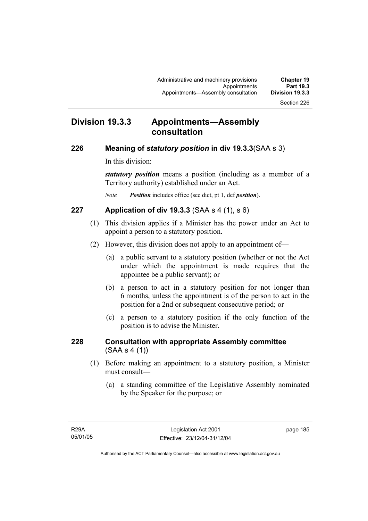### **Division 19.3.3 Appointments—Assembly consultation**

### **226 Meaning of** *statutory position* **in div 19.3.3**(SAA s 3)

In this division:

*statutory position* means a position (including as a member of a Territory authority) established under an Act.

*Note Position* includes office (see dict, pt 1, def *position*).

### **227 Application of div 19.3.3** (SAA s 4 (1), s 6)

- (1) This division applies if a Minister has the power under an Act to appoint a person to a statutory position.
- (2) However, this division does not apply to an appointment of—
	- (a) a public servant to a statutory position (whether or not the Act under which the appointment is made requires that the appointee be a public servant); or
	- (b) a person to act in a statutory position for not longer than 6 months, unless the appointment is of the person to act in the position for a 2nd or subsequent consecutive period; or
	- (c) a person to a statutory position if the only function of the position is to advise the Minister.

### **228 Consultation with appropriate Assembly committee**  (SAA s 4 (1))

- (1) Before making an appointment to a statutory position, a Minister must consult—
	- (a) a standing committee of the Legislative Assembly nominated by the Speaker for the purpose; or

page 185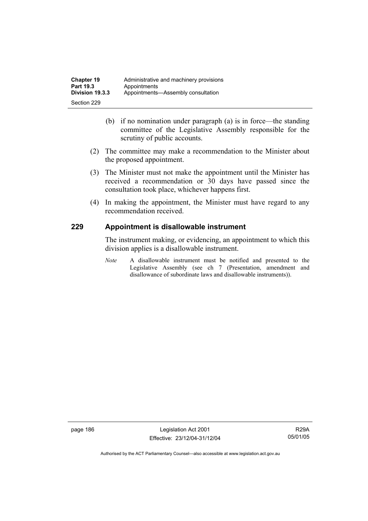- (b) if no nomination under paragraph (a) is in force—the standing committee of the Legislative Assembly responsible for the scrutiny of public accounts.
- (2) The committee may make a recommendation to the Minister about the proposed appointment.
- (3) The Minister must not make the appointment until the Minister has received a recommendation or 30 days have passed since the consultation took place, whichever happens first.
- (4) In making the appointment, the Minister must have regard to any recommendation received.

### **229 Appointment is disallowable instrument**

The instrument making, or evidencing, an appointment to which this division applies is a disallowable instrument.

*Note* A disallowable instrument must be notified and presented to the Legislative Assembly (see ch 7 (Presentation, amendment and disallowance of subordinate laws and disallowable instruments)).

page 186 Legislation Act 2001 Effective: 23/12/04-31/12/04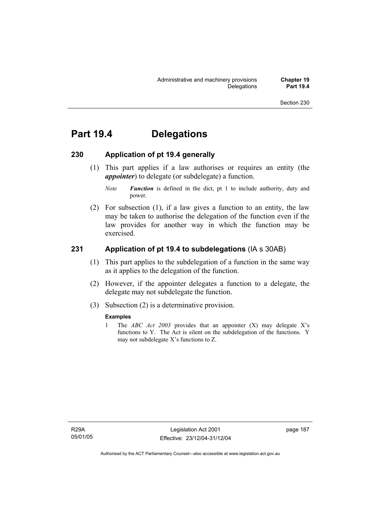# **Part 19.4 Delegations**

#### **230 Application of pt 19.4 generally**

 (1) This part applies if a law authorises or requires an entity (the *appointer*) to delegate (or subdelegate) a function.

 (2) For subsection (1), if a law gives a function to an entity, the law may be taken to authorise the delegation of the function even if the law provides for another way in which the function may be exercised.

### **231 Application of pt 19.4 to subdelegations** (IA s 30AB)

- (1) This part applies to the subdelegation of a function in the same way as it applies to the delegation of the function.
- (2) However, if the appointer delegates a function to a delegate, the delegate may not subdelegate the function.
- (3) Subsection (2) is a determinative provision.

#### **Examples**

1 The *ABC Act 2003* provides that an appointer (X) may delegate X's functions to Y. The Act is silent on the subdelegation of the functions. Y may not subdelegate X's functions to Z.

*Note Function* is defined in the dict, pt 1 to include authority, duty and power.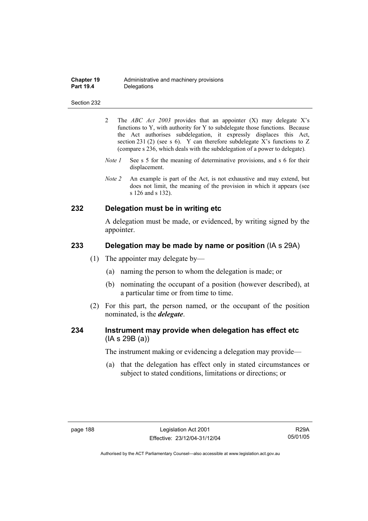| <b>Chapter 19</b> | Administrative and machinery provisions |
|-------------------|-----------------------------------------|
| <b>Part 19.4</b>  | Delegations                             |

- 2 The *ABC Act 2003* provides that an appointer (X) may delegate X's functions to Y, with authority for Y to subdelegate those functions. Because the Act authorises subdelegation, it expressly displaces this Act, section 231 (2) (see s 6). Y can therefore subdelegate X's functions to Z (compare s 236, which deals with the subdelegation of a power to delegate)*.*
- *Note 1* See s 5 for the meaning of determinative provisions, and s 6 for their displacement.
- *Note 2* An example is part of the Act, is not exhaustive and may extend, but does not limit, the meaning of the provision in which it appears (see s 126 and s 132).

#### **232 Delegation must be in writing etc**

A delegation must be made, or evidenced, by writing signed by the appointer.

#### **233 Delegation may be made by name or position** (IA s 29A)

- (1) The appointer may delegate by—
	- (a) naming the person to whom the delegation is made; or
	- (b) nominating the occupant of a position (however described), at a particular time or from time to time.
- (2) For this part, the person named, or the occupant of the position nominated, is the *delegate*.

### **234 Instrument may provide when delegation has effect etc**  (IA s 29B (a))

The instrument making or evidencing a delegation may provide—

 (a) that the delegation has effect only in stated circumstances or subject to stated conditions, limitations or directions; or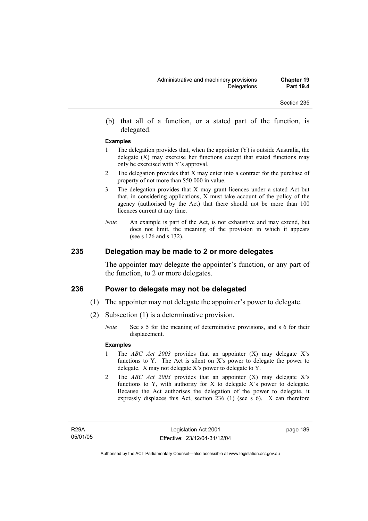(b) that all of a function, or a stated part of the function, is delegated.

#### **Examples**

- 1 The delegation provides that, when the appointer (Y) is outside Australia, the delegate  $(X)$  may exercise her functions except that stated functions may only be exercised with Y's approval.
- 2 The delegation provides that X may enter into a contract for the purchase of property of not more than \$50 000 in value.
- 3 The delegation provides that X may grant licences under a stated Act but that, in considering applications, X must take account of the policy of the agency (authorised by the Act) that there should not be more than 100 licences current at any time.
- *Note* An example is part of the Act, is not exhaustive and may extend, but does not limit, the meaning of the provision in which it appears (see s 126 and s 132).

#### **235 Delegation may be made to 2 or more delegates**

The appointer may delegate the appointer's function, or any part of the function, to 2 or more delegates.

#### **236 Power to delegate may not be delegated**

- (1) The appointer may not delegate the appointer's power to delegate.
- (2) Subsection (1) is a determinative provision.
	- *Note* See s 5 for the meaning of determinative provisions, and s 6 for their displacement.

#### **Examples**

- 1 The *ABC Act 2003* provides that an appointer (X) may delegate X's functions to Y. The Act is silent on X's power to delegate the power to delegate. X may not delegate X's power to delegate to Y.
- 2 The *ABC Act 2003* provides that an appointer (X) may delegate X's functions to Y, with authority for X to delegate X's power to delegate. Because the Act authorises the delegation of the power to delegate, it expressly displaces this Act, section 236 (1) (see s 6). X can therefore

R29A 05/01/05 page 189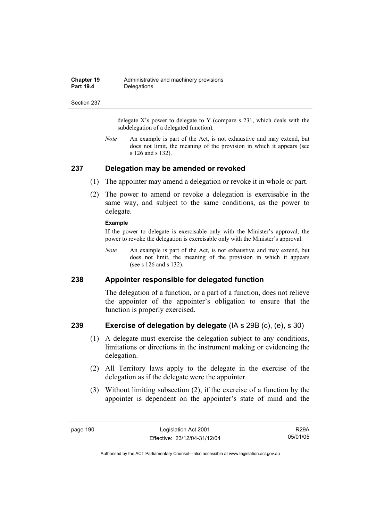| <b>Chapter 19</b> | Administrative and machinery provisions |
|-------------------|-----------------------------------------|
| <b>Part 19.4</b>  | Delegations                             |

delegate  $X$ 's power to delegate to Y (compare s 231, which deals with the subdelegation of a delegated function)*.* 

*Note* An example is part of the Act, is not exhaustive and may extend, but does not limit, the meaning of the provision in which it appears (see s 126 and s 132).

#### **237 Delegation may be amended or revoked**

- (1) The appointer may amend a delegation or revoke it in whole or part.
- (2) The power to amend or revoke a delegation is exercisable in the same way, and subject to the same conditions, as the power to delegate.

#### **Example**

If the power to delegate is exercisable only with the Minister's approval, the power to revoke the delegation is exercisable only with the Minister's approval.

*Note* An example is part of the Act, is not exhaustive and may extend, but does not limit, the meaning of the provision in which it appears (see s 126 and s 132).

#### **238 Appointer responsible for delegated function**

The delegation of a function, or a part of a function, does not relieve the appointer of the appointer's obligation to ensure that the function is properly exercised.

#### **239 Exercise of delegation by delegate** (IA s 29B (c), (e), s 30)

- (1) A delegate must exercise the delegation subject to any conditions, limitations or directions in the instrument making or evidencing the delegation.
- (2) All Territory laws apply to the delegate in the exercise of the delegation as if the delegate were the appointer.
- (3) Without limiting subsection (2), if the exercise of a function by the appointer is dependent on the appointer's state of mind and the

R29A 05/01/05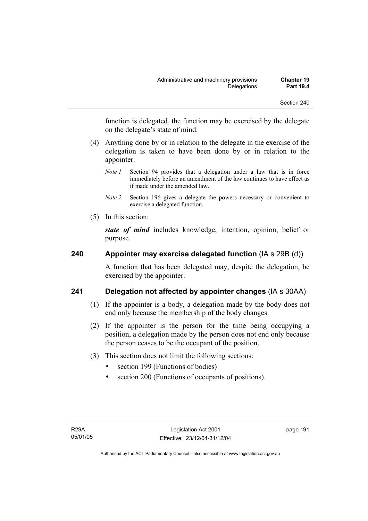function is delegated, the function may be exercised by the delegate on the delegate's state of mind.

- (4) Anything done by or in relation to the delegate in the exercise of the delegation is taken to have been done by or in relation to the appointer.
	- *Note 1* Section 94 provides that a delegation under a law that is in force immediately before an amendment of the law continues to have effect as if made under the amended law.
	- *Note 2* Section 196 gives a delegate the powers necessary or convenient to exercise a delegated function.
- (5) In this section:

*state of mind* includes knowledge, intention, opinion, belief or purpose.

### **240 Appointer may exercise delegated function** (IA s 29B (d))

A function that has been delegated may, despite the delegation, be exercised by the appointer.

### **241 Delegation not affected by appointer changes** (IA s 30AA)

- (1) If the appointer is a body, a delegation made by the body does not end only because the membership of the body changes.
- (2) If the appointer is the person for the time being occupying a position, a delegation made by the person does not end only because the person ceases to be the occupant of the position.
- (3) This section does not limit the following sections:
	- section 199 (Functions of bodies)
	- section 200 (Functions of occupants of positions).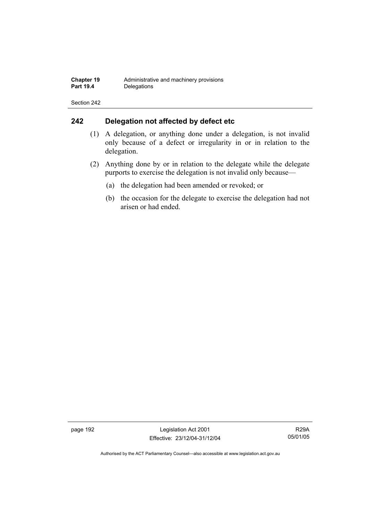## **242 Delegation not affected by defect etc**

- (1) A delegation, or anything done under a delegation, is not invalid only because of a defect or irregularity in or in relation to the delegation.
- (2) Anything done by or in relation to the delegate while the delegate purports to exercise the delegation is not invalid only because—
	- (a) the delegation had been amended or revoked; or
	- (b) the occasion for the delegate to exercise the delegation had not arisen or had ended.

page 192 Legislation Act 2001 Effective: 23/12/04-31/12/04

R29A 05/01/05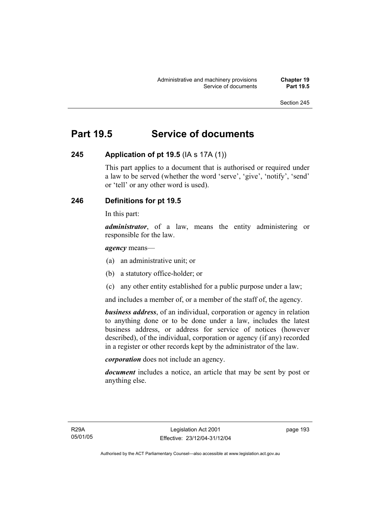# **Part 19.5 Service of documents**

### **245 Application of pt 19.5** (IA s 17A (1))

This part applies to a document that is authorised or required under a law to be served (whether the word 'serve', 'give', 'notify', 'send' or 'tell' or any other word is used).

### **246 Definitions for pt 19.5**

In this part:

*administrator*, of a law, means the entity administering or responsible for the law.

*agency* means—

- (a) an administrative unit; or
- (b) a statutory office-holder; or
- (c) any other entity established for a public purpose under a law;

and includes a member of, or a member of the staff of, the agency.

*business address*, of an individual, corporation or agency in relation to anything done or to be done under a law, includes the latest business address, or address for service of notices (however described), of the individual, corporation or agency (if any) recorded in a register or other records kept by the administrator of the law.

*corporation* does not include an agency.

*document* includes a notice, an article that may be sent by post or anything else.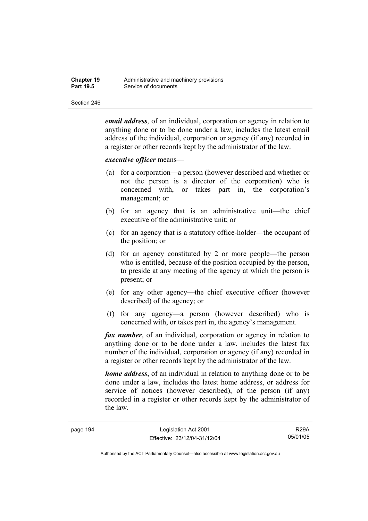| <b>Chapter 19</b> | Administrative and machinery provisions |
|-------------------|-----------------------------------------|
| <b>Part 19.5</b>  | Service of documents                    |

*email address*, of an individual, corporation or agency in relation to anything done or to be done under a law, includes the latest email address of the individual, corporation or agency (if any) recorded in a register or other records kept by the administrator of the law.

#### *executive officer* means—

- (a) for a corporation—a person (however described and whether or not the person is a director of the corporation) who is concerned with, or takes part in, the corporation's management; or
- (b) for an agency that is an administrative unit—the chief executive of the administrative unit; or
- (c) for an agency that is a statutory office-holder—the occupant of the position; or
- (d) for an agency constituted by 2 or more people—the person who is entitled, because of the position occupied by the person, to preside at any meeting of the agency at which the person is present; or
- (e) for any other agency—the chief executive officer (however described) of the agency; or
- (f) for any agency—a person (however described) who is concerned with, or takes part in, the agency's management.

*fax number*, of an individual, corporation or agency in relation to anything done or to be done under a law, includes the latest fax number of the individual, corporation or agency (if any) recorded in a register or other records kept by the administrator of the law.

*home address*, of an individual in relation to anything done or to be done under a law, includes the latest home address, or address for service of notices (however described), of the person (if any) recorded in a register or other records kept by the administrator of the law.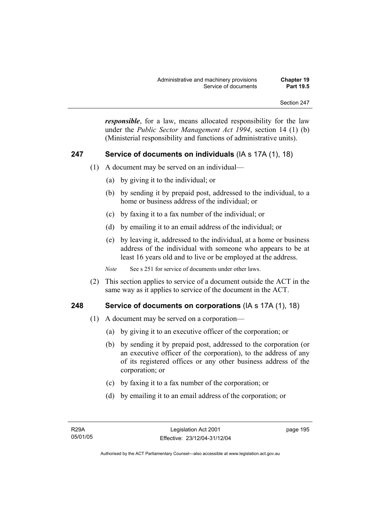*responsible*, for a law, means allocated responsibility for the law under the *Public Sector Management Act 1994*, section 14 (1) (b) (Ministerial responsibility and functions of administrative units).

#### **247 Service of documents on individuals** (IA s 17A (1), 18)

- (1) A document may be served on an individual—
	- (a) by giving it to the individual; or
	- (b) by sending it by prepaid post, addressed to the individual, to a home or business address of the individual; or
	- (c) by faxing it to a fax number of the individual; or
	- (d) by emailing it to an email address of the individual; or
	- (e) by leaving it, addressed to the individual, at a home or business address of the individual with someone who appears to be at least 16 years old and to live or be employed at the address.

*Note* See s 251 for service of documents under other laws.

 (2) This section applies to service of a document outside the ACT in the same way as it applies to service of the document in the ACT.

#### **248 Service of documents on corporations** (IA s 17A (1), 18)

- (1) A document may be served on a corporation—
	- (a) by giving it to an executive officer of the corporation; or
	- (b) by sending it by prepaid post, addressed to the corporation (or an executive officer of the corporation), to the address of any of its registered offices or any other business address of the corporation; or
	- (c) by faxing it to a fax number of the corporation; or
	- (d) by emailing it to an email address of the corporation; or

page 195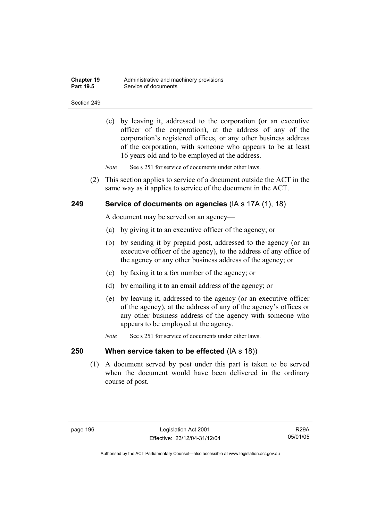| <b>Chapter 19</b> | Administrative and machinery provisions |
|-------------------|-----------------------------------------|
| <b>Part 19.5</b>  | Service of documents                    |

 (e) by leaving it, addressed to the corporation (or an executive officer of the corporation), at the address of any of the corporation's registered offices, or any other business address of the corporation, with someone who appears to be at least 16 years old and to be employed at the address.

*Note* See s 251 for service of documents under other laws.

 (2) This section applies to service of a document outside the ACT in the same way as it applies to service of the document in the ACT.

#### **249 Service of documents on agencies** (IA s 17A (1), 18)

A document may be served on an agency—

- (a) by giving it to an executive officer of the agency; or
- (b) by sending it by prepaid post, addressed to the agency (or an executive officer of the agency), to the address of any office of the agency or any other business address of the agency; or
- (c) by faxing it to a fax number of the agency; or
- (d) by emailing it to an email address of the agency; or
- (e) by leaving it, addressed to the agency (or an executive officer of the agency), at the address of any of the agency's offices or any other business address of the agency with someone who appears to be employed at the agency.
- *Note* See s 251 for service of documents under other laws.

#### **250 When service taken to be effected** (IA s 18))

 (1) A document served by post under this part is taken to be served when the document would have been delivered in the ordinary course of post.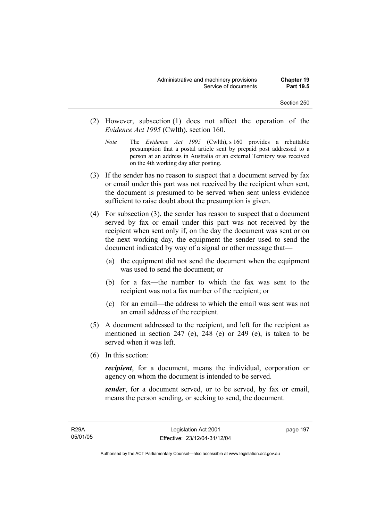- (2) However, subsection (1) does not affect the operation of the *Evidence Act 1995* (Cwlth), section 160.
	- *Note* The *Evidence Act 1995* (Cwlth), s 160 provides a rebuttable presumption that a postal article sent by prepaid post addressed to a person at an address in Australia or an external Territory was received on the 4th working day after posting.
- (3) If the sender has no reason to suspect that a document served by fax or email under this part was not received by the recipient when sent, the document is presumed to be served when sent unless evidence sufficient to raise doubt about the presumption is given.
- (4) For subsection (3), the sender has reason to suspect that a document served by fax or email under this part was not received by the recipient when sent only if, on the day the document was sent or on the next working day, the equipment the sender used to send the document indicated by way of a signal or other message that—
	- (a) the equipment did not send the document when the equipment was used to send the document; or
	- (b) for a fax—the number to which the fax was sent to the recipient was not a fax number of the recipient; or
	- (c) for an email—the address to which the email was sent was not an email address of the recipient.
- (5) A document addressed to the recipient, and left for the recipient as mentioned in section 247 (e), 248 (e) or 249 (e), is taken to be served when it was left.
- (6) In this section:

*recipient*, for a document, means the individual, corporation or agency on whom the document is intended to be served.

*sender*, for a document served, or to be served, by fax or email, means the person sending, or seeking to send, the document.

R29A 05/01/05 page 197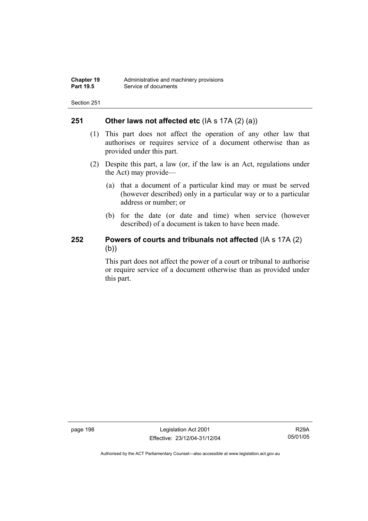#### **251 Other laws not affected etc** (IA s 17A (2) (a))

- (1) This part does not affect the operation of any other law that authorises or requires service of a document otherwise than as provided under this part.
- (2) Despite this part, a law (or, if the law is an Act, regulations under the Act) may provide—
	- (a) that a document of a particular kind may or must be served (however described) only in a particular way or to a particular address or number; or
	- (b) for the date (or date and time) when service (however described) of a document is taken to have been made.

### **252 Powers of courts and tribunals not affected** (IA s 17A (2) (b))

This part does not affect the power of a court or tribunal to authorise or require service of a document otherwise than as provided under this part.

page 198 Legislation Act 2001 Effective: 23/12/04-31/12/04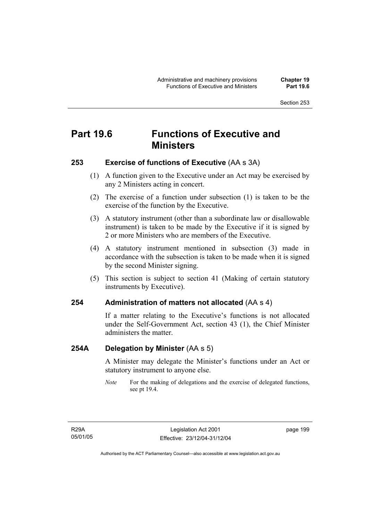# **Part 19.6 Functions of Executive and Ministers**

### **253 Exercise of functions of Executive** (AA s 3A)

- (1) A function given to the Executive under an Act may be exercised by any 2 Ministers acting in concert.
- (2) The exercise of a function under subsection (1) is taken to be the exercise of the function by the Executive.
- (3) A statutory instrument (other than a subordinate law or disallowable instrument) is taken to be made by the Executive if it is signed by 2 or more Ministers who are members of the Executive.
- (4) A statutory instrument mentioned in subsection (3) made in accordance with the subsection is taken to be made when it is signed by the second Minister signing.
- (5) This section is subject to section 41 (Making of certain statutory instruments by Executive).

### **254 Administration of matters not allocated** (AA s 4)

If a matter relating to the Executive's functions is not allocated under the Self-Government Act, section 43 (1), the Chief Minister administers the matter.

### **254A Delegation by Minister** (AA s 5)

A Minister may delegate the Minister's functions under an Act or statutory instrument to anyone else.

*Note* For the making of delegations and the exercise of delegated functions, see pt 19.4.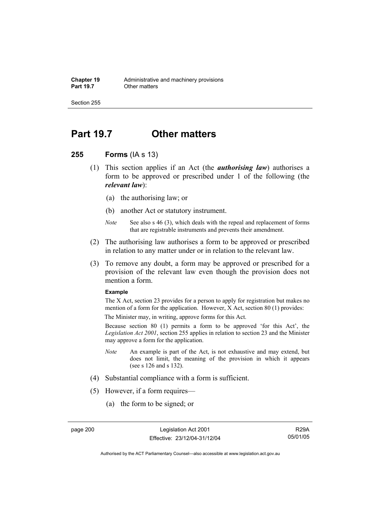# **Part 19.7 Other matters**

#### **255 Forms** (IA s 13)

- (1) This section applies if an Act (the *authorising law*) authorises a form to be approved or prescribed under 1 of the following (the *relevant law*):
	- (a) the authorising law; or
	- (b) another Act or statutory instrument.
	- *Note* See also s 46 (3), which deals with the repeal and replacement of forms that are registrable instruments and prevents their amendment.
- (2) The authorising law authorises a form to be approved or prescribed in relation to any matter under or in relation to the relevant law.
- (3) To remove any doubt, a form may be approved or prescribed for a provision of the relevant law even though the provision does not mention a form.

#### **Example**

The X Act, section 23 provides for a person to apply for registration but makes no mention of a form for the application. However, X Act, section 80 (1) provides:

The Minister may, in writing, approve forms for this Act.

Because section 80 (1) permits a form to be approved 'for this Act', the *Legislation Act 2001*, section 255 applies in relation to section 23 and the Minister may approve a form for the application.

- *Note* An example is part of the Act, is not exhaustive and may extend, but does not limit, the meaning of the provision in which it appears (see s 126 and s 132).
- (4) Substantial compliance with a form is sufficient.
- (5) However, if a form requires—
	- (a) the form to be signed; or

R29A 05/01/05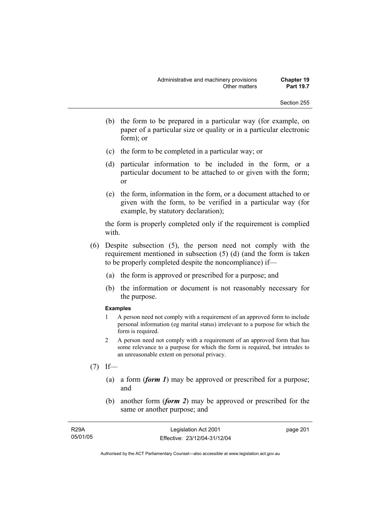- (b) the form to be prepared in a particular way (for example, on paper of a particular size or quality or in a particular electronic form); or
- (c) the form to be completed in a particular way; or
- (d) particular information to be included in the form, or a particular document to be attached to or given with the form; or
- (e) the form, information in the form, or a document attached to or given with the form, to be verified in a particular way (for example, by statutory declaration);

the form is properly completed only if the requirement is complied with.

- (6) Despite subsection (5), the person need not comply with the requirement mentioned in subsection (5) (d) (and the form is taken to be properly completed despite the noncompliance) if—
	- (a) the form is approved or prescribed for a purpose; and
	- (b) the information or document is not reasonably necessary for the purpose.

#### **Examples**

- 1 A person need not comply with a requirement of an approved form to include personal information (eg marital status) irrelevant to a purpose for which the form is required.
- 2 A person need not comply with a requirement of an approved form that has some relevance to a purpose for which the form is required, but intrudes to an unreasonable extent on personal privacy.
- $(7)$  If—
	- (a) a form (*form 1*) may be approved or prescribed for a purpose; and
	- (b) another form (*form 2*) may be approved or prescribed for the same or another purpose; and

| <b>R29A</b> | Legislation Act 2001         | page 201 |
|-------------|------------------------------|----------|
| 05/01/05    | Effective: 23/12/04-31/12/04 |          |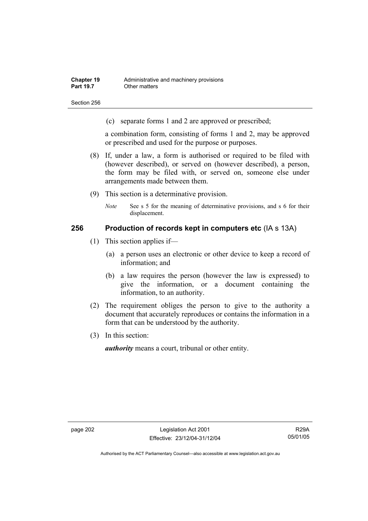Section 256

(c) separate forms 1 and 2 are approved or prescribed;

a combination form, consisting of forms 1 and 2, may be approved or prescribed and used for the purpose or purposes.

- (8) If, under a law, a form is authorised or required to be filed with (however described), or served on (however described), a person, the form may be filed with, or served on, someone else under arrangements made between them.
- (9) This section is a determinative provision.
	- *Note* See s 5 for the meaning of determinative provisions, and s 6 for their displacement.

### **256 Production of records kept in computers etc** (IA s 13A)

- (1) This section applies if—
	- (a) a person uses an electronic or other device to keep a record of information; and
	- (b) a law requires the person (however the law is expressed) to give the information, or a document containing the information, to an authority.
- (2) The requirement obliges the person to give to the authority a document that accurately reproduces or contains the information in a form that can be understood by the authority.
- (3) In this section:

*authority* means a court, tribunal or other entity.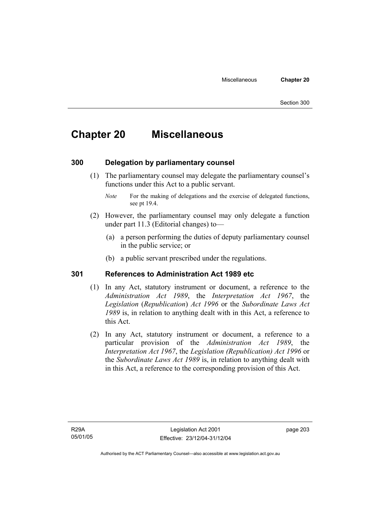# **Chapter 20 Miscellaneous**

### **300 Delegation by parliamentary counsel**

 (1) The parliamentary counsel may delegate the parliamentary counsel's functions under this Act to a public servant.

- (2) However, the parliamentary counsel may only delegate a function under part 11.3 (Editorial changes) to—
	- (a) a person performing the duties of deputy parliamentary counsel in the public service; or
	- (b) a public servant prescribed under the regulations.

### **301 References to Administration Act 1989 etc**

- (1) In any Act, statutory instrument or document, a reference to the *Administration Act 1989*, the *Interpretation Act 1967*, the *Legislation* (*Republication*) *Act 1996* or the *Subordinate Laws Act 1989* is, in relation to anything dealt with in this Act, a reference to this Act.
- (2) In any Act, statutory instrument or document, a reference to a particular provision of the *Administration Act 1989*, the *Interpretation Act 1967*, the *Legislation (Republication) Act 1996* or the *Subordinate Laws Act 1989* is, in relation to anything dealt with in this Act, a reference to the corresponding provision of this Act.

*Note* For the making of delegations and the exercise of delegated functions, see pt 19.4.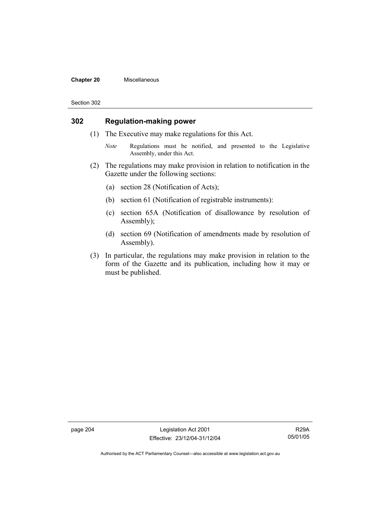#### **Chapter 20** Miscellaneous

#### Section 302

### **302 Regulation-making power**

- (1) The Executive may make regulations for this Act.
	- *Note* Regulations must be notified, and presented to the Legislative Assembly, under this Act.
- (2) The regulations may make provision in relation to notification in the Gazette under the following sections:
	- (a) section 28 (Notification of Acts);
	- (b) section 61 (Notification of registrable instruments):
	- (c) section 65A (Notification of disallowance by resolution of Assembly);
	- (d) section 69 (Notification of amendments made by resolution of Assembly).
- (3) In particular, the regulations may make provision in relation to the form of the Gazette and its publication, including how it may or must be published.

page 204 Legislation Act 2001 Effective: 23/12/04-31/12/04

R29A 05/01/05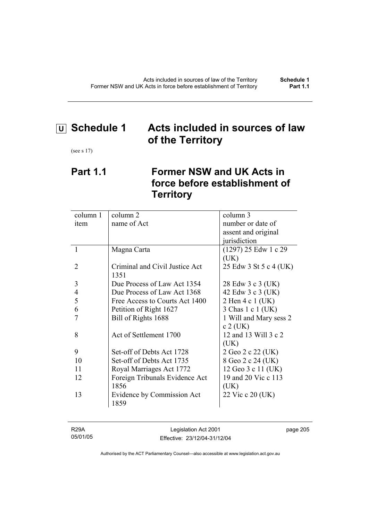# **U Schedule 1 Acts included in sources of law of the Territory**

(see s 17)

## **Part 1.1 Former NSW and UK Acts in force before establishment of Territory**

| number or date of<br>name of Act<br>item                           |  |
|--------------------------------------------------------------------|--|
| assent and original                                                |  |
| jurisdiction                                                       |  |
| $(1297)$ 25 Edw 1 c 29<br>1<br>Magna Carta                         |  |
| (UK)                                                               |  |
| Criminal and Civil Justice Act<br>2<br>25 Edw 3 St 5 c 4 (UK)      |  |
| 1351                                                               |  |
| 3<br>Due Process of Law Act 1354<br>28 Edw 3 c 3 (UK)              |  |
| $\overline{4}$<br>42 Edw 3 c 3 (UK)<br>Due Process of Law Act 1368 |  |
| 5<br>2 Hen 4 c 1 (UK)<br>Free Access to Courts Act 1400            |  |
| 6<br>3 Chas 1 c 1 (UK)<br>Petition of Right 1627                   |  |
| 1 Will and Mary sess 2<br>Bill of Rights 1688                      |  |
| $c$ 2 (UK)                                                         |  |
| Act of Settlement 1700<br>12 and 13 Will 3 c 2<br>8                |  |
| (UK)                                                               |  |
| 9<br>Set-off of Debts Act 1728<br>2 Geo 2 c 22 (UK)                |  |
| 10<br>Set-off of Debts Act 1735<br>8 Geo 2 c 24 (UK)               |  |
| Royal Marriages Act 1772<br>12 Geo 3 c 11 (UK)<br>11               |  |
| 19 and 20 Vic c 113<br>Foreign Tribunals Evidence Act<br>12        |  |
| 1856<br>(UK)                                                       |  |
| Evidence by Commission Act<br>22 Vic c 20 (UK)<br>13               |  |
| 1859                                                               |  |

| R29A     | Legislation Act 2001         | page 205 |
|----------|------------------------------|----------|
| 05/01/05 | Effective: 23/12/04-31/12/04 |          |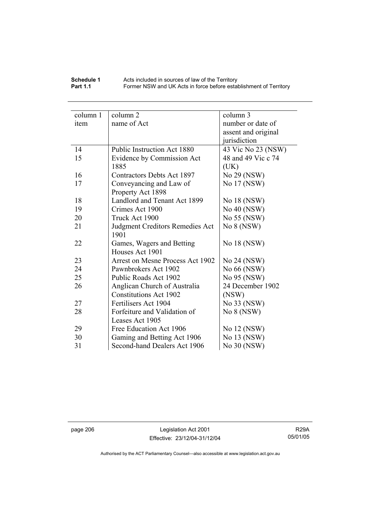### **Schedule 1** Acts included in sources of law of the Territory **Part 1.1 Former NSW and UK Acts in force before establishment of Territory**

| column 1 | column 2                          | column 3            |
|----------|-----------------------------------|---------------------|
| item     | name of Act                       | number or date of   |
|          |                                   |                     |
|          |                                   | assent and original |
|          |                                   | jurisdiction        |
| 14       | Public Instruction Act 1880       | 43 Vic No 23 (NSW)  |
| 15       | Evidence by Commission Act        | 48 and 49 Vic c 74  |
|          | 1885                              | (UK)                |
| 16       | <b>Contractors Debts Act 1897</b> | No 29 (NSW)         |
| 17       | Conveyancing and Law of           | No 17 (NSW)         |
|          | Property Act 1898                 |                     |
| 18       | Landlord and Tenant Act 1899      | No 18 (NSW)         |
| 19       | Crimes Act 1900                   | No 40 (NSW)         |
| 20       | Truck Act 1900                    | No 55 (NSW)         |
| 21       | Judgment Creditors Remedies Act   | No 8 (NSW)          |
|          | 1901                              |                     |
| 22       | Games, Wagers and Betting         | No 18 (NSW)         |
|          | Houses Act 1901                   |                     |
| 23       | Arrest on Mesne Process Act 1902  | No 24 (NSW)         |
| 24       | Pawnbrokers Act 1902              | No 66 (NSW)         |
| 25       | Public Roads Act 1902             | No 95 (NSW)         |
| 26       | Anglican Church of Australia      | 24 December 1902    |
|          | <b>Constitutions Act 1902</b>     | (NSW)               |
| 27       | Fertilisers Act 1904              | No 33 (NSW)         |
| 28       | Forfeiture and Validation of      | No 8 (NSW)          |
|          | Leases Act 1905                   |                     |
| 29       | Free Education Act 1906           | No 12 (NSW)         |
| 30       | Gaming and Betting Act 1906       | No 13 (NSW)         |
| 31       | Second-hand Dealers Act 1906      | No 30 (NSW)         |

page 206 Legislation Act 2001 Effective: 23/12/04-31/12/04

R29A 05/01/05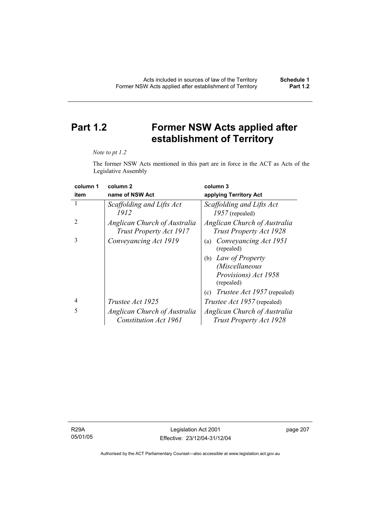# **Part 1.2 Former NSW Acts applied after establishment of Territory**

#### *Note to pt 1.2*

The former NSW Acts mentioned in this part are in force in the ACT as Acts of the Legislative Assembly

| column 1       | column <sub>2</sub>                                     | column 3                                                       |
|----------------|---------------------------------------------------------|----------------------------------------------------------------|
| item           | name of NSW Act                                         | applying Territory Act                                         |
| 1              | Scaffolding and Lifts Act<br>1912                       | Scaffolding and Lifts Act<br>$1957$ (repealed)                 |
| $\mathfrak{D}$ | Anglican Church of Australia<br>Trust Property Act 1917 | <b>Anglican Church of Australia</b><br>Trust Property Act 1928 |
| 3              | Conveyancing Act 1919                                   | Conveyancing Act 1951<br>(a)<br>(repealed)                     |
|                |                                                         | (b) Law of Property                                            |
|                |                                                         | (Miscellaneous                                                 |
|                |                                                         | Provisions) Act 1958<br>(repealed)                             |
|                |                                                         | <i>Trustee Act 1957</i> (repealed)<br>(c)                      |
| 4              | Trustee Act 1925                                        | <i>Trustee Act 1957</i> (repealed)                             |
| 5              | Anglican Church of Australia                            | Anglican Church of Australia                                   |
|                | <b>Constitution Act 1961</b>                            | <b>Trust Property Act 1928</b>                                 |

R29A 05/01/05 page 207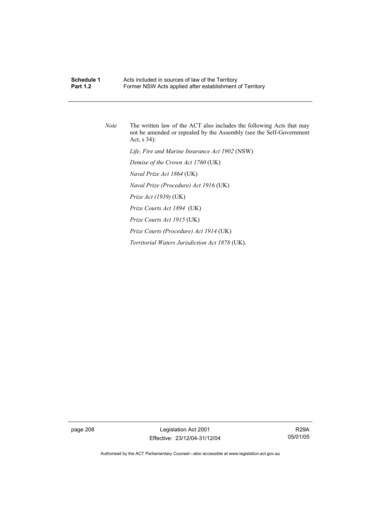### **Schedule 1 Acts included in sources of law of the Territory**<br>**Part 1.2 E**ormer NSW Acts applied after establishment Former NSW Acts applied after establishment of Territory

*Note* The written law of the ACT also includes the following Acts that may not be amended or repealed by the Assembly (see the Self-Government Act, s 34):  *Life, Fire and Marine Insurance Act 1902* (NSW)  *Demise of the Crown Act 1760* (UK)  *Naval Prize Act 1864* (UK)  *Naval Prize (Procedure) Act 1916* (UK)  *Prize Act (1939)* (UK)  *Prize Courts Act 1894* (UK)  *Prize Courts Act 1915* (UK)  *Prize Courts (Procedure) Act 1914* (UK)  *Territorial Waters Jurisdiction Act 1878* (UK).

page 208 Legislation Act 2001 Effective: 23/12/04-31/12/04

R29A 05/01/05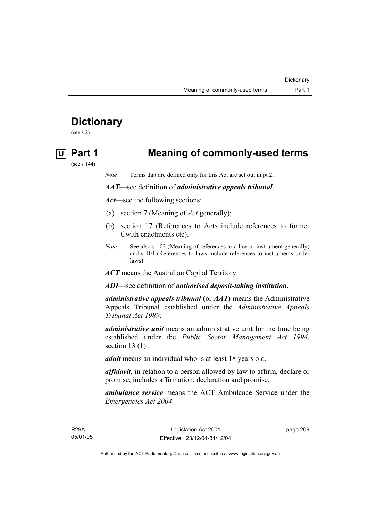# **Dictionary**

(see s 2)

# **U Part 1 Meaning of commonly-used terms**

(see s 144)

*Note* Terms that are defined only for this Act are set out in pt 2.

### *AAT*—see definition of *administrative appeals tribunal*.

*Act*—see the following sections:

- (a) section 7 (Meaning of *Act* generally);
- (b) section 17 (References to Acts include references to former Cwlth enactments etc).
- *Note* See also s 102 (Meaning of references to a law or instrument generally) and s 104 (References to laws include references to instruments under laws).

*ACT* means the Australian Capital Territory.

*ADI*—see definition of *authorised deposit-taking institution*.

*administrative appeals tribunal* **(**or *AAT***)** means the Administrative Appeals Tribunal established under the *Administrative Appeals Tribunal Act 1989*.

*administrative unit* means an administrative unit for the time being established under the *Public Sector Management Act 1994*, section 13 (1).

*adult* means an individual who is at least 18 years old.

*affidavit*, in relation to a person allowed by law to affirm, declare or promise, includes affirmation, declaration and promise.

*ambulance service* means the ACT Ambulance Service under the *Emergencies Act 2004*.

R29A 05/01/05 page 209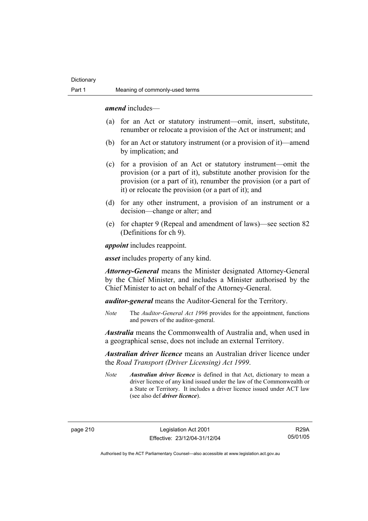*amend* includes—

- (a) for an Act or statutory instrument—omit, insert, substitute, renumber or relocate a provision of the Act or instrument; and
- (b) for an Act or statutory instrument (or a provision of it)—amend by implication; and
- (c) for a provision of an Act or statutory instrument—omit the provision (or a part of it), substitute another provision for the provision (or a part of it), renumber the provision (or a part of it) or relocate the provision (or a part of it); and
- (d) for any other instrument, a provision of an instrument or a decision—change or alter; and
- (e) for chapter 9 (Repeal and amendment of laws)—see section 82 (Definitions for ch 9).

*appoint* includes reappoint.

*asset* includes property of any kind.

*Attorney-General* means the Minister designated Attorney-General by the Chief Minister, and includes a Minister authorised by the Chief Minister to act on behalf of the Attorney-General.

*auditor-general* means the Auditor-General for the Territory.

*Note* The *Auditor-General Act 1996* provides for the appointment, functions and powers of the auditor-general.

*Australia* means the Commonwealth of Australia and, when used in a geographical sense, does not include an external Territory.

*Australian driver licence* means an Australian driver licence under the *Road Transport (Driver Licensing) Act 1999*.

*Note Australian driver licence* is defined in that Act, dictionary to mean a driver licence of any kind issued under the law of the Commonwealth or a State or Territory. It includes a driver licence issued under ACT law (see also def *driver licence*).

R29A 05/01/05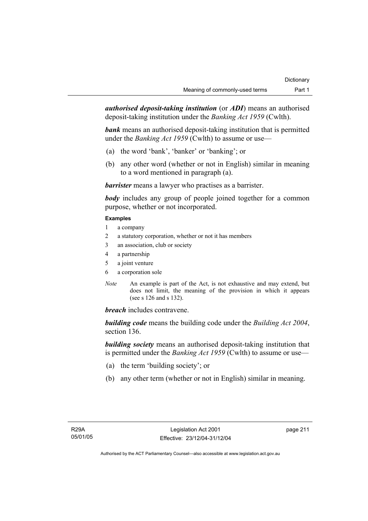*authorised deposit-taking institution* (or *ADI*) means an authorised deposit-taking institution under the *Banking Act 1959* (Cwlth).

*bank* means an authorised deposit-taking institution that is permitted under the *Banking Act 1959* (Cwlth) to assume or use—

- (a) the word 'bank', 'banker' or 'banking'; or
- (b) any other word (whether or not in English) similar in meaning to a word mentioned in paragraph (a).

*barrister* means a lawyer who practises as a barrister.

*body* includes any group of people joined together for a common purpose, whether or not incorporated.

### **Examples**

- 1 a company
- 2 a statutory corporation, whether or not it has members
- 3 an association, club or society
- 4 a partnership
- 5 a joint venture
- 6 a corporation sole
- *Note* An example is part of the Act, is not exhaustive and may extend, but does not limit, the meaning of the provision in which it appears (see s 126 and s 132).

*breach* includes contravene.

*building code* means the building code under the *Building Act 2004*, section 136.

*building society* means an authorised deposit-taking institution that is permitted under the *Banking Act 1959* (Cwlth) to assume or use—

- (a) the term 'building society'; or
- (b) any other term (whether or not in English) similar in meaning.

page 211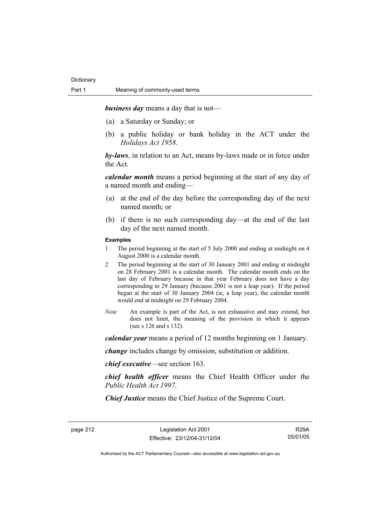*business day* means a day that is not—

- (a) a Saturday or Sunday; or
- (b) a public holiday or bank holiday in the ACT under the *Holidays Act 1958*.

*by-laws*, in relation to an Act, means by-laws made or in force under the Act.

*calendar month* means a period beginning at the start of any day of a named month and ending—

- (a) at the end of the day before the corresponding day of the next named month; or
- (b) if there is no such corresponding day—at the end of the last day of the next named month.

#### **Examples**

- 1 The period beginning at the start of 5 July 2000 and ending at midnight on 4 August 2000 is a calendar month.
- 2 The period beginning at the start of 30 January 2001 and ending at midnight on 28 February 2001 is a calendar month. The calendar month ends on the last day of February because in that year February does not have a day corresponding to 29 January (because 2001 is not a leap year). If the period began at the start of 30 January 2004 (ie, a leap year), the calendar month would end at midnight on 29 February 2004.
- *Note* An example is part of the Act, is not exhaustive and may extend, but does not limit, the meaning of the provision in which it appears (see s 126 and s 132).

*calendar year* means a period of 12 months beginning on 1 January.

*change* includes change by omission, substitution or addition.

*chief executive*—see section 163.

*chief health officer* means the Chief Health Officer under the *Public Health Act 1997*.

*Chief Justice* means the Chief Justice of the Supreme Court.

page 212 Legislation Act 2001 Effective: 23/12/04-31/12/04

R29A 05/01/05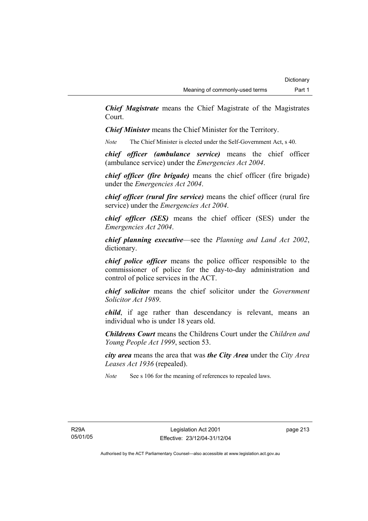*Chief Magistrate* means the Chief Magistrate of the Magistrates Court.

*Chief Minister* means the Chief Minister for the Territory.

*Note* The Chief Minister is elected under the Self-Government Act, s 40.

*chief officer (ambulance service)* means the chief officer (ambulance service) under the *Emergencies Act 2004*.

*chief officer (fire brigade)* means the chief officer (fire brigade) under the *Emergencies Act 2004*.

*chief officer (rural fire service)* means the chief officer (rural fire service) under the *Emergencies Act 2004*.

*chief officer (SES)* means the chief officer (SES) under the *Emergencies Act 2004*.

*chief planning executive*—see the *Planning and Land Act 2002*, dictionary.

*chief police officer* means the police officer responsible to the commissioner of police for the day-to-day administration and control of police services in the ACT.

*chief solicitor* means the chief solicitor under the *Government Solicitor Act 1989*.

*child*, if age rather than descendancy is relevant, means an individual who is under 18 years old.

*Childrens Court* means the Childrens Court under the *Children and Young People Act 1999*, section 53.

*city area* means the area that was *the City Area* under the *City Area Leases Act 1936* (repealed).

*Note* See s 106 for the meaning of references to repealed laws.

R29A 05/01/05 page 213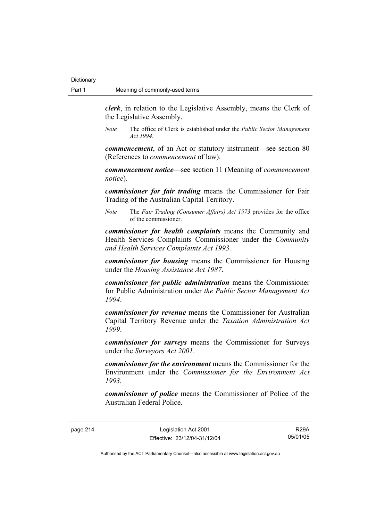*clerk*, in relation to the Legislative Assembly, means the Clerk of the Legislative Assembly.

*Note* The office of Clerk is established under the *Public Sector Management Act 1994*.

*commencement*, of an Act or statutory instrument—see section 80 (References to *commencement* of law).

*commencement notice*—see section 11 (Meaning of *commencement notice*).

*commissioner for fair trading* means the Commissioner for Fair Trading of the Australian Capital Territory.

*Note* The *Fair Trading (Consumer Affairs) Act 1973* provides for the office of the commissioner.

*commissioner for health complaints* means the Community and Health Services Complaints Commissioner under the *Community and Health Services Complaints Act 1993.* 

*commissioner for housing* means the Commissioner for Housing under the *Housing Assistance Act 1987*.

*commissioner for public administration* means the Commissioner for Public Administration under *the Public Sector Management Act 1994*.

*commissioner for revenue* means the Commissioner for Australian Capital Territory Revenue under the *Taxation Administration Act 1999*.

*commissioner for surveys* means the Commissioner for Surveys under the *Surveyors Act 2001*.

*commissioner for the environment* means the Commissioner for the Environment under the *Commissioner for the Environment Act 1993.* 

*commissioner of police* means the Commissioner of Police of the Australian Federal Police.

page 214 Legislation Act 2001 Effective: 23/12/04-31/12/04

R29A 05/01/05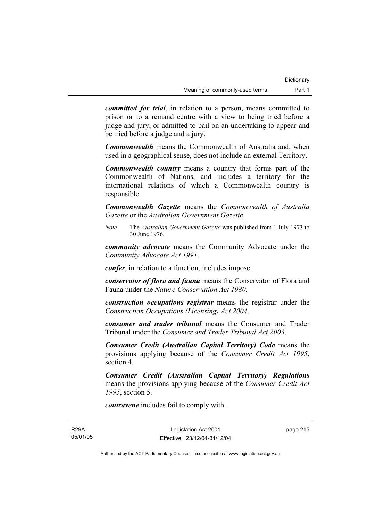*committed for trial*, in relation to a person, means committed to prison or to a remand centre with a view to being tried before a judge and jury, or admitted to bail on an undertaking to appear and be tried before a judge and a jury.

*Commonwealth* means the Commonwealth of Australia and, when used in a geographical sense, does not include an external Territory.

*Commonwealth country* means a country that forms part of the Commonwealth of Nations, and includes a territory for the international relations of which a Commonwealth country is responsible.

*Commonwealth Gazette* means the *Commonwealth of Australia Gazette* or the *Australian Government Gazette*.

*Note* The *Australian Government Gazette* was published from 1 July 1973 to 30 June 1976.

*community advocate* means the Community Advocate under the *Community Advocate Act 1991*.

*confer*, in relation to a function, includes impose.

*conservator of flora and fauna* means the Conservator of Flora and Fauna under the *Nature Conservation Act 1980*.

*construction occupations registrar* means the registrar under the *Construction Occupations (Licensing) Act 2004*.

*consumer and trader tribunal* means the Consumer and Trader Tribunal under the *Consumer and Trader Tribunal Act 2003*.

*Consumer Credit (Australian Capital Territory) Code* means the provisions applying because of the *Consumer Credit Act 1995*, section 4.

*Consumer Credit (Australian Capital Territory) Regulations* means the provisions applying because of the *Consumer Credit Act 1995*, section 5.

*contravene* includes fail to comply with.

R29A 05/01/05 page 215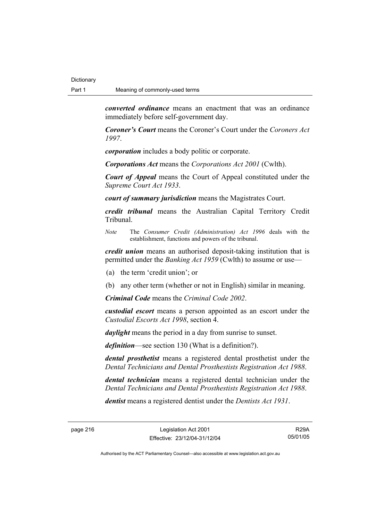*converted ordinance* means an enactment that was an ordinance immediately before self-government day.

*Coroner's Court* means the Coroner's Court under the *Coroners Act 1997*.

*corporation* includes a body politic or corporate.

*Corporations Act* means the *Corporations Act 2001* (Cwlth).

*Court of Appeal* means the Court of Appeal constituted under the *Supreme Court Act 1933*.

*court of summary jurisdiction* means the Magistrates Court.

*credit tribunal* means the Australian Capital Territory Credit Tribunal.

*Note* The *Consumer Credit (Administration) Act 1996* deals with the establishment, functions and powers of the tribunal.

*credit union* means an authorised deposit-taking institution that is permitted under the *Banking Act 1959* (Cwlth) to assume or use—

(a) the term 'credit union'; or

(b) any other term (whether or not in English) similar in meaning.

*Criminal Code* means the *Criminal Code 2002*.

*custodial escort* means a person appointed as an escort under the *Custodial Escorts Act 1998*, section 4.

*daylight* means the period in a day from sunrise to sunset.

*definition*—see section 130 (What is a definition?).

*dental prosthetist* means a registered dental prosthetist under the *Dental Technicians and Dental Prosthestists Registration Act 1988*.

*dental technician* means a registered dental technician under the *Dental Technicians and Dental Prosthestists Registration Act 1988*.

*dentist* means a registered dentist under the *Dentists Act 1931*.

page 216 Legislation Act 2001 Effective: 23/12/04-31/12/04

R29A 05/01/05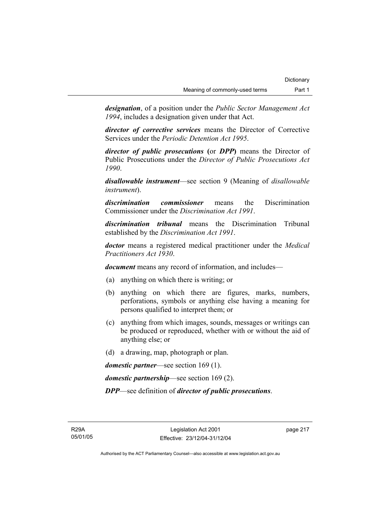*designation*, of a position under the *Public Sector Management Act 1994*, includes a designation given under that Act.

*director of corrective services* means the Director of Corrective Services under the *Periodic Detention Act 1995*.

*director of public prosecutions* **(**or *DPP***)** means the Director of Public Prosecutions under the *Director of Public Prosecutions Act 1990*.

*disallowable instrument*—see section 9 (Meaning of *disallowable instrument*).

*discrimination commissioner* means the Discrimination Commissioner under the *Discrimination Act 1991*.

*discrimination tribunal* means the Discrimination Tribunal established by the *Discrimination Act 1991*.

*doctor* means a registered medical practitioner under the *Medical Practitioners Act 1930*.

*document* means any record of information, and includes—

- (a) anything on which there is writing; or
- (b) anything on which there are figures, marks, numbers, perforations, symbols or anything else having a meaning for persons qualified to interpret them; or
- (c) anything from which images, sounds, messages or writings can be produced or reproduced, whether with or without the aid of anything else; or
- (d) a drawing, map, photograph or plan.

*domestic partner*—see section 169 (1).

*domestic partnership*—see section 169 (2).

*DPP*—see definition of *director of public prosecutions*.

R29A 05/01/05 page 217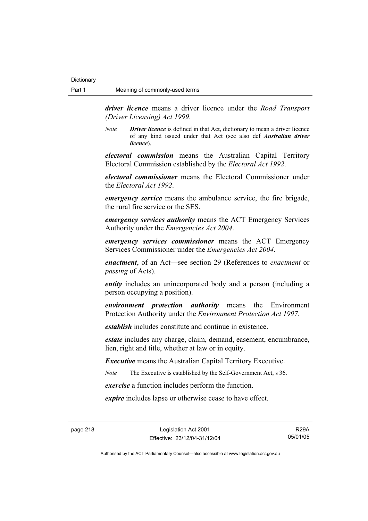*driver licence* means a driver licence under the *Road Transport (Driver Licensing) Act 1999*.

*Note Driver licence* is defined in that Act, dictionary to mean a driver licence of any kind issued under that Act (see also def *Australian driver licence*).

*electoral commission* means the Australian Capital Territory Electoral Commission established by the *Electoral Act 1992*.

*electoral commissioner* means the Electoral Commissioner under the *Electoral Act 1992*.

*emergency service* means the ambulance service, the fire brigade, the rural fire service or the SES.

*emergency services authority* means the ACT Emergency Services Authority under the *Emergencies Act 2004*.

*emergency services commissioner* means the ACT Emergency Services Commissioner under the *Emergencies Act 2004*.

*enactment*, of an Act—see section 29 (References to *enactment* or *passing* of Acts).

*entity* includes an unincorporated body and a person (including a person occupying a position).

*environment protection authority* means the Environment Protection Authority under the *Environment Protection Act 1997*.

*establish* includes constitute and continue in existence.

*estate* includes any charge, claim, demand, easement, encumbrance, lien, right and title, whether at law or in equity.

*Executive* means the Australian Capital Territory Executive.

*Note* The Executive is established by the Self-Government Act, s 36.

*exercise* a function includes perform the function.

*expire* includes lapse or otherwise cease to have effect.

page 218 Legislation Act 2001 Effective: 23/12/04-31/12/04

R29A 05/01/05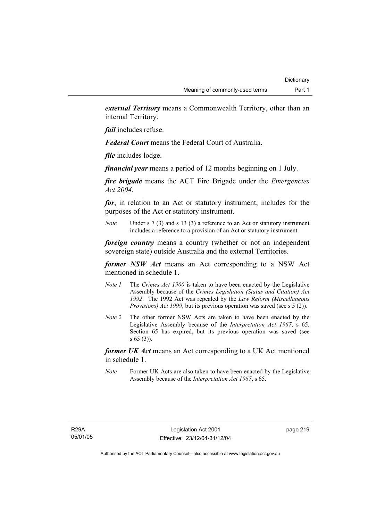*external Territory* means a Commonwealth Territory, other than an internal Territory.

*fail* includes refuse.

*Federal Court* means the Federal Court of Australia.

*file* includes lodge.

*financial year* means a period of 12 months beginning on 1 July.

*fire brigade* means the ACT Fire Brigade under the *Emergencies Act 2004*.

*for*, in relation to an Act or statutory instrument, includes for the purposes of the Act or statutory instrument.

*Note* Under s 7 (3) and s 13 (3) a reference to an Act or statutory instrument includes a reference to a provision of an Act or statutory instrument.

*foreign country* means a country (whether or not an independent sovereign state) outside Australia and the external Territories.

*former NSW Act* means an Act corresponding to a NSW Act mentioned in schedule 1.

- *Note 1* The *Crimes Act 1900* is taken to have been enacted by the Legislative Assembly because of the *Crimes Legislation (Status and Citation) Act 1992*. The 1992 Act was repealed by the *Law Reform (Miscellaneous Provisions) Act 1999*, but its previous operation was saved (see s 5 (2)).
- *Note 2* The other former NSW Acts are taken to have been enacted by the Legislative Assembly because of the *Interpretation Act 1967*, s 65. Section 65 has expired, but its previous operation was saved (see s 65 (3)).

*former UK Act* means an Act corresponding to a UK Act mentioned in schedule 1.

*Note* Former UK Acts are also taken to have been enacted by the Legislative Assembly because of the *Interpretation Act 1967*, s 65.

page 219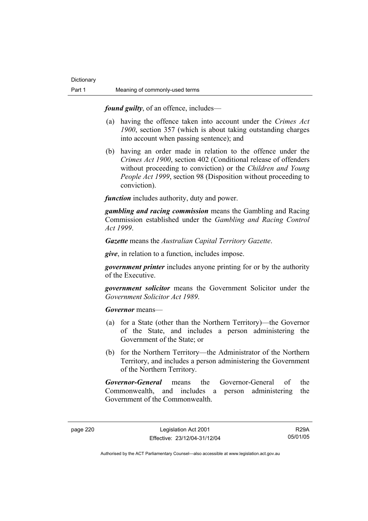*found guilty*, of an offence, includes—

- (a) having the offence taken into account under the *Crimes Act 1900*, section 357 (which is about taking outstanding charges into account when passing sentence); and
- (b) having an order made in relation to the offence under the *Crimes Act 1900*, section 402 (Conditional release of offenders without proceeding to conviction) or the *Children and Young People Act 1999*, section 98 (Disposition without proceeding to conviction).

*function* includes authority, duty and power.

*gambling and racing commission* means the Gambling and Racing Commission established under the *Gambling and Racing Control Act 1999*.

*Gazette* means the *Australian Capital Territory Gazette*.

*give*, in relation to a function, includes impose.

*government printer* includes anyone printing for or by the authority of the Executive.

*government solicitor* means the Government Solicitor under the *Government Solicitor Act 1989*.

*Governor* means—

- (a) for a State (other than the Northern Territory)—the Governor of the State, and includes a person administering the Government of the State; or
- (b) for the Northern Territory—the Administrator of the Northern Territory, and includes a person administering the Government of the Northern Territory.

*Governor-General* means the Governor-General of the Commonwealth, and includes a person administering the Government of the Commonwealth.

R29A 05/01/05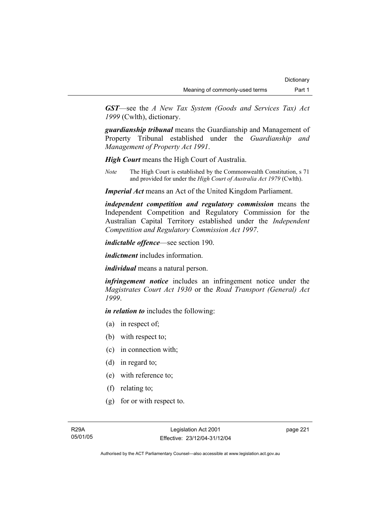*GST*—see the *A New Tax System (Goods and Services Tax) Act 1999* (Cwlth), dictionary.

*guardianship tribunal* means the Guardianship and Management of Property Tribunal established under the *Guardianship and Management of Property Act 1991*.

*High Court* means the High Court of Australia.

*Note* The High Court is established by the Commonwealth Constitution, s 71 and provided for under the *High Court of Australia Act 1979* (Cwlth).

*Imperial Act* means an Act of the United Kingdom Parliament.

*independent competition and regulatory commission* means the Independent Competition and Regulatory Commission for the Australian Capital Territory established under the *Independent Competition and Regulatory Commission Act 1997*.

*indictable offence*—see section 190.

*indictment* includes information.

*individual* means a natural person.

*infringement notice* includes an infringement notice under the *Magistrates Court Act 1930* or the *Road Transport (General) Act 1999*.

*in relation to* includes the following:

- (a) in respect of;
- (b) with respect to;
- (c) in connection with;
- (d) in regard to;
- (e) with reference to;
- (f) relating to;
- (g) for or with respect to.

page 221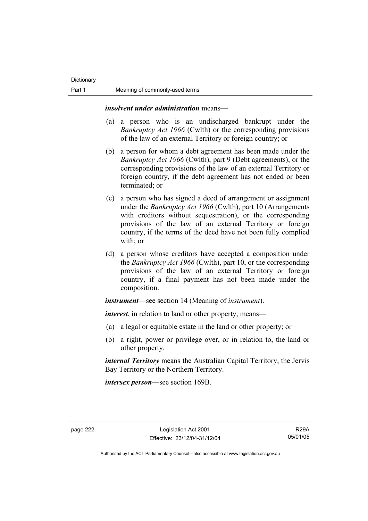*insolvent under administration* means—

- (a) a person who is an undischarged bankrupt under the *Bankruptcy Act 1966* (Cwlth) or the corresponding provisions of the law of an external Territory or foreign country; or
- (b) a person for whom a debt agreement has been made under the *Bankruptcy Act 1966* (Cwlth), part 9 (Debt agreements), or the corresponding provisions of the law of an external Territory or foreign country, if the debt agreement has not ended or been terminated; or
- (c) a person who has signed a deed of arrangement or assignment under the *Bankruptcy Act 1966* (Cwlth), part 10 (Arrangements with creditors without sequestration), or the corresponding provisions of the law of an external Territory or foreign country, if the terms of the deed have not been fully complied with; or
- (d) a person whose creditors have accepted a composition under the *Bankruptcy Act 1966* (Cwlth), part 10, or the corresponding provisions of the law of an external Territory or foreign country, if a final payment has not been made under the composition.

*instrument*—see section 14 (Meaning of *instrument*).

*interest*, in relation to land or other property, means—

- (a) a legal or equitable estate in the land or other property; or
- (b) a right, power or privilege over, or in relation to, the land or other property.

*internal Territory* means the Australian Capital Territory, the Jervis Bay Territory or the Northern Territory.

*intersex person*—see section 169B.

R29A 05/01/05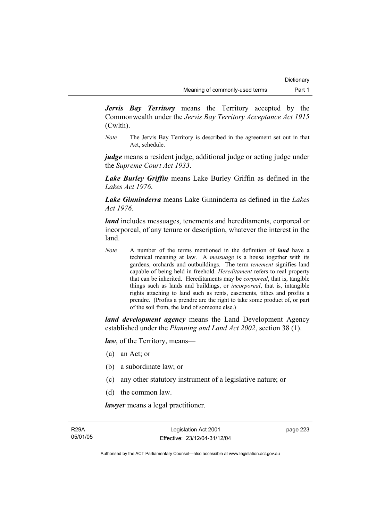*Jervis Bay Territory* means the Territory accepted by the Commonwealth under the *Jervis Bay Territory Acceptance Act 1915* (Cwlth).

*Note* The Jervis Bay Territory is described in the agreement set out in that Act, schedule.

*judge* means a resident judge, additional judge or acting judge under the *Supreme Court Act 1933*.

*Lake Burley Griffin* means Lake Burley Griffin as defined in the *Lakes Act 1976*.

*Lake Ginninderra* means Lake Ginninderra as defined in the *Lakes Act 1976*.

*land* includes messuages, tenements and hereditaments, corporeal or incorporeal, of any tenure or description, whatever the interest in the land.

*Note* A number of the terms mentioned in the definition of *land* have a technical meaning at law. A *messuage* is a house together with its gardens, orchards and outbuildings. The term *tenement* signifies land capable of being held in freehold. *Hereditament* refers to real property that can be inherited. Hereditaments may be *corporeal*, that is, tangible things such as lands and buildings, or *incorporeal*, that is, intangible rights attaching to land such as rents, easements, tithes and profits a prendre. (Profits a prendre are the right to take some product of, or part of the soil from, the land of someone else.)

*land development agency* means the Land Development Agency established under the *Planning and Land Act 2002*, section 38 (1).

*law*, of the Territory, means—

- (a) an Act; or
- (b) a subordinate law; or
- (c) any other statutory instrument of a legislative nature; or
- (d) the common law.

*lawyer* means a legal practitioner.

page 223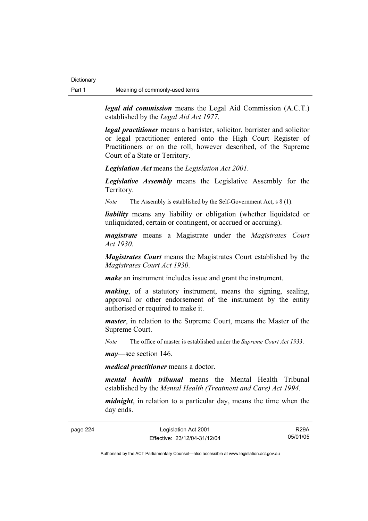**Dictionary** 

*legal aid commission* means the Legal Aid Commission (A.C.T.) established by the *Legal Aid Act 1977*.

*legal practitioner* means a barrister, solicitor, barrister and solicitor or legal practitioner entered onto the High Court Register of Practitioners or on the roll, however described, of the Supreme Court of a State or Territory.

*Legislation Act* means the *Legislation Act 2001*.

*Legislative Assembly* means the Legislative Assembly for the Territory.

*Note* The Assembly is established by the Self-Government Act, s 8 (1).

*liability* means any liability or obligation (whether liquidated or unliquidated, certain or contingent, or accrued or accruing).

*magistrate* means a Magistrate under the *Magistrates Court Act 1930*.

*Magistrates Court* means the Magistrates Court established by the *Magistrates Court Act 1930*.

*make* an instrument includes issue and grant the instrument.

*making*, of a statutory instrument, means the signing, sealing, approval or other endorsement of the instrument by the entity authorised or required to make it.

*master*, in relation to the Supreme Court, means the Master of the Supreme Court.

*Note* The office of master is established under the *Supreme Court Act 1933*.

*may*—see section 146.

*medical practitioner* means a doctor.

*mental health tribunal* means the Mental Health Tribunal established by the *Mental Health (Treatment and Care) Act 1994*.

*midnight*, in relation to a particular day, means the time when the day ends.

page 224 Legislation Act 2001 Effective: 23/12/04-31/12/04

R29A 05/01/05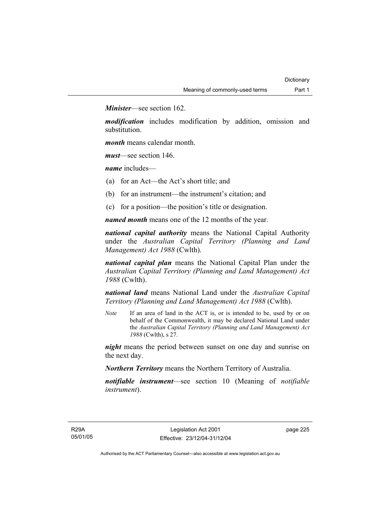*Minister*—see section 162.

*modification* includes modification by addition, omission and substitution.

*month* means calendar month.

*must*—see section 146.

*name* includes—

- (a) for an Act—the Act's short title; and
- (b) for an instrument—the instrument's citation; and
- (c) for a position—the position's title or designation.

*named month* means one of the 12 months of the year.

*national capital authority* means the National Capital Authority under the *Australian Capital Territory (Planning and Land Management) Act 1988* (Cwlth).

*national capital plan* means the National Capital Plan under the *Australian Capital Territory (Planning and Land Management) Act 1988* (Cwlth).

*national land* means National Land under the *Australian Capital Territory (Planning and Land Management) Act 1988* (Cwlth).

*Note* If an area of land in the ACT is, or is intended to be, used by or on behalf of the Commonwealth, it may be declared National Land under the *Australian Capital Territory (Planning and Land Management) Act 1988* (Cwlth), s 27.

*night* means the period between sunset on one day and sunrise on the next day.

*Northern Territory* means the Northern Territory of Australia.

*notifiable instrument*—see section 10 (Meaning of *notifiable instrument*).

page 225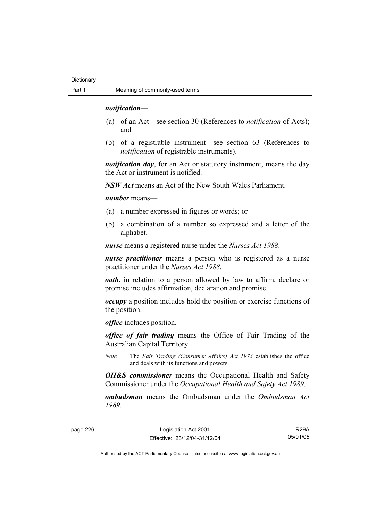#### *notification*—

- (a) of an Act—see section 30 (References to *notification* of Acts); and
- (b) of a registrable instrument—see section 63 (References to *notification* of registrable instruments).

*notification day*, for an Act or statutory instrument, means the day the Act or instrument is notified.

*NSW Act* means an Act of the New South Wales Parliament.

*number* means—

- (a) a number expressed in figures or words; or
- (b) a combination of a number so expressed and a letter of the alphabet.

*nurse* means a registered nurse under the *Nurses Act 1988*.

*nurse practitioner* means a person who is registered as a nurse practitioner under the *Nurses Act 1988*.

*oath*, in relation to a person allowed by law to affirm, declare or promise includes affirmation, declaration and promise.

*occupy* a position includes hold the position or exercise functions of the position.

*office* includes position.

*office of fair trading* means the Office of Fair Trading of the Australian Capital Territory.

*Note* The *Fair Trading (Consumer Affairs) Act 1973* establishes the office and deals with its functions and powers.

*OH&S commissioner* means the Occupational Health and Safety Commissioner under the *Occupational Health and Safety Act 1989*.

*ombudsman* means the Ombudsman under the *Ombudsman Act 1989*.

page 226 Legislation Act 2001 Effective: 23/12/04-31/12/04

R29A 05/01/05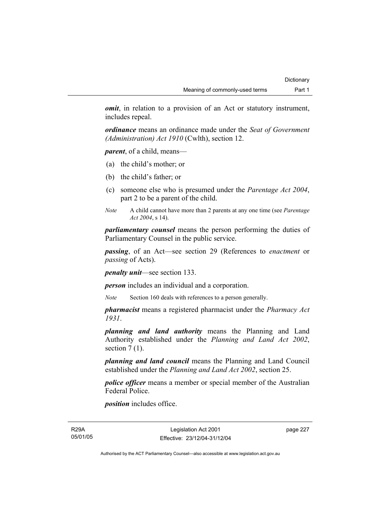*omit*, in relation to a provision of an Act or statutory instrument, includes repeal.

*ordinance* means an ordinance made under the *Seat of Government (Administration) Act 1910* (Cwlth), section 12.

*parent*, of a child, means—

- (a) the child's mother; or
- (b) the child's father; or
- (c) someone else who is presumed under the *Parentage Act 2004*, part 2 to be a parent of the child.
- *Note* A child cannot have more than 2 parents at any one time (see *Parentage Act 2004*, s 14).

*parliamentary counsel* means the person performing the duties of Parliamentary Counsel in the public service.

*passing*, of an Act—see section 29 (References to *enactment* or *passing* of Acts).

*penalty unit*—see section 133.

*person* includes an individual and a corporation.

*Note* Section 160 deals with references to a person generally.

*pharmacist* means a registered pharmacist under the *Pharmacy Act 1931*.

*planning and land authority* means the Planning and Land Authority established under the *Planning and Land Act 2002*, section  $7(1)$ .

*planning and land council* means the Planning and Land Council established under the *Planning and Land Act 2002*, section 25.

*police officer* means a member or special member of the Australian Federal Police.

*position* includes office.

R29A 05/01/05

Legislation Act 2001 Effective: 23/12/04-31/12/04 page 227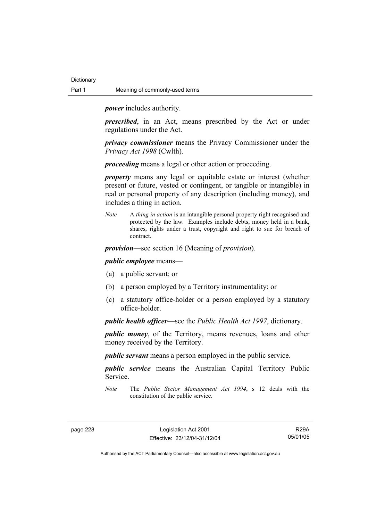*power* includes authority.

*prescribed*, in an Act, means prescribed by the Act or under regulations under the Act.

*privacy commissioner* means the Privacy Commissioner under the *Privacy Act 1998* (Cwlth).

*proceeding* means a legal or other action or proceeding.

*property* means any legal or equitable estate or interest (whether present or future, vested or contingent, or tangible or intangible) in real or personal property of any description (including money), and includes a thing in action.

*Note* A *thing in action* is an intangible personal property right recognised and protected by the law. Examples include debts, money held in a bank, shares, rights under a trust, copyright and right to sue for breach of contract.

*provision*—see section 16 (Meaning of *provision*).

*public employee* means—

- (a) a public servant; or
- (b) a person employed by a Territory instrumentality; or
- (c) a statutory office-holder or a person employed by a statutory office-holder.

*public health officer—*see the *Public Health Act 1997*, dictionary.

*public money*, of the Territory, means revenues, loans and other money received by the Territory.

*public servant* means a person employed in the public service.

*public service* means the Australian Capital Territory Public Service.

*Note* The *Public Sector Management Act 1994*, s 12 deals with the constitution of the public service.

R29A 05/01/05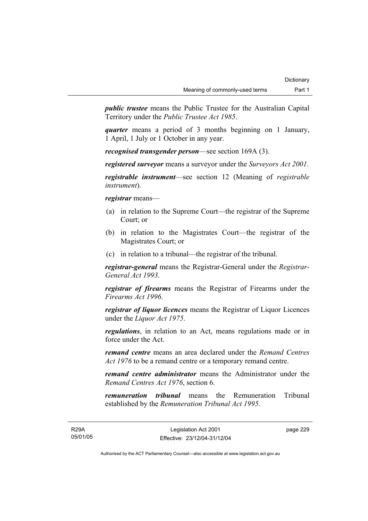*public trustee* means the Public Trustee for the Australian Capital Territory under the *Public Trustee Act 1985*.

*quarter* means a period of 3 months beginning on 1 January, 1 April, 1 July or 1 October in any year.

*recognised transgender person*—see section 169A (3).

*registered surveyor* means a surveyor under the *Surveyors Act 2001*.

*registrable instrument*—see section 12 (Meaning of *registrable instrument*).

*registrar* means—

- (a) in relation to the Supreme Court—the registrar of the Supreme Court; or
- (b) in relation to the Magistrates Court—the registrar of the Magistrates Court; or
- (c) in relation to a tribunal—the registrar of the tribunal.

*registrar-general* means the Registrar-General under the *Registrar-General Act 1993*.

*registrar of firearms* means the Registrar of Firearms under the *Firearms Act 1996*.

*registrar of liquor licences* means the Registrar of Liquor Licences under the *Liquor Act 1975*.

*regulations*, in relation to an Act, means regulations made or in force under the Act.

*remand centre* means an area declared under the *Remand Centres Act 1976* to be a remand centre or a temporary remand centre.

*remand centre administrator* means the Administrator under the *Remand Centres Act 1976*, section 6.

*remuneration tribunal* means the Remuneration Tribunal established by the *Remuneration Tribunal Act 1995*.

R29A 05/01/05 page 229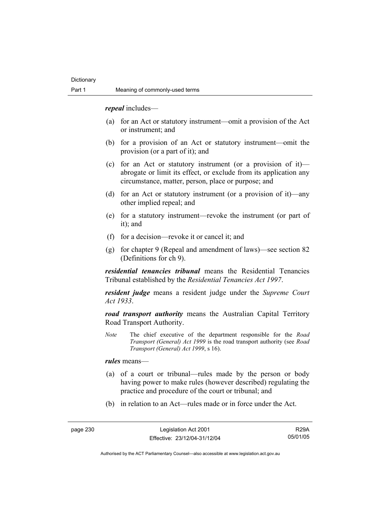*repeal* includes—

- (a) for an Act or statutory instrument—omit a provision of the Act or instrument; and
- (b) for a provision of an Act or statutory instrument—omit the provision (or a part of it); and
- (c) for an Act or statutory instrument (or a provision of it) abrogate or limit its effect, or exclude from its application any circumstance, matter, person, place or purpose; and
- (d) for an Act or statutory instrument (or a provision of it)—any other implied repeal; and
- (e) for a statutory instrument—revoke the instrument (or part of it); and
- (f) for a decision—revoke it or cancel it; and
- (g) for chapter 9 (Repeal and amendment of laws)—see section 82 (Definitions for ch 9).

*residential tenancies tribunal* means the Residential Tenancies Tribunal established by the *Residential Tenancies Act 1997*.

*resident judge* means a resident judge under the *Supreme Court Act 1933*.

*road transport authority* means the Australian Capital Territory Road Transport Authority.

*Note* The chief executive of the department responsible for the *Road Transport (General) Act 1999* is the road transport authority (see *Road Transport (General) Act 1999*, s 16).

*rules* means—

- (a) of a court or tribunal—rules made by the person or body having power to make rules (however described) regulating the practice and procedure of the court or tribunal; and
- (b) in relation to an Act—rules made or in force under the Act.

R29A 05/01/05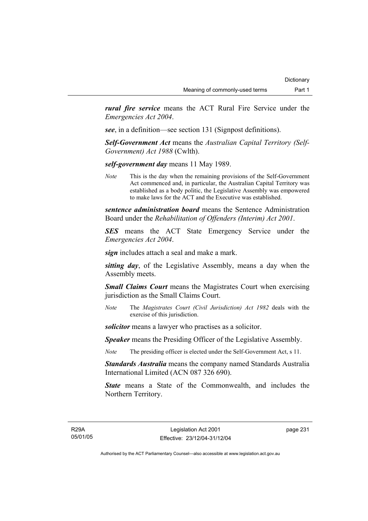*rural fire service* means the ACT Rural Fire Service under the *Emergencies Act 2004*.

*see*, in a definition—see section 131 (Signpost definitions).

*Self-Government Act* means the *Australian Capital Territory (Self-Government) Act 1988* (Cwlth).

*self-government day* means 11 May 1989.

*Note* This is the day when the remaining provisions of the Self-Government Act commenced and, in particular, the Australian Capital Territory was established as a body politic, the Legislative Assembly was empowered to make laws for the ACT and the Executive was established.

*sentence administration board* means the Sentence Administration Board under the *Rehabilitation of Offenders (Interim) Act 2001*.

*SES* means the ACT State Emergency Service under the *Emergencies Act 2004*.

*sign* includes attach a seal and make a mark.

*sitting day*, of the Legislative Assembly, means a day when the Assembly meets.

*Small Claims Court* means the Magistrates Court when exercising jurisdiction as the Small Claims Court.

*Note* The *Magistrates Court (Civil Jurisdiction) Act 1982* deals with the exercise of this jurisdiction.

*solicitor* means a lawyer who practises as a solicitor.

*Speaker* means the Presiding Officer of the Legislative Assembly.

*Note* The presiding officer is elected under the Self-Government Act, s 11.

*Standards Australia* means the company named Standards Australia International Limited (ACN 087 326 690).

*State* means a State of the Commonwealth, and includes the Northern Territory.

R29A 05/01/05 page 231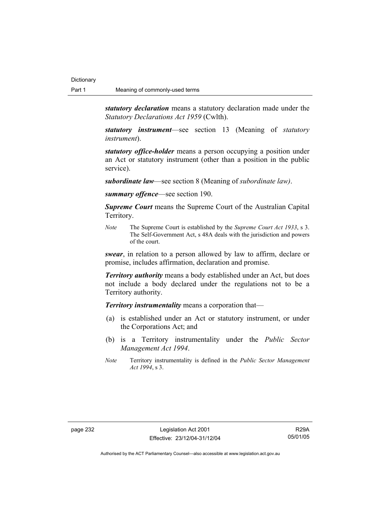*statutory declaration* means a statutory declaration made under the *Statutory Declarations Act 1959* (Cwlth).

*statutory instrument*—see section 13 (Meaning of *statutory instrument*).

*statutory office-holder* means a person occupying a position under an Act or statutory instrument (other than a position in the public service).

*subordinate law*—see section 8 (Meaning of *subordinate law)*.

*summary offence*—see section 190.

*Supreme Court* means the Supreme Court of the Australian Capital Territory.

*Note* The Supreme Court is established by the *Supreme Court Act 1933*, s 3. The Self-Government Act, s 48A deals with the jurisdiction and powers of the court.

*swear*, in relation to a person allowed by law to affirm, declare or promise, includes affirmation, declaration and promise.

*Territory authority* means a body established under an Act, but does not include a body declared under the regulations not to be a Territory authority.

*Territory instrumentality* means a corporation that—

- (a) is established under an Act or statutory instrument, or under the Corporations Act; and
- (b) is a Territory instrumentality under the *Public Sector Management Act 1994*.
- *Note* Territory instrumentality is defined in the *Public Sector Management Act 1994*, s 3.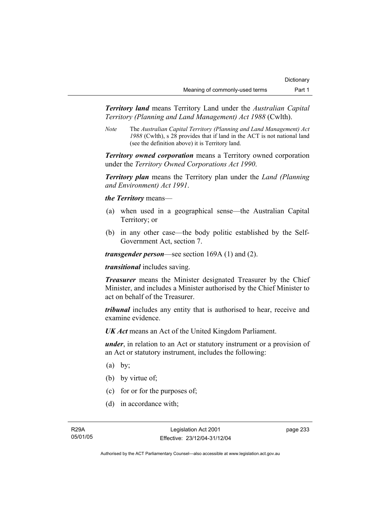*Territory land* means Territory Land under the *Australian Capital Territory (Planning and Land Management) Act 1988* (Cwlth).

*Note* The *Australian Capital Territory (Planning and Land Management) Act 1988* (Cwlth), s 28 provides that if land in the ACT is not national land (see the definition above) it is Territory land.

*Territory owned corporation* means a Territory owned corporation under the *Territory Owned Corporations Act 1990*.

*Territory plan* means the Territory plan under the *Land (Planning and Environment) Act 1991*.

*the Territory* means—

- (a) when used in a geographical sense—the Australian Capital Territory; or
- (b) in any other case—the body politic established by the Self-Government Act, section 7.

*transgender person*—see section 169A (1) and (2).

*transitional* includes saving.

*Treasurer* means the Minister designated Treasurer by the Chief Minister, and includes a Minister authorised by the Chief Minister to act on behalf of the Treasurer.

*tribunal* includes any entity that is authorised to hear, receive and examine evidence.

*UK Act* means an Act of the United Kingdom Parliament.

*under*, in relation to an Act or statutory instrument or a provision of an Act or statutory instrument, includes the following:

- $(a)$  by;
- (b) by virtue of:
- (c) for or for the purposes of;
- (d) in accordance with;

page 233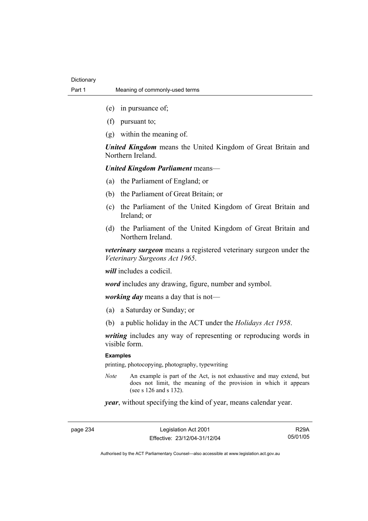- (e) in pursuance of;
- (f) pursuant to;
- (g) within the meaning of.

*United Kingdom* means the United Kingdom of Great Britain and Northern Ireland.

*United Kingdom Parliament* means—

- (a) the Parliament of England; or
- (b) the Parliament of Great Britain; or
- (c) the Parliament of the United Kingdom of Great Britain and Ireland; or
- (d) the Parliament of the United Kingdom of Great Britain and Northern Ireland.

*veterinary surgeon* means a registered veterinary surgeon under the *Veterinary Surgeons Act 1965*.

*will* includes a codicil.

*word* includes any drawing, figure, number and symbol.

*working day* means a day that is not—

- (a) a Saturday or Sunday; or
- (b) a public holiday in the ACT under the *Holidays Act 1958*.

*writing* includes any way of representing or reproducing words in visible form.

#### **Examples**

printing, photocopying, photography, typewriting

*Note* An example is part of the Act, is not exhaustive and may extend, but does not limit, the meaning of the provision in which it appears (see s  $126$  and s  $132$ ).

*year*, without specifying the kind of year, means calendar year.

page 234 Legislation Act 2001 Effective: 23/12/04-31/12/04

R29A 05/01/05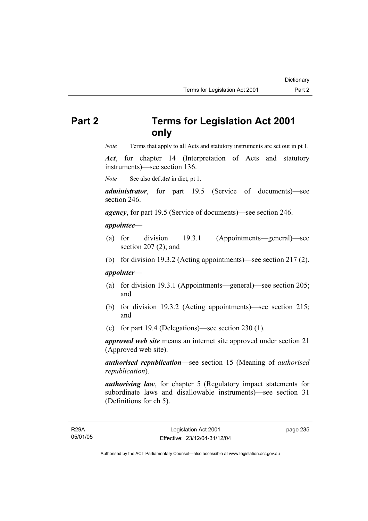# **Part 2 Terms for Legislation Act 2001 only**

*Note* Terms that apply to all Acts and statutory instruments are set out in pt 1.

*Act*, for chapter 14 (Interpretation of Acts and statutory instruments)—see section 136.

*Note* See also def *Act* in dict, pt 1.

*administrator*, for part 19.5 (Service of documents)—see section 246.

*agency*, for part 19.5 (Service of documents)—see section 246.

### *appointee*—

- (a) for division 19.3.1 (Appointments—general)—see section 207 (2); and
- (b) for division 19.3.2 (Acting appointments)—see section 217 (2).

#### *appointer*—

- (a) for division 19.3.1 (Appointments—general)—see section 205; and
- (b) for division 19.3.2 (Acting appointments)—see section 215; and
- (c) for part 19.4 (Delegations)—see section 230 (1).

*approved web site* means an internet site approved under section 21 (Approved web site).

*authorised republication*—see section 15 (Meaning of *authorised republication*).

*authorising law*, for chapter 5 (Regulatory impact statements for subordinate laws and disallowable instruments)—see section 31 (Definitions for ch 5).

page 235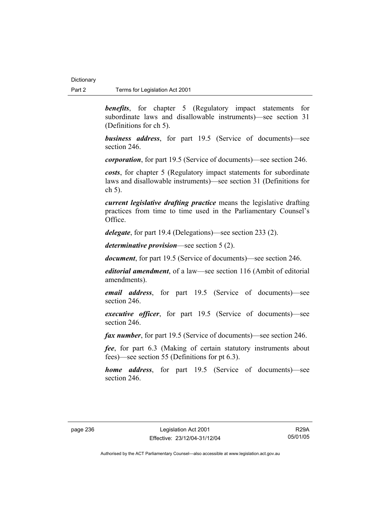**benefits**, for chapter 5 (Regulatory impact statements for subordinate laws and disallowable instruments)—see section 31 (Definitions for ch 5).

*business address*, for part 19.5 (Service of documents)—see section 246.

*corporation*, for part 19.5 (Service of documents)—see section 246.

*costs*, for chapter 5 (Regulatory impact statements for subordinate laws and disallowable instruments)—see section 31 (Definitions for ch 5).

*current legislative drafting practice* means the legislative drafting practices from time to time used in the Parliamentary Counsel's Office.

*delegate*, for part 19.4 (Delegations)—see section 233 (2).

*determinative provision*—see section 5 (2).

*document*, for part 19.5 (Service of documents)—see section 246.

*editorial amendment*, of a law—see section 116 (Ambit of editorial amendments).

*email address*, for part 19.5 (Service of documents)—see section 246.

*executive officer*, for part 19.5 (Service of documents)—see section 246.

*fax number*, for part 19.5 (Service of documents)—see section 246.

*fee*, for part 6.3 (Making of certain statutory instruments about fees)—see section 55 (Definitions for pt 6.3).

*home address*, for part 19.5 (Service of documents)—see section 246.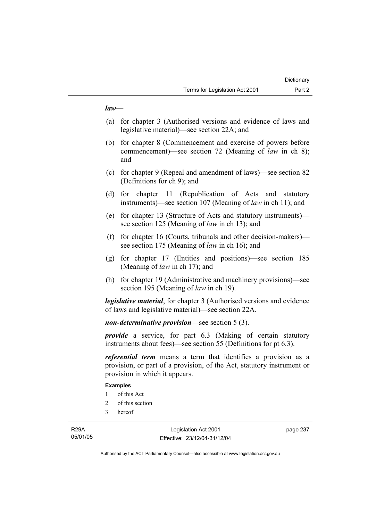# *law*—

- (a) for chapter 3 (Authorised versions and evidence of laws and legislative material)—see section 22A; and
- (b) for chapter 8 (Commencement and exercise of powers before commencement)—see section 72 (Meaning of *law* in ch 8); and
- (c) for chapter 9 (Repeal and amendment of laws)—see section 82 (Definitions for ch 9); and
- (d) for chapter 11 (Republication of Acts and statutory instruments)—see section 107 (Meaning of *law* in ch 11); and
- (e) for chapter 13 (Structure of Acts and statutory instruments) see section 125 (Meaning of *law* in ch 13); and
- (f) for chapter 16 (Courts, tribunals and other decision-makers) see section 175 (Meaning of *law* in ch 16); and
- (g) for chapter 17 (Entities and positions)—see section 185 (Meaning of *law* in ch 17); and
- (h) for chapter 19 (Administrative and machinery provisions)—see section 195 (Meaning of *law* in ch 19).

*legislative material*, for chapter 3 (Authorised versions and evidence of laws and legislative material)—see section 22A.

*non-determinative provision*—see section 5 (3).

*provide* a service, for part 6.3 (Making of certain statutory instruments about fees)—see section 55 (Definitions for pt 6.3).

*referential term* means a term that identifies a provision as a provision, or part of a provision, of the Act, statutory instrument or provision in which it appears.

## **Examples**

- 1 of this Act
- 2 of this section
- 3 hereof

page 237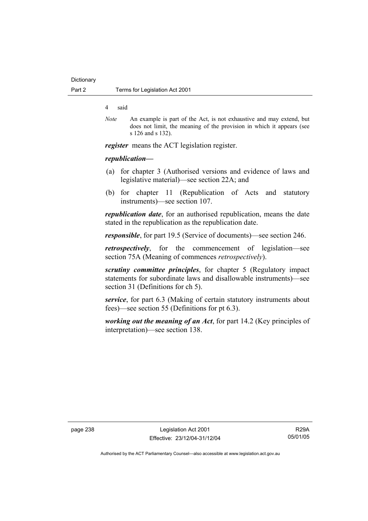### 4 said

*Note* An example is part of the Act, is not exhaustive and may extend, but does not limit, the meaning of the provision in which it appears (see s 126 and s 132).

*register* means the ACT legislation register.

## *republication—*

- (a) for chapter 3 (Authorised versions and evidence of laws and legislative material)—see section 22A; and
- (b) for chapter 11 (Republication of Acts and statutory instruments)—see section 107.

*republication date*, for an authorised republication, means the date stated in the republication as the republication date.

*responsible*, for part 19.5 (Service of documents)—see section 246.

*retrospectively*, for the commencement of legislation—see section 75A (Meaning of commences *retrospectively*).

*scrutiny committee principles*, for chapter 5 (Regulatory impact statements for subordinate laws and disallowable instruments)—see section 31 (Definitions for ch 5).

*service*, for part 6.3 (Making of certain statutory instruments about fees)—see section 55 (Definitions for pt 6.3).

*working out the meaning of an Act*, for part 14.2 (Key principles of interpretation)—see section 138.

page 238 Legislation Act 2001 Effective: 23/12/04-31/12/04

R29A 05/01/05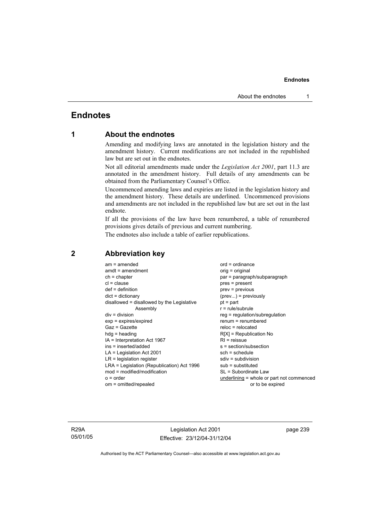# **Endnotes**

# **1 About the endnotes**

Amending and modifying laws are annotated in the legislation history and the amendment history. Current modifications are not included in the republished law but are set out in the endnotes.

Not all editorial amendments made under the *Legislation Act 2001*, part 11.3 are annotated in the amendment history. Full details of any amendments can be obtained from the Parliamentary Counsel's Office.

Uncommenced amending laws and expiries are listed in the legislation history and the amendment history. These details are underlined. Uncommenced provisions and amendments are not included in the republished law but are set out in the last endnote.

If all the provisions of the law have been renumbered, a table of renumbered provisions gives details of previous and current numbering.

The endnotes also include a table of earlier republications.

| $am = amended$<br>$amdt = amendment$<br>$ch = chapter$<br>$cl = clause$<br>$def = definition$<br>$dict = dictionary$<br>disallowed = disallowed by the Legislative<br>Assembly<br>$div = division$<br>$exp = expires/expired$<br>Gaz = Gazette<br>$h dq =$ heading<br>$IA = Interpretation Act 1967$<br>$ins = inserted/added$<br>$LA =$ Legislation Act 2001<br>$LR =$ legislation register<br>LRA = Legislation (Republication) Act 1996<br>$mod = modified/modification$ | $ord = ordinance$<br>orig = original<br>par = paragraph/subparagraph<br>$pres = present$<br>$prev = previous$<br>$(\text{prev})$ = previously<br>$pt = part$<br>$r = rule/subrule$<br>reg = regulation/subregulation<br>$renum = renumbered$<br>$reloc = relocated$<br>$R[X]$ = Republication No<br>$RI = reissue$<br>s = section/subsection<br>$sch = schedule$<br>sdiv = subdivision<br>$sub =$ substituted<br>SL = Subordinate Law |
|-----------------------------------------------------------------------------------------------------------------------------------------------------------------------------------------------------------------------------------------------------------------------------------------------------------------------------------------------------------------------------------------------------------------------------------------------------------------------------|---------------------------------------------------------------------------------------------------------------------------------------------------------------------------------------------------------------------------------------------------------------------------------------------------------------------------------------------------------------------------------------------------------------------------------------|
| $o = order$                                                                                                                                                                                                                                                                                                                                                                                                                                                                 | underlining = whole or part not commenced                                                                                                                                                                                                                                                                                                                                                                                             |
| om = omitted/repealed                                                                                                                                                                                                                                                                                                                                                                                                                                                       | or to be expired                                                                                                                                                                                                                                                                                                                                                                                                                      |

# **2 Abbreviation key**

R29A 05/01/05

Legislation Act 2001 Effective: 23/12/04-31/12/04 page 239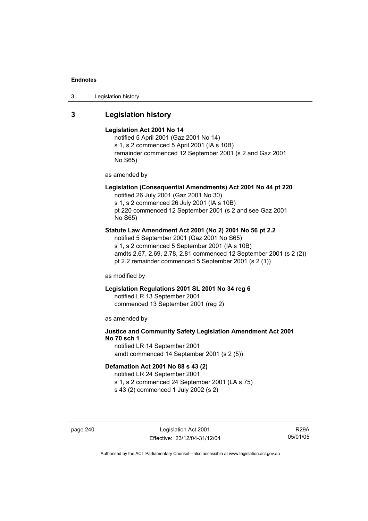3 Legislation history

# **3 Legislation history**

## **Legislation Act 2001 No 14**

notified 5 April 2001 (Gaz 2001 No 14) s 1, s 2 commenced 5 April 2001 (IA s 10B) remainder commenced 12 September 2001 (s 2 and Gaz 2001 No S65)

as amended by

# **Legislation (Consequential Amendments) Act 2001 No 44 pt 220**

notified 26 July 2001 (Gaz 2001 No 30) s 1, s 2 commenced 26 July 2001 (IA s 10B) pt 220 commenced 12 September 2001 (s 2 and see Gaz 2001 No S65)

## **Statute Law Amendment Act 2001 (No 2) 2001 No 56 pt 2.2**

notified 5 September 2001 (Gaz 2001 No S65) s 1, s 2 commenced 5 September 2001 (IA s 10B) amdts 2.67, 2.69, 2.78, 2.81 commenced 12 September 2001 (s 2 (2)) pt 2.2 remainder commenced 5 September 2001 (s 2 (1))

as modified by

# **Legislation Regulations 2001 SL 2001 No 34 reg 6**

notified LR 13 September 2001 commenced 13 September 2001 (reg 2)

as amended by

# **Justice and Community Safety Legislation Amendment Act 2001 No 70 sch 1**

notified LR 14 September 2001 amdt commenced 14 September 2001 (s 2 (5))

## **Defamation Act 2001 No 88 s 43 (2)**

notified LR 24 September 2001

s 1, s 2 commenced 24 September 2001 (LA s 75)

s 43 (2) commenced 1 July 2002 (s 2)

page 240 Legislation Act 2001 Effective: 23/12/04-31/12/04

R29A 05/01/05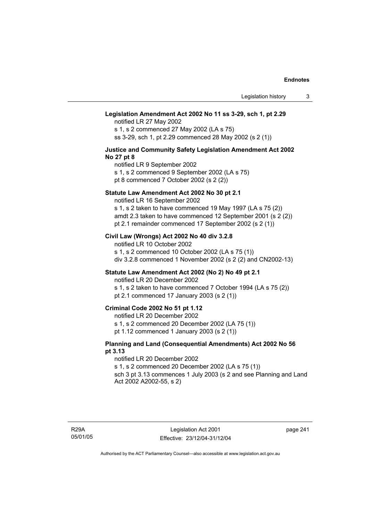## **Legislation Amendment Act 2002 No 11 ss 3-29, sch 1, pt 2.29**

notified LR 27 May 2002

s 1, s 2 commenced 27 May 2002 (LA s 75) ss 3-29, sch 1, pt 2.29 commenced 28 May 2002 (s 2 (1))

## **Justice and Community Safety Legislation Amendment Act 2002 No 27 pt 8**

notified LR 9 September 2002

s 1, s 2 commenced 9 September 2002 (LA s 75) pt 8 commenced 7 October 2002 (s 2 (2))

## **Statute Law Amendment Act 2002 No 30 pt 2.1**

notified LR 16 September 2002

s 1, s 2 taken to have commenced 19 May 1997 (LA s 75 (2)) amdt 2.3 taken to have commenced 12 September 2001 (s 2 (2)) pt 2.1 remainder commenced 17 September 2002 (s 2 (1))

## **Civil Law (Wrongs) Act 2002 No 40 div 3.2.8**

notified LR 10 October 2002 s 1, s 2 commenced 10 October 2002 (LA s 75 (1)) div 3.2.8 commenced 1 November 2002 (s 2 (2) and CN2002-13)

## **Statute Law Amendment Act 2002 (No 2) No 49 pt 2.1**

notified LR 20 December 2002

s 1, s 2 taken to have commenced 7 October 1994 (LA s 75 (2)) pt 2.1 commenced 17 January 2003 (s 2 (1))

# **Criminal Code 2002 No 51 pt 1.12**

notified LR 20 December 2002

s 1, s 2 commenced 20 December 2002 (LA 75 (1))

pt 1.12 commenced 1 January 2003 (s 2 (1))

## **Planning and Land (Consequential Amendments) Act 2002 No 56 pt 3.13**

### notified LR 20 December 2002

s 1, s 2 commenced 20 December 2002 (LA s 75 (1)) sch 3 pt 3.13 commences 1 July 2003 (s 2 and see Planning and Land

Act 2002 A2002-55, s 2)

page 241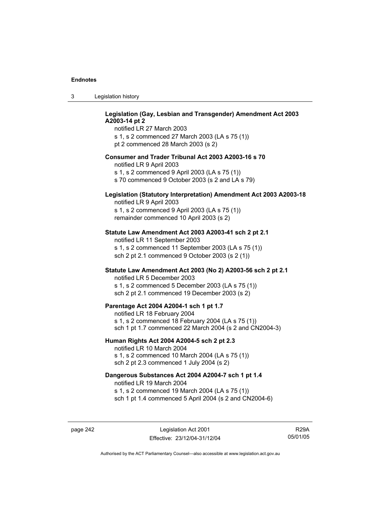| Legislation history<br>-3 |  |
|---------------------------|--|
|---------------------------|--|

# **Legislation (Gay, Lesbian and Transgender) Amendment Act 2003 A2003-14 pt 2**

notified LR 27 March 2003 s 1, s 2 commenced 27 March 2003 (LA s 75 (1)) pt 2 commenced 28 March 2003 (s 2)

## **Consumer and Trader Tribunal Act 2003 A2003-16 s 70**

notified LR 9 April 2003

s 1, s 2 commenced 9 April 2003 (LA s 75 (1))

s 70 commenced 9 October 2003 (s 2 and LA s 79)

# **Legislation (Statutory Interpretation) Amendment Act 2003 A2003-18**

notified LR 9 April 2003 s 1, s 2 commenced 9 April 2003 (LA s 75 (1)) remainder commenced 10 April 2003 (s 2)

## **Statute Law Amendment Act 2003 A2003-41 sch 2 pt 2.1**

notified LR 11 September 2003 s 1, s 2 commenced 11 September 2003 (LA s 75 (1)) sch 2 pt 2.1 commenced 9 October 2003 (s 2 (1))

# **Statute Law Amendment Act 2003 (No 2) A2003-56 sch 2 pt 2.1**

notified LR 5 December 2003 s 1, s 2 commenced 5 December 2003 (LA s 75 (1)) sch 2 pt 2.1 commenced 19 December 2003 (s 2)

## **Parentage Act 2004 A2004-1 sch 1 pt 1.7**

notified LR 18 February 2004 s 1, s 2 commenced 18 February 2004 (LA s 75 (1)) sch 1 pt 1.7 commenced 22 March 2004 (s 2 and CN2004-3)

### **Human Rights Act 2004 A2004-5 sch 2 pt 2.3**

notified LR 10 March 2004 s 1, s 2 commenced 10 March 2004 (LA s 75 (1)) sch 2 pt 2.3 commenced 1 July 2004 (s 2)

## **Dangerous Substances Act 2004 A2004-7 sch 1 pt 1.4**

notified LR 19 March 2004 s 1, s 2 commenced 19 March 2004 (LA s 75 (1)) sch 1 pt 1.4 commenced 5 April 2004 (s 2 and CN2004-6)

page 242 Legislation Act 2001 Effective: 23/12/04-31/12/04

R29A 05/01/05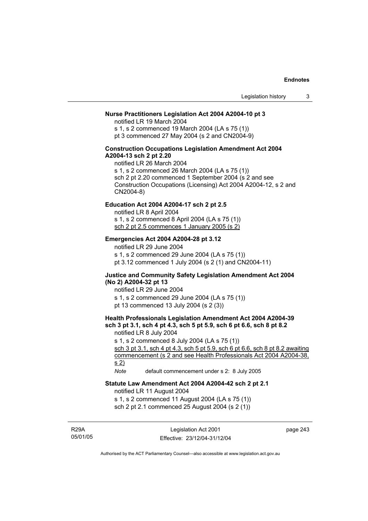## **Nurse Practitioners Legislation Act 2004 A2004-10 pt 3**

notified LR 19 March 2004 s 1, s 2 commenced 19 March 2004 (LA s 75 (1)) pt 3 commenced 27 May 2004 (s 2 and CN2004-9)

## **Construction Occupations Legislation Amendment Act 2004 A2004-13 sch 2 pt 2.20**

notified LR 26 March 2004 s 1, s 2 commenced 26 March 2004 (LA s 75 (1)) sch 2 pt 2.20 commenced 1 September 2004 (s 2 and see Construction Occupations (Licensing) Act 2004 A2004-12, s 2 and CN2004-8)

## **Education Act 2004 A2004-17 sch 2 pt 2.5**

notified LR 8 April 2004 s 1, s 2 commenced 8 April 2004 (LA s 75 (1))

sch 2 pt 2.5 commences 1 January 2005 (s 2)

## **Emergencies Act 2004 A2004-28 pt 3.12**

notified LR 29 June 2004

s 1, s 2 commenced 29 June 2004 (LA s 75 (1)) pt 3.12 commenced 1 July 2004 (s 2 (1) and CN2004-11)

## **Justice and Community Safety Legislation Amendment Act 2004 (No 2) A2004-32 pt 13**

notified LR 29 June 2004 s 1, s 2 commenced 29 June 2004 (LA s 75 (1)) pt 13 commenced 13 July 2004 (s 2 (3))

# **Health Professionals Legislation Amendment Act 2004 A2004-39 sch 3 pt 3.1, sch 4 pt 4.3, sch 5 pt 5.9, sch 6 pt 6.6, sch 8 pt 8.2**

notified LR 8 July 2004

s 1, s 2 commenced 8 July 2004 (LA s 75 (1))

sch 3 pt 3.1, sch 4 pt 4.3, sch 5 pt 5.9, sch 6 pt 6.6, sch 8 pt 8.2 awaiting commencement (s 2 and see Health Professionals Act 2004 A2004-38, s 2)

*Note* default commencement under s 2: 8 July 2005

# **Statute Law Amendment Act 2004 A2004-42 sch 2 pt 2.1**

notified LR 11 August 2004

s 1, s 2 commenced 11 August 2004 (LA s 75 (1))

sch 2 pt 2.1 commenced 25 August 2004 (s 2 (1))

R29A 05/01/05

Legislation Act 2001 Effective: 23/12/04-31/12/04 page 243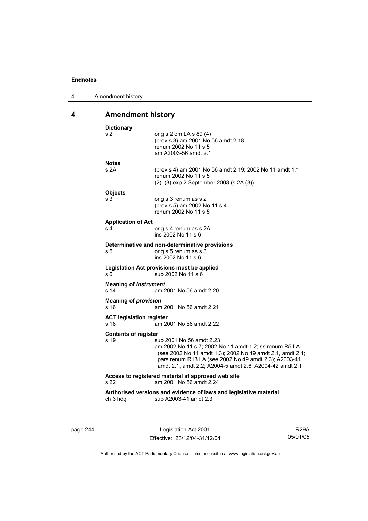| 4 | Amendment history |
|---|-------------------|
|---|-------------------|

# **4 Amendment history**

| <b>Dictionary</b>               |                                                                                                                                                                                                                                                                     |
|---------------------------------|---------------------------------------------------------------------------------------------------------------------------------------------------------------------------------------------------------------------------------------------------------------------|
| s 2                             | orig s $2$ om LA s $89(4)$<br>(prev s 3) am 2001 No 56 amdt 2.18<br>renum 2002 No 11 s 5<br>am A2003-56 amdt 2.1                                                                                                                                                    |
| <b>Notes</b>                    |                                                                                                                                                                                                                                                                     |
| s 2A                            | (prev s 4) am 2001 No 56 amdt 2.19; 2002 No 11 amdt 1.1<br>renum 2002 No 11 s 5<br>(2), (3) exp 2 September 2003 (s 2A (3))                                                                                                                                         |
| <b>Objects</b>                  |                                                                                                                                                                                                                                                                     |
| s 3                             | orig s 3 renum as s 2<br>(prev s 5) am 2002 No 11 s 4<br>renum 2002 No 11 s 5                                                                                                                                                                                       |
| <b>Application of Act</b>       |                                                                                                                                                                                                                                                                     |
| s <sub>4</sub>                  | orig s 4 renum as s 2A<br>ins 2002 No 11 s 6                                                                                                                                                                                                                        |
|                                 | Determinative and non-determinative provisions                                                                                                                                                                                                                      |
| s <sub>5</sub>                  | orig s 5 renum as s 3<br>ins 2002 No 11 s 6                                                                                                                                                                                                                         |
| s 6                             | Legislation Act provisions must be applied<br>sub 2002 No 11 s 6                                                                                                                                                                                                    |
| <b>Meaning of instrument</b>    |                                                                                                                                                                                                                                                                     |
| s 14                            | am 2001 No 56 amdt 2.20                                                                                                                                                                                                                                             |
| <b>Meaning of provision</b>     |                                                                                                                                                                                                                                                                     |
| s 16                            | am 2001 No 56 amdt 2.21                                                                                                                                                                                                                                             |
| <b>ACT legislation register</b> |                                                                                                                                                                                                                                                                     |
| s 18                            | am 2001 No 56 amdt 2.22                                                                                                                                                                                                                                             |
| <b>Contents of register</b>     |                                                                                                                                                                                                                                                                     |
| s 19                            | sub 2001 No 56 amdt 2.23<br>am 2002 No 11 s 7; 2002 No 11 amdt 1.2; ss renum R5 LA<br>(see 2002 No 11 amdt 1.3); 2002 No 49 amdt 2.1, amdt 2.1;<br>pars renum R13 LA (see 2002 No 49 amdt 2.3); A2003-41<br>amdt 2.1, amdt 2.2; A2004-5 amdt 2.6; A2004-42 amdt 2.1 |
| s 22                            | Access to registered material at approved web site<br>am 2001 No 56 amdt 2.24                                                                                                                                                                                       |
|                                 | Authorised versions and evidence of laws and legislative material                                                                                                                                                                                                   |
|                                 |                                                                                                                                                                                                                                                                     |

page 244 Legislation Act 2001 Effective: 23/12/04-31/12/04

R29A 05/01/05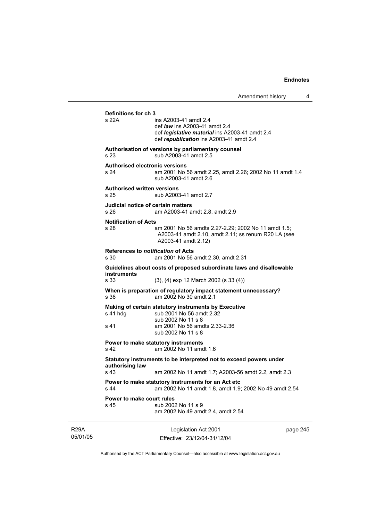05/01/05 Legislation Act 2001 Effective: 23/12/04-31/12/04 page 245 **Definitions for ch 3**  ins A2003-41 amdt 2.4 def *law* ins A2003-41 amdt 2.4 def *legislative material* ins A2003-41 amdt 2.4 def *republication* ins A2003-41 amdt 2.4 **Authorisation of versions by parliamentary counsel**  s 23 sub A2003-41 amdt 2.5 **Authorised electronic versions**  s 24 am 2001 No 56 amdt 2.25, amdt 2.26; 2002 No 11 amdt 1.4 sub A2003-41 amdt 2.6 **Authorised written versions**  s 25 sub A2003-41 amdt 2.7 **Judicial notice of certain matters**  s 26 am A2003-41 amdt 2.8, amdt 2.9 **Notification of Acts**  s 28 am 2001 No 56 amdts 2.27-2.29; 2002 No 11 amdt 1.5; A2003-41 amdt 2.10, amdt 2.11; ss renum R20 LA (see A2003-41 amdt 2.12) **References to** *notification* **of Acts**  s 30 am 2001 No 56 amdt 2.30, amdt 2.31 **Guidelines about costs of proposed subordinate laws and disallowable instruments**  s 33 (3), (4) exp 12 March 2002 (s 33 (4)) **When is preparation of regulatory impact statement unnecessary?**  s 36 am 2002 No 30 amdt 2.1 **Making of certain statutory instruments by Executive**  s 41 hdg sub 2001 No 56 amdt 2.32 sub 2002 No 11 s 8 s 41 am 2001 No 56 amdts 2.33-2.36 sub 2002 No 11 s 8 **Power to make statutory instruments**<br>
s 42 am 2002 No 11 amo am 2002 No 11 amdt 1.6 **Statutory instruments to be interpreted not to exceed powers under authorising law**  s 43 am 2002 No 11 amdt 1.7; A2003-56 amdt 2.2, amdt 2.3 **Power to make statutory instruments for an Act etc**  s 44 am 2002 No 11 amdt 1.8, amdt 1.9; 2002 No 49 amdt 2.54 **Power to make court rules**  s 45 sub 2002 No 11 s 9 am 2002 No 49 amdt 2.4, amdt 2.54

Authorised by the ACT Parliamentary Counsel—also accessible at www.legislation.act.gov.au

R29A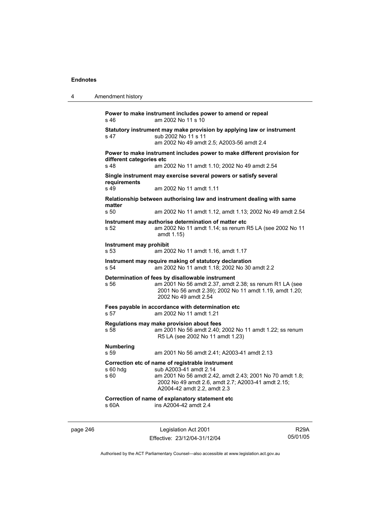| 4 | Amendment history                |                                                                                                                                                                                                                                      |
|---|----------------------------------|--------------------------------------------------------------------------------------------------------------------------------------------------------------------------------------------------------------------------------------|
|   | s 46                             | Power to make instrument includes power to amend or repeal<br>am 2002 No 11 s 10                                                                                                                                                     |
|   | s 47                             | Statutory instrument may make provision by applying law or instrument<br>sub 2002 No 11 s 11<br>am 2002 No 49 amdt 2.5; A2003-56 amdt 2.4                                                                                            |
|   | different categories etc<br>s 48 | Power to make instrument includes power to make different provision for<br>am 2002 No 11 amdt 1.10; 2002 No 49 amdt 2.54                                                                                                             |
|   | requirements<br>s 49             | Single instrument may exercise several powers or satisfy several<br>am 2002 No 11 amdt 1.11                                                                                                                                          |
|   | matter<br>s 50                   | Relationship between authorising law and instrument dealing with same<br>am 2002 No 11 amdt 1.12, amdt 1.13; 2002 No 49 amdt 2.54                                                                                                    |
|   | s 52                             | Instrument may authorise determination of matter etc<br>am 2002 No 11 amdt 1.14; ss renum R5 LA (see 2002 No 11<br>amdt 1.15)                                                                                                        |
|   | Instrument may prohibit<br>s 53  | am 2002 No 11 amdt 1.16, amdt 1.17                                                                                                                                                                                                   |
|   | s 54                             | Instrument may require making of statutory declaration<br>am 2002 No 11 amdt 1.18; 2002 No 30 amdt 2.2                                                                                                                               |
|   | s 56                             | Determination of fees by disallowable instrument<br>am 2001 No 56 amdt 2.37, amdt 2.38; ss renum R1 LA (see<br>2001 No 56 amdt 2.39); 2002 No 11 amdt 1.19, amdt 1.20;<br>2002 No 49 amdt 2.54                                       |
|   | s 57                             | Fees payable in accordance with determination etc<br>am 2002 No 11 amdt 1.21                                                                                                                                                         |
|   | s 58                             | Regulations may make provision about fees<br>am 2001 No 56 amdt 2.40; 2002 No 11 amdt 1.22; ss renum<br>R5 LA (see 2002 No 11 amdt 1.23)                                                                                             |
|   | <b>Numbering</b><br>s 59         | am 2001 No 56 amdt 2.41; A2003-41 amdt 2.13                                                                                                                                                                                          |
|   | s 60                             | Correction etc of name of registrable instrument<br>s 60 hdg sub A2003-41 amdt 2.14<br>am 2001 No 56 amdt 2.42, amdt 2.43; 2001 No 70 amdt 1.8;<br>2002 No 49 amdt 2.6, amdt 2.7; A2003-41 amdt 2.15;<br>A2004-42 amdt 2.2, amdt 2.3 |
|   | s 60A                            | Correction of name of explanatory statement etc<br>ins A2004-42 amdt 2.4                                                                                                                                                             |
|   |                                  |                                                                                                                                                                                                                                      |

page 246 Legislation Act 2001 Effective: 23/12/04-31/12/04

R29A 05/01/05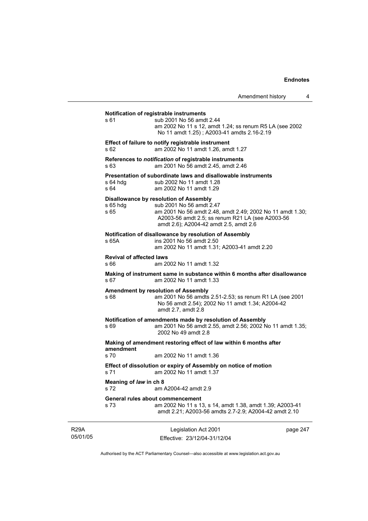| Amendment history |  |  |
|-------------------|--|--|
|-------------------|--|--|

# **Notification of registrable instruments**  s 61 sub 2001 No 56 amdt 2.44 am 2002 No 11 s 12, amdt 1.24; ss renum R5 LA (see 2002 No 11 amdt 1.25) ; A2003-41 amdts 2.16-2.19 **Effect of failure to notify registrable instrument**  s 62 am 2002 No 11 amdt 1.26, amdt 1.27 **References to** *notification* **of registrable instruments**  s 63 am 2001 No 56 amdt 2.45, amdt 2.46 **Presentation of subordinate laws and disallowable instruments**  s 64 hdg sub 2002 No 11 amdt 1.28 s 64 am 2002 No 11 amdt 1.29 **Disallowance by resolution of Assembly**  s 65 hdg sub 2001 No 56 amdt 2.47 s 65 am 2001 No 56 amdt 2.48, amdt 2.49; 2002 No 11 amdt 1.30; A2003-56 amdt 2.5; ss renum R21 LA (see A2003-56 amdt 2.6); A2004-42 amdt 2.5, amdt 2.6 **Notification of disallowance by resolution of Assembly**  s 65A ins 2001 No 56 amdt 2.50 am 2002 No 11 amdt 1.31; A2003-41 amdt 2.20 **Revival of affected laws**  s 66 am 2002 No 11 amdt 1.32 **Making of instrument same in substance within 6 months after disallowance**  s 67 am 2002 No 11 amdt 1.33 **Amendment by resolution of Assembly**  s 68 am 2001 No 56 amdts 2.51-2.53; ss renum R1 LA (see 2001 No 56 amdt 2.54); 2002 No 11 amdt 1.34; A2004-42 amdt 2.7, amdt 2.8 **Notification of amendments made by resolution of Assembly**  s 69 am 2001 No 56 amdt 2.55, amdt 2.56; 2002 No 11 amdt 1.35; 2002 No 49 amdt 2.8 **Making of amendment restoring effect of law within 6 months after amendment**  s 70 am 2002 No 11 amdt 1.36 **Effect of dissolution or expiry of Assembly on notice of motion**  s 71 am 2002 No 11 amdt 1.37 **Meaning of** *law* **in ch 8**  s 72 am A2004-42 amdt 2.9 **General rules about commencement**  s 73 am 2002 No 11 s 13, s 14, amdt 1.38, amdt 1.39; A2003-41 amdt 2.21; A2003-56 amdts 2.7-2.9; A2004-42 amdt 2.10

R29A 05/01/05

Legislation Act 2001 Effective: 23/12/04-31/12/04 page 247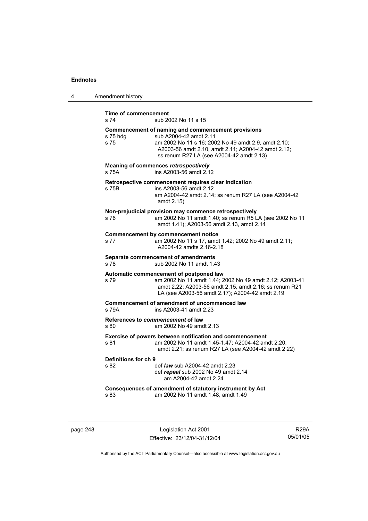| 4 | Amendment history                                                                                                                                                                                                                                         |
|---|-----------------------------------------------------------------------------------------------------------------------------------------------------------------------------------------------------------------------------------------------------------|
|   | <b>Time of commencement</b><br>s 74<br>sub 2002 No 11 s 15                                                                                                                                                                                                |
|   | Commencement of naming and commencement provisions<br>sub A2004-42 amdt 2.11<br>s 75 hdg<br>am 2002 No 11 s 16; 2002 No 49 amdt 2.9, amdt 2.10;<br>s 75<br>A2003-56 amdt 2.10, amdt 2.11; A2004-42 amdt 2.12;<br>ss renum R27 LA (see A2004-42 amdt 2.13) |
|   | Meaning of commences retrospectively<br>ins A2003-56 amdt 2.12<br>s 75A                                                                                                                                                                                   |
|   | Retrospective commencement requires clear indication<br>ins A2003-56 amdt 2.12<br>s 75B<br>am A2004-42 amdt 2.14; ss renum R27 LA (see A2004-42<br>amdt 2.15)                                                                                             |
|   | Non-prejudicial provision may commence retrospectively<br>am 2002 No 11 amdt 1.40; ss renum R5 LA (see 2002 No 11<br>s 76<br>amdt 1.41); A2003-56 amdt 2.13, amdt 2.14                                                                                    |
|   | <b>Commencement by commencement notice</b><br>s 77<br>am 2002 No 11 s 17, amdt 1.42; 2002 No 49 amdt 2.11;<br>A2004-42 amdts 2.16-2.18                                                                                                                    |
|   | Separate commencement of amendments<br>s 78<br>sub 2002 No 11 amdt 1.43                                                                                                                                                                                   |
|   | Automatic commencement of postponed law<br>am 2002 No 11 amdt 1.44; 2002 No 49 amdt 2.12; A2003-41<br>s 79<br>amdt 2.22; A2003-56 amdt 2.15, amdt 2.16; ss renum R21<br>LA (see A2003-56 amdt 2.17); A2004-42 amdt 2.19                                   |
|   | <b>Commencement of amendment of uncommenced law</b><br>ins A2003-41 amdt 2.23<br>s 79A                                                                                                                                                                    |
|   | References to commencement of law<br>s 80<br>am 2002 No 49 amdt 2.13                                                                                                                                                                                      |
|   | Exercise of powers between notification and commencement<br>am 2002 No 11 amdt 1.45-1.47; A2004-42 amdt 2.20,<br>s 81<br>amdt 2.21; ss renum R27 LA (see A2004-42 amdt 2.22)                                                                              |
|   | Definitions for ch 9<br>s 82<br>def law sub A2004-42 amdt 2.23<br>def repeal sub 2002 No 49 amdt 2.14<br>am A2004-42 amdt 2.24                                                                                                                            |
|   | Consequences of amendment of statutory instrument by Act<br>am 2002 No 11 amdt 1.48, amdt 1.49<br>s 83                                                                                                                                                    |

page 248 Legislation Act 2001 Effective: 23/12/04-31/12/04

R29A 05/01/05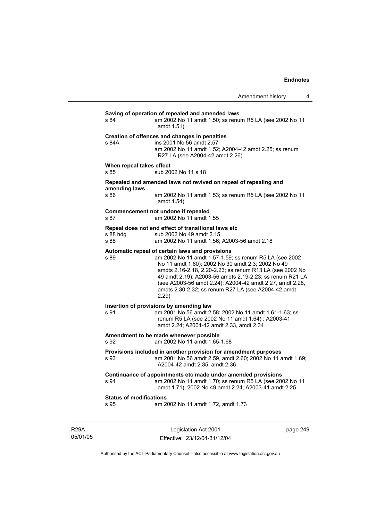# **Saving of operation of repealed and amended laws**  s 84 am 2002 No 11 amdt 1.50; ss renum R5 LA (see 2002 No 11 amdt 1.51) **Creation of offences and changes in penalties**  s 84A ins 2001 No 56 amdt 2.57 am 2002 No 11 amdt 1.52; A2004-42 amdt 2.25; ss renum R27 LA (see A2004-42 amdt 2.26) **When repeal takes effect**  s 85 sub 2002 No 11 s 18 **Repealed and amended laws not revived on repeal of repealing and amending laws**  am 2002 No 11 amdt 1.53; ss renum R5 LA (see 2002 No 11 amdt 1.54) **Commencement not undone if repealed**  s 87 am 2002 No 11 amdt 1.55 **Repeal does not end effect of transitional laws etc**  s 88 hdg sub 2002 No 49 amdt 2.15<br>s 88 sam 2002 No 11 amdt 1.56; am 2002 No 11 amdt 1.56; A2003-56 amdt 2.18 **Automatic repeal of certain laws and provisions**  s 89 am 2002 No 11 amdt 1.57-1.59; ss renum R5 LA (see 2002 No 11 amdt 1.60); 2002 No 30 amdt 2.3; 2002 No 49 amdts 2.16-2.18, 2.20-2.23; ss renum R13 LA (see 2002 No 49 amdt 2.19); A2003-56 amdts 2.19-2.23; ss renum R21 LA (see A2003-56 amdt 2.24); A2004-42 amdt 2.27, amdt 2.28, amdts 2.30-2.32; ss renum R27 LA (see A2004-42 amdt 2.29) **Insertion of provisions by amending law**  s 91 am 2001 No 56 amdt 2.58; 2002 No 11 amdt 1.61-1.63; ss renum R5 LA (see 2002 No 11 amdt 1.64) ; A2003-41 amdt 2.24; A2004-42 amdt 2.33, amdt 2.34 **Amendment to be made whenever possible**  s 92 am 2002 No 11 amdt 1.65-1.68 **Provisions included in another provision for amendment purposes**  s 93 am 2001 No 56 amdt 2.59, amdt 2.60; 2002 No 11 amdt 1.69; A2004-42 amdt 2.35, amdt 2.36 **Continuance of appointments etc made under amended provisions**  s 94 am 2002 No 11 amdt 1.70; ss renum R5 LA (see 2002 No 11 amdt 1.71); 2002 No 49 amdt 2.24; A2003-41 amdt 2.25 **Status of modifications**  s 95 am 2002 No 11 amdt 1.72, amdt 1.73

R29A 05/01/05

Legislation Act 2001 Effective: 23/12/04-31/12/04 page 249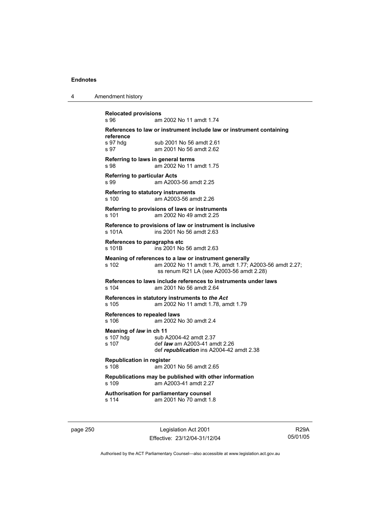| Amendment history<br>л |  |
|------------------------|--|
|------------------------|--|

**Relocated provisions**  s 96 am 2002 No 11 amdt 1.74 **References to law or instrument include law or instrument containing reference**  s 97 hdg sub 2001 No 56 amdt 2.61 s 97 am 2001 No 56 amdt 2.62 **Referring to laws in general terms**  s 98 am 2002 No 11 amdt 1.75 **Referring to particular Acts**  s 99 am A2003-56 amdt 2.25 **Referring to statutory instruments** s 100 am A2003-56 amdt 2.26 **Referring to provisions of laws or instruments**  s 101 am 2002 No 49 amdt 2.25 **Reference to provisions of law or instrument is inclusive**  s 101A ins 2001 No 56 amdt 2.63 **References to paragraphs etc**  s 101B ins 2001 No 56 amdt 2.63 **Meaning of references to a law or instrument generally**  s 102 am 2002 No 11 amdt 1.76, amdt 1.77; A2003-56 amdt 2.27; ss renum R21 LA (see A2003-56 amdt 2.28) **References to laws include references to instruments under laws**  s 104 am 2001 No 56 amdt 2.64 **References in statutory instruments to** *the Act* s 105 am 2002 No 11 amdt 1.78, amdt 1.79 **References to repealed laws**  s 106 am 2002 No 30 amdt 2.4 **Meaning of** *law* **in ch 11**  s 107 hdg sub A2004-42 amdt 2.37 s 107 def *law* am A2003-41 amdt 2.26 def *republication* ins A2004-42 amdt 2.38 **Republication in register**  s 108 am 2001 No 56 amdt 2.65 **Republications may be published with other information**  s 109 am A2003-41 amdt 2.27 **Authorisation for parliamentary counsel**  s 114 am 2001 No 70 amdt 1.8

page 250 **Legislation Act 2001** Effective: 23/12/04-31/12/04

R29A 05/01/05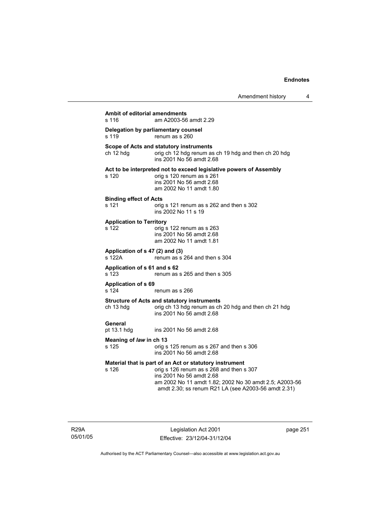| <b>Ambit of editorial amendments</b><br>s 116 | am A2003-56 amdt 2.29                                                                                                                                                                                                                            |  |  |  |
|-----------------------------------------------|--------------------------------------------------------------------------------------------------------------------------------------------------------------------------------------------------------------------------------------------------|--|--|--|
| s 119                                         | Delegation by parliamentary counsel<br>renum as s 260                                                                                                                                                                                            |  |  |  |
| ch 12 hdg                                     | Scope of Acts and statutory instruments<br>orig ch 12 hdg renum as ch 19 hdg and then ch 20 hdg<br>ins 2001 No 56 amdt 2.68                                                                                                                      |  |  |  |
| s 120                                         | Act to be interpreted not to exceed legislative powers of Assembly<br>orig s 120 renum as s 261<br>ins 2001 No 56 amdt 2.68<br>am 2002 No 11 amdt 1.80                                                                                           |  |  |  |
| <b>Binding effect of Acts</b><br>s 121        | orig s 121 renum as s 262 and then s 302<br>ins 2002 No 11 s 19                                                                                                                                                                                  |  |  |  |
| <b>Application to Territory</b><br>s 122      | orig s 122 renum as s 263<br>ins 2001 No 56 amdt 2.68<br>am 2002 No 11 amdt 1.81                                                                                                                                                                 |  |  |  |
| Application of s 47 (2) and (3)<br>s 122A     | renum as s 264 and then s 304                                                                                                                                                                                                                    |  |  |  |
| Application of s 61 and s 62<br>s 123         | renum as s 265 and then s 305                                                                                                                                                                                                                    |  |  |  |
| <b>Application of s 69</b><br>s 124           | renum as s 266                                                                                                                                                                                                                                   |  |  |  |
| ch 13 hdg                                     | <b>Structure of Acts and statutory instruments</b><br>orig ch 13 hdg renum as ch 20 hdg and then ch 21 hdg<br>ins 2001 No 56 amdt 2.68                                                                                                           |  |  |  |
| General<br>pt 13.1 hdg                        | ins 2001 No 56 amdt 2.68                                                                                                                                                                                                                         |  |  |  |
| Meaning of law in ch 13<br>s 125              | orig s 125 renum as s 267 and then s 306<br>ins 2001 No 56 amdt 2.68                                                                                                                                                                             |  |  |  |
| s 126                                         | Material that is part of an Act or statutory instrument<br>orig s 126 renum as s 268 and then s 307<br>ins 2001 No 56 amdt 2.68<br>am 2002 No 11 amdt 1.82; 2002 No 30 amdt 2.5; A2003-56<br>amdt 2.30; ss renum R21 LA (see A2003-56 amdt 2.31) |  |  |  |

R29A 05/01/05

Legislation Act 2001 Effective: 23/12/04-31/12/04 page 251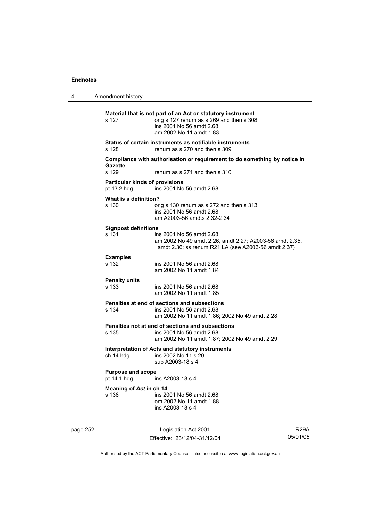4 Amendment history **Material that is not part of an Act or statutory instrument**  s 127 orig s 127 renum as s 269 and then s 308 ins 2001 No 56 amdt 2.68 am 2002 No 11 amdt 1.83 **Status of certain instruments as notifiable instruments**  s 128 renum as s 270 and then s 309 **Compliance with authorisation or requirement to do something by notice in**  Gazette<br>s 129 renum as s 271 and then s 310 **Particular kinds of provisions**  pt 13.2 hdg ins 2001 No 56 amdt 2.68 **What is a definition?**  s 130 orig s 130 renum as s 272 and then s 313 ins 2001 No 56 amdt 2.68 am A2003-56 amdts 2.32-2.34 **Signpost definitions**  ins 2001 No 56 amdt 2.68 am 2002 No 49 amdt 2.26, amdt 2.27; A2003-56 amdt 2.35, amdt 2.36; ss renum R21 LA (see A2003-56 amdt 2.37) **Examples**  s 132 ins 2001 No 56 amdt 2.68 am 2002 No 11 amdt 1.84 **Penalty units**  s 133 ins 2001 No 56 amdt 2.68 am 2002 No 11 amdt 1.85 **Penalties at end of sections and subsections**  ins 2001 No 56 amdt 2.68 am 2002 No 11 amdt 1.86; 2002 No 49 amdt 2.28 **Penalties not at end of sections and subsections**  s 135 ins 2001 No 56 amdt 2.68 am 2002 No 11 amdt 1.87; 2002 No 49 amdt 2.29 **Interpretation of Acts and statutory instruments**  ch 14 hdg ins 2002 No 11 s 20 sub A2003-18 s 4 **Purpose and scope**  pt 14.1 hdg ins A2003-18 s 4 **Meaning of** *Act* **in ch 14**  s 136 ins 2001 No 56 amdt 2.68 om 2002 No 11 amdt 1.88 ins A2003-18 s 4

page 252 Legislation Act 2001 Effective: 23/12/04-31/12/04

R29A 05/01/05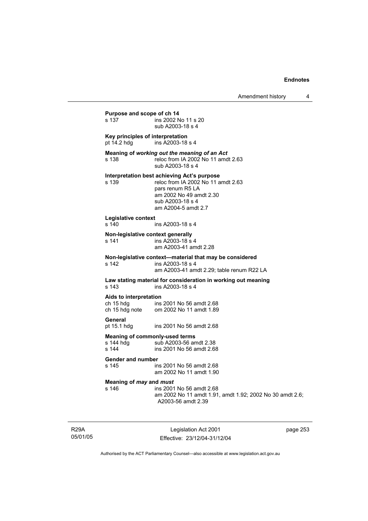# **Purpose and scope of ch 14**<br>s 137 **ins 2002** N ins 2002 No 11 s 20 sub A2003-18 s 4 **Key principles of interpretation**  pt 14.2 hdg ins A2003-18 s 4 **Meaning of** *working out the meaning of an Act* s 138 reloc from IA 2002 No 11 amdt 2.63 sub A2003-18 s 4 **Interpretation best achieving Act's purpose**  s 139 reloc from IA 2002 No 11 amdt 2.63 pars renum R5 LA am 2002 No 49 amdt 2.30 sub A2003-18 s 4 am A2004-5 amdt 2.7 **Legislative context**  ins A2003-18 s 4 **Non-legislative context generally**  s 141 ins A2003-18 s 4 am A2003-41 amdt 2.28 **Non-legislative context—material that may be considered**  s 142 ins A2003-18 s 4 am A2003-41 amdt 2.29; table renum R22 LA **Law stating material for consideration in working out meaning**  s 143 ins A2003-18 s 4 **Aids to interpretation**  ch 15 hdg ins 2001 No 56 amdt 2.68<br>ch 15 hdg note om 2002 No 11 amdt 1.89 om 2002 No 11 amdt 1.89 **General**  pt 15.1 hdg ins 2001 No 56 amdt 2.68 **Meaning of commonly-used terms**<br>s 144 hdg sub A2003-56 an s 144 hdg sub A2003-56 amdt 2.38<br>s 144 s ins 2001 No 56 amdt 2.68 ins 2001 No 56 amdt 2.68 **Gender and number**  ins 2001 No 56 amdt 2.68 am 2002 No 11 amdt 1.90 **Meaning of** *may* **and** *must* s 146 ins 2001 No 56 amdt 2.68 am 2002 No 11 amdt 1.91, amdt 1.92; 2002 No 30 amdt 2.6; A2003-56 amdt 2.39

R29A 05/01/05

Legislation Act 2001 Effective: 23/12/04-31/12/04 page 253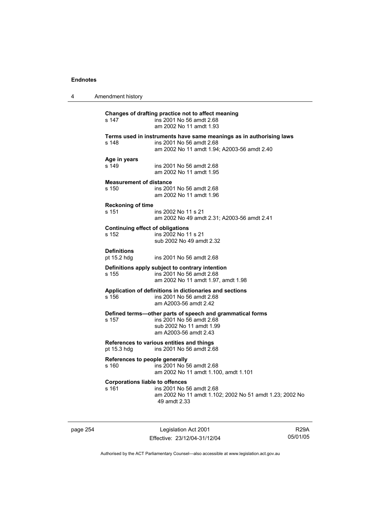| 4 | Amendment history                                |                                                                                                                                                |
|---|--------------------------------------------------|------------------------------------------------------------------------------------------------------------------------------------------------|
|   | s 147                                            | Changes of drafting practice not to affect meaning<br>ins 2001 No 56 amdt 2.68<br>am 2002 No 11 amdt 1.93                                      |
|   | s 148                                            | Terms used in instruments have same meanings as in authorising laws<br>ins 2001 No 56 amdt 2.68<br>am 2002 No 11 amdt 1.94; A2003-56 amdt 2.40 |
|   | Age in years<br>s 149                            | ins 2001 No 56 amdt 2.68<br>am 2002 No 11 amdt 1.95                                                                                            |
|   | <b>Measurement of distance</b><br>s 150          | ins 2001 No 56 amdt 2.68<br>am 2002 No 11 amdt 1.96                                                                                            |
|   | <b>Reckoning of time</b><br>s 151                | ins 2002 No 11 s 21<br>am 2002 No 49 amdt 2.31; A2003-56 amdt 2.41                                                                             |
|   | <b>Continuing effect of obligations</b><br>s 152 | ins 2002 No 11 s 21<br>sub 2002 No 49 amdt 2.32                                                                                                |
|   | <b>Definitions</b><br>pt 15.2 hdg                | ins 2001 No 56 amdt 2.68                                                                                                                       |
|   | s 155                                            | Definitions apply subject to contrary intention<br>ins 2001 No 56 amdt 2.68<br>am 2002 No 11 amdt 1.97, amdt 1.98                              |
|   | s 156                                            | Application of definitions in dictionaries and sections<br>ins 2001 No 56 amdt 2.68<br>am A2003-56 amdt 2.42                                   |
|   | s 157                                            | Defined terms-other parts of speech and grammatical forms<br>ins 2001 No 56 amdt 2.68<br>sub 2002 No 11 amdt 1.99<br>am A2003-56 amdt 2.43     |
|   | pt 15.3 hdg                                      | References to various entities and things<br>ins 2001 No 56 amdt 2.68                                                                          |
|   | References to people generally<br>s 160          | ins 2001 No 56 amdt 2.68<br>am 2002 No 11 amdt 1.100, amdt 1.101                                                                               |
|   | <b>Corporations liable to offences</b><br>s 161  | ins 2001 No 56 amdt 2.68<br>am 2002 No 11 amdt 1.102; 2002 No 51 amdt 1.23; 2002 No<br>49 amdt 2.33                                            |

page 254 Legislation Act 2001 Effective: 23/12/04-31/12/04

R29A 05/01/05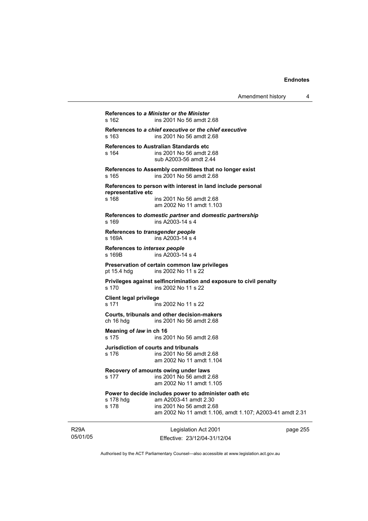| Amendment history |  |
|-------------------|--|
|-------------------|--|

**References to** *a Minister* **or** *the Minister* s 162 ins 2001 No 56 amdt 2.68 **References to** *a chief executive* **or** *the chief executive* s 163 ins 2001 No 56 amdt 2.68 **References to Australian Standards etc**  s 164 ins 2001 No 56 amdt 2.68 sub A2003-56 amdt 2.44 **References to Assembly committees that no longer exist**  s 165 ins 2001 No 56 amdt 2.68 **References to person with interest in land include personal representative etc**  ins 2001 No 56 amdt 2.68 am 2002 No 11 amdt 1.103 **References to** *domestic partner* **and** *domestic partnership*  s 169 ins A2003-14 s 4 **References to** *transgender people*  s 169A **ins A2003-14** s 4 **References to** *intersex people*  s 169B ins A2003-14 s 4 **Preservation of certain common law privileges**  pt 15.4 hdg ins 2002 No 11 s 22 **Privileges against selfincrimination and exposure to civil penalty**  s 170 ins 2002 No 11 s 22 **Client legal privilege**  s 171 ins 2002 No 11 s 22 **Courts, tribunals and other decision-makers**  ch 16 hdg ins 2001 No 56 amdt 2.68 **Meaning of** *law* **in ch 16**  s 175 ins 2001 No 56 amdt 2.68 **Jurisdiction of courts and tribunals**  s 176 ins 2001 No 56 amdt 2.68 am 2002 No 11 amdt 1.104 **Recovery of amounts owing under laws**  s 177 ins 2001 No 56 amdt 2.68 am 2002 No 11 amdt 1.105 **Power to decide includes power to administer oath etc**  s 178 hdg am A2003-41 amdt 2.30 s 178 ins 2001 No 56 amdt 2.68 am 2002 No 11 amdt 1.106, amdt 1.107; A2003-41 amdt 2.31

R29A 05/01/05

Legislation Act 2001 Effective: 23/12/04-31/12/04 page 255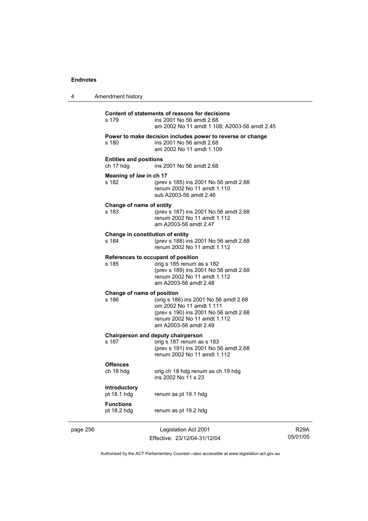| 4        | Amendment history                          |                                                                                                                                                                    |
|----------|--------------------------------------------|--------------------------------------------------------------------------------------------------------------------------------------------------------------------|
|          | s 179                                      | Content of statements of reasons for decisions<br>ins 2001 No 56 amdt 2.68<br>am 2002 No 11 amdt 1.108; A2003-56 amdt 2.45                                         |
|          | s 180                                      | Power to make decision includes power to reverse or change<br>ins 2001 No 56 amdt 2.68<br>am 2002 No 11 amdt 1.109                                                 |
|          | <b>Entities and positions</b><br>ch 17 hdg | ins 2001 No 56 amdt 2.68                                                                                                                                           |
|          | Meaning of law in ch 17<br>s 182           | (prev s 185) ins 2001 No 56 amdt 2.68<br>renum 2002 No 11 amdt 1.110<br>sub A2003-56 amdt 2.46                                                                     |
|          | Change of name of entity<br>s 183          | (prev s 187) ins 2001 No 56 amdt 2.68<br>renum 2002 No 11 amdt 1.112<br>am A2003-56 amdt 2.47                                                                      |
|          | Change in constitution of entity<br>s 184  | (prev s 188) ins 2001 No 56 amdt 2.68<br>renum 2002 No 11 amdt 1.112                                                                                               |
|          | s 185                                      | References to occupant of position<br>orig s 185 renum as s 182<br>(prev s 189) ins 2001 No 56 amdt 2.68<br>renum 2002 No 11 amdt 1.112<br>am A2003-56 amdt 2.48   |
|          | Change of name of position<br>s 186        | (orig s 186) ins 2001 No 56 amdt 2.68<br>om 2002 No 11 amdt 1.111<br>(prev s 190) ins 2001 No 56 amdt 2.68<br>renum 2002 No 11 amdt 1.112<br>am A2003-56 amdt 2.49 |
|          | s 187                                      | Chairperson and deputy chairperson<br>orig s 187 renum as s 183<br>(prev s 191) ins 2001 No 56 amdt 2.68<br>renum 2002 No 11 amdt 1.112                            |
|          | <b>Offences</b><br>ch 18 hdg               | orig ch 18 hdg renum as ch 19 hdg<br>ins 2002 No 11 s 23                                                                                                           |
|          | Introductory<br>pt 18.1 hdg                | renum as pt 19.1 hdg                                                                                                                                               |
|          | <b>Functions</b><br>pt 18.2 hdg            | renum as pt 19.2 hdg                                                                                                                                               |
| page 256 |                                            | Legislation Act 2001                                                                                                                                               |

Effective: 23/12/04-31/12/04

R29A 05/01/05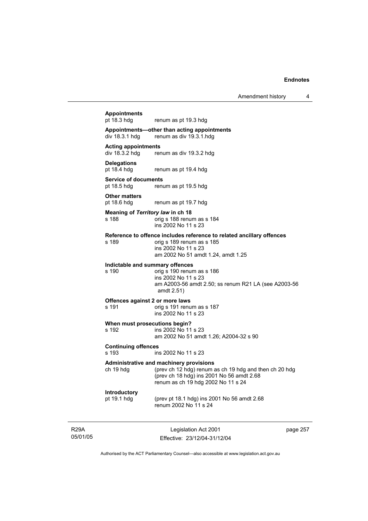# 05/01/05 Legislation Act 2001 Effective: 23/12/04-31/12/04 page 257 **Appointments**  renum as pt 19.3 hdg **Appointments—other than acting appointments**  renum as div 19.3.1 hdg **Acting appointments**  renum as div 19.3.2 hdg **Delegations**  pt 18.4 hdg renum as pt 19.4 hdg **Service of documents**<br>pt 18.5 hdg renu renum as pt 19.5 hdg **Other matters**  pt 18.6 hdg renum as pt 19.7 hdg **Meaning of** *Territory law* **in ch 18**  s 188 orig s 188 renum as s 184 ins 2002 No 11 s 23 **Reference to offence includes reference to related ancillary offences**  s 189 orig s 189 renum as s 185 ins 2002 No 11 s 23 am 2002 No 51 amdt 1.24, amdt 1.25 **Indictable and summary offences**  s 190 orig s 190 renum as s 186 ins 2002 No 11 s 23 am A2003-56 amdt 2.50; ss renum R21 LA (see A2003-56 amdt 2.51) **Offences against 2 or more laws**  s 191 orig s 191 renum as s 187 ins 2002 No 11 s 23 **When must prosecutions begin?**  s 192 ins 2002 No 11 s 23 am 2002 No 51 amdt 1.26; A2004-32 s 90 **Continuing offences**  s 193 ins 2002 No 11 s 23 **Administrative and machinery provisions**  ch 19 hdg (prev ch 12 hdg) renum as ch 19 hdg and then ch 20 hdg (prev ch 18 hdg) ins 2001 No 56 amdt 2.68 renum as ch 19 hdg 2002 No 11 s 24 **Introductory**  pt 19.1 hdg (prev pt 18.1 hdg) ins 2001 No 56 amdt 2.68 renum 2002 No 11 s 24

Authorised by the ACT Parliamentary Counsel—also accessible at www.legislation.act.gov.au

R29A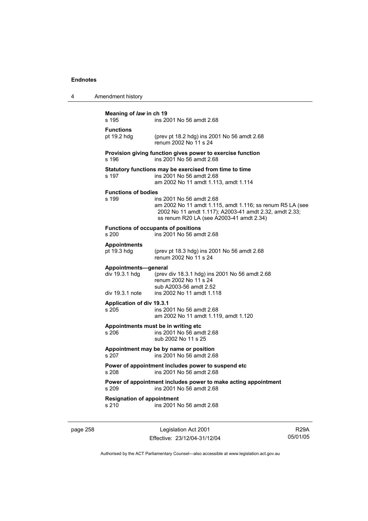| Meaning of law in ch 19<br>ins 2001 No 56 amdt 2.68<br>s 195                                        |                                                                                                                                                                                             |  |
|-----------------------------------------------------------------------------------------------------|---------------------------------------------------------------------------------------------------------------------------------------------------------------------------------------------|--|
| <b>Functions</b><br>pt 19.2 hdg                                                                     | (prev pt 18.2 hdg) ins 2001 No 56 amdt 2.68<br>renum 2002 No 11 s 24                                                                                                                        |  |
| s 196                                                                                               | Provision giving function gives power to exercise function<br>ins 2001 No 56 amdt 2.68                                                                                                      |  |
| s 197                                                                                               | Statutory functions may be exercised from time to time<br>ins 2001 No 56 amdt 2.68<br>am 2002 No 11 amdt 1.113, amdt 1.114                                                                  |  |
| <b>Functions of bodies</b><br>s 199                                                                 | ins 2001 No 56 amdt 2.68<br>am 2002 No 11 amdt 1.115, amdt 1.116; ss renum R5 LA (see<br>2002 No 11 amdt 1.117); A2003-41 amdt 2.32, amdt 2.33;<br>ss renum R20 LA (see A2003-41 amdt 2.34) |  |
| s 200                                                                                               | <b>Functions of occupants of positions</b><br>ins 2001 No 56 amdt 2.68                                                                                                                      |  |
| <b>Appointments</b><br>pt 19.3 hdg                                                                  | (prev pt 18.3 hdg) ins 2001 No 56 amdt 2.68<br>renum 2002 No 11 s 24                                                                                                                        |  |
| Appointments-general<br>div 19.3.1 hdg<br>div 19.3.1 note                                           | (prev div 18.3.1 hdg) ins 2001 No 56 amdt 2.68<br>renum 2002 No 11 s 24<br>sub A2003-56 amdt 2.52<br>ins 2002 No 11 amdt 1.118                                                              |  |
| <b>Application of div 19.3.1</b><br>s 205                                                           | ins 2001 No 56 amdt 2.68<br>am 2002 No 11 amdt 1.119, amdt 1.120                                                                                                                            |  |
| s 206                                                                                               | Appointments must be in writing etc.<br>ins 2001 No 56 amdt 2.68<br>sub 2002 No 11 s 25                                                                                                     |  |
| s 207                                                                                               | Appointment may be by name or position<br>ins 2001 No 56 amdt 2.68                                                                                                                          |  |
| s 208                                                                                               | Power of appointment includes power to suspend etc<br>ins 2001 No 56 amdt 2.68                                                                                                              |  |
| Power of appointment includes power to make acting appointment<br>ins 2001 No 56 amdt 2.68<br>s 209 |                                                                                                                                                                                             |  |
| <b>Resignation of appointment</b><br>s 210                                                          | ins 2001 No 56 amdt 2.68                                                                                                                                                                    |  |

page 258 Legislation Act 2001 Effective: 23/12/04-31/12/04

R29A 05/01/05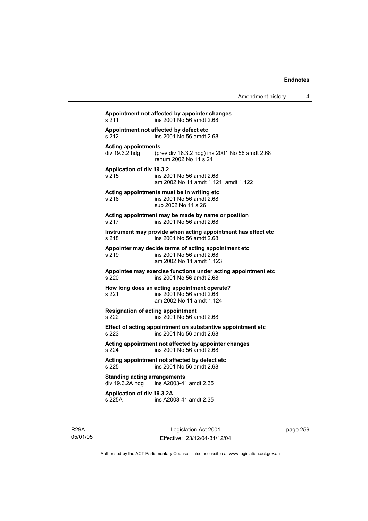# **Appointment not affected by appointer changes**  s 211 ins 2001 No 56 amdt 2.68 **Appointment not affected by defect etc**  s 212 ins 2001 No 56 amdt 2.68 **Acting appointments**  (prev div 18.3.2 hdg) ins 2001 No 56 amdt 2.68 renum 2002 No 11 s 24 **Application of div 19.3.2**  s 215 ins 2001 No 56 amdt 2.68 am 2002 No 11 amdt 1.121, amdt 1.122 **Acting appointments must be in writing etc**  s 216 ins 2001 No 56 amdt 2.68 sub 2002 No 11 s 26 **Acting appointment may be made by name or position**  s 217 ins 2001 No 56 amdt 2.68 **Instrument may provide when acting appointment has effect etc**  s 218 ins 2001 No 56 amdt 2.68 **Appointer may decide terms of acting appointment etc**  s 219 ins 2001 No 56 amdt 2.68 am 2002 No 11 amdt 1.123 **Appointee may exercise functions under acting appointment etc**  s 220 ins 2001 No 56 amdt 2.68 **How long does an acting appointment operate?**  s 221 ins 2001 No 56 amdt 2.68 am 2002 No 11 amdt 1.124 **Resignation of acting appointment**  s 222 ins 2001 No 56 amdt 2.68 **Effect of acting appointment on substantive appointment etc**  s 223 ins 2001 No 56 amdt 2.68 **Acting appointment not affected by appointer changes**  s 224 ins 2001 No 56 amdt 2.68 **Acting appointment not affected by defect etc**  s 225 ins 2001 No 56 amdt 2.68 **Standing acting arrangements**   $div 19.3.2A hda$  ins A2003-41 amdt 2.35 **Application of div 19.3.2A**  s 225A ins A2003-41 amdt 2.35

R29A 05/01/05

Legislation Act 2001 Effective: 23/12/04-31/12/04 page 259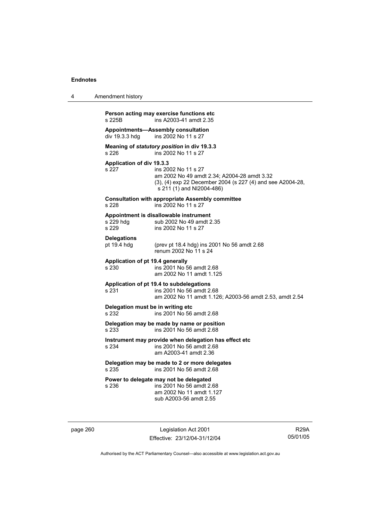| 4 | Amendment history                                                                                                                                                                                   |
|---|-----------------------------------------------------------------------------------------------------------------------------------------------------------------------------------------------------|
|   | Person acting may exercise functions etc<br>s 225B<br>ins A2003-41 amdt 2.35                                                                                                                        |
|   | Appointments—Assembly consultation<br>div 19.3.3 hdg<br>ins 2002 No 11 s 27                                                                                                                         |
|   | Meaning of statutory position in div 19.3.3<br>s 226<br>ins 2002 No 11 s 27                                                                                                                         |
|   | Application of div 19.3.3<br>s 227<br>ins 2002 No 11 s 27<br>am 2002 No 49 amdt 2.34; A2004-28 amdt 3.32<br>(3), (4) exp 22 December 2004 (s 227 (4) and see A2004-28,<br>s 211 (1) and NI2004-486) |
|   | <b>Consultation with appropriate Assembly committee</b><br>s 228<br>ins 2002 No 11 s 27                                                                                                             |
|   | Appointment is disallowable instrument<br>s 229 hdg<br>sub 2002 No 49 amdt 2.35<br>s 229<br>ins 2002 No 11 s 27                                                                                     |
|   | <b>Delegations</b><br>pt 19.4 hdg<br>(prev pt 18.4 hdg) ins 2001 No 56 amdt 2.68<br>renum 2002 No 11 s 24                                                                                           |
|   | Application of pt 19.4 generally<br>s 230<br>ins 2001 No 56 amdt 2.68<br>am 2002 No 11 amdt 1.125                                                                                                   |
|   | Application of pt 19.4 to subdelegations<br>s 231<br>ins 2001 No 56 amdt 2.68<br>am 2002 No 11 amdt 1.126; A2003-56 amdt 2.53, amdt 2.54                                                            |
|   | Delegation must be in writing etc.<br>s 232<br>ins 2001 No 56 amdt 2.68                                                                                                                             |
|   | Delegation may be made by name or position<br>s 233<br>ins 2001 No 56 amdt 2.68                                                                                                                     |
|   | Instrument may provide when delegation has effect etc<br>s 234<br>ins 2001 No 56 amdt 2.68<br>am A2003-41 amdt 2.36                                                                                 |
|   | Delegation may be made to 2 or more delegates<br>s 235<br>ins 2001 No 56 amdt 2.68                                                                                                                  |
|   | Power to delegate may not be delegated<br>s 236<br>ins 2001 No 56 amdt 2.68<br>am 2002 No 11 amdt 1.127<br>sub A2003-56 amdt 2.55                                                                   |

page 260 Legislation Act 2001 Effective: 23/12/04-31/12/04

R29A 05/01/05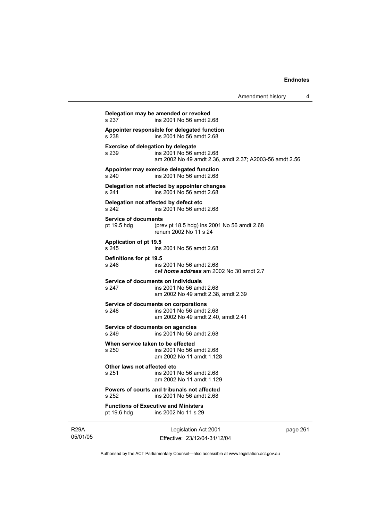**Delegation may be amended or revoked**  ins 2001 No 56 amdt 2.68 **Appointer responsible for delegated function**  s 238 ins 2001 No 56 amdt 2.68 **Exercise of delegation by delegate**<br>s 239 **ins 2001** No 56 a s 239 ins 2001 No 56 amdt 2.68 am 2002 No 49 amdt 2.36, amdt 2.37; A2003-56 amdt 2.56 **Appointer may exercise delegated function**  s 240 ins 2001 No 56 amdt 2.68 **Delegation not affected by appointer changes**  s 241 ins 2001 No 56 amdt 2.68 **Delegation not affected by defect etc**  s 242 ins 2001 No 56 amdt 2.68 **Service of documents**  pt 19.5 hdg (prev pt 18.5 hdg) ins 2001 No 56 amdt 2.68 renum 2002 No 11 s 24 **Application of pt 19.5**  s 245 ins 2001 No 56 amdt 2.68 **Definitions for pt 19.5**  s 246 ins 2001 No 56 amdt 2.68 def *home address* am 2002 No 30 amdt 2.7 **Service of documents on individuals**  s 247 ins 2001 No 56 amdt 2.68 am 2002 No 49 amdt 2.38, amdt 2.39 **Service of documents on corporations**  s 248 ins 2001 No 56 amdt 2.68 am 2002 No 49 amdt 2.40, amdt 2.41 **Service of documents on agencies**  s 249 ins 2001 No 56 amdt 2.68 **When service taken to be effected**  s 250 ins 2001 No 56 amdt 2.68 am 2002 No 11 amdt 1.128 **Other laws not affected etc**  s 251 ins 2001 No 56 amdt 2.68 am 2002 No 11 amdt 1.129 **Powers of courts and tribunals not affected**  s 252 ins 2001 No 56 amdt 2.68 **Functions of Executive and Ministers**  pt 19.6 hdg ins 2002 No 11 s 29

R29A 05/01/05

Legislation Act 2001 Effective: 23/12/04-31/12/04 page 261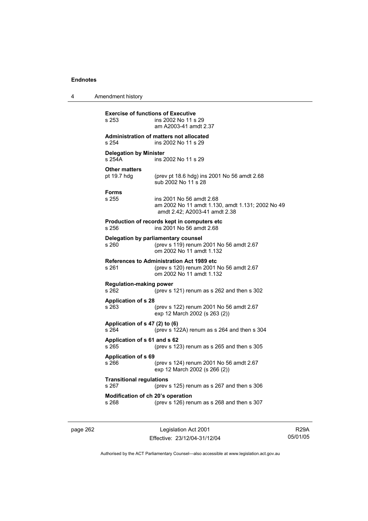| 4 | Amendment history                                  |                                                                                                                         |
|---|----------------------------------------------------|-------------------------------------------------------------------------------------------------------------------------|
|   | <b>Exercise of functions of Executive</b><br>s 253 | ins 2002 No 11 s 29<br>am A2003-41 amdt 2.37                                                                            |
|   | s 254                                              | Administration of matters not allocated<br>ins 2002 No 11 s 29                                                          |
|   | <b>Delegation by Minister</b><br>s 254A            | ins 2002 No 11 s 29                                                                                                     |
|   | <b>Other matters</b><br>pt 19.7 hdg                | (prev pt 18.6 hdg) ins 2001 No 56 amdt 2.68<br>sub 2002 No 11 s 28                                                      |
|   | <b>Forms</b><br>s 255                              | ins 2001 No 56 amdt 2.68<br>am 2002 No 11 amdt 1.130, amdt 1.131; 2002 No 49<br>amdt 2.42; A2003-41 amdt 2.38           |
|   | s 256                                              | Production of records kept in computers etc<br>ins 2001 No 56 amdt 2.68                                                 |
|   | Delegation by parliamentary counsel<br>s 260       | (prev s 119) renum 2001 No 56 amdt 2.67<br>om 2002 No 11 amdt 1.132                                                     |
|   | s 261                                              | <b>References to Administration Act 1989 etc</b><br>(prev s 120) renum 2001 No 56 amdt 2.67<br>om 2002 No 11 amdt 1.132 |
|   | <b>Regulation-making power</b><br>s 262            | (prev s 121) renum as s 262 and then s 302                                                                              |
|   | <b>Application of s 28</b><br>s 263                | (prev s 122) renum 2001 No 56 amdt 2.67<br>exp 12 March 2002 (s 263 (2))                                                |
|   | Application of s 47 (2) to (6)<br>s 264            | (prev s $122A$ ) renum as s $264$ and then s $304$                                                                      |
|   | Application of s 61 and s 62<br>s 265              | (prev s 123) renum as s 265 and then s 305                                                                              |
|   | <b>Application of s 69</b><br>s 266                | (prev s 124) renum 2001 No 56 amdt 2.67<br>exp 12 March 2002 (s 266 (2))                                                |
|   | <b>Transitional regulations</b><br>s 267           | (prev s 125) renum as s 267 and then s 306                                                                              |
|   | Modification of ch 20's operation<br>s 268         | (prev s 126) renum as s 268 and then s 307                                                                              |

page 262 Legislation Act 2001 Effective: 23/12/04-31/12/04

R29A 05/01/05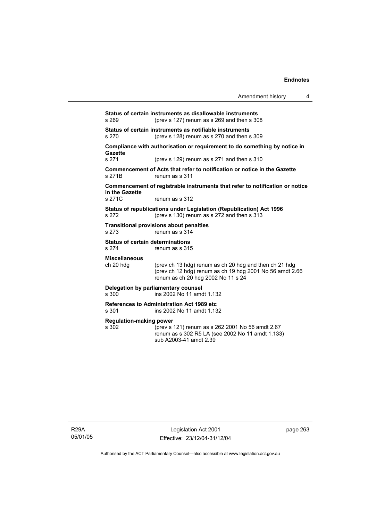| Amendment history |  |  |
|-------------------|--|--|
|-------------------|--|--|

**Status of certain instruments as disallowable instruments**  s 269 (prev s 127) renum as s 269 and then s 308 **Status of certain instruments as notifiable instruments**  s 270 (prev s 128) renum as s 270 and then s 309 **Compliance with authorisation or requirement to do something by notice in Gazette**  s 271 (prev s 129) renum as s 271 and then s 310 **Commencement of Acts that refer to notification or notice in the Gazette**  s 271B renum as s 311 **Commencement of registrable instruments that refer to notification or notice in the Gazette**  renum as s 312 **Status of republications under Legislation (Republication) Act 1996**  s 272 (prev s 130) renum as s 272 and then s 313 **Transitional provisions about penalties** s 273 renum as s 314 **Status of certain determinations**<br>  $\frac{1}{2}$  **s** 274 **renum as s** 319 renum as s 315 **Miscellaneous**  ch 20 hdg (prev ch 13 hdg) renum as ch 20 hdg and then ch 21 hdg (prev ch 12 hdg) renum as ch 19 hdg 2001 No 56 amdt  $2.66$  renum as ch 20 hdg 2002 No 11 s 24 **Delegation by parliamentary counsel**  s 300 ins 2002 No 11 amdt 1.132 **References to Administration Act 1989 etc**  s 301 ins 2002 No 11 amdt 1.132 **Regulation-making power**  s 302 (prev s 121) renum as s 262 2001 No 56 amdt 2.67 renum as s 302 R5 LA (see 2002 No 11 amdt 1.133) sub A2003-41 amdt 2.39

R29A 05/01/05

Legislation Act 2001 Effective: 23/12/04-31/12/04 page 263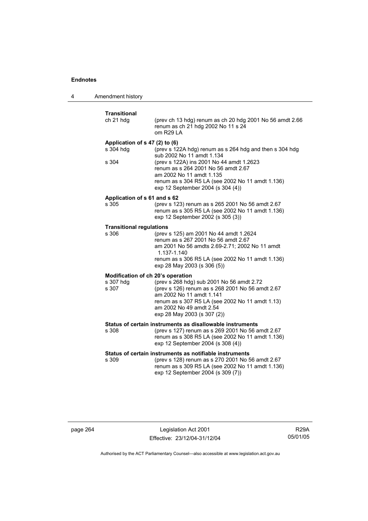| 4 | Amendment history                                       |                                                                                                                                                                                                                                                                                              |
|---|---------------------------------------------------------|----------------------------------------------------------------------------------------------------------------------------------------------------------------------------------------------------------------------------------------------------------------------------------------------|
|   | <b>Transitional</b><br>ch 21 hdg                        | (prev ch 13 hdg) renum as ch 20 hdg 2001 No 56 amdt 2.66<br>renum as ch 21 hdg 2002 No 11 s 24<br>om R29 LA                                                                                                                                                                                  |
|   | Application of s 47 (2) to (6)<br>s 304 hdg<br>s 304    | (prev s 122A hdg) renum as s 264 hdg and then s 304 hdg<br>sub 2002 No 11 amdt 1.134<br>(prev s 122A) ins 2001 No 44 amdt 1.2623<br>renum as s 264 2001 No 56 amdt 2.67<br>am 2002 No 11 amdt 1.135<br>renum as s 304 R5 LA (see 2002 No 11 amdt 1.136)<br>exp 12 September 2004 (s 304 (4)) |
|   | Application of s 61 and s 62<br>s 305                   | (prev s 123) renum as s 265 2001 No 56 amdt 2.67<br>renum as s 305 R5 LA (see 2002 No 11 amdt 1.136)<br>exp 12 September 2002 (s 305 (3))                                                                                                                                                    |
|   | <b>Transitional regulations</b><br>s 306                | (prev s 125) am 2001 No 44 amdt 1.2624<br>renum as s 267 2001 No 56 amdt 2.67<br>am 2001 No 56 amdts 2.69-2.71; 2002 No 11 amdt<br>1.137-1.140<br>renum as s 306 R5 LA (see 2002 No 11 amdt 1.136)<br>exp 28 May 2003 (s 306 (5))                                                            |
|   | Modification of ch 20's operation<br>s 307 hdg<br>s 307 | (prev s 268 hdg) sub 2001 No 56 amdt 2.72<br>(prev s 126) renum as s 268 2001 No 56 amdt 2.67<br>am 2002 No 11 amdt 1.141<br>renum as s 307 R5 LA (see 2002 No 11 amdt 1.13)<br>am 2002 No 49 amdt 2.54<br>exp 28 May 2003 (s 307 (2))                                                       |
|   | s 308                                                   | Status of certain instruments as disallowable instruments<br>(prev s 127) renum as s 269 2001 No 56 amdt 2.67<br>renum as s 308 R5 LA (see 2002 No 11 amdt 1.136)<br>exp 12 September 2004 (s 308 (4))                                                                                       |
|   | s 309                                                   | Status of certain instruments as notifiable instruments<br>(prev s 128) renum as s 270 2001 No 56 amdt 2.67<br>renum as s 309 R5 LA (see 2002 No 11 amdt 1.136)<br>exp 12 September 2004 (s 309 (7))                                                                                         |

page 264 Legislation Act 2001 Effective: 23/12/04-31/12/04

R29A 05/01/05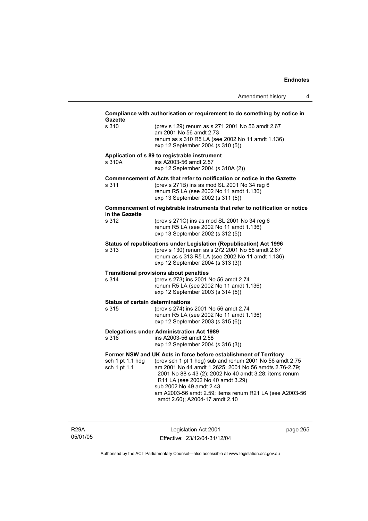| <b>Gazette</b><br>s 310 | (prev s 129) renum as s 271 2001 No 56 amdt 2.67                                                                              |
|-------------------------|-------------------------------------------------------------------------------------------------------------------------------|
|                         | am 2001 No 56 amdt 2.73                                                                                                       |
|                         | renum as s 310 R5 LA (see 2002 No 11 amdt 1.136)                                                                              |
|                         | exp 12 September 2004 (s 310 (5))                                                                                             |
|                         | Application of s 89 to registrable instrument                                                                                 |
| s 310A                  | ins A2003-56 amdt 2.57                                                                                                        |
|                         | exp 12 September 2004 (s 310A (2))                                                                                            |
| s 311                   | Commencement of Acts that refer to notification or notice in the Gazette<br>(prev s 271B) ins as mod SL 2001 No 34 reg 6      |
|                         | renum R5 LA (see 2002 No 11 amdt 1.136)                                                                                       |
|                         | exp 13 September 2002 (s 311 (5))                                                                                             |
|                         | Commencement of registrable instruments that refer to notification or notice                                                  |
| in the Gazette          |                                                                                                                               |
| s 312                   | (prev s 271C) ins as mod SL 2001 No 34 reg 6<br>renum R5 LA (see 2002 No 11 amdt 1.136)                                       |
|                         | exp 13 September 2002 (s 312 (5))                                                                                             |
|                         | Status of republications under Legislation (Republication) Act 1996                                                           |
| s 313                   | (prev s 130) renum as s 272 2001 No 56 amdt 2.67                                                                              |
|                         | renum as s 313 R5 LA (see 2002 No 11 amdt 1.136)                                                                              |
|                         | exp 12 September 2004 (s 313 (3))                                                                                             |
|                         | <b>Transitional provisions about penalties</b>                                                                                |
| s 314                   | (prev s 273) ins 2001 No 56 amdt 2.74                                                                                         |
|                         | renum R5 LA (see 2002 No 11 amdt 1.136)<br>exp 12 September 2003 (s 314 (5))                                                  |
|                         | <b>Status of certain determinations</b>                                                                                       |
| s 315                   | (prev s 274) ins 2001 No 56 amdt 2.74                                                                                         |
|                         | renum R5 LA (see 2002 No 11 amdt 1.136)                                                                                       |
|                         | exp 12 September 2003 (s 315 (6))                                                                                             |
|                         | <b>Delegations under Administration Act 1989</b>                                                                              |
| s 316                   | ins A2003-56 amdt 2.58<br>exp 12 September 2004 (s 316 (3))                                                                   |
|                         |                                                                                                                               |
| sch 1 pt 1.1 hdg        | Former NSW and UK Acts in force before establishment of Territory<br>(prev sch 1 pt 1 hdg) sub and renum 2001 No 56 amdt 2.75 |
|                         | am 2001 No 44 amdt 1.2625; 2001 No 56 amdts 2.76-2.79;                                                                        |
|                         |                                                                                                                               |
| sch 1 pt 1.1            |                                                                                                                               |
|                         | 2001 No 88 s 43 (2); 2002 No 40 amdt 3.28; items renum<br>R11 LA (see 2002 No 40 amdt 3.29)                                   |
|                         | sub 2002 No 49 amdt 2.43                                                                                                      |
|                         | am A2003-56 amdt 2.59; items renum R21 LA (see A2003-56<br>amdt 2.60); A2004-17 amdt 2.10                                     |

R29A 05/01/05

Legislation Act 2001 Effective: 23/12/04-31/12/04 page 265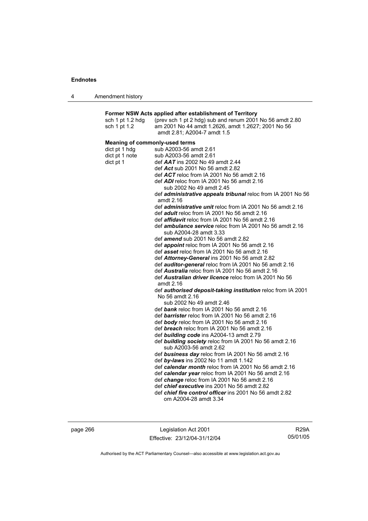|  | Amendment history |
|--|-------------------|
|--|-------------------|

## **Former NSW Acts applied after establishment of Territory**

| sch 1 pt 1.2 hdg                      | (prev sch 1 pt 2 hdg) sub and renum 2001 No 56 amdt 2.80                          |
|---------------------------------------|-----------------------------------------------------------------------------------|
| sch 1 pt 1.2                          | am 2001 No 44 amdt 1.2626, amdt 1.2627; 2001 No 56                                |
|                                       | amdt 2.81; A2004-7 amdt 1.5                                                       |
| <b>Meaning of commonly-used terms</b> |                                                                                   |
| dict pt 1 hdg                         | sub A2003-56 amdt 2.61                                                            |
| dict pt 1 note                        | sub A2003-56 amdt 2.61                                                            |
| dict pt 1                             | def $AAT$ ins 2002 No 49 amdt 2.44                                                |
|                                       | def Act sub 2001 No 56 amdt 2.82                                                  |
|                                       | def ACT reloc from IA 2001 No 56 amdt 2.16                                        |
|                                       | def ADI reloc from IA 2001 No 56 amdt 2.16                                        |
|                                       | sub 2002 No 49 amdt 2.45                                                          |
|                                       | def <i>administrative appeals tribunal</i> reloc from IA 2001 No 56               |
|                                       | amdt 2.16                                                                         |
|                                       | def <i>administrative unit</i> reloc from IA 2001 No 56 amdt 2.16                 |
|                                       | def <i>adult</i> reloc from IA 2001 No 56 amdt 2.16                               |
|                                       | def affidavit reloc from IA 2001 No 56 amdt 2.16                                  |
|                                       | def <i>ambulance service</i> reloc from IA 2001 No 56 amdt 2.16                   |
|                                       | sub A2004-28 amdt 3.33                                                            |
|                                       | def <i>amend</i> sub 2001 No 56 amdt 2.82                                         |
|                                       | def appoint reloc from IA 2001 No 56 amdt 2.16                                    |
|                                       | def asset reloc from IA 2001 No 56 amdt 2.16                                      |
|                                       | def Attorney-General ins 2001 No 56 amdt 2.82                                     |
|                                       | def auditor-general reloc from IA 2001 No 56 amdt 2.16                            |
|                                       | def <b>Australia</b> reloc from IA 2001 No 56 amdt 2.16                           |
|                                       | def Australian driver licence reloc from IA 2001 No 56<br>amdt 2.16               |
|                                       | def authorised deposit-taking institution reloc from IA 2001                      |
|                                       | No 56 amdt 2.16                                                                   |
|                                       | sub 2002 No 49 amdt 2.46                                                          |
|                                       | def bank reloc from IA 2001 No 56 amdt 2.16                                       |
|                                       | def barrister reloc from IA 2001 No 56 amdt 2.16                                  |
|                                       | def body reloc from IA 2001 No 56 amdt 2.16                                       |
|                                       | def breach reloc from IA 2001 No 56 amdt 2.16                                     |
|                                       | def building code ins A2004-13 amdt 2.79                                          |
|                                       | def building society reloc from IA 2001 No 56 amdt 2.16<br>sub A2003-56 amdt 2.62 |
|                                       | def business day reloc from IA 2001 No 56 amdt 2.16                               |
|                                       | def by-laws ins 2002 No 11 amdt 1.142                                             |
|                                       | def calendar month reloc from IA 2001 No 56 amdt 2.16                             |
|                                       | def calendar year reloc from IA 2001 No 56 amdt 2.16                              |
|                                       | def change reloc from IA 2001 No 56 amdt 2.16                                     |
|                                       | def <i>chief executive</i> ins 2001 No 56 amdt 2.82                               |
|                                       | def chief fire control officer ins 2001 No 56 amdt 2.82                           |
|                                       | om A2004-28 amdt 3.34                                                             |
|                                       |                                                                                   |

page 266 Legislation Act 2001 Effective: 23/12/04-31/12/04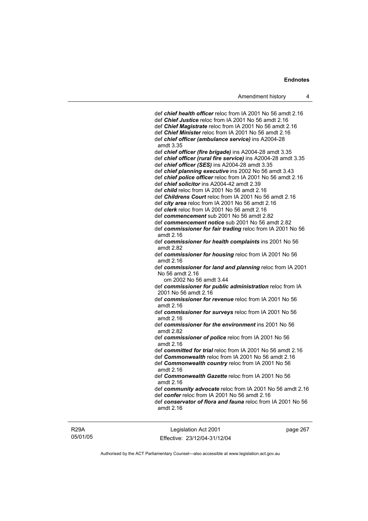def *chief health officer* reloc from IA 2001 No 56 amdt 2.16 def *Chief Justice* reloc from IA 2001 No 56 amdt 2.16 def *Chief Magistrate* reloc from IA 2001 No 56 amdt 2.16 def *Chief Minister* reloc from IA 2001 No 56 amdt 2.16 def *chief officer (ambulance service)* ins A2004-28 amdt 3.35 def *chief officer (fire brigade)* ins A2004-28 amdt 3.35 def *chief officer (rural fire service)* ins A2004-28 amdt 3.35 def *chief officer (SES)* ins A2004-28 amdt 3.35 def *chief planning executive* ins 2002 No 56 amdt 3.43 def *chief police officer* reloc from IA 2001 No 56 amdt 2.16 def *chief solicitor* ins A2004-42 amdt 2.39 def *child* reloc from IA 2001 No 56 amdt 2.16 def *Childrens Court* reloc from IA 2001 No 56 amdt 2.16 def *city area* reloc from IA 2001 No 56 amdt 2.16 def *clerk* reloc from IA 2001 No 56 amdt 2.16 def *commencement* sub 2001 No 56 amdt 2.82 def *commencement notice* sub 2001 No 56 amdt 2.82 def *commissioner for fair trading* reloc from IA 2001 No 56 amdt 2.16 def *commissioner for health complaints* ins 2001 No 56 amdt 2.82 def *commissioner for housing* reloc from IA 2001 No 56 amdt 2.16 def *commissioner for land and planning* reloc from IA 2001 No 56 amdt 2.16 om 2002 No 56 amdt 3.44 def *commissioner for public administration* reloc from IA 2001 No 56 amdt 2.16 def *commissioner for revenue* reloc from IA 2001 No 56 amdt 2.16 def *commissioner for surveys* reloc from IA 2001 No 56 amdt 2.16 def *commissioner for the environment* ins 2001 No 56 amdt 2.82 def *commissioner of police* reloc from IA 2001 No 56 amdt 2.16 def *committed for trial* reloc from IA 2001 No 56 amdt 2.16 def *Commonwealth* reloc from IA 2001 No 56 amdt 2.16 def *Commonwealth country* reloc from IA 2001 No 56 amdt 2.16 def *Commonwealth Gazette* reloc from IA 2001 No 56 amdt 2.16 def *community advocate* reloc from IA 2001 No 56 amdt 2.16 def *confer* reloc from IA 2001 No 56 amdt 2.16 def *conservator of flora and fauna* reloc from IA 2001 No 56 amdt 2.16

R29A 05/01/05

Legislation Act 2001 Effective: 23/12/04-31/12/04 page 267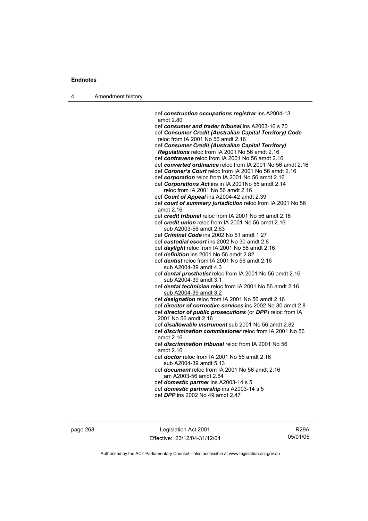| Amendment history<br>л |  |
|------------------------|--|
|------------------------|--|

 def *construction occupations registrar* ins A2004-13 amdt 2.80 def *consumer and trader tribunal* ins A2003-16 s 70 def *Consumer Credit (Australian Capital Territory) Code* reloc from IA 2001 No 56 amdt 2.16 def *Consumer Credit (Australian Capital Territory) Regulations* reloc from IA 2001 No 56 amdt 2.16 def *contravene* reloc from IA 2001 No 56 amdt 2.16 def *converted ordinance* reloc from IA 2001 No 56 amdt 2.16 def *Coroner's Court* reloc from IA 2001 No 56 amdt 2.16 def *corporation* reloc from IA 2001 No 56 amdt 2.16 def *Corporations Act* ins in IA 2001No 56 amdt 2.14 reloc from IA 2001 No 56 amdt 2.16 def *Court of Appeal* ins A2004-42 amdt 2.39 def *court of summary jurisdiction* reloc from IA 2001 No 56 amdt 2.16 def *credit tribunal* reloc from IA 2001 No 56 amdt 2.16 def *credit union* reloc from IA 2001 No 56 amdt 2.16 sub A2003-56 amdt 2.63 def *Criminal Code* ins 2002 No 51 amdt 1.27 def *custodial escort* ins 2002 No 30 amdt 2.8 def *daylight* reloc from IA 2001 No 56 amdt 2.16 def *definition* ins 2001 No 56 amdt 2.82 def *dentist* reloc from IA 2001 No 56 amdt 2.16 sub A2004-39 amdt 4.3 def *dental prosthetist* reloc from IA 2001 No 56 amdt 2.16 sub A2004-39 amdt 3.1 def *dental technician* reloc from IA 2001 No 56 amdt 2.16 sub A2004-39 amdt 3.2 def *designation* reloc from IA 2001 No 56 amdt 2.16 def *director of corrective services* ins 2002 No 30 amdt 2.8 def *director of public prosecutions* (or *DPP*) reloc from IA 2001 No 56 amdt 2.16 def *disallowable instrument* sub 2001 No 56 amdt 2.82 def *discrimination commissioner* reloc from IA 2001 No 56 amdt 2.16 def *discrimination tribunal* reloc from IA 2001 No 56 amdt 2.16 def *doctor* reloc from IA 2001 No 56 amdt 2.16 sub A2004-39 amdt 5.13 def *document* reloc from IA 2001 No 56 amdt 2.16 am A2003-56 amdt 2.64 def *domestic partner* ins A2003-14 s 5 def *domestic partnership* ins A2003-14 s 5 def *DPP* ins 2002 No 49 amdt 2.47

page 268 Legislation Act 2001 Effective: 23/12/04-31/12/04

R29A 05/01/05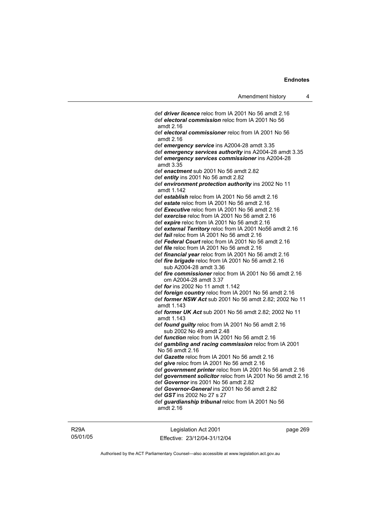def *driver licence* reloc from IA 2001 No 56 amdt 2.16 def *electoral commission* reloc from IA 2001 No 56 amdt 2.16 def *electoral commissioner* reloc from IA 2001 No 56 amdt 2.16 def *emergency service* ins A2004-28 amdt 3.35 def *emergency services authority* ins A2004-28 amdt 3.35 def *emergency services commissioner* ins A2004-28 amdt 3.35 def *enactment* sub 2001 No 56 amdt 2.82 def *entity* ins 2001 No 56 amdt 2.82 def *environment protection authority* ins 2002 No 11 amdt 1.142 def *establish* reloc from IA 2001 No 56 amdt 2.16 def *estate* reloc from IA 2001 No 56 amdt 2.16 def *Executive* reloc from IA 2001 No 56 amdt 2.16 def *exercise* reloc from IA 2001 No 56 amdt 2.16 def *expire* reloc from IA 2001 No 56 amdt 2.16 def *external Territory* reloc from IA 2001 No56 amdt 2.16 def *fail* reloc from IA 2001 No 56 amdt 2.16 def *Federal Court* reloc from IA 2001 No 56 amdt 2.16 def *file* reloc from IA 2001 No 56 amdt 2.16 def *financial year* reloc from IA 2001 No 56 amdt 2.16 def *fire brigade* reloc from IA 2001 No 56 amdt 2.16 sub A2004-28 amdt 3.36 def *fire commissioner* reloc from IA 2001 No 56 amdt 2.16 om A2004-28 amdt 3.37 def *for* ins 2002 No 11 amdt 1.142 def *foreign country* reloc from IA 2001 No 56 amdt 2.16 def *former NSW Act* sub 2001 No 56 amdt 2.82; 2002 No 11 amdt 1.143 def *former UK Act* sub 2001 No 56 amdt 2.82; 2002 No 11 amdt 1.143 def *found guilty* reloc from IA 2001 No 56 amdt 2.16 sub 2002 No 49 amdt 2.48 def *function* reloc from IA 2001 No 56 amdt 2.16 def *gambling and racing commission* reloc from IA 2001 No 56 amdt 2.16 def *Gazette* reloc from IA 2001 No 56 amdt 2.16 def *give* reloc from IA 2001 No 56 amdt 2.16 def *government printer* reloc from IA 2001 No 56 amdt 2.16 def *government solicitor* reloc from IA 2001 No 56 amdt 2.16 def *Governor* ins 2001 No 56 amdt 2.82 def *Governor-General* ins 2001 No 56 amdt 2.82 def *GST* ins 2002 No 27 s 27 def *guardianship tribunal* reloc from IA 2001 No 56 amdt 2.16

## R29A 05/01/05

Legislation Act 2001 Effective: 23/12/04-31/12/04 page 269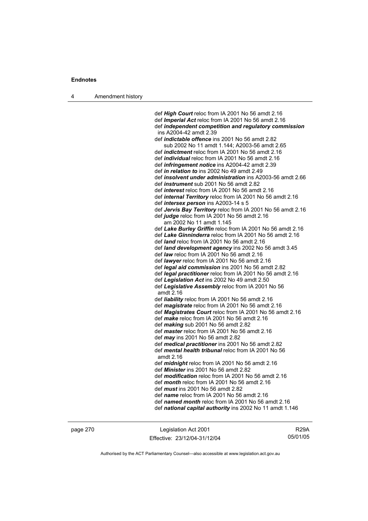4 Amendment history

 def *High Court* reloc from IA 2001 No 56 amdt 2.16 def *Imperial Act* reloc from IA 2001 No 56 amdt 2.16 def *independent competition and regulatory commission*  ins A2004-42 amdt 2.39 def *indictable offence* ins 2001 No 56 amdt 2.82 sub 2002 No 11 amdt 1.144; A2003-56 amdt 2.65 def *indictment* reloc from IA 2001 No 56 amdt 2.16 def *individual* reloc from IA 2001 No 56 amdt 2.16 def *infringement notice* ins A2004-42 amdt 2.39 def *in relation to* ins 2002 No 49 amdt 2.49 def *insolvent under administration* ins A2003-56 amdt 2.66 def *instrument* sub 2001 No 56 amdt 2.82 def *interest* reloc from IA 2001 No 56 amdt 2.16 def *internal Territory* reloc from IA 2001 No 56 amdt 2.16 def *intersex person* ins A2003-14 s 5 def *Jervis Bay Territory* reloc from IA 2001 No 56 amdt 2.16 def *judge* reloc from IA 2001 No 56 amdt 2.16 am 2002 No 11 amdt 1.145 def *Lake Burley Griffin* reloc from IA 2001 No 56 amdt 2.16 def *Lake Ginninderra* reloc from IA 2001 No 56 amdt 2.16 def *land* reloc from IA 2001 No 56 amdt 2.16 def *land development agency* ins 2002 No 56 amdt 3.45 def *law* reloc from IA 2001 No 56 amdt 2.16 def *lawyer* reloc from IA 2001 No 56 amdt 2.16 def *legal aid commission* ins 2001 No 56 amdt 2.82 def *legal practitioner* reloc from IA 2001 No 56 amdt 2.16 def *Legislation Act* ins 2002 No 49 amdt 2.50 def *Legislative Assembly* reloc from IA 2001 No 56 amdt 2.16 def *liability* reloc from IA 2001 No 56 amdt 2.16 def *magistrate* reloc from IA 2001 No 56 amdt 2.16 def *Magistrates Court* reloc from IA 2001 No 56 amdt 2.16 def *make* reloc from IA 2001 No 56 amdt 2.16 def *making* sub 2001 No 56 amdt 2.82 def *master* reloc from IA 2001 No 56 amdt 2.16 def *may* ins 2001 No 56 amdt 2.82 def *medical practitioner* ins 2001 No 56 amdt 2.82 def *mental health tribunal* reloc from IA 2001 No 56 amdt 2.16 def *midnight* reloc from IA 2001 No 56 amdt 2.16 def *Minister* ins 2001 No 56 amdt 2.82 def *modification* reloc from IA 2001 No 56 amdt 2.16 def *month* reloc from IA 2001 No 56 amdt 2.16 def *must* ins 2001 No 56 amdt 2.82 def *name* reloc from IA 2001 No 56 amdt 2.16 def *named month* reloc from IA 2001 No 56 amdt 2.16 def *national capital authority* ins 2002 No 11 amdt 1.146

page 270 Legislation Act 2001 Effective: 23/12/04-31/12/04

R29A 05/01/05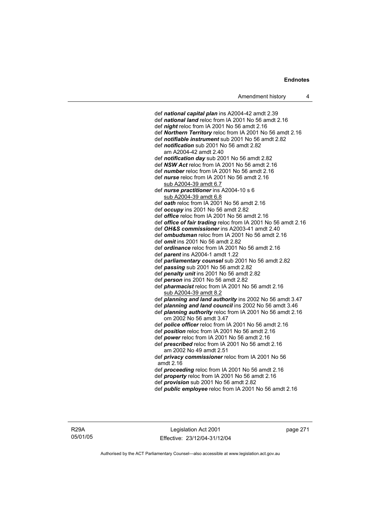def *national capital plan* ins A2004-42 amdt 2.39 def *national land* reloc from IA 2001 No 56 amdt 2.16 def *night* reloc from IA 2001 No 56 amdt 2.16 def *Northern Territory* reloc from IA 2001 No 56 amdt 2.16 def *notifiable instrument* sub 2001 No 56 amdt 2.82 def *notification* sub 2001 No 56 amdt 2.82 am A2004-42 amdt 2.40 def *notification day* sub 2001 No 56 amdt 2.82 def *NSW Act* reloc from IA 2001 No 56 amdt 2.16 def *number* reloc from IA 2001 No 56 amdt 2.16 def *nurse* reloc from IA 2001 No 56 amdt 2.16 sub A2004-39 amdt 6.7 def *nurse practitioner* ins A2004-10 s 6 sub A2004-39 amdt 6.8 def *oath* reloc from IA 2001 No 56 amdt 2.16 def *occupy* ins 2001 No 56 amdt 2.82 def *office* reloc from IA 2001 No 56 amdt 2.16 def *office of fair trading* reloc from IA 2001 No 56 amdt 2.16 def *OH&S commissioner* ins A2003-41 amdt 2.40 def *ombudsman* reloc from IA 2001 No 56 amdt 2.16 def *omit* ins 2001 No 56 amdt 2.82 def *ordinance* reloc from IA 2001 No 56 amdt 2.16 def *parent* ins A2004-1 amdt 1.22 def *parliamentary counsel* sub 2001 No 56 amdt 2.82 def *passing* sub 2001 No 56 amdt 2.82 def *penalty unit* ins 2001 No 56 amdt 2.82 def *person* ins 2001 No 56 amdt 2.82 def *pharmacist* reloc from IA 2001 No 56 amdt 2.16 sub A2004-39 amdt 8.2 def *planning and land authority* ins 2002 No 56 amdt 3.47 def *planning and land council* ins 2002 No 56 amdt 3.46 def *planning authority* reloc from IA 2001 No 56 amdt 2.16 om 2002 No 56 amdt 3.47 def *police officer* reloc from IA 2001 No 56 amdt 2.16 def *position* reloc from IA 2001 No 56 amdt 2.16 def *power* reloc from IA 2001 No 56 amdt 2.16 def *prescribed* reloc from IA 2001 No 56 amdt 2.16 am 2002 No 49 amdt 2.51 def *privacy commissioner* reloc from IA 2001 No 56 amdt 2.16 def *proceeding* reloc from IA 2001 No 56 amdt 2.16 def *property* reloc from IA 2001 No 56 amdt 2.16 def *provision* sub 2001 No 56 amdt 2.82 def *public employee* reloc from IA 2001 No 56 amdt 2.16

Legislation Act 2001 Effective: 23/12/04-31/12/04 page 271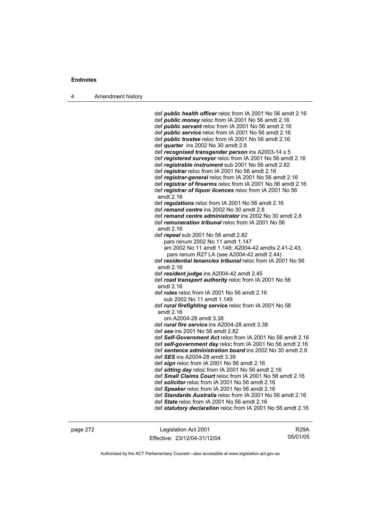4 Amendment history

 def *public health officer* reloc from IA 2001 No 56 amdt 2.16 def *public money* reloc from IA 2001 No 56 amdt 2.16 def *public servant* reloc from IA 2001 No 56 amdt 2.16 def *public service* reloc from IA 2001 No 56 amdt 2.16 def *public trustee* reloc from IA 2001 No 56 amdt 2.16 def *quarter* ins 2002 No 30 amdt 2.8 def *recognised transgender person* ins A2003-14 s 5 def *registered surveyor* reloc from IA 2001 No 56 amdt 2.16 def *registrable instrument* sub 2001 No 56 amdt 2.82 def *registrar* reloc from IA 2001 No 56 amdt 2.16 def *registrar-general* reloc from IA 2001 No 56 amdt 2.16 def *registrar of firearms* reloc from IA 2001 No 56 amdt 2.16 def *registrar of liquor licences* reloc from IA 2001 No 56 amdt 2.16 def *regulations* reloc from IA 2001 No 56 amdt 2.16 def *remand centre* ins 2002 No 30 amdt 2.8 def *remand centre administrator* ins 2002 No 30 amdt 2.8 def *remuneration tribunal* reloc from IA 2001 No 56 amdt 2.16 def *repeal* sub 2001 No 56 amdt 2.82 pars renum 2002 No 11 amdt 1.147 am 2002 No 11 amdt 1.148; A2004-42 amdts 2.41-2.43; pars renum R27 LA (see A2004-42 amdt 2.44) def *residential tenancies tribunal* reloc from IA 2001 No 56 amdt 2.16 def *resident judge* ins A2004-42 amdt 2.45 def *road transport authority* reloc from IA 2001 No 56 amdt 2.16 def *rules* reloc from IA 2001 No 56 amdt 2.16 sub 2002 No 11 amdt 1.149 def *rural firefighting service* reloc from IA 2001 No 56 amdt 2.16 om A2004-28 amdt 3.38 def *rural fire service* ins A2004-28 amdt 3.38 def *see* ins 2001 No 56 amdt 2.82 def *Self-Government Act* reloc from IA 2001 No 56 amdt 2.16 def *self-government day* reloc from IA 2001 No 56 amdt 2.16 def *sentence administration board* ins 2002 No 30 amdt 2.8 def *SES* ins A2004-28 amdt 3.39 def *sign* reloc from IA 2001 No 56 amdt 2.16 def *sitting day* reloc from IA 2001 No 56 amdt 2.16 def *Small Claims Court* reloc from IA 2001 No 56 amdt 2.16 def *solicitor* reloc from IA 2001 No 56 amdt 2.16 def *Speaker* reloc from IA 2001 No 56 amdt 2.16 def *Standards Australia* reloc from IA 2001 No 56 amdt 2.16 def *State* reloc from IA 2001 No 56 amdt 2.16 def *statutory declaration* reloc from IA 2001 No 56 amdt 2.16

page 272 Legislation Act 2001 Effective: 23/12/04-31/12/04

R29A 05/01/05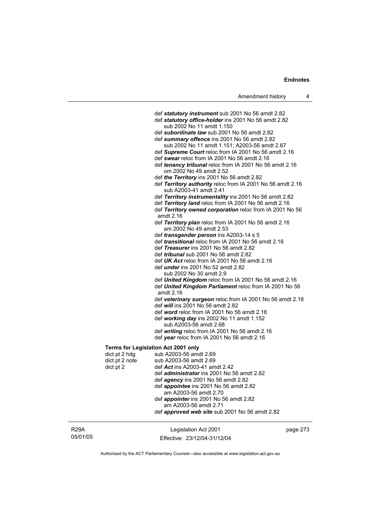def *statutory instrument* sub 2001 No 56 amdt 2.82 def *statutory office-holder* ins 2001 No 56 amdt 2.82 sub 2002 No 11 amdt 1.150 def *subordinate law* sub 2001 No 56 amdt 2.82 def *summary offence* ins 2001 No 56 amdt 2.82 sub 2002 No 11 amdt 1.151; A2003-56 amdt 2.67 def *Supreme Court* reloc from IA 2001 No 56 amdt 2.16 def *swear* reloc from IA 2001 No 56 amdt 2.16 def *tenancy tribunal* reloc from IA 2001 No 56 amdt 2.16 om 2002 No 49 amdt 2.52 def *the Territory* ins 2001 No 56 amdt 2.82 def *Territory authority* reloc from IA 2001 No 56 amdt 2.16 sub A2003-41 amdt 2.41 def *Territory instrumentality* ins 2001 No 56 amdt 2.82 def *Territory land* reloc from IA 2001 No 56 amdt 2.16 def *Territory owned corporation* reloc from IA 2001 No 56 amdt 2.16 def *Territory plan* reloc from IA 2001 No 56 amdt 2.16 am 2002 No 49 amdt 2.53 def *transgender person* ins A2003-14 s 5 def *transitional* reloc from IA 2001 No 56 amdt 2.16 def *Treasurer* ins 2001 No 56 amdt 2.82 def *tribunal* sub 2001 No 56 amdt 2.82 def *UK Act* reloc from IA 2001 No 56 amdt 2.16 def *under* ins 2001 No 52 amdt 2.82 sub 2002 No 30 amdt 2.9 def *United Kingdom* reloc from IA 2001 No 56 amdt 2.16 def *United Kingdom Parliament* reloc from IA 2001 No 56 amdt 2.16 def *veterinary surgeon* reloc from IA 2001 No 56 amdt 2.16 def *will* ins 2001 No 56 amdt 2.82 def *word* reloc from IA 2001 No 56 amdt 2.16 def *working day* ins 2002 No 11 amdt 1.152 sub A2003-56 amdt 2.68 def *writing* reloc from IA 2001 No 56 amdt 2.16 def *year* reloc from IA 2001 No 56 amdt 2.16 **Terms for Legislation Act 2001 only**  dict pt  $2$  hdg sub A2003-56 amdt  $2.69$ dict pt 2 note sub A2003-56 amdt 2.69 dict pt 2 def *Act* ins A2003-41 amdt 2.42 def *administrator* ins 2001 No 56 amdt 2.82 def *agency* ins 2001 No 56 amdt 2.82 def *appointee* ins 2001 No 56 amdt 2.82 am A2003-56 amdt 2.70 def *appointer* ins 2001 No 56 amdt 2.82 am A2003-56 amdt 2.71 def *approved web site* sub 2001 No 56 amdt 2.82

R29A 05/01/05 Legislation Act 2001 Effective: 23/12/04-31/12/04 page 273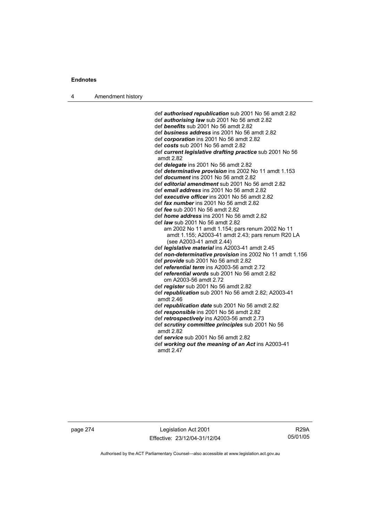4 Amendment history

 def *authorised republication* sub 2001 No 56 amdt 2.82 def *authorising law* sub 2001 No 56 amdt 2.82 def *benefits* sub 2001 No 56 amdt 2.82 def *business address* ins 2001 No 56 amdt 2.82 def *corporation* ins 2001 No 56 amdt 2.82 def *costs* sub 2001 No 56 amdt 2.82 def *current legislative drafting practice* sub 2001 No 56 amdt 2.82 def *delegate* ins 2001 No 56 amdt 2.82 def *determinative provision* ins 2002 No 11 amdt 1.153 def *document* ins 2001 No 56 amdt 2.82 def *editorial amendment* sub 2001 No 56 amdt 2.82 def *email address* ins 2001 No 56 amdt 2.82 def *executive officer* ins 2001 No 56 amdt 2.82 def *fax number* ins 2001 No 56 amdt 2.82 def *fee* sub 2001 No 56 amdt 2.82 def *home address* ins 2001 No 56 amdt 2.82 def *law* sub 2001 No 56 amdt 2.82 am 2002 No 11 amdt 1.154; pars renum 2002 No 11 amdt 1.155; A2003-41 amdt 2.43; pars renum R20 LA (see A2003-41 amdt 2.44) def *legislative material* ins A2003-41 amdt 2.45 def *non-determinative provision* ins 2002 No 11 amdt 1.156 def *provide* sub 2001 No 56 amdt 2.82 def *referential term* ins A2003-56 amdt 2.72 def *referential words* sub 2001 No 56 amdt 2.82 om A2003-56 amdt 2.72 def *register* sub 2001 No 56 amdt 2.82 def *republication* sub 2001 No 56 amdt 2.82; A2003-41 amdt 2.46 def *republication date* sub 2001 No 56 amdt 2.82 def *responsible* ins 2001 No 56 amdt 2.82 def *retrospectively* ins A2003-56 amdt 2.73 def *scrutiny committee principles* sub 2001 No 56 amdt 2.82 def *service* sub 2001 No 56 amdt 2.82 def *working out the meaning of an Act* ins A2003-41 amdt 2.47

page 274 Legislation Act 2001 Effective: 23/12/04-31/12/04

R29A 05/01/05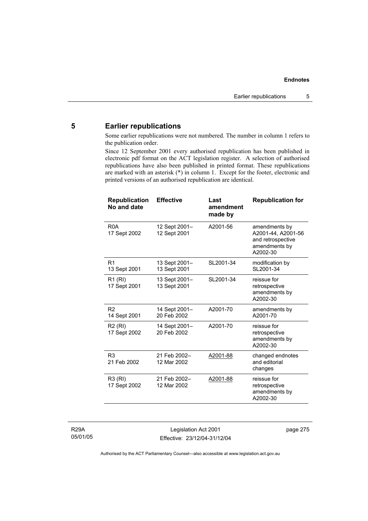# **5 Earlier republications**

Some earlier republications were not numbered. The number in column 1 refers to the publication order.

Since 12 September 2001 every authorised republication has been published in electronic pdf format on the ACT legislation register. A selection of authorised republications have also been published in printed format. These republications are marked with an asterisk (\*) in column 1. Except for the footer, electronic and printed versions of an authorised republication are identical.

| <b>Republication</b><br>No and date | <b>Effective</b>              | Last<br>amendment<br>made by | <b>Republication for</b>                                                              |
|-------------------------------------|-------------------------------|------------------------------|---------------------------------------------------------------------------------------|
| R <sub>0</sub> A<br>17 Sept 2002    | 12 Sept 2001–<br>12 Sept 2001 | A2001-56                     | amendments by<br>A2001-44, A2001-56<br>and retrospective<br>amendments by<br>A2002-30 |
| R <sub>1</sub><br>13 Sept 2001      | 13 Sept 2001-<br>13 Sept 2001 | SL2001-34                    | modification by<br>SL2001-34                                                          |
| R1 (RI)<br>17 Sept 2001             | 13 Sept 2001-<br>13 Sept 2001 | SL2001-34                    | reissue for<br>retrospective<br>amendments by<br>A2002-30                             |
| R <sub>2</sub><br>14 Sept 2001      | 14 Sept 2001-<br>20 Feb 2002  | A2001-70                     | amendments by<br>A2001-70                                                             |
| R <sub>2</sub> (RI)<br>17 Sept 2002 | 14 Sept 2001-<br>20 Feb 2002  | A2001-70                     | reissue for<br>retrospective<br>amendments by<br>A2002-30                             |
| R <sub>3</sub><br>21 Feb 2002       | 21 Feb 2002-<br>12 Mar 2002   | A2001-88                     | changed endnotes<br>and editorial<br>changes                                          |
| R3 (RI)<br>17 Sept 2002             | 21 Feb 2002-<br>12 Mar 2002   | A2001-88                     | reissue for<br>retrospective<br>amendments by<br>A2002-30                             |

R29A 05/01/05

Legislation Act 2001 Effective: 23/12/04-31/12/04 page 275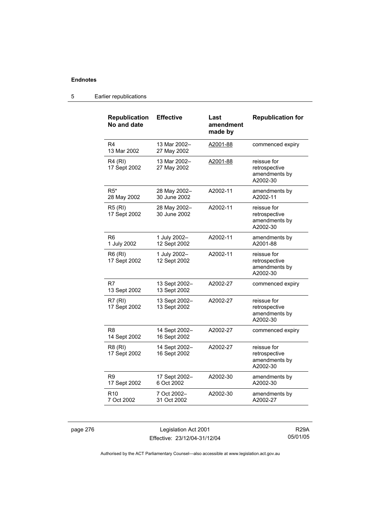| <b>Republication</b><br>No and date | <b>Effective</b>              | Last<br>amendment<br>made by | <b>Republication for</b>                                  |
|-------------------------------------|-------------------------------|------------------------------|-----------------------------------------------------------|
| R <sub>4</sub><br>13 Mar 2002       | 13 Mar 2002-<br>27 May 2002   | A2001-88                     | commenced expiry                                          |
| <b>R4 (RI)</b><br>17 Sept 2002      | 13 Mar 2002-<br>27 May 2002   | A2001-88                     | reissue for<br>retrospective<br>amendments by<br>A2002-30 |
| $R5*$<br>28 May 2002                | 28 May 2002-<br>30 June 2002  | A2002-11                     | amendments by<br>A2002-11                                 |
| <b>R5 (RI)</b><br>17 Sept 2002      | 28 May 2002-<br>30 June 2002  | A2002-11                     | reissue for<br>retrospective<br>amendments by<br>A2002-30 |
| R <sub>6</sub><br>1 July 2002       | 1 July 2002-<br>12 Sept 2002  | A2002-11                     | amendments by<br>A2001-88                                 |
| R6 (RI)<br>17 Sept 2002             | 1 July 2002-<br>12 Sept 2002  | A2002-11                     | reissue for<br>retrospective<br>amendments by<br>A2002-30 |
| R7<br>13 Sept 2002                  | 13 Sept 2002-<br>13 Sept 2002 | A2002-27                     | commenced expiry                                          |
| R7(RI)<br>17 Sept 2002              | 13 Sept 2002-<br>13 Sept 2002 | A2002-27                     | reissue for<br>retrospective<br>amendments by<br>A2002-30 |
| R8<br>14 Sept 2002                  | 14 Sept 2002-<br>16 Sept 2002 | A2002-27                     | commenced expiry                                          |
| R8 (RI)<br>17 Sept 2002             | 14 Sept 2002-<br>16 Sept 2002 | A2002-27                     | reissue for<br>retrospective<br>amendments by<br>A2002-30 |
| R9<br>17 Sept 2002                  | 17 Sept 2002-<br>6 Oct 2002   | A2002-30                     | amendments by<br>A2002-30                                 |
| R <sub>10</sub><br>7 Oct 2002       | 7 Oct 2002-<br>31 Oct 2002    | A2002-30                     | amendments by<br>A2002-27                                 |

## 5 Earlier republications

page 276 Legislation Act 2001 Effective: 23/12/04-31/12/04

R29A 05/01/05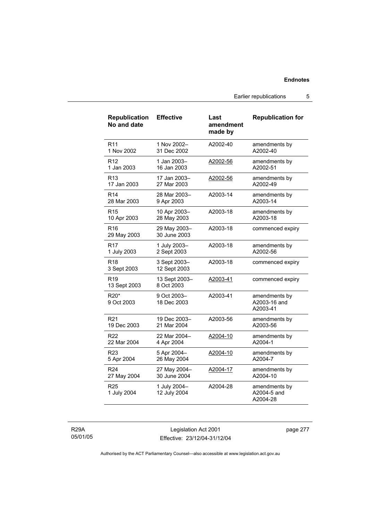Earlier republications 5

| <b>Republication</b><br>No and date | <b>Effective</b>             | Last<br>amendment<br>made by | <b>Republication for</b>                  |
|-------------------------------------|------------------------------|------------------------------|-------------------------------------------|
| R <sub>11</sub>                     | 1 Nov 2002-                  | A2002-40                     | amendments by                             |
| 1 Nov 2002                          | 31 Dec 2002                  |                              | A2002-40                                  |
| R <sub>12</sub>                     | 1 Jan 2003-                  | A2002-56                     | amendments by                             |
| 1 Jan 2003                          | 16 Jan 2003                  |                              | A2002-51                                  |
| R <sub>13</sub>                     | 17 Jan 2003-                 | A2002-56                     | amendments by                             |
| 17 Jan 2003                         | 27 Mar 2003                  |                              | A2002-49                                  |
| R <sub>14</sub>                     | 28 Mar 2003-                 | A2003-14                     | amendments by                             |
| 28 Mar 2003                         | 9 Apr 2003                   |                              | A2003-14                                  |
| R <sub>15</sub>                     | 10 Apr 2003-                 | A2003-18                     | amendments by                             |
| 10 Apr 2003                         | 28 May 2003                  |                              | A2003-18                                  |
| R <sub>16</sub><br>29 May 2003      | 29 May 2003-<br>30 June 2003 | A2003-18                     | commenced expiry                          |
| R <sub>17</sub>                     | 1 July 2003-                 | A2003-18                     | amendments by                             |
| 1 July 2003                         | 2 Sept 2003                  |                              | A2002-56                                  |
| R <sub>18</sub><br>3 Sept 2003      | 3 Sept 2003-<br>12 Sept 2003 | A2003-18                     | commenced expiry                          |
| R <sub>19</sub><br>13 Sept 2003     | 13 Sept 2003-<br>8 Oct 2003  | A2003-41                     | commenced expiry                          |
| R20*<br>9 Oct 2003                  | 9 Oct 2003-<br>18 Dec 2003   | A2003-41                     | amendments by<br>A2003-16 and<br>A2003-41 |
| R <sub>21</sub>                     | 19 Dec 2003-                 | A2003-56                     | amendments by                             |
| 19 Dec 2003                         | 21 Mar 2004                  |                              | A2003-56                                  |
| R22                                 | 22 Mar 2004-                 | A2004-10                     | amendments by                             |
| 22 Mar 2004                         | 4 Apr 2004                   |                              | A2004-1                                   |
| R <sub>23</sub>                     | 5 Apr 2004-                  | A2004-10                     | amendments by                             |
| 5 Apr 2004                          | 26 May 2004                  |                              | A2004-7                                   |
| R <sub>24</sub>                     | 27 May 2004-                 | A2004-17                     | amendments by                             |
| 27 May 2004                         | 30 June 2004                 |                              | A2004-10                                  |
| R <sub>25</sub><br>1 July 2004      | 1 July 2004-<br>12 July 2004 | A2004-28                     | amendments by<br>A2004-5 and<br>A2004-28  |

R29A 05/01/05

Legislation Act 2001 Effective: 23/12/04-31/12/04 page 277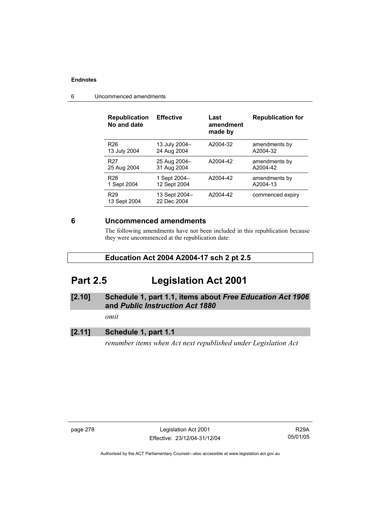| <b>Republication</b><br>No and date | <b>Effective</b>             | Last<br>amendment<br>made by | <b>Republication for</b> |
|-------------------------------------|------------------------------|------------------------------|--------------------------|
| R <sub>26</sub>                     | 13 July 2004-                | A2004-32                     | amendments by            |
| 13 July 2004                        | 24 Aug 2004                  |                              | A2004-32                 |
| R <sub>27</sub>                     | 25 Aug 2004-                 | A2004-42                     | amendments by            |
| 25 Aug 2004                         | 31 Aug 2004                  |                              | A2004-42                 |
| R <sub>28</sub>                     | 1 Sept 2004-                 | A2004-42                     | amendments by            |
| 1 Sept 2004                         | 12 Sept 2004                 |                              | A2004-13                 |
| R <sub>29</sub><br>13 Sept 2004     | 13 Sept 2004-<br>22 Dec 2004 | A2004-42                     | commenced expiry         |

6 Uncommenced amendments

## **6 Uncommenced amendments**

The following amendments have not been included in this republication because they were uncommenced at the republication date:

## **Education Act 2004 A2004-17 sch 2 pt 2.5**

# **Part 2.5 Legislation Act 2001**

## **[2.10] Schedule 1, part 1.1, items about** *Free Education Act 1906* **and** *Public Instruction Act 1880*

*omit* 

## **[2.11] Schedule 1, part 1.1**

*renumber items when Act next republished under Legislation Act* 

page 278 Legislation Act 2001 Effective: 23/12/04-31/12/04

R29A 05/01/05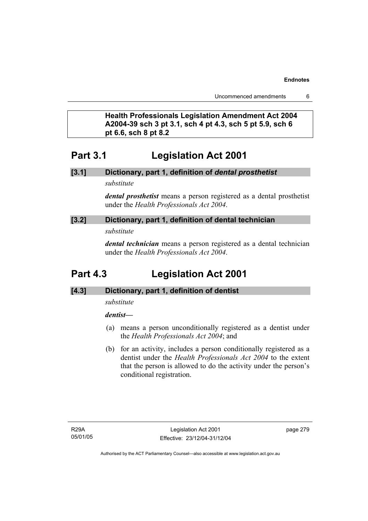Uncommenced amendments 6

# **Health Professionals Legislation Amendment Act 2004 A2004-39 sch 3 pt 3.1, sch 4 pt 4.3, sch 5 pt 5.9, sch 6 pt 6.6, sch 8 pt 8.2**

# **Part 3.1 Legislation Act 2001**

## **[3.1] Dictionary, part 1, definition of** *dental prosthetist*

*substitute* 

*dental prosthetist* means a person registered as a dental prosthetist under the *Health Professionals Act 2004*.

## **[3.2] Dictionary, part 1, definition of dental technician**

*substitute* 

*dental technician* means a person registered as a dental technician under the *Health Professionals Act 2004*.

# **Part 4.3 Legislation Act 2001**

## **[4.3] Dictionary, part 1, definition of dentist**

*substitute* 

## *dentist***—**

- (a) means a person unconditionally registered as a dentist under the *Health Professionals Act 2004*; and
- (b) for an activity, includes a person conditionally registered as a dentist under the *Health Professionals Act 2004* to the extent that the person is allowed to do the activity under the person's conditional registration.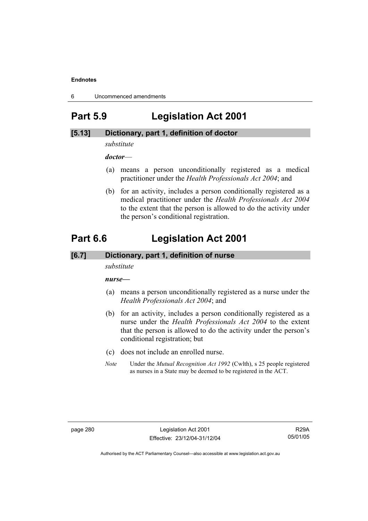6 Uncommenced amendments

# **Part 5.9 Legislation Act 2001**

## **[5.13] Dictionary, part 1, definition of doctor**

*substitute* 

*doctor*—

- (a) means a person unconditionally registered as a medical practitioner under the *Health Professionals Act 2004*; and
- (b) for an activity, includes a person conditionally registered as a medical practitioner under the *Health Professionals Act 2004*  to the extent that the person is allowed to do the activity under the person's conditional registration.

# **Part 6.6 Legislation Act 2001**

### **[6.7] Dictionary, part 1, definition of nurse**

*substitute* 

*nurse***—**

- (a) means a person unconditionally registered as a nurse under the *Health Professionals Act 2004*; and
- (b) for an activity, includes a person conditionally registered as a nurse under the *Health Professionals Act 2004* to the extent that the person is allowed to do the activity under the person's conditional registration; but
- (c) does not include an enrolled nurse.
- *Note* Under the *Mutual Recognition Act 1992* (Cwlth), s 25 people registered as nurses in a State may be deemed to be registered in the ACT.

R29A 05/01/05